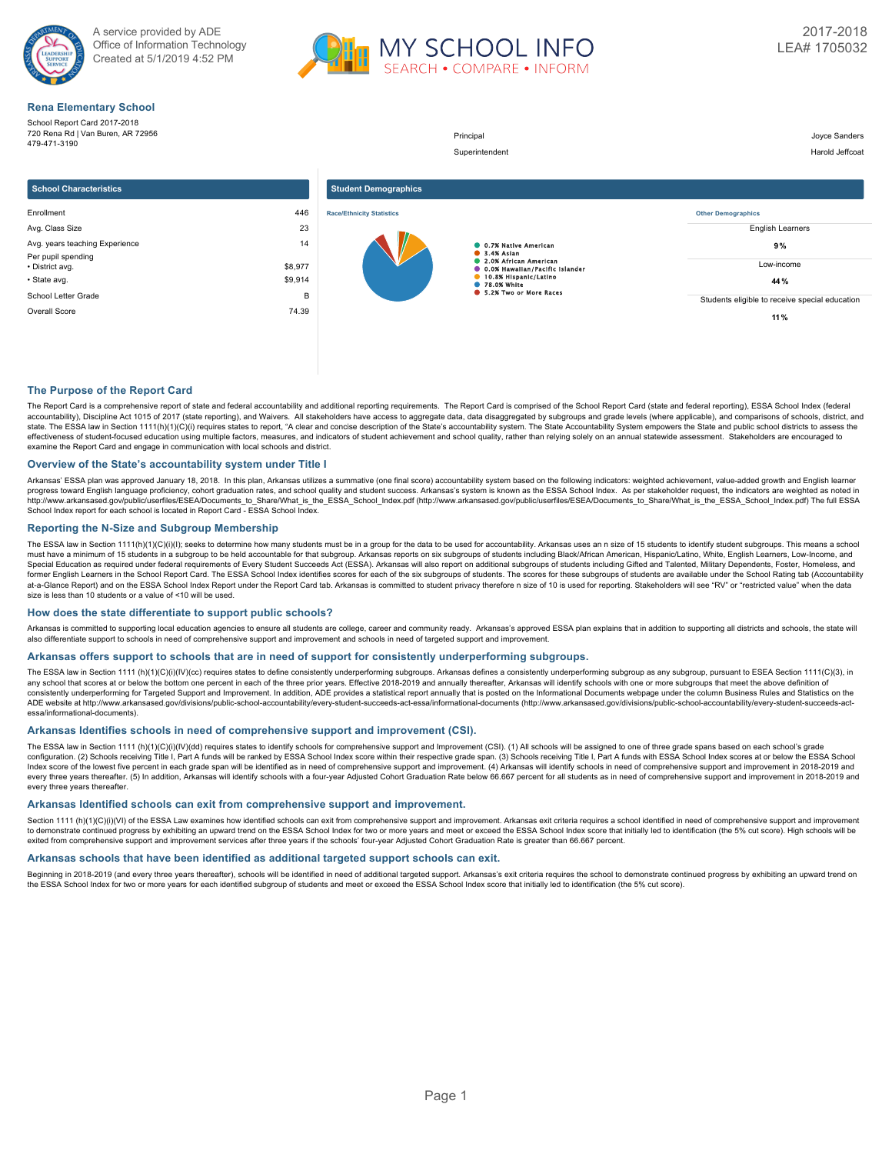



### **Rena Elementary School**

School Report Card 2017-2018 720 Rena Rd | Van Buren, AR 72956 479-471-3190

Principal Joyce Sanders Superintendent Harold Jeffcoat **School Characteristics** Enrollment 446 Avg. Class Size 23 Avg. years teaching Experience 14 Per pupil spending • District avg.  $$8,977$ • State avg. \$9,914 School Letter Grade B Overall Score 74.39 **Student Demographics Race/Ethnicity Statistics** 0.7% Native American 3.4% Asian<br>2.0% African American<br>0.0% African Amerific Islander<br>10.8% White<br>78.0% White<br>5.2% Two or More Races **Other Demographics** English Learners **9 %** Low-income **44 %** Students eligible to receive special education **11 %**

### **The Purpose of the Report Card**

The Report Card is a comprehensive report of state and federal accountability and additional reporting requirements. The Report Card is comprised of the School Report Card (state and federal reporting), ESSA School Index ( accountability), Discipline Act 1015 of 2017 (state reporting), and Waivers. All stakeholders have access to aggregate data, data disaggregated by subgroups and grade levels (where applicable), and comparisons of schools, state. The ESSA law in Section 1111(h)(1)(C)(i) requires states to report, "A clear and concise description of the State's accountability system. The State Accountability System empowers the State and public school distric effectiveness of student-focused education using multiple factors, measures, and indicators of student achievement and school quality, rather than relying solely on an annual statewide assessment. Stakeholders are encoura

### **Overview of the State's accountability system under Title I**

Arkansas' ESSA plan was approved January 18, 2018. In this plan, Arkansas utilizes a summative (one final score) accountability system based on the following indicators: weighted achievement, value-added growth and English progress toward English language proficiency, cohort graduation rates, and school quality and student success. Arkansas's system is known as the ESSA School Index. As per stakeholder request, the indicators are weighted as School Index report for each school is located in Report Card - ESSA School Index.

### **Reporting the N-Size and Subgroup Membership**

The ESSA law in Section 1111(h)(1)(C)(i)(l); seeks to determine how many students must be in a group for the data to be used for accountability. Arkansas uses an n size of 15 students to identify student subgroups. This me must have a minimum of 15 students in a subgroup to be held accountable for that subgroup. Arkansas reports on six subgroups of students including Black/African American, Hispanic/Latino, White, English Learners, Low-Incom Special Education as required under federal requirements of Every Student Succeeds Act (ESSA). Arkansas will also report on additional subgroups of students including Gifted and Talented, Military Dependents, Foster, Homel former English Learners in the School Report Card. The ESSA School Index identifies scores for each of the six subgroups of students. The scores for these subgroups of students are available under the School Rating tab (Ac at-a-Glance Report) and on the ESSA School Index Report under the Report Card tab. Arkansas is committed to student privacy therefore n size of 10 is used for reporting. Stakeholders will see "RV" or "restricted value" whe size is less than 10 students or a value of <10 will be used.

### **How does the state differentiate to support public schools?**

Arkansas is committed to supporting local education agencies to ensure all students are college, career and community ready. Arkansas's approved ESSA plan explains that in addition to supporting all districts and schools, also differentiate support to schools in need of comprehensive support and improvement and schools in need of targeted support and improvement.

### **Arkansas offers support to schools that are in need of support for consistently underperforming subgroups.**

The ESSA law in Section 1111 (h)(1)(O)(i)(IV)(cc) requires states to define consistently underperforming subgroups. Arkansas defines a consistently underperforming subgroups as any subgroup, pursuant to ESEA Section 1111(C any school that scores at or below the bottom one percent in each of the three prior years. Effective 2018-2019 and annually thereafter. Arkansas will identify schools with one or more subgroups that meet the above definit consistently underperforming for Targeted Support and Improvement. In addition, ADE provides a statistical report annually that is posted on the Informational Documents webpage under the column Business Rules and Statistic ADE website at http://www.arkansased.gov/divisions/public-school-accountability/every-student-succeeds-act-essa/informational-documents (http://www.arkansased.gov/divisions/public-school-accountability/every-student-succee essa/informational-documents).

### **Arkansas Identifies schools in need of comprehensive support and improvement (CSI).**

The ESSA law in Section 1111 (h)(1)(C)(i)(IV)(dd) requires states to identify schools for comprehensive support and Improvement (CSI). (1) All schools will be assigned to one of three grade spans based on each school's gra configuration. (2) Schools receiving Title I, Part A funds will be ranked by ESSA School Index score within their respective grade span. (3) Schools receiving Title I, Part A funds with ESSA School Index scores at or below every three years thereafter. (5) In addition, Arkansas will identify schools with a four-year Adjusted Cohort Graduation Rate below 66.667 percent for all students as in need of comprehensive support and improvement in 20 every three years thereafter.

### **Arkansas Identified schools can exit from comprehensive support and improvement.**

Section 1111 (h)(1)(C)(i)(VI) of the ESSA Law examines how identified schools can exit from comprehensive support and improvement. Arkansas exit criteria requires a school identified in need of comprehensive support and im to demonstrate continued progress by exhibiting an upward trend on the ESSA School Index for two or more years and meet or exceed the ESSA School Index score that initially led to identification (the 5% cut score). High sc exited from comprehensive support and improvement services after three years if the schools' four-year Adjusted Cohort Graduation Rate is greater than 66.667 percent.

### **Arkansas schools that have been identified as additional targeted support schools can exit.**

Beginning in 2018-2019 (and every three years thereafter), schools will be identified in need of additional targeted support. Arkansas's exit criteria requires the school to demonstrate continued progress by exhibiting an the ESSA School Index for two or more years for each identified subgroup of students and meet or exceed the ESSA School Index score that initially led to identification (the 5% cut score).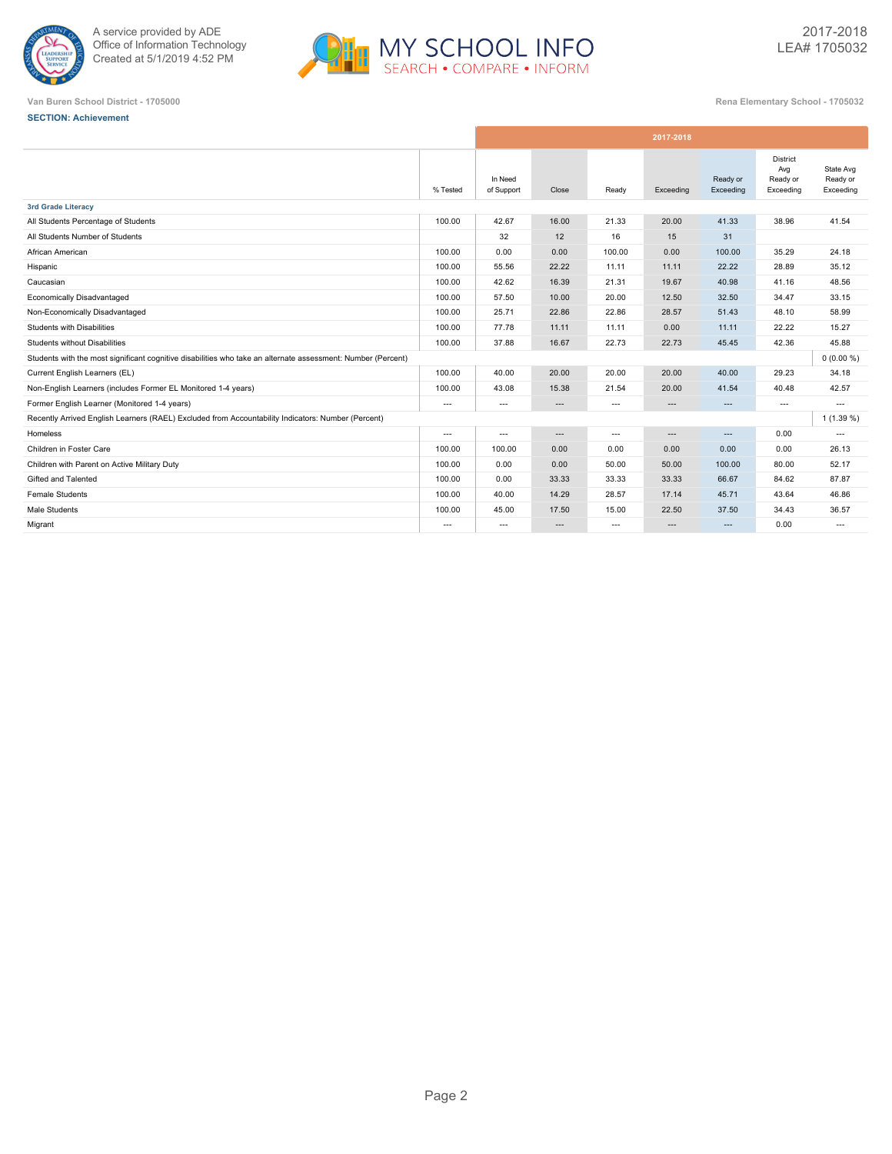



|                                                                                                              |                          |                       |                          |                          | 2017-2018 |                       |                                          |                                    |
|--------------------------------------------------------------------------------------------------------------|--------------------------|-----------------------|--------------------------|--------------------------|-----------|-----------------------|------------------------------------------|------------------------------------|
|                                                                                                              | % Tested                 | In Need<br>of Support | Close                    | Ready                    | Exceeding | Ready or<br>Exceeding | District<br>Avg<br>Ready or<br>Exceeding | State Avg<br>Ready or<br>Exceeding |
| <b>3rd Grade Literacy</b>                                                                                    |                          |                       |                          |                          |           |                       |                                          |                                    |
| All Students Percentage of Students                                                                          | 100.00                   | 42.67                 | 16.00                    | 21.33                    | 20.00     | 41.33                 | 38.96                                    | 41.54                              |
| All Students Number of Students                                                                              |                          | 32                    | 12                       | 16                       | 15        | 31                    |                                          |                                    |
| African American                                                                                             | 100.00                   | 0.00                  | 0.00                     | 100.00                   | 0.00      | 100.00                | 35.29                                    | 24.18                              |
| Hispanic                                                                                                     | 100.00                   | 55.56                 | 22.22                    | 11.11                    | 11.11     | 22.22                 | 28.89                                    | 35.12                              |
| Caucasian                                                                                                    | 100.00                   | 42.62                 | 16.39                    | 21.31                    | 19.67     | 40.98                 | 41.16                                    | 48.56                              |
| Economically Disadvantaged                                                                                   | 100.00                   | 57.50                 | 10.00                    | 20.00                    | 12.50     | 32.50                 | 34.47                                    | 33.15                              |
| Non-Economically Disadvantaged                                                                               | 100.00                   | 25.71                 | 22.86                    | 22.86                    | 28.57     | 51.43                 | 48.10                                    | 58.99                              |
| Students with Disabilities                                                                                   | 100.00                   | 77.78                 | 11.11                    | 11.11                    | 0.00      | 11.11                 | 22.22                                    | 15.27                              |
| Students without Disabilities                                                                                | 100.00                   | 37.88                 | 16.67                    | 22.73                    | 22.73     | 45.45                 | 42.36                                    | 45.88                              |
| Students with the most significant cognitive disabilities who take an alternate assessment: Number (Percent) |                          |                       |                          |                          |           |                       |                                          | $0(0.00\%)$                        |
| Current English Learners (EL)                                                                                | 100.00                   | 40.00                 | 20.00                    | 20.00                    | 20.00     | 40.00                 | 29.23                                    | 34.18                              |
| Non-English Learners (includes Former EL Monitored 1-4 years)                                                | 100.00                   | 43.08                 | 15.38                    | 21.54                    | 20.00     | 41.54                 | 40.48                                    | 42.57                              |
| Former English Learner (Monitored 1-4 years)                                                                 | $\hspace{0.05cm} \ldots$ | $---$                 | $\cdots$                 | $---$                    | $\cdots$  | ---                   | $---$                                    | ---                                |
| Recently Arrived English Learners (RAEL) Excluded from Accountability Indicators: Number (Percent)           |                          |                       |                          |                          |           |                       |                                          | $1(1.39\%)$                        |
| Homeless                                                                                                     | $\hspace{0.05cm} \ldots$ | $---$                 | $\overline{\phantom{a}}$ | $---$                    | $---$     | $---$                 | 0.00                                     | $---$                              |
| Children in Foster Care                                                                                      | 100.00                   | 100.00                | 0.00                     | 0.00                     | 0.00      | 0.00                  | 0.00                                     | 26.13                              |
| Children with Parent on Active Military Duty                                                                 | 100.00                   | 0.00                  | 0.00                     | 50.00                    | 50.00     | 100.00                | 80.00                                    | 52.17                              |
| Gifted and Talented                                                                                          | 100.00                   | 0.00                  | 33.33                    | 33.33                    | 33.33     | 66.67                 | 84.62                                    | 87.87                              |
| <b>Female Students</b>                                                                                       | 100.00                   | 40.00                 | 14.29                    | 28.57                    | 17.14     | 45.71                 | 43.64                                    | 46.86                              |
| Male Students                                                                                                | 100.00                   | 45.00                 | 17.50                    | 15.00                    | 22.50     | 37.50                 | 34.43                                    | 36.57                              |
| Migrant                                                                                                      | $\hspace{0.05cm} \ldots$ | $\cdots$              | $\cdots$                 | $\hspace{0.05cm} \ldots$ | $\cdots$  | $\cdots$              | 0.00                                     | $---$                              |
|                                                                                                              |                          |                       |                          |                          |           |                       |                                          |                                    |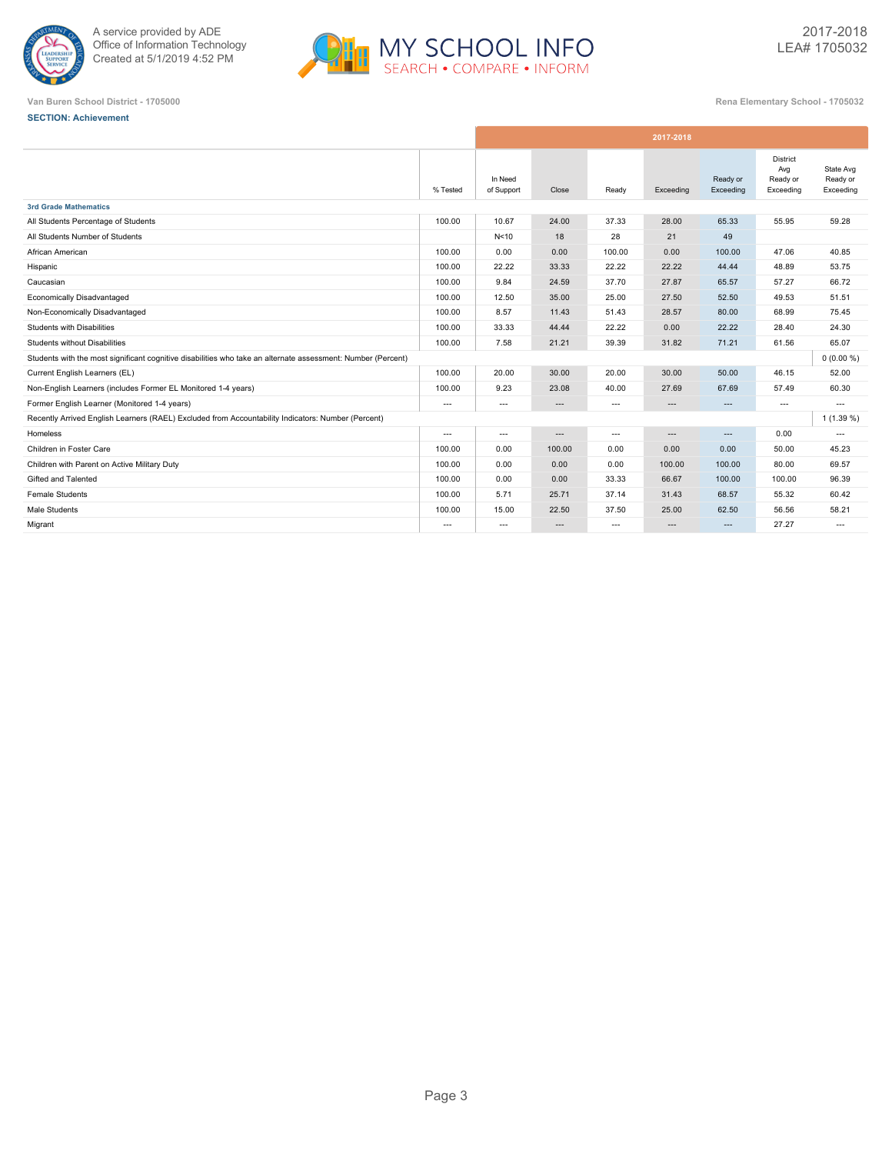



| District<br>Avg<br>State Avg<br>In Need<br>Ready or<br>Ready or<br>Ready or<br>% Tested<br>of Support<br>Close<br>Ready<br>Exceeding<br>Exceeding<br>Exceeding<br>Exceeding<br><b>3rd Grade Mathematics</b><br>10.67<br>24.00<br>37.33<br>28.00<br>65.33<br>55.95<br>59.28<br>All Students Percentage of Students<br>100.00<br>28<br>All Students Number of Students<br>N <sub>10</sub><br>18<br>21<br>49<br>100.00<br>0.00<br>0.00<br>0.00<br>100.00<br>47.06<br>40.85<br>African American<br>100.00<br>53.75<br>100.00<br>22.22<br>33.33<br>22.22<br>22.22<br>44.44<br>48.89<br>Hispanic<br>Caucasian<br>100.00<br>9.84<br>24.59<br>37.70<br>27.87<br>65.57<br>57.27<br>66.72<br>Economically Disadvantaged<br>12.50<br>49.53<br>51.51<br>100.00<br>35.00<br>25.00<br>27.50<br>52.50<br>Non-Economically Disadvantaged<br>100.00<br>8.57<br>11.43<br>28.57<br>80.00<br>68.99<br>51.43<br>75.45<br>Students with Disabilities<br>100.00<br>33.33<br>44.44<br>22.22<br>0.00<br>22.22<br>28.40<br>24.30<br>39.39<br>65.07<br>Students without Disabilities<br>100.00<br>7.58<br>21.21<br>31.82<br>71.21<br>61.56<br>$0(0.00\%)$<br>Students with the most significant cognitive disabilities who take an alternate assessment: Number (Percent)<br>20.00<br>30.00<br>20.00<br>50.00<br>Current English Learners (EL)<br>100.00<br>30.00<br>46.15<br>52.00<br>Non-English Learners (includes Former EL Monitored 1-4 years)<br>100.00<br>9.23<br>23.08<br>40.00<br>27.69<br>67.69<br>57.49<br>60.30<br>Former English Learner (Monitored 1-4 years)<br>$\overline{a}$<br>$\overline{\phantom{a}}$<br>$---$<br>$\qquad \qquad -$<br>$---$<br>$\cdots$<br>$\cdots$<br>$\cdots$<br>Recently Arrived English Learners (RAEL) Excluded from Accountability Indicators: Number (Percent)<br>$1(1.39\%)$<br>0.00<br>Homeless<br>---<br>$\overline{\phantom{a}}$<br>$---$<br>---<br>---<br>$\cdots$<br>$---$<br>Children in Foster Care<br>0.00<br>50.00<br>100.00<br>100.00<br>0.00<br>0.00<br>0.00<br>45.23<br>Children with Parent on Active Military Duty<br>100.00<br>0.00<br>0.00<br>0.00<br>100.00<br>80.00<br>69.57<br>100.00<br>Gifted and Talented<br>100.00<br>0.00<br>0.00<br>33.33<br>66.67<br>100.00<br>100.00<br>96.39<br>5.71<br>37.14<br><b>Female Students</b><br>100.00<br>25.71<br>31.43<br>68.57<br>55.32<br>60.42<br>Male Students<br>22.50<br>37.50<br>25.00<br>56.56<br>58.21<br>100.00<br>15.00<br>62.50 |  |  | 2017-2018 |  |  |
|-------------------------------------------------------------------------------------------------------------------------------------------------------------------------------------------------------------------------------------------------------------------------------------------------------------------------------------------------------------------------------------------------------------------------------------------------------------------------------------------------------------------------------------------------------------------------------------------------------------------------------------------------------------------------------------------------------------------------------------------------------------------------------------------------------------------------------------------------------------------------------------------------------------------------------------------------------------------------------------------------------------------------------------------------------------------------------------------------------------------------------------------------------------------------------------------------------------------------------------------------------------------------------------------------------------------------------------------------------------------------------------------------------------------------------------------------------------------------------------------------------------------------------------------------------------------------------------------------------------------------------------------------------------------------------------------------------------------------------------------------------------------------------------------------------------------------------------------------------------------------------------------------------------------------------------------------------------------------------------------------------------------------------------------------------------------------------------------------------------------------------------------------------------------------------------------------------------------------------------------------------------------------------------------------------------------------------------------------------------------------------------------------------------------------|--|--|-----------|--|--|
|                                                                                                                                                                                                                                                                                                                                                                                                                                                                                                                                                                                                                                                                                                                                                                                                                                                                                                                                                                                                                                                                                                                                                                                                                                                                                                                                                                                                                                                                                                                                                                                                                                                                                                                                                                                                                                                                                                                                                                                                                                                                                                                                                                                                                                                                                                                                                                                                                         |  |  |           |  |  |
|                                                                                                                                                                                                                                                                                                                                                                                                                                                                                                                                                                                                                                                                                                                                                                                                                                                                                                                                                                                                                                                                                                                                                                                                                                                                                                                                                                                                                                                                                                                                                                                                                                                                                                                                                                                                                                                                                                                                                                                                                                                                                                                                                                                                                                                                                                                                                                                                                         |  |  |           |  |  |
|                                                                                                                                                                                                                                                                                                                                                                                                                                                                                                                                                                                                                                                                                                                                                                                                                                                                                                                                                                                                                                                                                                                                                                                                                                                                                                                                                                                                                                                                                                                                                                                                                                                                                                                                                                                                                                                                                                                                                                                                                                                                                                                                                                                                                                                                                                                                                                                                                         |  |  |           |  |  |
|                                                                                                                                                                                                                                                                                                                                                                                                                                                                                                                                                                                                                                                                                                                                                                                                                                                                                                                                                                                                                                                                                                                                                                                                                                                                                                                                                                                                                                                                                                                                                                                                                                                                                                                                                                                                                                                                                                                                                                                                                                                                                                                                                                                                                                                                                                                                                                                                                         |  |  |           |  |  |
|                                                                                                                                                                                                                                                                                                                                                                                                                                                                                                                                                                                                                                                                                                                                                                                                                                                                                                                                                                                                                                                                                                                                                                                                                                                                                                                                                                                                                                                                                                                                                                                                                                                                                                                                                                                                                                                                                                                                                                                                                                                                                                                                                                                                                                                                                                                                                                                                                         |  |  |           |  |  |
|                                                                                                                                                                                                                                                                                                                                                                                                                                                                                                                                                                                                                                                                                                                                                                                                                                                                                                                                                                                                                                                                                                                                                                                                                                                                                                                                                                                                                                                                                                                                                                                                                                                                                                                                                                                                                                                                                                                                                                                                                                                                                                                                                                                                                                                                                                                                                                                                                         |  |  |           |  |  |
|                                                                                                                                                                                                                                                                                                                                                                                                                                                                                                                                                                                                                                                                                                                                                                                                                                                                                                                                                                                                                                                                                                                                                                                                                                                                                                                                                                                                                                                                                                                                                                                                                                                                                                                                                                                                                                                                                                                                                                                                                                                                                                                                                                                                                                                                                                                                                                                                                         |  |  |           |  |  |
|                                                                                                                                                                                                                                                                                                                                                                                                                                                                                                                                                                                                                                                                                                                                                                                                                                                                                                                                                                                                                                                                                                                                                                                                                                                                                                                                                                                                                                                                                                                                                                                                                                                                                                                                                                                                                                                                                                                                                                                                                                                                                                                                                                                                                                                                                                                                                                                                                         |  |  |           |  |  |
|                                                                                                                                                                                                                                                                                                                                                                                                                                                                                                                                                                                                                                                                                                                                                                                                                                                                                                                                                                                                                                                                                                                                                                                                                                                                                                                                                                                                                                                                                                                                                                                                                                                                                                                                                                                                                                                                                                                                                                                                                                                                                                                                                                                                                                                                                                                                                                                                                         |  |  |           |  |  |
|                                                                                                                                                                                                                                                                                                                                                                                                                                                                                                                                                                                                                                                                                                                                                                                                                                                                                                                                                                                                                                                                                                                                                                                                                                                                                                                                                                                                                                                                                                                                                                                                                                                                                                                                                                                                                                                                                                                                                                                                                                                                                                                                                                                                                                                                                                                                                                                                                         |  |  |           |  |  |
|                                                                                                                                                                                                                                                                                                                                                                                                                                                                                                                                                                                                                                                                                                                                                                                                                                                                                                                                                                                                                                                                                                                                                                                                                                                                                                                                                                                                                                                                                                                                                                                                                                                                                                                                                                                                                                                                                                                                                                                                                                                                                                                                                                                                                                                                                                                                                                                                                         |  |  |           |  |  |
|                                                                                                                                                                                                                                                                                                                                                                                                                                                                                                                                                                                                                                                                                                                                                                                                                                                                                                                                                                                                                                                                                                                                                                                                                                                                                                                                                                                                                                                                                                                                                                                                                                                                                                                                                                                                                                                                                                                                                                                                                                                                                                                                                                                                                                                                                                                                                                                                                         |  |  |           |  |  |
|                                                                                                                                                                                                                                                                                                                                                                                                                                                                                                                                                                                                                                                                                                                                                                                                                                                                                                                                                                                                                                                                                                                                                                                                                                                                                                                                                                                                                                                                                                                                                                                                                                                                                                                                                                                                                                                                                                                                                                                                                                                                                                                                                                                                                                                                                                                                                                                                                         |  |  |           |  |  |
|                                                                                                                                                                                                                                                                                                                                                                                                                                                                                                                                                                                                                                                                                                                                                                                                                                                                                                                                                                                                                                                                                                                                                                                                                                                                                                                                                                                                                                                                                                                                                                                                                                                                                                                                                                                                                                                                                                                                                                                                                                                                                                                                                                                                                                                                                                                                                                                                                         |  |  |           |  |  |
|                                                                                                                                                                                                                                                                                                                                                                                                                                                                                                                                                                                                                                                                                                                                                                                                                                                                                                                                                                                                                                                                                                                                                                                                                                                                                                                                                                                                                                                                                                                                                                                                                                                                                                                                                                                                                                                                                                                                                                                                                                                                                                                                                                                                                                                                                                                                                                                                                         |  |  |           |  |  |
|                                                                                                                                                                                                                                                                                                                                                                                                                                                                                                                                                                                                                                                                                                                                                                                                                                                                                                                                                                                                                                                                                                                                                                                                                                                                                                                                                                                                                                                                                                                                                                                                                                                                                                                                                                                                                                                                                                                                                                                                                                                                                                                                                                                                                                                                                                                                                                                                                         |  |  |           |  |  |
|                                                                                                                                                                                                                                                                                                                                                                                                                                                                                                                                                                                                                                                                                                                                                                                                                                                                                                                                                                                                                                                                                                                                                                                                                                                                                                                                                                                                                                                                                                                                                                                                                                                                                                                                                                                                                                                                                                                                                                                                                                                                                                                                                                                                                                                                                                                                                                                                                         |  |  |           |  |  |
|                                                                                                                                                                                                                                                                                                                                                                                                                                                                                                                                                                                                                                                                                                                                                                                                                                                                                                                                                                                                                                                                                                                                                                                                                                                                                                                                                                                                                                                                                                                                                                                                                                                                                                                                                                                                                                                                                                                                                                                                                                                                                                                                                                                                                                                                                                                                                                                                                         |  |  |           |  |  |
|                                                                                                                                                                                                                                                                                                                                                                                                                                                                                                                                                                                                                                                                                                                                                                                                                                                                                                                                                                                                                                                                                                                                                                                                                                                                                                                                                                                                                                                                                                                                                                                                                                                                                                                                                                                                                                                                                                                                                                                                                                                                                                                                                                                                                                                                                                                                                                                                                         |  |  |           |  |  |
|                                                                                                                                                                                                                                                                                                                                                                                                                                                                                                                                                                                                                                                                                                                                                                                                                                                                                                                                                                                                                                                                                                                                                                                                                                                                                                                                                                                                                                                                                                                                                                                                                                                                                                                                                                                                                                                                                                                                                                                                                                                                                                                                                                                                                                                                                                                                                                                                                         |  |  |           |  |  |
|                                                                                                                                                                                                                                                                                                                                                                                                                                                                                                                                                                                                                                                                                                                                                                                                                                                                                                                                                                                                                                                                                                                                                                                                                                                                                                                                                                                                                                                                                                                                                                                                                                                                                                                                                                                                                                                                                                                                                                                                                                                                                                                                                                                                                                                                                                                                                                                                                         |  |  |           |  |  |
|                                                                                                                                                                                                                                                                                                                                                                                                                                                                                                                                                                                                                                                                                                                                                                                                                                                                                                                                                                                                                                                                                                                                                                                                                                                                                                                                                                                                                                                                                                                                                                                                                                                                                                                                                                                                                                                                                                                                                                                                                                                                                                                                                                                                                                                                                                                                                                                                                         |  |  |           |  |  |
| 27.27<br>Migrant<br>$---$<br>$---$<br>$\qquad \qquad -$<br>$\sim$ $\sim$<br>$\cdots$<br>$\cdots$<br>$\cdots$                                                                                                                                                                                                                                                                                                                                                                                                                                                                                                                                                                                                                                                                                                                                                                                                                                                                                                                                                                                                                                                                                                                                                                                                                                                                                                                                                                                                                                                                                                                                                                                                                                                                                                                                                                                                                                                                                                                                                                                                                                                                                                                                                                                                                                                                                                            |  |  |           |  |  |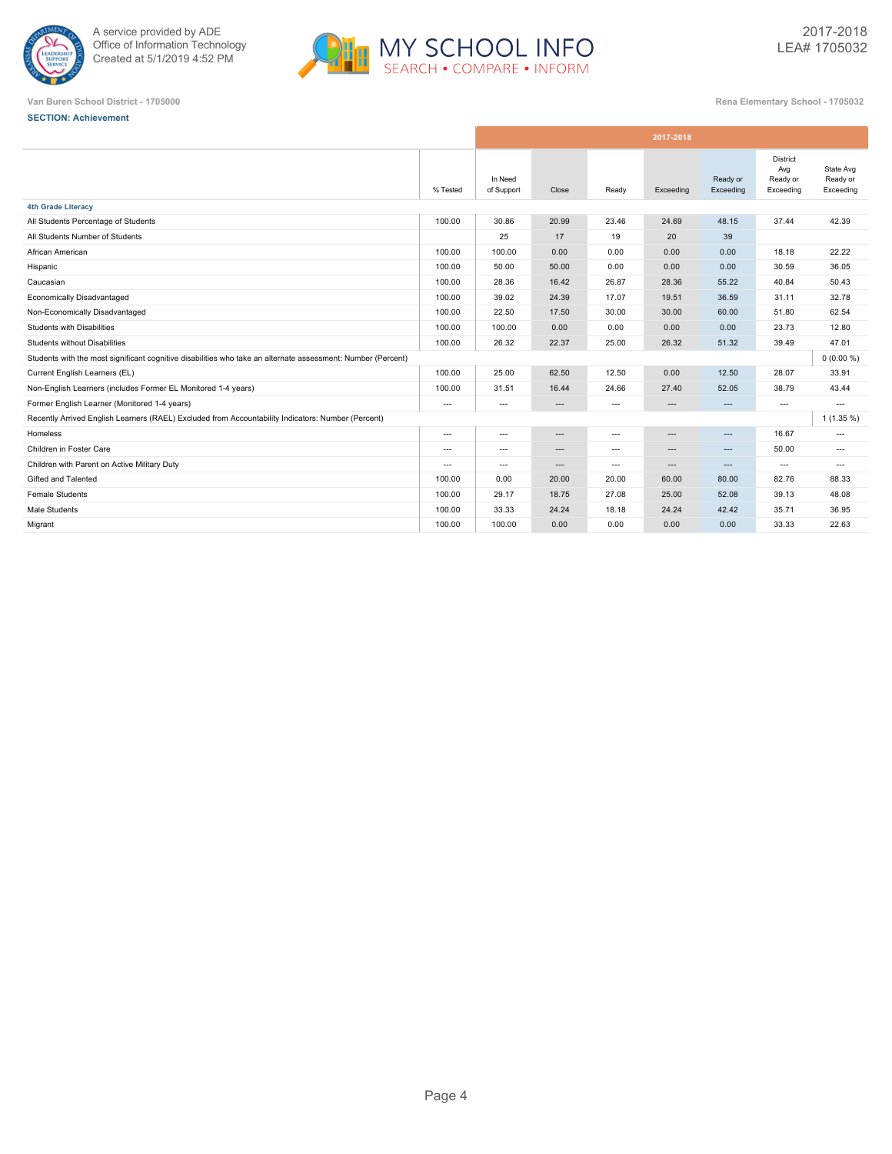



| <b>SECTION: Achievement</b> |
|-----------------------------|
|                             |

|                                                                                                              |                |                          |                   |                          | 2017-2018 |                       |                                          |                                    |
|--------------------------------------------------------------------------------------------------------------|----------------|--------------------------|-------------------|--------------------------|-----------|-----------------------|------------------------------------------|------------------------------------|
|                                                                                                              | % Tested       | In Need<br>of Support    | Close             | Ready                    | Exceeding | Ready or<br>Exceeding | District<br>Avg<br>Ready or<br>Exceeding | State Avg<br>Ready or<br>Exceeding |
| <b>4th Grade Literacy</b>                                                                                    |                |                          |                   |                          |           |                       |                                          |                                    |
| All Students Percentage of Students                                                                          | 100.00         | 30.86                    | 20.99             | 23.46                    | 24.69     | 48.15                 | 37.44                                    | 42.39                              |
| All Students Number of Students                                                                              |                | 25                       | 17                | 19                       | 20        | 39                    |                                          |                                    |
| African American                                                                                             | 100.00         | 100.00                   | 0.00              | 0.00                     | 0.00      | 0.00                  | 18.18                                    | 22.22                              |
| Hispanic                                                                                                     | 100.00         | 50.00                    | 50.00             | 0.00                     | 0.00      | 0.00                  | 30.59                                    | 36.05                              |
| Caucasian                                                                                                    | 100.00         | 28.36                    | 16.42             | 26.87                    | 28.36     | 55.22                 | 40.84                                    | 50.43                              |
| Economically Disadvantaged                                                                                   | 100.00         | 39.02                    | 24.39             | 17.07                    | 19.51     | 36.59                 | 31.11                                    | 32.78                              |
| Non-Economically Disadvantaged                                                                               | 100.00         | 22.50                    | 17.50             | 30.00                    | 30.00     | 60.00                 | 51.80                                    | 62.54                              |
| <b>Students with Disabilities</b>                                                                            | 100.00         | 100.00                   | 0.00              | 0.00                     | 0.00      | 0.00                  | 23.73                                    | 12.80                              |
| Students without Disabilities                                                                                | 100.00         | 26.32                    | 22.37             | 25.00                    | 26.32     | 51.32                 | 39.49                                    | 47.01                              |
| Students with the most significant cognitive disabilities who take an alternate assessment: Number (Percent) |                |                          |                   |                          |           |                       |                                          | $0(0.00\%)$                        |
| Current English Learners (EL)                                                                                | 100.00         | 25.00                    | 62.50             | 12.50                    | 0.00      | 12.50                 | 28.07                                    | 33.91                              |
| Non-English Learners (includes Former EL Monitored 1-4 years)                                                | 100.00         | 31.51                    | 16.44             | 24.66                    | 27.40     | 52.05                 | 38.79                                    | 43.44                              |
| Former English Learner (Monitored 1-4 years)                                                                 | $\sim$ $\sim$  | $\hspace{0.05cm} \ldots$ | $\cdots$          | $\hspace{0.05cm} \ldots$ | $\cdots$  | $\cdots$              | $\cdots$                                 | $---$                              |
| Recently Arrived English Learners (RAEL) Excluded from Accountability Indicators: Number (Percent)           |                |                          |                   |                          |           |                       |                                          | $1(1.35\%)$                        |
| Homeless                                                                                                     | $---$          | $\hspace{0.05cm} \ldots$ | $\qquad \qquad -$ | $---$                    | ---       | $\cdots$              | 16.67                                    | $---$                              |
| Children in Foster Care                                                                                      | $\overline{a}$ | $\hspace{0.05cm} \ldots$ | $\cdots$          | $\hspace{0.05cm} \ldots$ | $---$     | $\cdots$              | 50.00                                    | $---$                              |
| Children with Parent on Active Military Duty                                                                 | $---$          | $---$                    | $---$             | $---$                    | $---$     | $---$                 | $---$                                    | $---$                              |
| Gifted and Talented                                                                                          | 100.00         | 0.00                     | 20.00             | 20.00                    | 60.00     | 80.00                 | 82.76                                    | 88.33                              |
| <b>Female Students</b>                                                                                       | 100.00         | 29.17                    | 18.75             | 27.08                    | 25.00     | 52.08                 | 39.13                                    | 48.08                              |
| Male Students                                                                                                | 100.00         | 33.33                    | 24.24             | 18.18                    | 24.24     | 42.42                 | 35.71                                    | 36.95                              |
| Migrant                                                                                                      | 100.00         | 100.00                   | 0.00              | 0.00                     | 0.00      | 0.00                  | 33.33                                    | 22.63                              |
|                                                                                                              |                |                          |                   |                          |           |                       |                                          |                                    |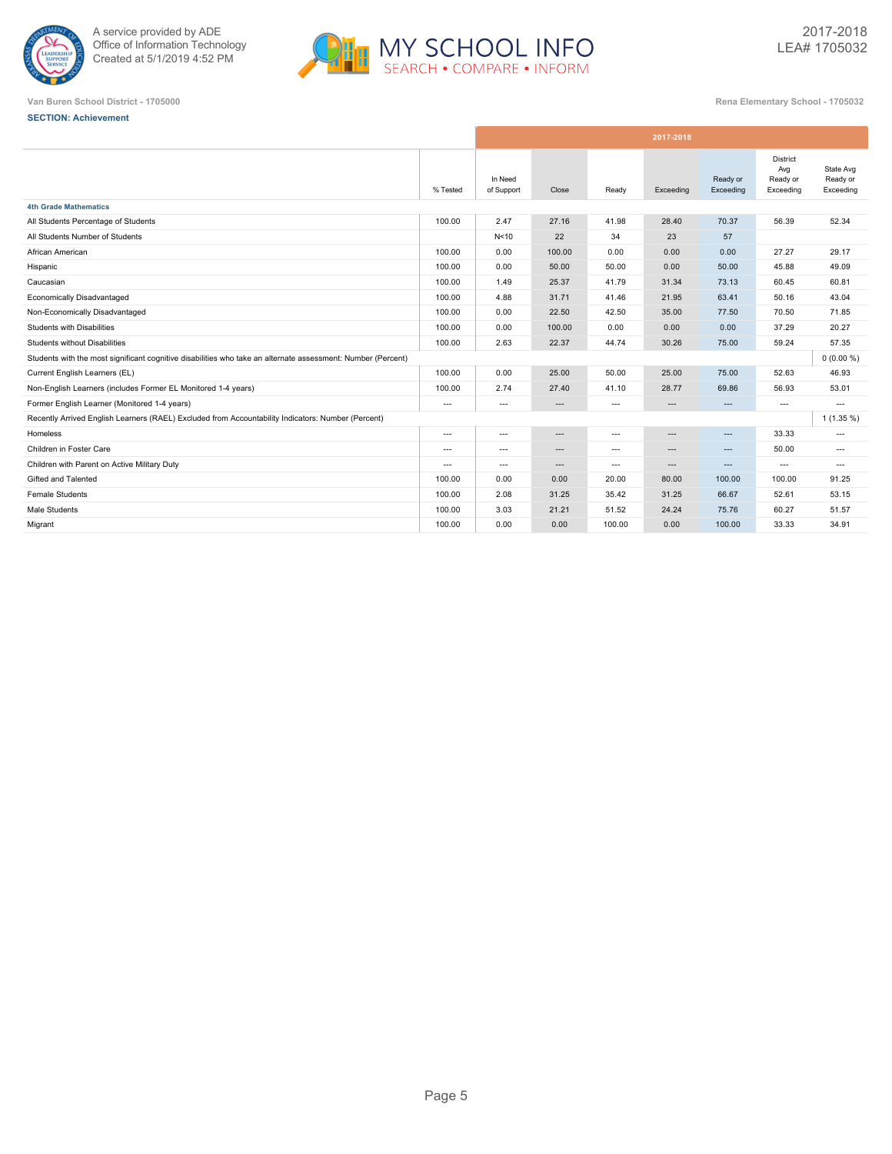



| <b>SECTION: Achievement</b> |
|-----------------------------|
|                             |

|                                                                                                              |                |                          |                          |                          | 2017-2018 |                       |                                          |                                    |
|--------------------------------------------------------------------------------------------------------------|----------------|--------------------------|--------------------------|--------------------------|-----------|-----------------------|------------------------------------------|------------------------------------|
|                                                                                                              | % Tested       | In Need<br>of Support    | Close                    | Ready                    | Exceeding | Ready or<br>Exceeding | District<br>Avg<br>Ready or<br>Exceeding | State Avg<br>Ready or<br>Exceeding |
| <b>4th Grade Mathematics</b>                                                                                 |                |                          |                          |                          |           |                       |                                          |                                    |
| All Students Percentage of Students                                                                          | 100.00         | 2.47                     | 27.16                    | 41.98                    | 28.40     | 70.37                 | 56.39                                    | 52.34                              |
| All Students Number of Students                                                                              |                | N<10                     | 22                       | 34                       | 23        | 57                    |                                          |                                    |
| African American                                                                                             | 100.00         | 0.00                     | 100.00                   | 0.00                     | 0.00      | 0.00                  | 27.27                                    | 29.17                              |
| Hispanic                                                                                                     | 100.00         | 0.00                     | 50.00                    | 50.00                    | 0.00      | 50.00                 | 45.88                                    | 49.09                              |
| Caucasian                                                                                                    | 100.00         | 1.49                     | 25.37                    | 41.79                    | 31.34     | 73.13                 | 60.45                                    | 60.81                              |
| Economically Disadvantaged                                                                                   | 100.00         | 4.88                     | 31.71                    | 41.46                    | 21.95     | 63.41                 | 50.16                                    | 43.04                              |
| Non-Economically Disadvantaged                                                                               | 100.00         | 0.00                     | 22.50                    | 42.50                    | 35.00     | 77.50                 | 70.50                                    | 71.85                              |
| <b>Students with Disabilities</b>                                                                            | 100.00         | 0.00                     | 100.00                   | 0.00                     | 0.00      | 0.00                  | 37.29                                    | 20.27                              |
| <b>Students without Disabilities</b>                                                                         | 100.00         | 2.63                     | 22.37                    | 44.74                    | 30.26     | 75.00                 | 59.24                                    | 57.35                              |
| Students with the most significant cognitive disabilities who take an alternate assessment: Number (Percent) |                |                          |                          |                          |           |                       |                                          | $0(0.00\%)$                        |
| Current English Learners (EL)                                                                                | 100.00         | 0.00                     | 25.00                    | 50.00                    | 25.00     | 75.00                 | 52.63                                    | 46.93                              |
| Non-English Learners (includes Former EL Monitored 1-4 years)                                                | 100.00         | 2.74                     | 27.40                    | 41.10                    | 28.77     | 69.86                 | 56.93                                    | 53.01                              |
| Former English Learner (Monitored 1-4 years)                                                                 | $\overline{a}$ | $\hspace{0.05cm} \ldots$ | $\cdots$                 | $\hspace{0.05cm} \ldots$ | $\cdots$  | $\cdots$              | $\cdots$                                 | $\cdots$                           |
| Recently Arrived English Learners (RAEL) Excluded from Accountability Indicators: Number (Percent)           |                |                          |                          |                          |           |                       |                                          | $1(1.35\%)$                        |
| Homeless                                                                                                     | $---$          | $\hspace{0.05cm} \ldots$ | $\hspace{0.05cm} \ldots$ | $\cdots$                 | $\cdots$  | $\cdots$              | 33.33                                    | $---$                              |
| Children in Foster Care                                                                                      | $---$          | $\hspace{0.05cm} \ldots$ | $---$                    | $---$                    | $---$     | $\cdots$              | 50.00                                    | $\cdots$                           |
| Children with Parent on Active Military Duty                                                                 | $---$          | $---$                    | $---$                    | $---$                    | $---$     | $---$                 | $\overline{\phantom{a}}$                 | $---$                              |
| Gifted and Talented                                                                                          | 100.00         | 0.00                     | 0.00                     | 20.00                    | 80.00     | 100.00                | 100.00                                   | 91.25                              |
| <b>Female Students</b>                                                                                       | 100.00         | 2.08                     | 31.25                    | 35.42                    | 31.25     | 66.67                 | 52.61                                    | 53.15                              |
| Male Students                                                                                                | 100.00         | 3.03                     | 21.21                    | 51.52                    | 24.24     | 75.76                 | 60.27                                    | 51.57                              |
| Migrant                                                                                                      | 100.00         | 0.00                     | 0.00                     | 100.00                   | 0.00      | 100.00                | 33.33                                    | 34.91                              |
|                                                                                                              |                |                          |                          |                          |           |                       |                                          |                                    |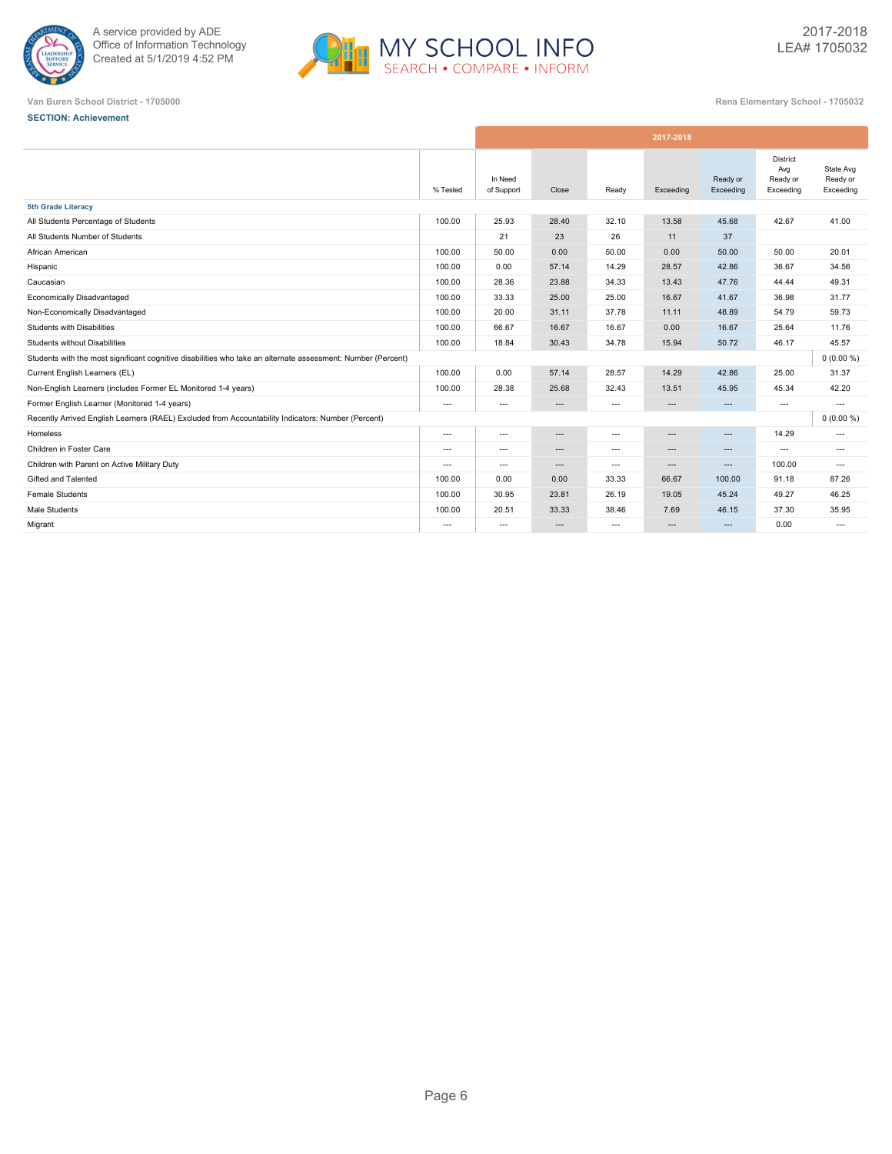



|                                                                                                              |          |                       |                               |                          | 2017-2018 |                       |                                          |                                    |
|--------------------------------------------------------------------------------------------------------------|----------|-----------------------|-------------------------------|--------------------------|-----------|-----------------------|------------------------------------------|------------------------------------|
|                                                                                                              | % Tested | In Need<br>of Support | Close                         | Ready                    | Exceeding | Ready or<br>Exceeding | District<br>Avg<br>Ready or<br>Exceeding | State Avg<br>Ready or<br>Exceeding |
| <b>5th Grade Literacy</b>                                                                                    |          |                       |                               |                          |           |                       |                                          |                                    |
| All Students Percentage of Students                                                                          | 100.00   | 25.93                 | 28.40                         | 32.10                    | 13.58     | 45.68                 | 42.67                                    | 41.00                              |
| All Students Number of Students                                                                              |          | 21                    | 23                            | 26                       | 11        | 37                    |                                          |                                    |
| African American                                                                                             | 100.00   | 50.00                 | 0.00                          | 50.00                    | 0.00      | 50.00                 | 50.00                                    | 20.01                              |
| Hispanic                                                                                                     | 100.00   | 0.00                  | 57.14                         | 14.29                    | 28.57     | 42.86                 | 36.67                                    | 34.56                              |
| Caucasian                                                                                                    | 100.00   | 28.36                 | 23.88                         | 34.33                    | 13.43     | 47.76                 | 44.44                                    | 49.31                              |
| Economically Disadvantaged                                                                                   | 100.00   | 33.33                 | 25.00                         | 25.00                    | 16.67     | 41.67                 | 36.98                                    | 31.77                              |
| Non-Economically Disadvantaged                                                                               | 100.00   | 20.00                 | 31.11                         | 37.78                    | 11.11     | 48.89                 | 54.79                                    | 59.73                              |
| Students with Disabilities                                                                                   | 100.00   | 66.67                 | 16.67                         | 16.67                    | 0.00      | 16.67                 | 25.64                                    | 11.76                              |
| <b>Students without Disabilities</b>                                                                         | 100.00   | 18.84                 | 30.43                         | 34.78                    | 15.94     | 50.72                 | 46.17                                    | 45.57                              |
| Students with the most significant cognitive disabilities who take an alternate assessment: Number (Percent) |          |                       |                               |                          |           |                       |                                          | $0(0.00\%)$                        |
| Current English Learners (EL)                                                                                | 100.00   | 0.00                  | 57.14                         | 28.57                    | 14.29     | 42.86                 | 25.00                                    | 31.37                              |
| Non-English Learners (includes Former EL Monitored 1-4 years)                                                | 100.00   | 28.38                 | 25.68                         | 32.43                    | 13.51     | 45.95                 | 45.34                                    | 42.20                              |
| Former English Learner (Monitored 1-4 years)                                                                 | $\cdots$ | $\cdots$              | $\hspace{1.5cm} \textbf{---}$ | $\hspace{0.05cm} \ldots$ | $\cdots$  | $---$                 | $\cdots$                                 | $\overline{\phantom{a}}$           |
| Recently Arrived English Learners (RAEL) Excluded from Accountability Indicators: Number (Percent)           |          |                       |                               |                          |           |                       |                                          | $0(0.00\%)$                        |
| Homeless                                                                                                     | $---$    | $\cdots$              | $---$                         | $---$                    | $---$     | $---$                 | 14.29                                    | $---$                              |
| Children in Foster Care                                                                                      | ---      | $---$                 | $---$                         | $---$                    | ---       | $\cdots$              | $---$                                    | ---                                |
| Children with Parent on Active Military Duty                                                                 | $---$    | $---$                 | $\cdots$                      | $---$                    | $---$     | $\cdots$              | 100.00                                   | $---$                              |
| Gifted and Talented                                                                                          | 100.00   | 0.00                  | 0.00                          | 33.33                    | 66.67     | 100.00                | 91.18                                    | 87.26                              |
| <b>Female Students</b>                                                                                       | 100.00   | 30.95                 | 23.81                         | 26.19                    | 19.05     | 45.24                 | 49.27                                    | 46.25                              |
| Male Students                                                                                                | 100.00   | 20.51                 | 33.33                         | 38.46                    | 7.69      | 46.15                 | 37.30                                    | 35.95                              |
| Migrant                                                                                                      | $---$    | $---$                 | $\hspace{1.5cm} \textbf{---}$ | $---$                    | $---$     | $---$                 | 0.00                                     | $---$                              |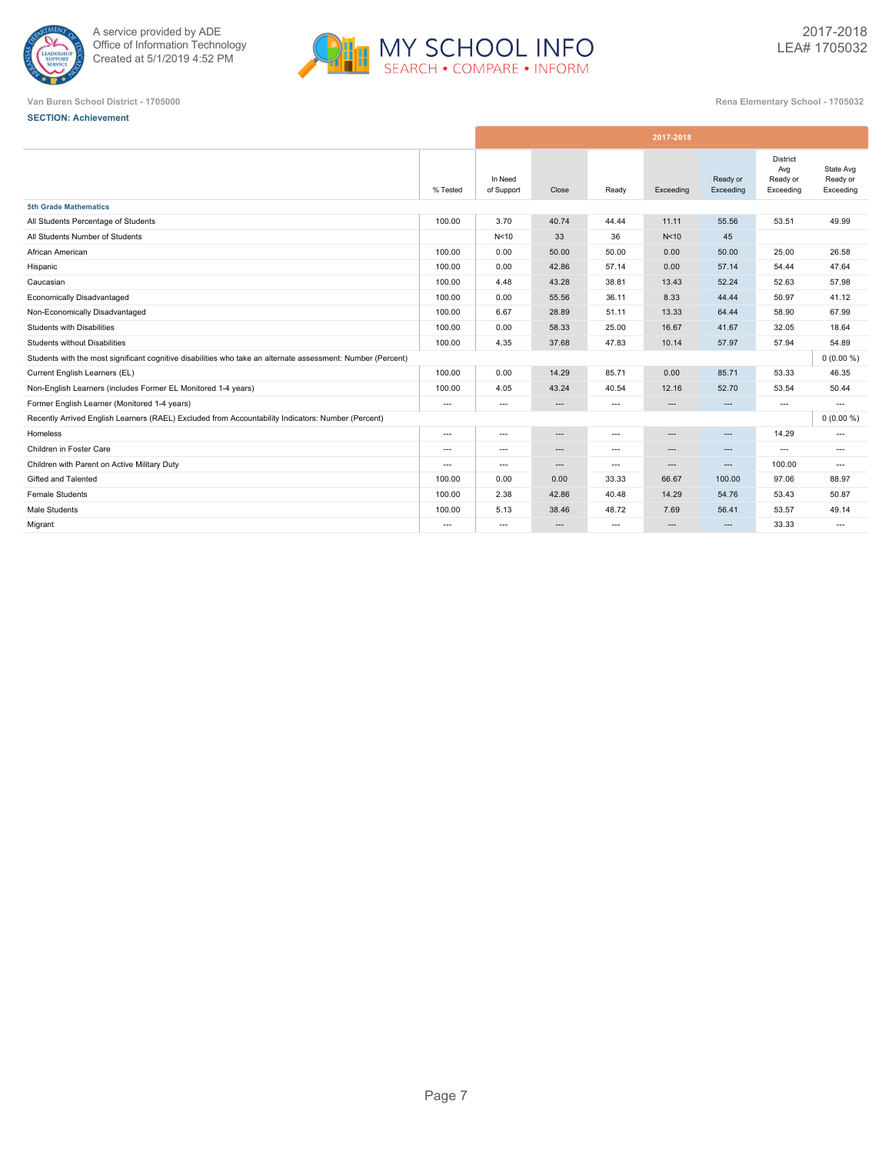



|                                                                                                              |          |                       |                               |                          | 2017-2018 |                       |                                          |                                    |
|--------------------------------------------------------------------------------------------------------------|----------|-----------------------|-------------------------------|--------------------------|-----------|-----------------------|------------------------------------------|------------------------------------|
|                                                                                                              | % Tested | In Need<br>of Support | Close                         | Ready                    | Exceeding | Ready or<br>Exceeding | District<br>Avg<br>Ready or<br>Exceeding | State Avg<br>Ready or<br>Exceeding |
| <b>5th Grade Mathematics</b>                                                                                 |          |                       |                               |                          |           |                       |                                          |                                    |
| All Students Percentage of Students                                                                          | 100.00   | 3.70                  | 40.74                         | 44.44                    | 11.11     | 55.56                 | 53.51                                    | 49.99                              |
| All Students Number of Students                                                                              |          | N <sub>10</sub>       | 33                            | 36                       | N<10      | 45                    |                                          |                                    |
| African American                                                                                             | 100.00   | 0.00                  | 50.00                         | 50.00                    | 0.00      | 50.00                 | 25.00                                    | 26.58                              |
| Hispanic                                                                                                     | 100.00   | 0.00                  | 42.86                         | 57.14                    | 0.00      | 57.14                 | 54.44                                    | 47.64                              |
| Caucasian                                                                                                    | 100.00   | 4.48                  | 43.28                         | 38.81                    | 13.43     | 52.24                 | 52.63                                    | 57.98                              |
| Economically Disadvantaged                                                                                   | 100.00   | 0.00                  | 55.56                         | 36.11                    | 8.33      | 44.44                 | 50.97                                    | 41.12                              |
| Non-Economically Disadvantaged                                                                               | 100.00   | 6.67                  | 28.89                         | 51.11                    | 13.33     | 64.44                 | 58.90                                    | 67.99                              |
| Students with Disabilities                                                                                   | 100.00   | 0.00                  | 58.33                         | 25.00                    | 16.67     | 41.67                 | 32.05                                    | 18.64                              |
| <b>Students without Disabilities</b>                                                                         | 100.00   | 4.35                  | 37.68                         | 47.83                    | 10.14     | 57.97                 | 57.94                                    | 54.89                              |
| Students with the most significant cognitive disabilities who take an alternate assessment: Number (Percent) |          |                       |                               |                          |           |                       |                                          | $0(0.00\%)$                        |
| Current English Learners (EL)                                                                                | 100.00   | 0.00                  | 14.29                         | 85.71                    | 0.00      | 85.71                 | 53.33                                    | 46.35                              |
| Non-English Learners (includes Former EL Monitored 1-4 years)                                                | 100.00   | 4.05                  | 43.24                         | 40.54                    | 12.16     | 52.70                 | 53.54                                    | 50.44                              |
| Former English Learner (Monitored 1-4 years)                                                                 | $\cdots$ | $\cdots$              | $\hspace{1.5cm} \textbf{---}$ | $\hspace{0.05cm} \ldots$ | $\cdots$  | $---$                 | $\cdots$                                 | $---$                              |
| Recently Arrived English Learners (RAEL) Excluded from Accountability Indicators: Number (Percent)           |          |                       |                               |                          |           |                       |                                          | $0(0.00\%)$                        |
| Homeless                                                                                                     | $---$    | $---$                 | $---$                         | $---$                    | $---$     | $---$                 | 14.29                                    | $---$                              |
| Children in Foster Care                                                                                      | ---      | $---$                 | $---$                         | $---$                    | ---       | $\cdots$              | $---$                                    | ---                                |
| Children with Parent on Active Military Duty                                                                 | $---$    | $---$                 | $\cdots$                      | $---$                    | $---$     | $---$                 | 100.00                                   | $---$                              |
| Gifted and Talented                                                                                          | 100.00   | 0.00                  | 0.00                          | 33.33                    | 66.67     | 100.00                | 97.06                                    | 88.97                              |
| <b>Female Students</b>                                                                                       | 100.00   | 2.38                  | 42.86                         | 40.48                    | 14.29     | 54.76                 | 53.43                                    | 50.87                              |
| Male Students                                                                                                | 100.00   | 5.13                  | 38.46                         | 48.72                    | 7.69      | 56.41                 | 53.57                                    | 49.14                              |
| Migrant                                                                                                      | $---$    | $---$                 | $\hspace{1.5cm} \textbf{---}$ | $---$                    | $---$     | $---$                 | 33.33                                    | $---$                              |
|                                                                                                              |          |                       |                               |                          |           |                       |                                          |                                    |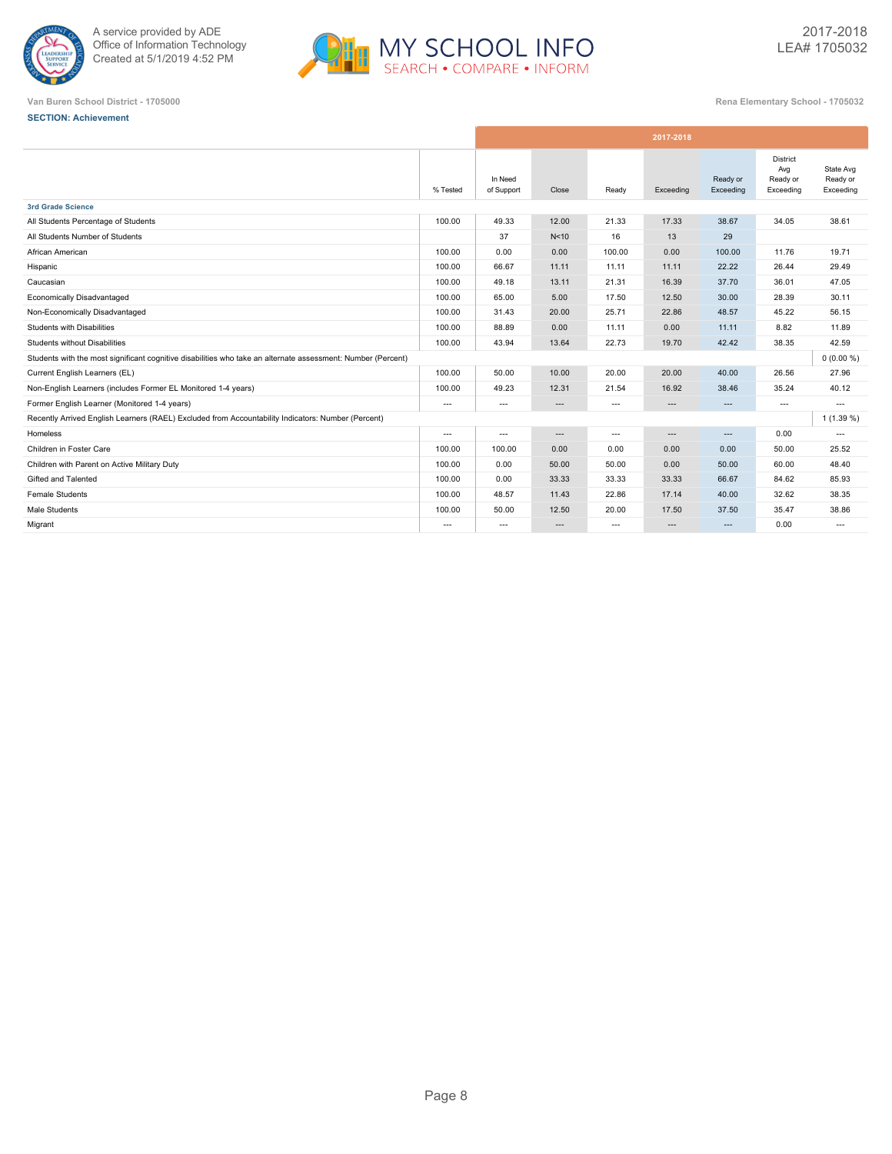



|                                                                                                              |                          |                          |                          |                          | 2017-2018                |                       |                                                 |                                    |
|--------------------------------------------------------------------------------------------------------------|--------------------------|--------------------------|--------------------------|--------------------------|--------------------------|-----------------------|-------------------------------------------------|------------------------------------|
|                                                                                                              | % Tested                 | In Need<br>of Support    | Close                    | Ready                    | Exceeding                | Ready or<br>Exceeding | <b>District</b><br>Avg<br>Ready or<br>Exceeding | State Avg<br>Ready or<br>Exceeding |
| 3rd Grade Science                                                                                            |                          |                          |                          |                          |                          |                       |                                                 |                                    |
| All Students Percentage of Students                                                                          | 100.00                   | 49.33                    | 12.00                    | 21.33                    | 17.33                    | 38.67                 | 34.05                                           | 38.61                              |
| All Students Number of Students                                                                              |                          | 37                       | N <sub>10</sub>          | 16                       | 13                       | 29                    |                                                 |                                    |
| African American                                                                                             | 100.00                   | 0.00                     | 0.00                     | 100.00                   | 0.00                     | 100.00                | 11.76                                           | 19.71                              |
| Hispanic                                                                                                     | 100.00                   | 66.67                    | 11.11                    | 11.11                    | 11.11                    | 22.22                 | 26.44                                           | 29.49                              |
| Caucasian                                                                                                    | 100.00                   | 49.18                    | 13.11                    | 21.31                    | 16.39                    | 37.70                 | 36.01                                           | 47.05                              |
| Economically Disadvantaged                                                                                   | 100.00                   | 65.00                    | 5.00                     | 17.50                    | 12.50                    | 30.00                 | 28.39                                           | 30.11                              |
| Non-Economically Disadvantaged                                                                               | 100.00                   | 31.43                    | 20.00                    | 25.71                    | 22.86                    | 48.57                 | 45.22                                           | 56.15                              |
| Students with Disabilities                                                                                   | 100.00                   | 88.89                    | 0.00                     | 11.11                    | 0.00                     | 11.11                 | 8.82                                            | 11.89                              |
| Students without Disabilities                                                                                | 100.00                   | 43.94                    | 13.64                    | 22.73                    | 19.70                    | 42.42                 | 38.35                                           | 42.59                              |
| Students with the most significant cognitive disabilities who take an alternate assessment: Number (Percent) |                          |                          |                          |                          |                          |                       |                                                 | $0(0.00\%)$                        |
| Current English Learners (EL)                                                                                | 100.00                   | 50.00                    | 10.00                    | 20.00                    | 20.00                    | 40.00                 | 26.56                                           | 27.96                              |
| Non-English Learners (includes Former EL Monitored 1-4 years)                                                | 100.00                   | 49.23                    | 12.31                    | 21.54                    | 16.92                    | 38.46                 | 35.24                                           | 40.12                              |
| Former English Learner (Monitored 1-4 years)                                                                 | $\hspace{0.05cm} \ldots$ | $\hspace{0.05cm} \ldots$ | $\hspace{0.05cm} \ldots$ | $\hspace{0.05cm} \ldots$ | $\cdots$                 | $\cdots$              | $\cdots$                                        | $\qquad \qquad -$                  |
| Recently Arrived English Learners (RAEL) Excluded from Accountability Indicators: Number (Percent)           |                          |                          |                          |                          |                          |                       |                                                 | $1(1.39\%)$                        |
| Homeless                                                                                                     | $\hspace{0.05cm} \ldots$ | $\hspace{0.05cm} \ldots$ | $---$                    | $---$                    | $---$                    | $---$                 | 0.00                                            | ---                                |
| Children in Foster Care                                                                                      | 100.00                   | 100.00                   | 0.00                     | 0.00                     | 0.00                     | 0.00                  | 50.00                                           | 25.52                              |
| Children with Parent on Active Military Duty                                                                 | 100.00                   | 0.00                     | 50.00                    | 50.00                    | 0.00                     | 50.00                 | 60.00                                           | 48.40                              |
| Gifted and Talented                                                                                          | 100.00                   | 0.00                     | 33.33                    | 33.33                    | 33.33                    | 66.67                 | 84.62                                           | 85.93                              |
| <b>Female Students</b>                                                                                       | 100.00                   | 48.57                    | 11.43                    | 22.86                    | 17.14                    | 40.00                 | 32.62                                           | 38.35                              |
| Male Students                                                                                                | 100.00                   | 50.00                    | 12.50                    | 20.00                    | 17.50                    | 37.50                 | 35.47                                           | 38.86                              |
| Migrant                                                                                                      | $---$                    | $---$                    | $\cdots$                 | $---$                    | $\hspace{0.05cm} \ldots$ | $---$                 | 0.00                                            | $---$                              |
|                                                                                                              |                          |                          |                          |                          |                          |                       |                                                 |                                    |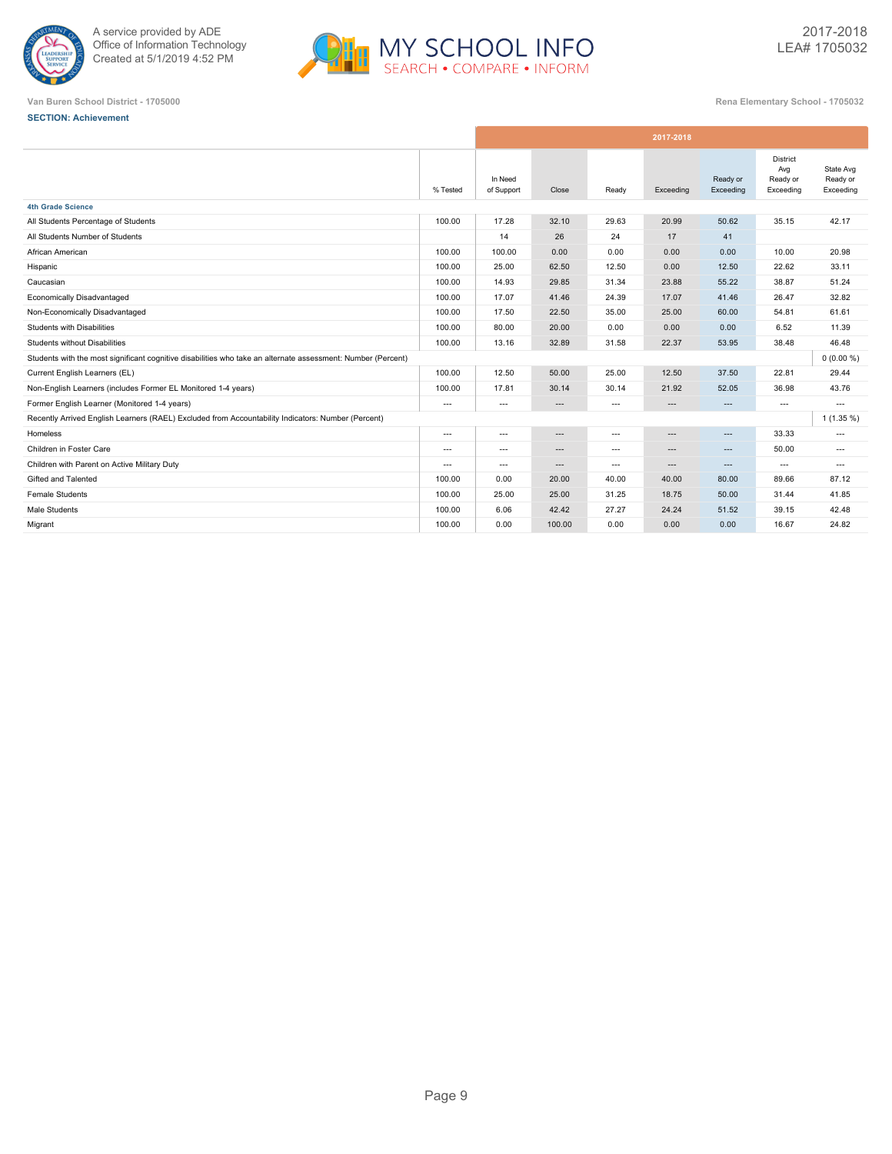



|                                                                                                              |                          |                          |          |                          | 2017-2018     |                       |                                                 |                                    |
|--------------------------------------------------------------------------------------------------------------|--------------------------|--------------------------|----------|--------------------------|---------------|-----------------------|-------------------------------------------------|------------------------------------|
|                                                                                                              | % Tested                 | In Need<br>of Support    | Close    | Ready                    | Exceeding     | Ready or<br>Exceeding | <b>District</b><br>Avg<br>Ready or<br>Exceeding | State Avg<br>Ready or<br>Exceeding |
| <b>4th Grade Science</b>                                                                                     |                          |                          |          |                          |               |                       |                                                 |                                    |
| All Students Percentage of Students                                                                          | 100.00                   | 17.28                    | 32.10    | 29.63                    | 20.99         | 50.62                 | 35.15                                           | 42.17                              |
| All Students Number of Students                                                                              |                          | 14                       | 26       | 24                       | 17            | 41                    |                                                 |                                    |
| African American                                                                                             | 100.00                   | 100.00                   | 0.00     | 0.00                     | 0.00          | 0.00                  | 10.00                                           | 20.98                              |
| Hispanic                                                                                                     | 100.00                   | 25.00                    | 62.50    | 12.50                    | 0.00          | 12.50                 | 22.62                                           | 33.11                              |
| Caucasian                                                                                                    | 100.00                   | 14.93                    | 29.85    | 31.34                    | 23.88         | 55.22                 | 38.87                                           | 51.24                              |
| <b>Economically Disadvantaged</b>                                                                            | 100.00                   | 17.07                    | 41.46    | 24.39                    | 17.07         | 41.46                 | 26.47                                           | 32.82                              |
| Non-Economically Disadvantaged                                                                               | 100.00                   | 17.50                    | 22.50    | 35.00                    | 25.00         | 60.00                 | 54.81                                           | 61.61                              |
| Students with Disabilities                                                                                   | 100.00                   | 80.00                    | 20.00    | 0.00                     | 0.00          | 0.00                  | 6.52                                            | 11.39                              |
| <b>Students without Disabilities</b>                                                                         | 100.00                   | 13.16                    | 32.89    | 31.58                    | 22.37         | 53.95                 | 38.48                                           | 46.48                              |
| Students with the most significant cognitive disabilities who take an alternate assessment: Number (Percent) |                          |                          |          |                          |               |                       |                                                 | $0(0.00\%)$                        |
| Current English Learners (EL)                                                                                | 100.00                   | 12.50                    | 50.00    | 25.00                    | 12.50         | 37.50                 | 22.81                                           | 29.44                              |
| Non-English Learners (includes Former EL Monitored 1-4 years)                                                | 100.00                   | 17.81                    | 30.14    | 30.14                    | 21.92         | 52.05                 | 36.98                                           | 43.76                              |
| Former English Learner (Monitored 1-4 years)                                                                 | $---$                    | $---$                    | $\cdots$ | $---$                    | $\sim$ $\sim$ | $---$                 | $---$                                           | $---$                              |
| Recently Arrived English Learners (RAEL) Excluded from Accountability Indicators: Number (Percent)           |                          |                          |          |                          |               |                       |                                                 | $1(1.35\%)$                        |
| Homeless                                                                                                     | $\hspace{0.05cm} \ldots$ | $\cdots$                 | $\cdots$ | $---$                    | $\cdots$      | $\cdots$              | 33.33                                           | $---$                              |
| Children in Foster Care                                                                                      | $\hspace{0.05cm} \ldots$ | $\hspace{0.05cm} \ldots$ | $\cdots$ | $\hspace{0.05cm} \ldots$ | $---$         | $\cdots$              | 50.00                                           | $---$                              |
| Children with Parent on Active Military Duty                                                                 | $\cdots$                 | $\hspace{0.05cm} \ldots$ | $\cdots$ | $\hspace{0.05cm} \ldots$ | $---$         | $---$                 | $\cdots$                                        | $---$                              |
| Gifted and Talented                                                                                          | 100.00                   | 0.00                     | 20.00    | 40.00                    | 40.00         | 80.00                 | 89.66                                           | 87.12                              |
| <b>Female Students</b>                                                                                       | 100.00                   | 25.00                    | 25.00    | 31.25                    | 18.75         | 50.00                 | 31.44                                           | 41.85                              |
| Male Students                                                                                                | 100.00                   | 6.06                     | 42.42    | 27.27                    | 24.24         | 51.52                 | 39.15                                           | 42.48                              |
| Migrant                                                                                                      | 100.00                   | 0.00                     | 100.00   | 0.00                     | 0.00          | 0.00                  | 16.67                                           | 24.82                              |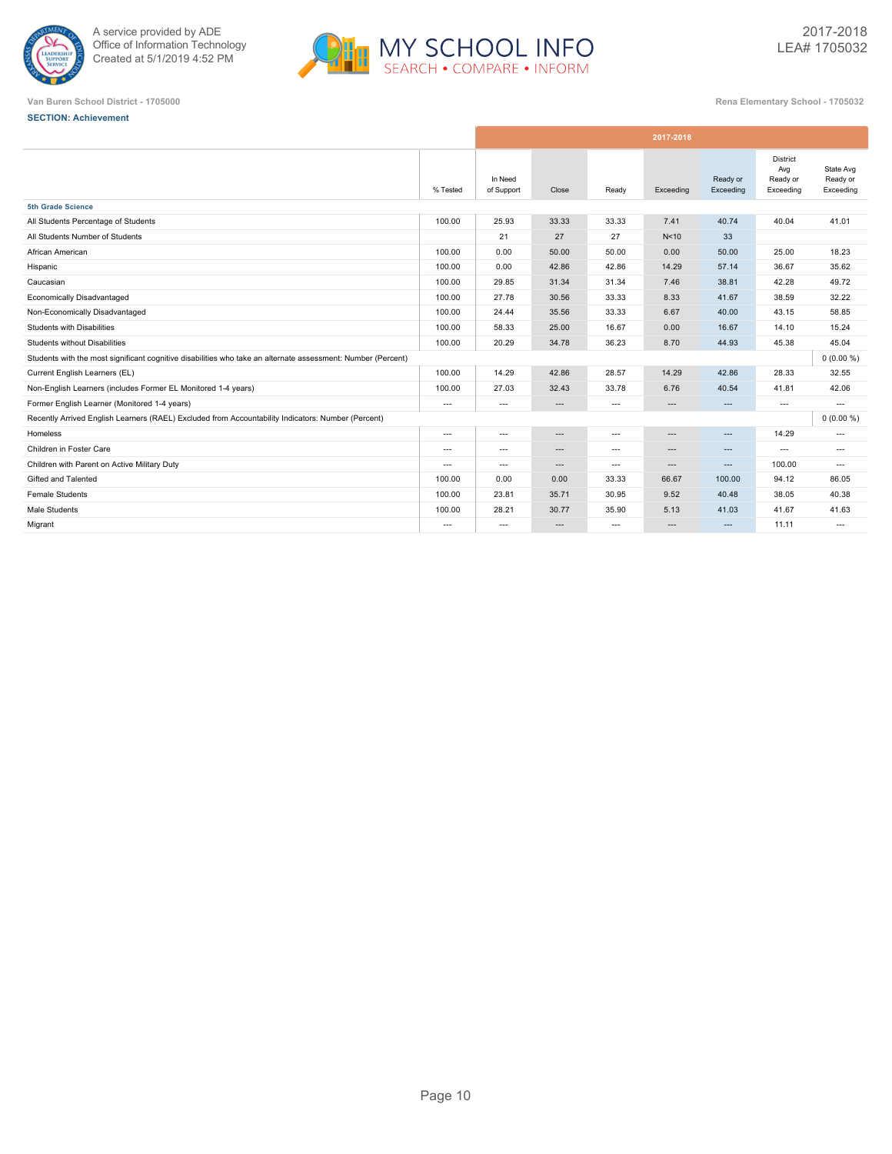



|                                                                                                              |                          |                          |          |                          | 2017-2018 |                       |                                          |                                    |
|--------------------------------------------------------------------------------------------------------------|--------------------------|--------------------------|----------|--------------------------|-----------|-----------------------|------------------------------------------|------------------------------------|
|                                                                                                              | % Tested                 | In Need<br>of Support    | Close    | Ready                    | Exceeding | Ready or<br>Exceeding | District<br>Ava<br>Ready or<br>Exceeding | State Avg<br>Ready or<br>Exceeding |
| 5th Grade Science                                                                                            |                          |                          |          |                          |           |                       |                                          |                                    |
| All Students Percentage of Students                                                                          | 100.00                   | 25.93                    | 33.33    | 33.33                    | 7.41      | 40.74                 | 40.04                                    | 41.01                              |
| All Students Number of Students                                                                              |                          | 21                       | 27       | 27                       | N<10      | 33                    |                                          |                                    |
| African American                                                                                             | 100.00                   | 0.00                     | 50.00    | 50.00                    | 0.00      | 50.00                 | 25.00                                    | 18.23                              |
| Hispanic                                                                                                     | 100.00                   | 0.00                     | 42.86    | 42.86                    | 14.29     | 57.14                 | 36.67                                    | 35.62                              |
| Caucasian                                                                                                    | 100.00                   | 29.85                    | 31.34    | 31.34                    | 7.46      | 38.81                 | 42.28                                    | 49.72                              |
| Economically Disadvantaged                                                                                   | 100.00                   | 27.78                    | 30.56    | 33.33                    | 8.33      | 41.67                 | 38.59                                    | 32.22                              |
| Non-Economically Disadvantaged                                                                               | 100.00                   | 24.44                    | 35.56    | 33.33                    | 6.67      | 40.00                 | 43.15                                    | 58.85                              |
| Students with Disabilities                                                                                   | 100.00                   | 58.33                    | 25.00    | 16.67                    | 0.00      | 16.67                 | 14.10                                    | 15.24                              |
| Students without Disabilities                                                                                | 100.00                   | 20.29                    | 34.78    | 36.23                    | 8.70      | 44.93                 | 45.38                                    | 45.04                              |
| Students with the most significant cognitive disabilities who take an alternate assessment: Number (Percent) |                          |                          |          |                          |           |                       |                                          | $0(0.00\%)$                        |
| Current English Learners (EL)                                                                                | 100.00                   | 14.29                    | 42.86    | 28.57                    | 14.29     | 42.86                 | 28.33                                    | 32.55                              |
| Non-English Learners (includes Former EL Monitored 1-4 years)                                                | 100.00                   | 27.03                    | 32.43    | 33.78                    | 6.76      | 40.54                 | 41.81                                    | 42.06                              |
| Former English Learner (Monitored 1-4 years)                                                                 | $\hspace{0.05cm} \ldots$ | $\hspace{0.05cm} \ldots$ | $\cdots$ | $\hspace{0.05cm} \ldots$ | $\cdots$  | $\cdots$              | $\cdots$                                 | ---                                |
| Recently Arrived English Learners (RAEL) Excluded from Accountability Indicators: Number (Percent)           |                          |                          |          |                          |           |                       |                                          | $0(0.00\%)$                        |
| Homeless                                                                                                     | ---                      | ---                      | $---$    | $\overline{\phantom{a}}$ | ---       | $\cdots$              | 14.29                                    | $---$                              |
| Children in Foster Care                                                                                      | $\hspace{0.05cm} \ldots$ | $\hspace{0.05cm} \ldots$ | $\cdots$ | $\hspace{0.05cm} \ldots$ | $\cdots$  | $\cdots$              | $\cdots$                                 | $\hspace{0.05cm} \ldots$           |
| Children with Parent on Active Military Duty                                                                 | $---$                    | $---$                    | $---$    | $---$                    | $---$     | $---$                 | 100.00                                   | $---$                              |
| Gifted and Talented                                                                                          | 100.00                   | 0.00                     | 0.00     | 33.33                    | 66.67     | 100.00                | 94.12                                    | 86.05                              |
| <b>Female Students</b>                                                                                       | 100.00                   | 23.81                    | 35.71    | 30.95                    | 9.52      | 40.48                 | 38.05                                    | 40.38                              |
| Male Students                                                                                                | 100.00                   | 28.21                    | 30.77    | 35.90                    | 5.13      | 41.03                 | 41.67                                    | 41.63                              |
| Migrant                                                                                                      | $---$                    | $\hspace{0.05cm} \ldots$ | $\cdots$ | $\hspace{0.05cm} \ldots$ | $\cdots$  | $\cdots$              | 11.11                                    | $\cdots$                           |
|                                                                                                              |                          |                          |          |                          |           |                       |                                          |                                    |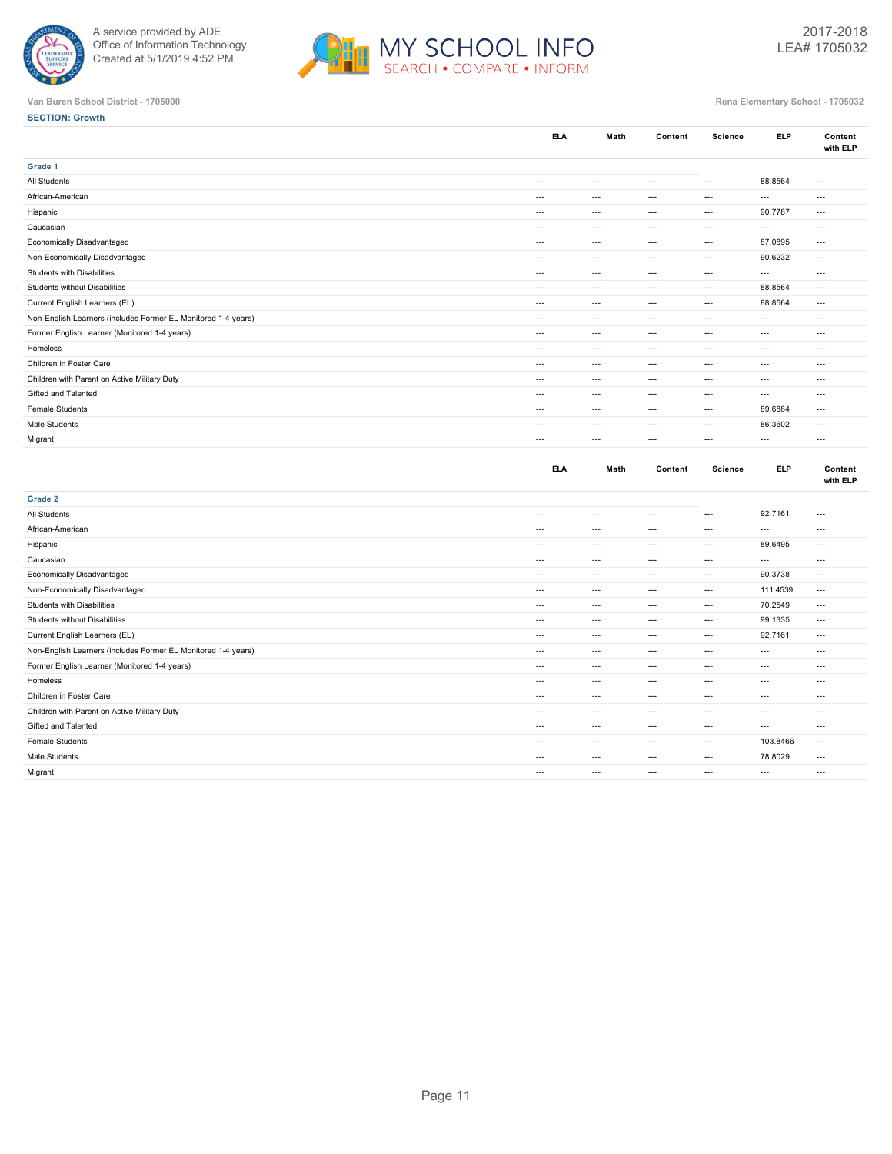

**SECTION: Growth**



## **Van Buren School District - 1705000 Rena Elementary School - 1705032**

|                                                               | <b>ELA</b>        | Math          | Content       | <b>Science</b>       | <b>ELP</b>        | Content<br>with ELP      |
|---------------------------------------------------------------|-------------------|---------------|---------------|----------------------|-------------------|--------------------------|
| Grade 1                                                       |                   |               |               |                      |                   |                          |
| All Students                                                  | $\cdots$          | $\sim$ $\sim$ | $\sim$ $\sim$ | $\sim$ $\sim$        | 88.8564           | $\cdots$                 |
| African-American                                              | $---$             | $\cdots$      | $---$         | $\sim$ $\sim$        | $\cdots$          | $\hspace{0.05cm} \ldots$ |
| Hispanic                                                      | $---$             | $\sim$ $\sim$ | $\sim$ $\sim$ | $\sim$ $\sim$        | 90.7787           | $\hspace{0.05cm} \ldots$ |
| Caucasian                                                     | $---$             | $\cdots$      | $\cdots$      | $---$                | $---$             | $\cdots$                 |
| Economically Disadvantaged                                    | $\qquad \qquad -$ | $\cdots$      | $\cdots$      | $\sim$ $\sim$ $\sim$ | 87.0895           | $\cdots$                 |
| Non-Economically Disadvantaged                                | $---$             | $\cdots$      | $---$         | $\sim$ $\sim$ $\sim$ | 90.6232           | $\cdots$                 |
| Students with Disabilities                                    | $---$             | $---$         | $---$         | $---$                | $---$             | $---$                    |
| Students without Disabilities                                 | $---$             | $---$         | $---$         | $---$                | 88.8564           | $---$                    |
| Current English Learners (EL)                                 | $\qquad \qquad -$ | $\cdots$      | $\sim$ $\sim$ | $\sim$ $\sim$        | 88.8564           | $\hspace{0.05cm} \ldots$ |
| Non-English Learners (includes Former EL Monitored 1-4 years) | $---$             | $---$         | $---$         | $---$                | $---$             | $---$                    |
| Former English Learner (Monitored 1-4 years)                  | $---$             | $---$         | $---$         | $---$                | $---$             | $---$                    |
| Homeless                                                      | $---$             | $---$         | $---$         | $---$                | $---$             | $\cdots$                 |
| Children in Foster Care                                       | $\qquad \qquad -$ | $---$         | $\sim$ $\sim$ | $---$                | $\cdots$          | $\cdots$                 |
| Children with Parent on Active Military Duty                  | $---$             | $\cdots$      | $\cdots$      | $---$                | $\qquad \qquad -$ | $\cdots$                 |
| Gifted and Talented                                           | $\qquad \qquad -$ | $---$         | $---$         | $\sim$ $\sim$        | $\qquad \qquad -$ | $\cdots$                 |
| <b>Female Students</b>                                        | $---$             | $---$         | $---$         | $---$                | 89.6884           | $---$                    |
| Male Students                                                 | $---$             | $---$         | $---$         | $---$                | 86.3602           | $\cdots$                 |
| Migrant                                                       | $---$             | $---$         | $---$         | $---$                | $---$             | $---$                    |
|                                                               |                   |               |               |                      |                   |                          |

|                                                               | <b>ELA</b>        | Math                     | Content       | <b>Science</b>           | <b>ELP</b>        | Content<br>with ELP      |
|---------------------------------------------------------------|-------------------|--------------------------|---------------|--------------------------|-------------------|--------------------------|
| Grade 2                                                       |                   |                          |               |                          |                   |                          |
| All Students                                                  | $---$             | $---$                    | $---$         | $\hspace{0.05cm} \ldots$ | 92.7161           | $\cdots$                 |
| African-American                                              | $\qquad \qquad -$ | $---$                    | $---$         | $---$                    | $\cdots$          | $\qquad \qquad -$        |
| Hispanic                                                      | $---$             | $---$                    | $---$         | $---$                    | 89.6495           | $---$                    |
| Caucasian                                                     | $\cdots$          | $---$                    | $\sim$ $\sim$ | $\hspace{0.05cm} \ldots$ | $\cdots$          | $\cdots$                 |
| Economically Disadvantaged                                    | $---$             | $\cdots$                 | $\sim$ $\sim$ | $\hspace{0.05cm} \ldots$ | 90.3738           | $\cdots$                 |
| Non-Economically Disadvantaged                                | $---$             | $---$                    | $---$         | $---$                    | 111.4539          | $\cdots$                 |
| Students with Disabilities                                    | $\qquad \qquad -$ | $\hspace{0.05cm} \ldots$ | $---$         | $\hspace{0.05cm} \ldots$ | 70.2549           | $\cdots$                 |
| <b>Students without Disabilities</b>                          | $---$             | $---$                    | $\sim$ $\sim$ | $\hspace{0.05cm} \ldots$ | 99.1335           | $\cdots$                 |
| Current English Learners (EL)                                 | $---$             | $\sim$ $\sim$            | $\sim$ $\sim$ | $\hspace{0.05cm} \ldots$ | 92.7161           | $\cdots$                 |
| Non-English Learners (includes Former EL Monitored 1-4 years) | $---$             | $---$                    | $\sim$ $\sim$ | $\hspace{0.05cm} \ldots$ | $\cdots$          | $\qquad \qquad -$        |
| Former English Learner (Monitored 1-4 years)                  | $---$             | $\sim$ $\sim$            | $---$         | $---$                    | $---$             | $\qquad \qquad -$        |
| Homeless                                                      | $\qquad \qquad -$ | $\cdots$                 | $\cdots$      | $\hspace{0.05cm} \ldots$ | $\qquad \qquad -$ | $\qquad \qquad -$        |
| Children in Foster Care                                       | $---$             | $---$                    | $---$         | $---$                    | $---$             | $---$                    |
| Children with Parent on Active Military Duty                  | $\qquad \qquad -$ | $\hspace{0.05cm} \ldots$ | $\sim$        | $\hspace{0.05cm} \ldots$ | $\qquad \qquad -$ | $\qquad \qquad -$        |
| Gifted and Talented                                           | $---$             | $---$                    | $---$         | $---$                    | $---$             | $---$                    |
| Female Students                                               | $---$             | $---$                    | $---$         | $---$                    | 103.8466          | $\hspace{0.05cm} \ldots$ |
| Male Students                                                 | $\qquad \qquad -$ | $\cdots$                 | $---$         | $\hspace{0.05cm} \ldots$ | 78.8029           | $\qquad \qquad -$        |
| Migrant                                                       | $---$             | $\cdots$                 | $\cdots$      | $\hspace{0.05cm} \ldots$ | $\cdots$          | $\qquad \qquad -$        |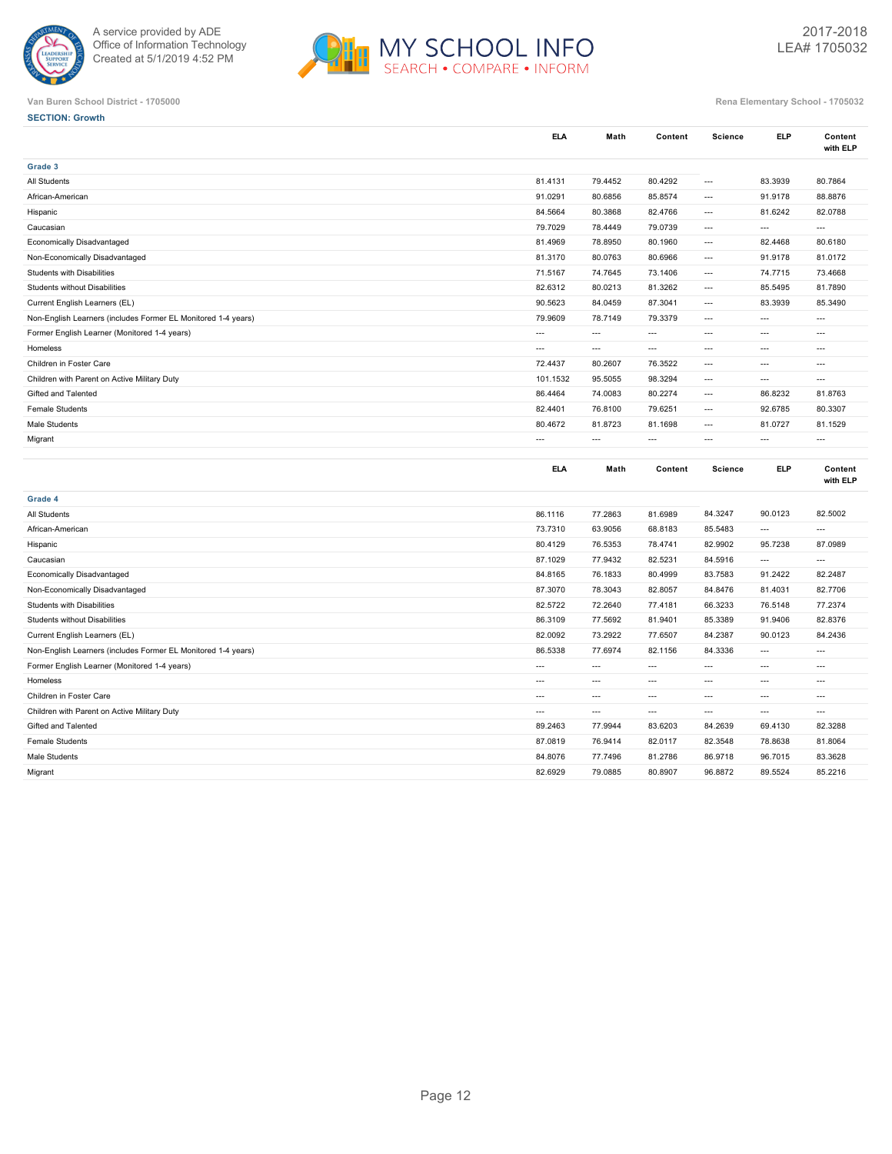

**SECTION: Growth**



## **Van Buren School District - 1705000 Rena Elementary School - 1705032**

|                                                               | <b>ELA</b>               | Math                     | Content                  | Science                  | <b>ELP</b>               | Content<br>with ELP      |
|---------------------------------------------------------------|--------------------------|--------------------------|--------------------------|--------------------------|--------------------------|--------------------------|
| Grade 3                                                       |                          |                          |                          |                          |                          |                          |
| All Students                                                  | 81.4131                  | 79.4452                  | 80.4292                  | $\overline{a}$           | 83.3939                  | 80.7864                  |
| African-American                                              | 91.0291                  | 80.6856                  | 85.8574                  | $\overline{\phantom{a}}$ | 91.9178                  | 88.8876                  |
| Hispanic                                                      | 84.5664                  | 80.3868                  | 82.4766                  | $\overline{\phantom{a}}$ | 81.6242                  | 82.0788                  |
| Caucasian                                                     | 79.7029                  | 78.4449                  | 79.0739                  | $-$                      | $\overline{a}$           | $\overline{a}$           |
| Economically Disadvantaged                                    | 81.4969                  | 78.8950                  | 80.1960                  | $\hspace{0.05cm} \ldots$ | 82.4468                  | 80.6180                  |
| Non-Economically Disadvantaged                                | 81.3170                  | 80.0763                  | 80.6966                  | $-$                      | 91.9178                  | 81.0172                  |
| Students with Disabilities                                    | 71.5167                  | 74.7645                  | 73.1406                  | $\hspace{0.05cm} \ldots$ | 74.7715                  | 73.4668                  |
| <b>Students without Disabilities</b>                          | 82.6312                  | 80.0213                  | 81.3262                  | $\overline{\phantom{a}}$ | 85.5495                  | 81.7890                  |
| Current English Learners (EL)                                 | 90.5623                  | 84.0459                  | 87.3041                  | $\overline{\phantom{a}}$ | 83.3939                  | 85.3490                  |
| Non-English Learners (includes Former EL Monitored 1-4 years) | 79.9609                  | 78.7149                  | 79.3379                  | $\overline{a}$           | $\overline{a}$           | $\overline{a}$           |
| Former English Learner (Monitored 1-4 years)                  | $---$                    | $\overline{\phantom{a}}$ | $\overline{\phantom{a}}$ | ---                      | $\overline{a}$           | $\overline{\phantom{a}}$ |
| Homeless                                                      | $\overline{\phantom{a}}$ | $\overline{\phantom{a}}$ | $\overline{\phantom{a}}$ | $\overline{\phantom{a}}$ | $\overline{\phantom{a}}$ | $\overline{\phantom{a}}$ |
| Children in Foster Care                                       | 72.4437                  | 80.2607                  | 76.3522                  | $\overline{\phantom{a}}$ | $\overline{\phantom{a}}$ | $\overline{\phantom{a}}$ |
| Children with Parent on Active Military Duty                  | 101.1532                 | 95.5055                  | 98.3294                  | $---$                    | $---$                    | $\overline{a}$           |
| Gifted and Talented                                           | 86.4464                  | 74.0083                  | 80.2274                  | $\overline{\phantom{a}}$ | 86.8232                  | 81.8763                  |
| <b>Female Students</b>                                        | 82.4401                  | 76.8100                  | 79.6251                  | $-$                      | 92.6785                  | 80.3307                  |
| Male Students                                                 | 80.4672                  | 81.8723                  | 81.1698                  | $-$                      | 81.0727                  | 81.1529                  |
| Migrant                                                       | $\overline{a}$           | $\overline{\phantom{a}}$ | $\overline{\phantom{a}}$ | $-$                      | $---$                    | $\overline{\phantom{a}}$ |
|                                                               |                          |                          |                          |                          |                          |                          |
|                                                               | <b>ELA</b>               | Math                     | Content                  | <b>Science</b>           | <b>ELP</b>               | Content<br>with ELP      |
| Grade 4                                                       |                          |                          |                          |                          |                          |                          |
| All Students                                                  | 86.1116                  | 77.2863                  | 81.6989                  | 84.3247                  | 90.0123                  | 82.5002                  |
| African-American                                              | 73.7310                  | 63.9056                  | 68.8183                  | 85.5483                  | $\hspace{0.05cm} \ldots$ | $\hspace{0.05cm} \ldots$ |
| Hispanic                                                      | 80.4129                  | 76.5353                  | 78.4741                  | 82.9902                  | 95.7238                  | 87.0989                  |
| Caucasian                                                     | 87.1029                  | 77.9432                  | 82.5231                  | 84.5916                  | $\cdots$                 | $---$                    |
| Economically Disadvantaged                                    | 84.8165                  | 76.1833                  | 80.4999                  | 83.7583                  | 91.2422                  | 82.2487                  |
| Non-Economically Disadvantaged                                | 87.3070                  | 78.3043                  | 82.8057                  | 84.8476                  | 81.4031                  | 82.7706                  |
| Students with Disabilities                                    | 82.5722                  | 72.2640                  | 77.4181                  | 66.3233                  | 76.5148                  | 77.2374                  |
| <b>Students without Disabilities</b>                          | 86.3109                  | 77.5692                  | 81.9401                  | 85.3389                  | 91.9406                  | 82.8376                  |
| Current English Learners (EL)                                 | 82.0092                  | 73.2922                  | 77.6507                  | 84.2387                  | 90.0123                  | 84.2436                  |
| Non-English Learners (includes Former EL Monitored 1-4 years) | 86.5338                  | 77.6974                  | 82.1156                  | 84.3336                  | $\overline{a}$           | $\overline{\phantom{a}}$ |
| Former English Learner (Monitored 1-4 years)                  | $---$                    | $---$                    | $\overline{a}$           | $\overline{a}$           | $---$                    | $---$                    |
| Homeless                                                      | $---$                    | $\overline{\phantom{a}}$ | $\overline{\phantom{a}}$ | $\overline{\phantom{a}}$ | $\cdots$                 | $\overline{\phantom{a}}$ |
| Children in Foster Care                                       | $---$                    | $---$                    | $---$                    | $-$                      | $---$                    | $---$                    |
| Children with Parent on Active Military Duty                  | $---$                    | $---$                    | $---$                    | $-$                      | $---$                    | $---$                    |
| Gifted and Talented                                           | 89.2463                  | 77.9944                  | 83.6203                  | 84.2639                  | 69.4130                  | 82.3288                  |
| <b>Female Students</b>                                        | 87.0819                  | 76.9414                  | 82.0117                  | 82.3548                  | 78.8638                  | 81.8064                  |

Migrant 2012 - 1992 89.6929 89.8929 80.8907 96.8872 89.5524 85.2216 82.6929 80.8907 96.8872 89.5524 85.2216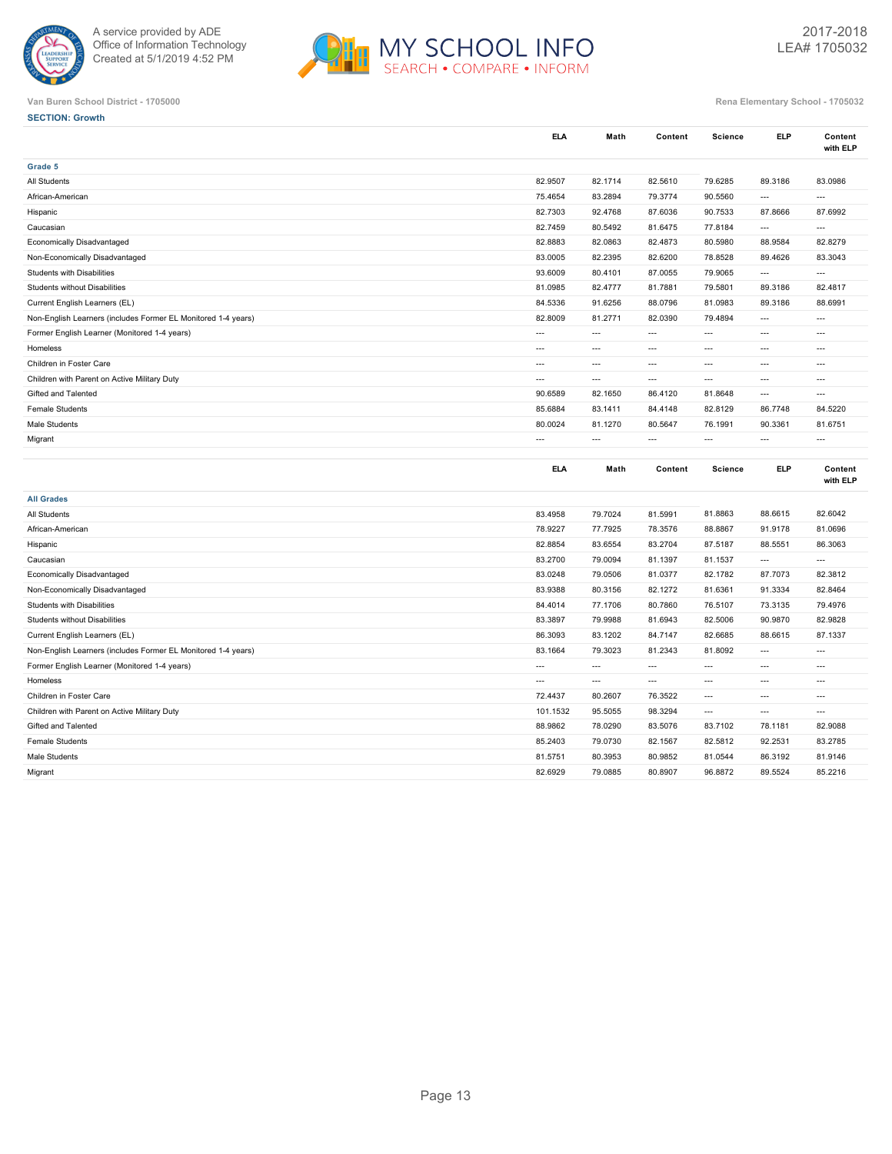



 $Content$ **with ELP**

 $Content$ **with ELP**

### **Van Buren School District - 1705000 Rena Elementary School - 1705032**

| <b>SECTION: Growth</b>                                        |                          |                          |                          |                          |                          |                   |
|---------------------------------------------------------------|--------------------------|--------------------------|--------------------------|--------------------------|--------------------------|-------------------|
|                                                               | <b>ELA</b>               | Math                     | Content                  | <b>Science</b>           | <b>ELP</b>               | Conten<br>with EL |
| Grade 5                                                       |                          |                          |                          |                          |                          |                   |
| All Students                                                  | 82.9507                  | 82.1714                  | 82.5610                  | 79.6285                  | 89.3186                  | 83.0986           |
| African-American                                              | 75.4654                  | 83.2894                  | 79.3774                  | 90.5560                  | $\overline{\phantom{a}}$ | ---               |
| Hispanic                                                      | 82.7303                  | 92.4768                  | 87.6036                  | 90.7533                  | 87.8666                  | 87.6992           |
| Caucasian                                                     | 82.7459                  | 80.5492                  | 81.6475                  | 77.8184                  | $\overline{\phantom{a}}$ | $---$             |
| Economically Disadvantaged                                    | 82.8883                  | 82.0863                  | 82.4873                  | 80.5980                  | 88.9584                  | 82.8279           |
| Non-Economically Disadvantaged                                | 83.0005                  | 82.2395                  | 82.6200                  | 78.8528                  | 89.4626                  | 83.3043           |
| Students with Disabilities                                    | 93.6009                  | 80.4101                  | 87.0055                  | 79.9065                  | $\overline{\phantom{a}}$ | ---               |
| Students without Disabilities                                 | 81.0985                  | 82.4777                  | 81.7881                  | 79.5801                  | 89.3186                  | 82.4817           |
| Current English Learners (EL)                                 | 84.5336                  | 91.6256                  | 88.0796                  | 81.0983                  | 89.3186                  | 88.6991           |
| Non-English Learners (includes Former EL Monitored 1-4 years) | 82.8009                  | 81.2771                  | 82.0390                  | 79.4894                  | $---$                    | $\overline{a}$    |
| Former English Learner (Monitored 1-4 years)                  | $\hspace{0.05cm} \ldots$ | $\hspace{0.05cm} \ldots$ | $\overline{\phantom{a}}$ | $\hspace{0.05cm} \ldots$ | $\qquad \qquad - -$      | $\cdots$          |
| Homeless                                                      | $\overline{\phantom{a}}$ | $\overline{\phantom{a}}$ | ---                      | $\overline{\phantom{a}}$ | $\hspace{0.05cm} \ldots$ | $---$             |
| Children in Foster Care                                       | $\overline{\phantom{a}}$ | $---$                    | ---                      | $---$                    | $\cdots$                 | $\overline{a}$    |
| Children with Parent on Active Military Duty                  | $\overline{a}$           | $\overline{\phantom{a}}$ | $\overline{a}$           | $\overline{a}$           | $\overline{a}$           | ---               |
| Gifted and Talented                                           | 90.6589                  | 82.1650                  | 86.4120                  | 81.8648                  | $\overline{\phantom{a}}$ | $\overline{a}$    |
| <b>Female Students</b>                                        | 85.6884                  | 83.1411                  | 84.4148                  | 82.8129                  | 86.7748                  | 84.5220           |
| Male Students                                                 | 80.0024                  | 81.1270                  | 80.5647                  | 76.1991                  | 90.3361                  | 81.6751           |
| Migrant                                                       | $\cdots$                 | $\overline{\phantom{a}}$ | $\overline{\phantom{a}}$ | $\overline{\phantom{a}}$ | $\overline{\phantom{a}}$ | $---$             |
|                                                               |                          |                          |                          |                          |                          |                   |
|                                                               | <b>ELA</b>               | Math                     | Content                  | <b>Science</b>           | <b>ELP</b>               | Conten<br>with EL |
| <b>All Grades</b>                                             |                          |                          |                          |                          |                          |                   |
| All Students                                                  | 83.4958                  | 79.7024                  | 81.5991                  | 81.8863                  | 88.6615                  | 82.6042           |
| African-American                                              | 78.9227                  | 77.7925                  | 78.3576                  | 88.8867                  | 91.9178                  | 81.0696           |
| Hispanic                                                      | 82.8854                  | 83.6554                  | 83.2704                  | 87.5187                  | 88.5551                  | 86.3063           |
| Caucasian                                                     | 83.2700                  | 79.0094                  | 81.1397                  | 81.1537                  | $\overline{\phantom{a}}$ | $\overline{a}$    |
| Economically Disadvantaged                                    | 83.0248                  | 79.0506                  | 81.0377                  | 82.1782                  | 87.7073                  | 82.3812           |
| Non-Economically Disadvantaged                                | 83.9388                  | 80.3156                  | 82.1272                  | 81.6361                  | 91.3334                  | 82.8464           |
| Students with Disabilities                                    | 84.4014                  | 77.1706                  | 80.7860                  | 76.5107                  | 73.3135                  | 79.4976           |
| <b>Students without Disabilities</b>                          | 83.3897                  | 79.9988                  | 81.6943                  | 82.5006                  | 90.9870                  | 82.9828           |
| Current English Learners (EL)                                 | 86.3093                  | 83.1202                  | 84.7147                  | 82.6685                  | 88.6615                  | 87.1337           |
| Non-English Learners (includes Former EL Monitored 1-4 years) | 83.1664                  | 79.3023                  | 81.2343                  | 81.8092                  | $\overline{\phantom{a}}$ | ---               |
| Former English Learner (Monitored 1-4 years)                  | $\overline{\phantom{a}}$ | $---$                    | ---                      | $---$                    | $---$                    | $---$             |
| Homeless                                                      | $\cdots$                 | $\overline{\phantom{a}}$ | $\overline{\phantom{a}}$ | $\overline{\phantom{a}}$ | $\overline{\phantom{a}}$ | $\overline{a}$    |
| Children in Foster Care                                       | 72.4437                  | 80.2607                  | 76.3522                  | $\overline{\phantom{a}}$ | $\cdots$                 | ---               |

Children with Parent on Active Military Duty 101.1532 95.5055 98.3294 --- --- --- Gifted and Talented 88.9862 78.0290 83.5076 83.7102 78.1181 82.9088 Female Students 85.2403 79.0730 82.1567 82.5812 92.2531 83.2785 Male Students 81.5751 80.9852 81.0544 86.3192 81.9146 Migrant 2012 - 1992 89.6929 89.8929 80.8907 96.8872 89.5524 85.2216 82.6929 80.8907 96.8872 89.5524 85.2216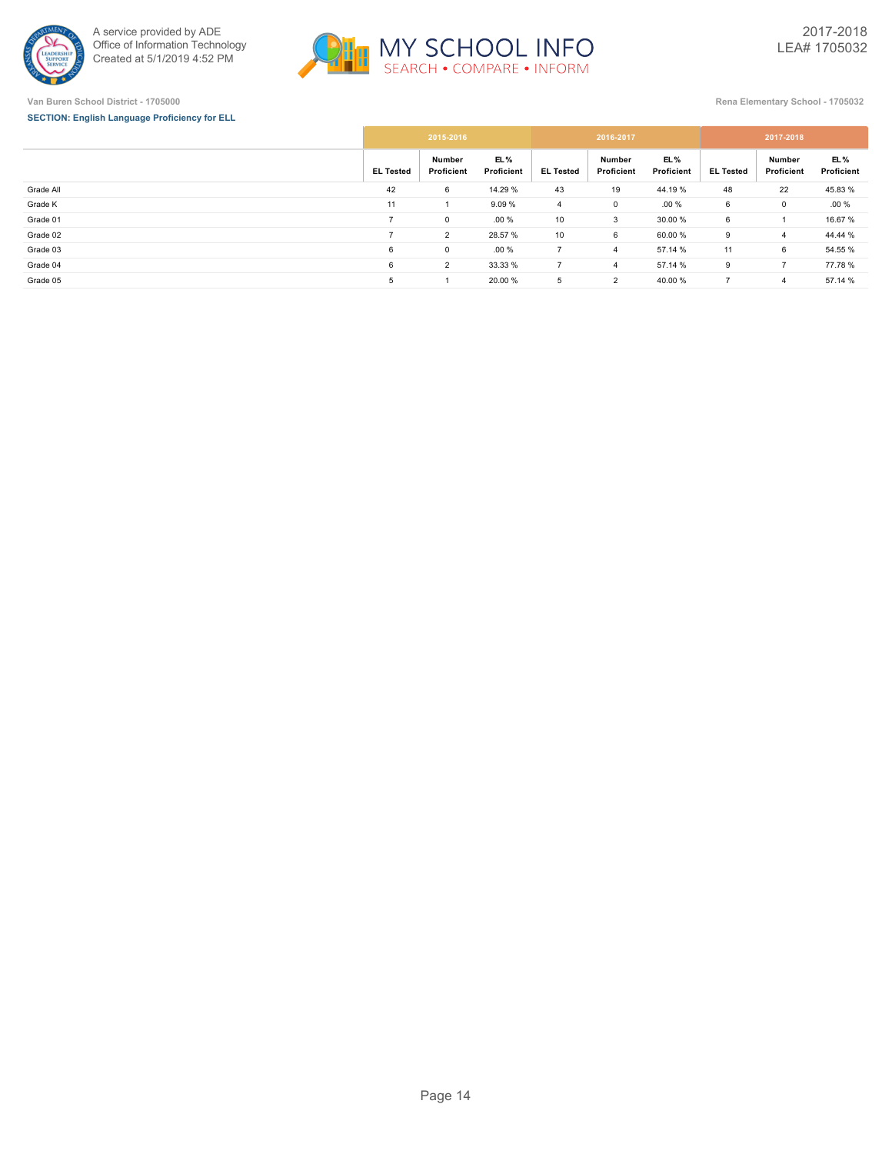



**Van Buren School District - 1705000 Rena Elementary School - 1705032**

## **SECTION: English Language Proficiency for ELL**

|           |                  | 2015-2016            |                    |                  | 2016-2017            |                    | 2017-2018        |                      |                   |  |
|-----------|------------------|----------------------|--------------------|------------------|----------------------|--------------------|------------------|----------------------|-------------------|--|
|           | <b>EL Tested</b> | Number<br>Proficient | EL %<br>Proficient | <b>EL Tested</b> | Number<br>Proficient | EL %<br>Proficient | <b>EL Tested</b> | Number<br>Proficient | EL%<br>Proficient |  |
| Grade All | 42               | 6                    | 14.29 %            | 43               | 19                   | 44.19 %            | 48               | 22                   | 45.83 %           |  |
| Grade K   | 11               |                      | 9.09 %             | 4                | 0                    | .00%               | 6                | $\mathsf 0$          | $.00 \%$          |  |
| Grade 01  | -                | $\mathbf 0$          | .00%               | 10               | 3                    | 30.00 %            | 6                | -1                   | 16.67 %           |  |
| Grade 02  | -                | $\overline{2}$       | 28.57 %            | 10               | 6                    | 60.00 %            | 9                | 4                    | 44.44 %           |  |
| Grade 03  | 6                | $\mathbf 0$          | .00%               |                  | $\overline{4}$       | 57.14 %            | 11               | 6                    | 54.55 %           |  |
| Grade 04  | 6                | $\overline{2}$       | 33.33 %            |                  | 4                    | 57.14 %            | 9                | $\overline{7}$       | 77.78 %           |  |
| Grade 05  | 5                |                      | 20.00 %            | 5                | $\overline{2}$       | 40.00 %            | $\overline{7}$   | 4                    | 57.14 %           |  |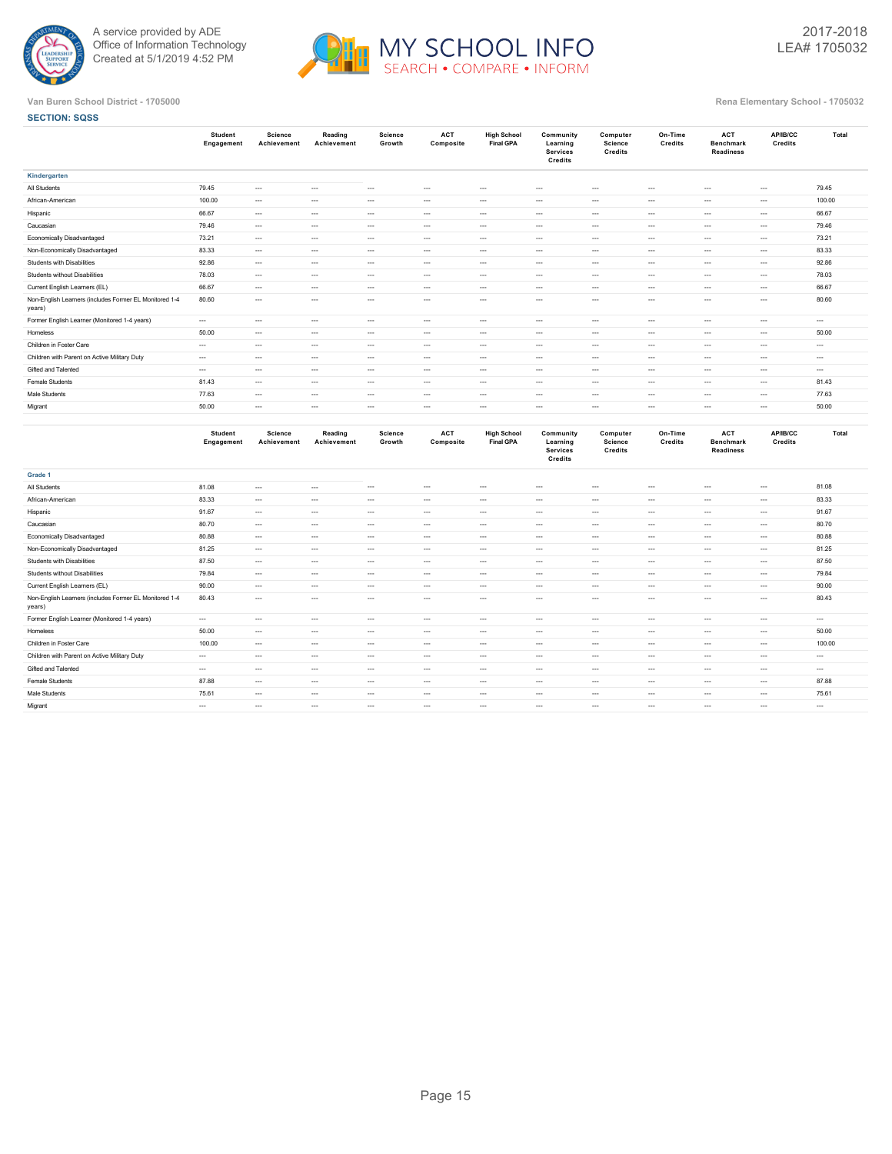

**SECTION: SQSS**



## **Van Buren School District - 1705000 Rena Elementary School - 1705032**

|                                                                  | <b>Student</b><br>Engagement | Science<br>Achievement | Reading<br>Achievement | Science<br>Growth | <b>ACT</b><br>Composite | <b>High School</b><br><b>Final GPA</b> | Community<br>Learning<br><b>Services</b><br>Credits | Computer<br>Science<br>Credits | On-Time<br>Credits | <b>ACT</b><br><b>Benchmark</b><br><b>Readiness</b> | AP/IB/CC<br>Credits | Total    |
|------------------------------------------------------------------|------------------------------|------------------------|------------------------|-------------------|-------------------------|----------------------------------------|-----------------------------------------------------|--------------------------------|--------------------|----------------------------------------------------|---------------------|----------|
| Kindergarten                                                     |                              |                        |                        |                   |                         |                                        |                                                     |                                |                    |                                                    |                     |          |
| All Students                                                     | 79.45                        |                        | $\cdots$               |                   |                         |                                        | $---$                                               | $---$                          |                    |                                                    |                     | 79.45    |
| African-American                                                 | 100.00                       | $\cdots$               |                        | $\cdots$          |                         |                                        | $\cdots$                                            | $\cdots$                       |                    |                                                    | $\cdots$            | 100.00   |
| Hispanic                                                         | 66.67                        | $\cdots$               |                        | $\cdots$          |                         |                                        |                                                     |                                |                    |                                                    | $\cdots$            | 66.67    |
| Caucasian                                                        | 79.46                        | $\cdots$               | $\cdots$               | $\cdots$          | $---$                   | ---                                    | $---$                                               | $\cdots$                       |                    |                                                    | $\cdots$            | 79.46    |
| Economically Disadvantaged                                       | 73.21                        | $\cdots$               | $\cdots$               | $\cdots$          | $---$                   |                                        | $---$                                               | $\cdots$                       |                    | $---$                                              | $---$               | 73.21    |
| Non-Economically Disadvantaged                                   | 83.33                        | $\cdots$               |                        |                   | $---$                   | ---                                    | $---$                                               |                                |                    |                                                    |                     | 83.33    |
| Students with Disabilities                                       | 92.86                        | $---$                  | $\cdots$               | $\cdots$          | $---$                   | $---$                                  | $---$                                               | $\cdots$                       |                    | $---$                                              |                     | 92.86    |
| Students without Disabilities                                    | 78.03                        |                        | $\cdots$               |                   |                         | ---                                    | $---$                                               |                                |                    |                                                    |                     | 78.03    |
| Current English Learners (EL)                                    | 66.67                        | $\cdots$               | $\cdots$               | $\cdots$          | $---$                   | $---$                                  | $\cdots$                                            | $\cdots$                       | $\cdots$           | $- - -$                                            |                     | 66.67    |
| Non-English Learners (includes Former EL Monitored 1-4<br>years) | 80.60                        | $---$                  | $\cdots$               |                   |                         |                                        | $---$                                               | $---$                          |                    |                                                    |                     | 80.60    |
| Former English Learner (Monitored 1-4 years)                     | $\cdots$                     | $---$                  | $\cdots$               |                   |                         |                                        | $---$                                               | $---$                          |                    |                                                    |                     | $\cdots$ |
| Homeless                                                         | 50.00                        | $\cdots$               | $\cdots$               | $\cdots$          | $---$                   |                                        | $---$                                               | $\cdots$                       |                    | $\cdots$                                           |                     | 50.00    |
| Children in Foster Care                                          | $---$                        | $---$                  | $\cdots$               |                   |                         |                                        | $---$                                               | $---$                          |                    |                                                    |                     | $\cdots$ |
| Children with Parent on Active Military Duty                     | $\sim$                       | $---$                  | $\cdots$               |                   |                         |                                        | $---$                                               | $---$                          |                    |                                                    |                     | $\cdots$ |
| Gifted and Talented                                              | $\sim$                       | $---$                  | $\cdots$               | $---$             |                         |                                        | $---$                                               | $---$                          |                    |                                                    |                     | $---$    |
| Female Students                                                  | 81.43                        |                        | $\cdots$               | $\cdots$          |                         |                                        |                                                     |                                |                    |                                                    | $\cdots$            | 81.43    |
| Male Students                                                    | 77.63                        | $\cdots$               | $\cdots$               | $\cdots$          | $---$                   |                                        | $---$                                               | $---$                          |                    | $\cdots$                                           |                     | 77.63    |
| Migrant                                                          | 50.00                        | $\cdots$               | $\cdots$               |                   | $---$                   | ---                                    | $---$                                               | $\cdots$                       |                    | $---$                                              |                     | 50.00    |
|                                                                  |                              |                        |                        |                   |                         |                                        |                                                     |                                |                    |                                                    |                     |          |

|                                                                  | <b>Student</b><br>Engagement | Science<br>Achievement | Reading<br>Achievement | Science<br>Growth | <b>ACT</b><br>Composite | <b>High School</b><br><b>Final GPA</b> | Community<br>Learning<br><b>Services</b><br>Credits | Computer<br>Science<br>Credits | On-Time<br>Credits | <b>ACT</b><br><b>Benchmark</b><br><b>Readiness</b> | AP/IB/CC<br>Credits | Total    |
|------------------------------------------------------------------|------------------------------|------------------------|------------------------|-------------------|-------------------------|----------------------------------------|-----------------------------------------------------|--------------------------------|--------------------|----------------------------------------------------|---------------------|----------|
| Grade 1                                                          |                              |                        |                        |                   |                         |                                        |                                                     |                                |                    |                                                    |                     |          |
| All Students                                                     | 81.08                        | $\cdots$               | $\cdots$               | $\cdots$          | $\sim$                  | $\cdots$                               | $\cdots$                                            | $\cdots$                       | $\cdots$           | $\cdots$                                           | $\cdots$            | 81.08    |
| African-American                                                 | 83.33                        | $\cdots$               | $\cdots$               | $\cdots$          | $\sim$                  | $\cdots$                               | $---$                                               | $\cdots$                       | $\cdots$           | $\sim$                                             | $\cdots$            | 83.33    |
| Hispanic                                                         | 91.67                        | $\cdots$               | $\sim$                 | $\sim$            | $\cdots$                | $\cdots$                               | $---$                                               | $\cdots$                       | $\cdots$           | $\cdots$                                           | $\cdots$            | 91.67    |
| Caucasian                                                        | 80.70                        | $\cdots$               | $\cdots$               | $\sim$            | $\cdots$                | $\cdots$                               | $---$                                               | $\cdots$                       | $\cdots$           | $\sim$                                             | $\cdots$            | 80.70    |
| <b>Economically Disadvantaged</b>                                | 80.88                        | $\cdots$               | $\cdots$               | $\cdots$          | $\sim$                  | $---$                                  | $---$                                               | $\cdots$                       | $\cdots$           | $\cdots$                                           | $\cdots$            | 80.88    |
| Non-Economically Disadvantaged                                   | 81.25                        | $\cdots$               | $\cdots$               | $\sim$            | $\cdots$                | $\cdots$                               | $\cdots$                                            | $\cdots$                       | $\cdots$           | $\sim$                                             | $\cdots$            | 81.25    |
| Students with Disabilities                                       | 87.50                        | $\cdots$               | $\cdots$               | $\sim$            | $\cdots$                | $---$                                  | $---$                                               | $\cdots$                       | $\cdots$           | $\sim$                                             | $\cdots$            | 87.50    |
| Students without Disabilities                                    | 79.84                        | $\cdots$               | $\cdots$               | $\sim$            | $\cdots$                | $\cdots$                               | $---$                                               | $\cdots$                       | $\cdots$           | $-1$                                               | $\cdots$            | 79.84    |
| Current English Learners (EL)                                    | 90.00                        | $\cdots$               | $\cdots$               | $\sim$            | $\cdots$                | $\cdots$                               | $---$                                               | $\cdots$                       | $\cdots$           | $-1$                                               | $\cdots$            | 90.00    |
| Non-English Learners (includes Former EL Monitored 1-4<br>years) | 80.43                        | $\cdots$               | $\cdots$               | $\cdots$          | $\sim$                  | $\cdots$                               | $---$                                               | $\cdots$                       | $\cdots$           | $\cdots$                                           | $\cdots$            | 80.43    |
| Former English Learner (Monitored 1-4 years)                     | $- - -$                      | $\cdots$               | $\cdots$               | $\cdots$          | $\sim$                  | $---$                                  | $---$                                               | $\cdots$                       | $\cdots$           | $\cdots$                                           | $\cdots$            | $\cdots$ |
| Homeless                                                         | 50.00                        | $\cdots$               | $\cdots$               | $\cdots$          | $\sim$                  | $\cdots$                               | $\cdots$                                            | $\cdots$                       | $\sim$             | $\cdots$                                           | $\cdots$            | 50.00    |
| Children in Foster Care                                          | 100.00                       | $\cdots$               | $\cdots$               | $\sim$            | $\cdots$                | $\cdots$                               | $---$                                               | $\cdots$                       | $\cdots$           | $\sim$                                             | $\cdots$            | 100.00   |
| Children with Parent on Active Military Duty                     | $\cdots$                     | $\cdots$               | $\cdots$               | $\sim$            | $\cdots$                | $\cdots$                               | $---$                                               | $\cdots$                       | $\cdots$           | $\sim$                                             | $\cdots$            | $---$    |
| Gifted and Talented                                              | $- - -$                      | $\cdots$               | $\cdots$               | $\sim$            | $\cdots$                | $\cdots$                               | $\cdots$                                            | $\cdots$                       | $\sim$             | $\sim$                                             | $\cdots$            | $---$    |
| Female Students                                                  | 87.88                        | $\cdots$               | $\cdots$               | $\sim$            | $\cdots$                | $---$                                  | $---$                                               | $\cdots$                       | $\sim$             | $\sim$                                             | $\cdots$            | 87.88    |
| Male Students                                                    | 75.61                        | $\cdots$               | $\cdots$               | $- - -$           | $\cdots$                | $\cdots$                               | $---$                                               | $\cdots$                       | $\cdots$           | $-1$                                               | $\cdots$            | 75.61    |
| Migrant                                                          | $- - -$                      | $\cdots$               | $\sim$                 | $\sim$            | $\cdots$                | $\cdots$                               | $---$                                               | $\cdots$                       | $\sim$             | $-1$                                               | $\cdots$            | $---$    |
|                                                                  |                              |                        |                        |                   |                         |                                        |                                                     |                                |                    |                                                    |                     |          |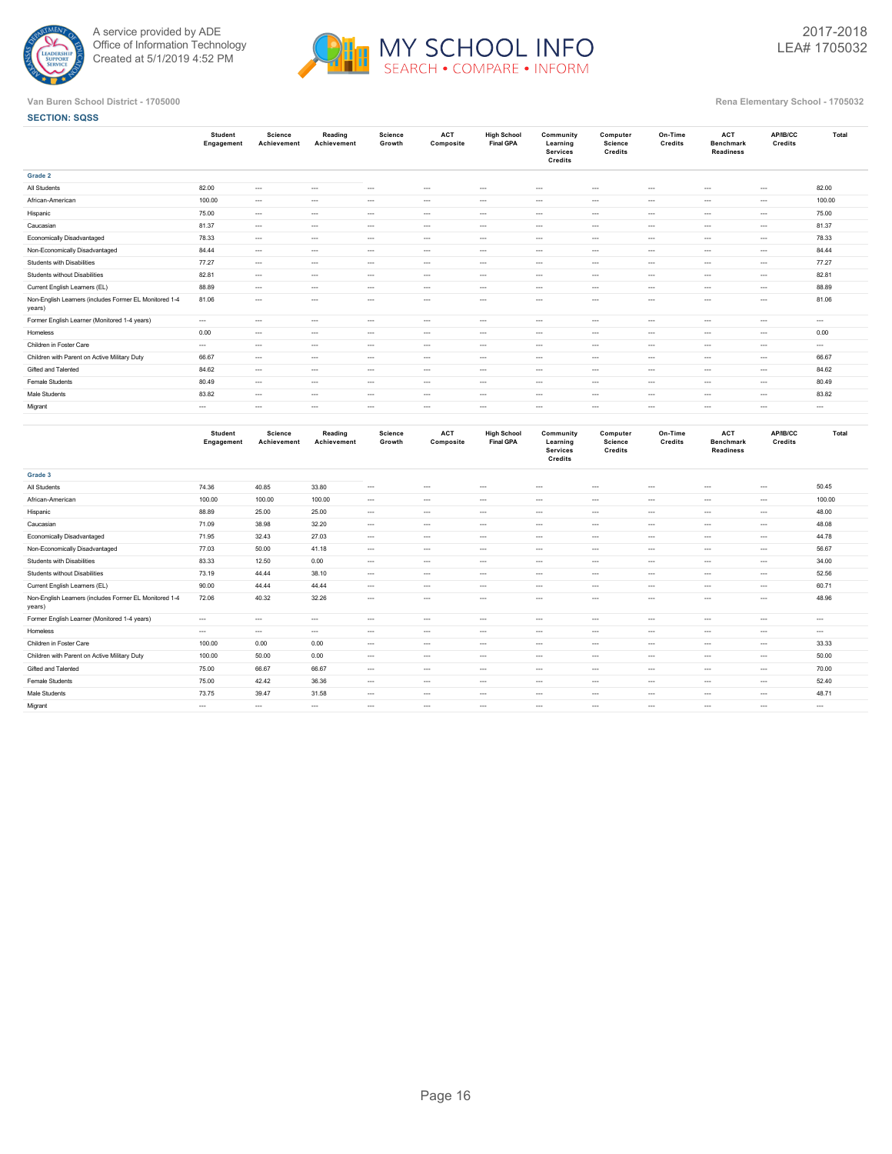

**SECTION: SQSS**



## **Van Buren School District - 1705000 Rena Elementary School - 1705032**

|                                                                  | <b>Student</b><br>Engagement | Science<br>Achievement | Reading<br>Achievement | Science<br>Growth | <b>ACT</b><br>Composite | <b>High School</b><br><b>Final GPA</b> | Community<br>Learning<br><b>Services</b><br>Credits | Computer<br>Science<br>Credits | On-Time<br>Credits | ACT<br><b>Benchmark</b><br><b>Readiness</b> | AP/IB/CC<br>Credits | Total  |
|------------------------------------------------------------------|------------------------------|------------------------|------------------------|-------------------|-------------------------|----------------------------------------|-----------------------------------------------------|--------------------------------|--------------------|---------------------------------------------|---------------------|--------|
| Grade 2                                                          |                              |                        |                        |                   |                         |                                        |                                                     |                                |                    |                                             |                     |        |
| All Students                                                     | 82.00                        | $\cdots$               | $\cdots$               | $\cdots$          | $\cdots$                | $\cdots$                               |                                                     |                                |                    |                                             | $\cdots$            | 82.00  |
| African-American                                                 | 100.00                       | $\cdots$               | $\cdots$               | $\cdots$          | $\cdots$                | $\cdots$                               | $\cdots$                                            | $\cdots$                       | $\sim$             | $\cdots$                                    | $---$               | 100.00 |
| Hispanic                                                         | 75.00                        | $\cdots$               | $\cdots$               | $\cdots$          | $---$                   | $---$                                  | $---$                                               |                                | $\sim$             | $---$                                       | $---$               | 75.00  |
| Caucasian                                                        | 81.37                        | $\cdots$               | $\cdots$               | $\cdots$          | $\cdots$                | $\cdots$                               | $---$                                               | $---$                          | $\sim$             | $\cdots$                                    | $---$               | 81.37  |
| Economically Disadvantaged                                       | 78.33                        | $\cdots$               | $\cdots$               | $\cdots$          | $\cdots$                | $\cdots$                               | $\cdots$                                            | $\cdots$                       | $\sim$             | $\cdots$                                    | $---$               | 78.33  |
| Non-Economically Disadvantaged                                   | 84.44                        | $\cdots$               | $\cdots$               | $\cdots$          | $\cdots$                | $\cdots$                               | $\cdots$                                            | $---$                          | $\sim$             | $\cdots$                                    | $---$               | 84.44  |
| Students with Disabilities                                       | 77.27                        | $\cdots$               | $\cdots$               | $\cdots$          | $\cdots$                | $\cdots$                               | $\cdots$                                            | $---$                          | $\sim$             | $\sim$                                      | $---$               | 77.27  |
| Students without Disabilities                                    | 82.81                        | $\cdots$               | $\cdots$               | $\cdots$          | $\cdots$                | $\cdots$                               | $\cdots$                                            | $---$                          | $\sim$             | $\cdots$                                    | $---$               | 82.81  |
| Current English Learners (EL)                                    | 88.89                        | $\cdots$               | $\cdots$               | $\cdots$          | $\cdots$                | $---$                                  | $---$                                               | $---$                          | $\sim$             | $---$                                       | $---$               | 88.89  |
| Non-English Learners (includes Former EL Monitored 1-4<br>years) | 81.06                        | $\cdots$               | $\cdots$               | $\cdots$          | $\cdots$                | $\cdots$                               | $\cdots$                                            | $\cdots$                       | $\cdots$           | $\cdots$                                    | $\cdots$            | 81.06  |
| Former English Learner (Monitored 1-4 years)                     | $\cdots$                     | $\cdots$               | $\cdots$               | $\cdots$          | $\cdots$                | $---$                                  | $---$                                               | $---$                          | $\sim$             | $\cdots$                                    | $---$               | $---$  |
| Homeless                                                         | 0.00                         | $\cdots$               | $\cdots$               | $\cdots$          | $\cdots$                | $\cdots$                               | $\cdots$                                            | $\cdots$                       | $\sim$             | $\sim$                                      | $---$               | 0.00   |
| Children in Foster Care                                          | $\cdots$                     | $\cdots$               | $\cdots$               | $\cdots$          | $\cdots$                | $\cdots$                               | $---$                                               | $---$                          | $\sim$             | $\cdots$                                    | $---$               | $---$  |
| Children with Parent on Active Military Duty                     | 66.67                        | $\cdots$               | $\cdots$               | $\cdots$          | $\cdots$                | $\cdots$                               | $\cdots$                                            | $\cdots$                       | $\cdots$           | $\cdots$                                    | $---$               | 66.67  |
| Gifted and Talented                                              | 84.62                        | $\cdots$               | $\cdots$               | $\cdots$          | $---$                   | $---$                                  | $---$                                               |                                | $\sim$             | $---$                                       | $---$               | 84.62  |
| Female Students                                                  | 80.49                        | $\cdots$               | $\cdots$               | $\cdots$          | $\cdots$                | $\cdots$                               | $---$                                               | $---$                          | $\sim$             | $\cdots$                                    | $---$               | 80.49  |
| Male Students                                                    | 83.82                        | $\cdots$               | $\cdots$               | $\cdots$          | $\cdots$                | $\cdots$                               | $\cdots$                                            | $\cdots$                       | $\cdots$           | $\cdots$                                    | $---$               | 83.82  |
| Migrant                                                          | $\cdots$                     | $\cdots$               | $\cdots$               | $\cdots$          | $\cdots$                | $---$                                  | $---$                                               | $---$                          | $\sim$             | $\cdots$                                    | $---$               | $---$  |
|                                                                  |                              |                        |                        |                   |                         |                                        |                                                     |                                |                    |                                             |                     |        |

|                                                                  | <b>Student</b><br>Engagement | Science<br>Achievement | Reading<br>Achievement | Science<br>Growth | <b>ACT</b><br>Composite | <b>High School</b><br><b>Final GPA</b> | Community<br>Learning<br><b>Services</b><br>Credits | Computer<br>Science<br>Credits | On-Time<br>Credits | <b>ACT</b><br><b>Benchmark</b><br><b>Readiness</b> | <b>AP/IB/CC</b><br>Credits | Total    |
|------------------------------------------------------------------|------------------------------|------------------------|------------------------|-------------------|-------------------------|----------------------------------------|-----------------------------------------------------|--------------------------------|--------------------|----------------------------------------------------|----------------------------|----------|
| Grade 3                                                          |                              |                        |                        |                   |                         |                                        |                                                     |                                |                    |                                                    |                            |          |
| All Students                                                     | 74.36                        | 40.85                  | 33.80                  | $\sim$ $\sim$     | $\cdots$                | $\cdots$                               | $---$                                               | $---$                          | $\cdots$           | $\cdots$                                           | $\cdots$                   | 50.45    |
| African-American                                                 | 100.00                       | 100.00                 | 100.00                 | $\sim$ $\sim$     | $\cdots$                | $\cdots$                               | $---$                                               | $---$                          | $\sim$             | $\cdots$                                           | $\cdots$                   | 100.00   |
| Hispanic                                                         | 88.89                        | 25.00                  | 25.00                  | $\sim$ $\sim$     | $\cdots$                | $\cdots$                               | $\cdots$                                            | $\cdots$                       | $\sim$             | $\cdots$                                           | $\cdots$                   | 48.00    |
| Caucasian                                                        | 71.09                        | 38.98                  | 32.20                  | $\sim$            | $\sim$                  | $\cdots$                               | $---$                                               | $\cdots$                       | $\sim$             | $\cdots$                                           | $\cdots$                   | 48.08    |
| Economically Disadvantaged                                       | 71.95                        | 32.43                  | 27.03                  | $\cdots$          | $\cdots$                | $\cdots$                               | $---$                                               | $\cdots$                       | $\sim$             | $\cdots$                                           | $\cdots$                   | 44.78    |
| Non-Economically Disadvantaged                                   | 77.03                        | 50.00                  | 41.18                  | $\sim$ $\sim$     | $\cdots$                | $\cdots$                               | $---$                                               | $---$                          | $\cdots$           | $\cdots$                                           | $\cdots$                   | 56.67    |
| Students with Disabilities                                       | 83.33                        | 12.50                  | 0.00                   | $\sim$ $\sim$     | $\sim$                  | $\cdots$                               | $\cdots$                                            | $\cdots$                       | $\sim$             | $\cdots$                                           | $\cdots$                   | 34.00    |
| Students without Disabilities                                    | 73.19                        | 44.44                  | 38.10                  | $\sim$ $\sim$     | $\cdots$                | $\cdots$                               | $---$                                               | $---$                          | $\sim$             | $\cdots$                                           | $\cdots$                   | 52.56    |
| Current English Learners (EL)                                    | 90.00                        | 44.44                  | 44.44                  | $\sim$            | $\sim$                  | $\cdots$                               | $---$                                               | $\cdots$                       | $\sim$             | $\cdots$                                           | $\cdots$                   | 60.71    |
| Non-English Learners (includes Former EL Monitored 1-4<br>years) | 72.06                        | 40.32                  | 32.26                  | $\cdots$          | $\cdots$                | $- - -$                                | $\cdots$                                            | $\cdots$                       | $\cdots$           | $\sim$                                             | $\cdots$                   | 48.96    |
| Former English Learner (Monitored 1-4 years)                     | $- - -$                      | $\cdots$               | $- - -$                | $\sim$ $\sim$     | $\cdots$                | $\cdots$                               | $\cdots$                                            | $\cdots$                       | $\sim$             | $\cdots$                                           | $---$                      | $- - -$  |
| Homeless                                                         | $- - -$                      | $\cdots$               | $- - -$                | $\sim$ $\sim$     | $\sim$                  | $\cdots$                               | $---$                                               | $\cdots$                       | $\sim$             | $\cdots$                                           | $---$                      | $- - -$  |
| Children in Foster Care                                          | 100.00                       | 0.00                   | 0.00                   | $\sim$ $\sim$     | $\cdots$                | $\cdots$                               |                                                     | $---$                          | $\cdots$           | $\cdots$                                           | $\cdots$                   | 33.33    |
| Children with Parent on Active Military Duty                     | 100.00                       | 50.00                  | 0.00                   | $\sim$ $\sim$     | $\cdots$                | $\cdots$                               | $---$                                               | $\cdots$                       | $\sim$             | $\cdots$                                           | $\cdots$                   | 50.00    |
| Gifted and Talented                                              | 75.00                        | 66.67                  | 66.67                  | $\sim$ $\sim$     | $\sim$                  | $\cdots$                               | $---$                                               | $---$                          | $\sim$             | $\cdots$                                           | $\cdots$                   | 70.00    |
| Female Students                                                  | 75.00                        | 42.42                  | 36.36                  | $\sim$ $\sim$     | $\cdots$                | $\cdots$                               | $---$                                               | $---$                          | $\sim$             | $\cdots$                                           | $\cdots$                   | 52.40    |
| Male Students                                                    | 73.75                        | 39.47                  | 31.58                  | $\sim$ $\sim$     | $\sim$                  | $\cdots$                               | $\cdots$                                            | $---$                          | $\sim$             | $\cdots$                                           | $---$                      | 48.71    |
| Migrant                                                          | $- - -$                      | $---$                  | $\cdots$               | $\cdots$          | $\cdots$                | $\cdots$                               | $---$                                               | $---$                          | $\sim$             | $\cdots$                                           | $\cdots$                   | $\cdots$ |
|                                                                  |                              |                        |                        |                   |                         |                                        |                                                     |                                |                    |                                                    |                            |          |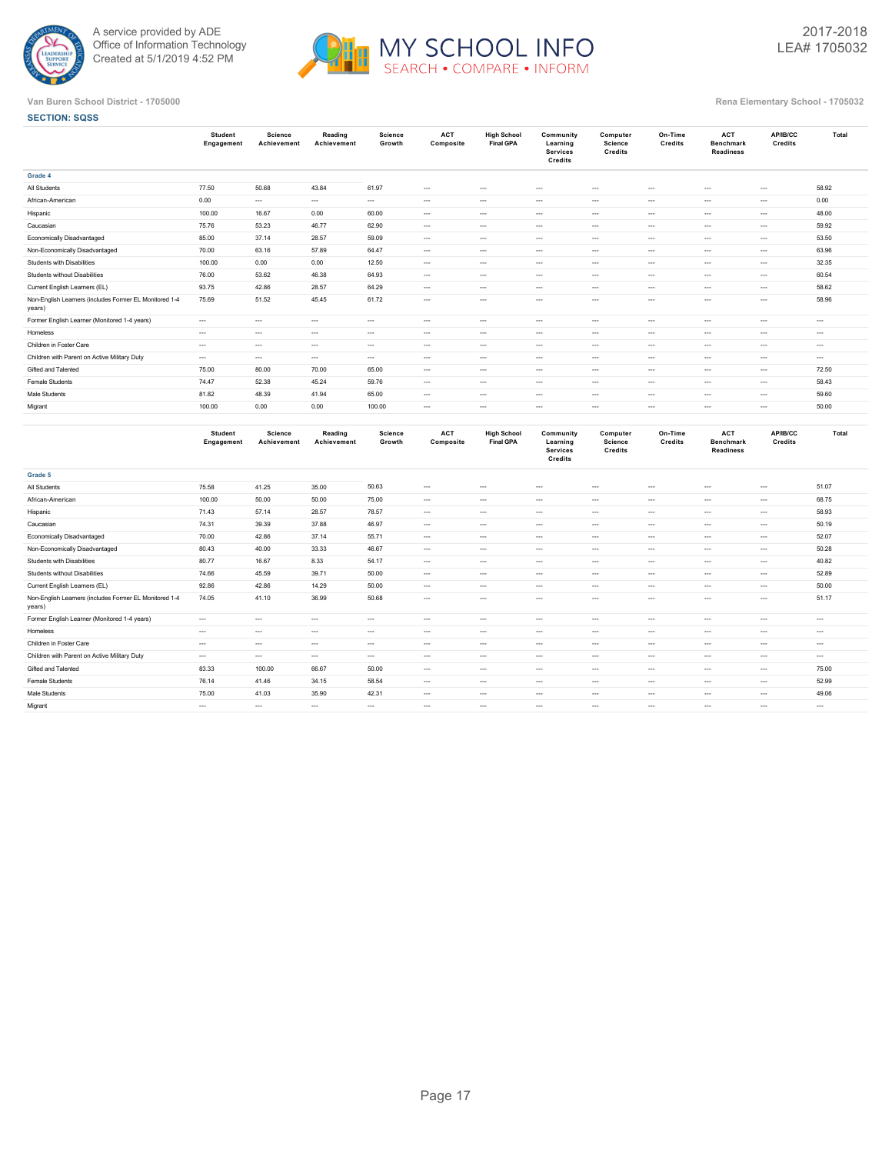



## **Van Buren School District - 1705000 Rena Elementary School - 1705032 SECTION: SQSS**

|                                                                  | <b>Student</b><br>Engagement | <b>Science</b><br>Achievement | Reading<br>Achievement | Science<br>Growth | <b>ACT</b><br>Composite | <b>High School</b><br><b>Final GPA</b> | Community<br>Learning<br><b>Services</b><br>Credits | Computer<br>Science<br>Credits | On-Time<br>Credits | <b>ACT</b><br><b>Benchmark</b><br><b>Readiness</b> | AP/IB/CC<br>Credits | Total    |
|------------------------------------------------------------------|------------------------------|-------------------------------|------------------------|-------------------|-------------------------|----------------------------------------|-----------------------------------------------------|--------------------------------|--------------------|----------------------------------------------------|---------------------|----------|
| Grade 4                                                          |                              |                               |                        |                   |                         |                                        |                                                     |                                |                    |                                                    |                     |          |
| All Students                                                     | 77.50                        | 50.68                         | 43.84                  | 61.97             | $\cdots$                | $---$                                  | $---$                                               | $\cdots$                       | $\cdots$           | $---$                                              | $\cdots$            | 58.92    |
| African-American                                                 | 0.00                         | $\ldots$                      | $\cdots$               | $\sim$ $\sim$     | $\cdots$                | $\cdots$                               | $\cdots$                                            | $\cdots$                       | $\cdots$           | $\sim$                                             | $\cdots$            | 0.00     |
| Hispanic                                                         | 100.00                       | 16.67                         | 0.00                   | 60.00             | $\sim$                  | $---$                                  | $---$                                               | $\cdots$                       | $\cdots$           | $---$                                              | $\cdots$            | 48.00    |
| Caucasian                                                        | 75.76                        | 53.23                         | 46.77                  | 62.90             | $\sim$                  | $---$                                  | $---$                                               | $\cdots$                       | $\cdots$           | $---$                                              | $\cdots$            | 59.92    |
| Economically Disadvantaged                                       | 85.00                        | 37.14                         | 28.57                  | 59.09             | $\cdots$                | $\cdots$                               | $---$                                               | $\cdots$                       |                    |                                                    | $\cdots$            | 53.50    |
| Non-Economically Disadvantaged                                   | 70.00                        | 63.16                         | 57.89                  | 64.47             | $\sim$                  | $---$                                  | $---$                                               | $\cdots$                       | $\cdots$           | $---$                                              | $\cdots$            | 63.96    |
| Students with Disabilities                                       | 100.00                       | 0.00                          | 0.00                   | 12.50             | $\sim$                  | $---$                                  | $---$                                               | $\cdots$                       | $\cdots$           | $---$                                              | $\cdots$            | 32.35    |
| Students without Disabilities                                    | 76.00                        | 53.62                         | 46.38                  | 64.93             | $\sim$                  | $---$                                  | $---$                                               | $\cdots$                       |                    | $\cdots$                                           | $\cdots$            | 60.54    |
| Current English Learners (EL)                                    | 93.75                        | 42.86                         | 28.57                  | 64.29             | $\sim$                  | $---$                                  | $---$                                               | $\cdots$                       | $\cdots$           | $---$                                              | $\cdots$            | 58.62    |
| Non-English Learners (includes Former EL Monitored 1-4<br>years) | 75.69                        | 51.52                         | 45.45                  | 61.72             | $\cdots$                | $---$                                  |                                                     | $\cdots$                       | $\cdots$           | $---$                                              |                     | 58.96    |
| Former English Learner (Monitored 1-4 years)                     | $\sim$                       | $\cdots$                      | $\cdots$               | $\cdots$          | $\cdots$                | $---$                                  | $---$                                               | $\cdots$                       |                    | $---$                                              | $\cdots$            |          |
| Homeless                                                         | $\cdots$                     | $\cdots$                      | $\cdots$               | $\cdots$          | $\sim$                  | $\cdots$                               | $---$                                               | $\cdots$                       | $\cdots$           |                                                    | $\cdots$            |          |
| Children in Foster Care                                          | $\sim$                       | $\cdots$                      | $\cdots$               | $\cdots$          | $\sim$                  | $---$                                  | $---$                                               | $\cdots$                       | $\cdots$           | $\cdots$                                           | $\cdots$            |          |
| Children with Parent on Active Military Duty                     | $\cdots$                     | $\ldots$                      | $\cdots$               | $\sim$ $\sim$     | $\sim$                  | $---$                                  | $\cdots$                                            | $\cdots$                       | $\cdots$           | $\cdots$                                           | $\cdots$            | $\cdots$ |
| Gifted and Talented                                              | 75.00                        | 80.00                         | 70.00                  | 65.00             | $\sim$                  | $---$                                  | $---$                                               | $\cdots$                       | $\cdots$           | $---$                                              | $\cdots$            | 72.50    |
| Female Students                                                  | 74.47                        | 52.38                         | 45.24                  | 59.76             | $\sim$                  | $---$                                  | $---$                                               | $\cdots$                       | $\cdots$           | $---$                                              | $\cdots$            | 58.43    |
| Male Students                                                    | 81.82                        | 48.39                         | 41.94                  | 65.00             | $\sim$                  | $---$                                  | $---$                                               | $\cdots$                       | $\cdots$           | $---$                                              | $\cdots$            | 59.60    |
| Migrant                                                          | 100.00                       | 0.00                          | 0.00                   | 100.00            | $\cdots$                | $---$                                  | $---$                                               | $\cdots$                       | $\cdots$           | $---$                                              | $---$               | 50.00    |
|                                                                  |                              |                               |                        |                   |                         |                                        |                                                     |                                |                    |                                                    |                     |          |

|                                                                  | <b>Student</b><br>Engagement | Science<br>Achievement | Reading<br>Achievement | <b>Science</b><br>Growth | <b>ACT</b><br>Composite | <b>High School</b><br><b>Final GPA</b> | Community<br>Learning<br><b>Services</b><br>Credits | Computer<br>Science<br>Credits | On-Time<br>Credits | <b>ACT</b><br><b>Benchmark</b><br>Readiness | AP/IB/CC<br>Credits | Total    |
|------------------------------------------------------------------|------------------------------|------------------------|------------------------|--------------------------|-------------------------|----------------------------------------|-----------------------------------------------------|--------------------------------|--------------------|---------------------------------------------|---------------------|----------|
| Grade 5                                                          |                              |                        |                        |                          |                         |                                        |                                                     |                                |                    |                                             |                     |          |
| All Students                                                     | 75.58                        | 41.25                  | 35.00                  | 50.63                    | $\sim$                  | $---$                                  | $---$                                               | $\cdots$                       | $\sim$             | $\cdots$                                    | $\cdots$            | 51.07    |
| African-American                                                 | 100.00                       | 50.00                  | 50.00                  | 75.00                    | $\cdots$                | $\cdots$                               | $---$                                               | $\cdots$                       | $\cdots$           | $\sim$                                      | $\cdots$            | 68.75    |
| Hispanic                                                         | 71.43                        | 57.14                  | 28.57                  | 78.57                    | $\cdots$                | $---$                                  | $---$                                               | $\cdots$                       | $\cdots$           | $-1$                                        | $\cdots$            | 58.93    |
| Caucasian                                                        | 74.31                        | 39.39                  | 37.88                  | 46.97                    | $\cdots$                | $\cdots$                               | $---$                                               | $\cdots$                       | $\cdots$           | $-1$                                        | $\cdots$            | 50.19    |
| <b>Economically Disadvantaged</b>                                | 70.00                        | 42.86                  | 37.14                  | 55.71                    | $\cdots$                | $---$                                  | $---$                                               | $\cdots$                       | $\sim$             | $\cdots$                                    | $\cdots$            | 52.07    |
| Non-Economically Disadvantaged                                   | 80.43                        | 40.00                  | 33.33                  | 46.67                    | $\cdots$                | $\cdots$                               | $---$                                               | $\cdots$                       | $\cdots$           | $\cdots$                                    | $\cdots$            | 50.28    |
| Students with Disabilities                                       | 80.77                        | 16.67                  | 8.33                   | 54.17                    | $\cdots$                | $\cdots$                               | $---$                                               | $\cdots$                       | $\sim$             | $\cdots$                                    | $\cdots$            | 40.82    |
| Students without Disabilities                                    | 74.66                        | 45.59                  | 39.71                  | 50.00                    | $\cdots$                | $\cdots$                               | $---$                                               | $\cdots$                       | $\cdots$           | $-1$                                        | $\cdots$            | 52.89    |
| Current English Learners (EL)                                    | 92.86                        | 42.86                  | 14.29                  | 50.00                    | $\cdots$                | $\cdots$                               | $---$                                               | $\cdots$                       | $\cdots$           | $\sim$                                      | $\cdots$            | 50.00    |
| Non-English Learners (includes Former EL Monitored 1-4<br>years) | 74.05                        | 41.10                  | 36.99                  | 50.68                    | $\cdots$                | $---$                                  | $---$                                               | $\cdots$                       | $\sim$             | $\cdots$                                    | $\cdots$            | 51.17    |
| Former English Learner (Monitored 1-4 years)                     | $- - -$                      | $\cdots$               | $\cdots$               | $\cdots$                 | $\cdots$                | $---$                                  | $---$                                               | $\cdots$                       | $\cdots$           | $-1$                                        | $\cdots$            | $---$    |
| Homeless                                                         | $- - -$                      | $\cdots$               | $\cdots$               | $\cdots$                 | $\cdots$                | $\cdots$                               | $\cdots$                                            | $\cdots$                       | $\cdots$           | $\sim$                                      | $\cdots$            | $\cdots$ |
| Children in Foster Care                                          | $- - -$                      | $\cdots$               | $\cdots$               | $- - -$                  | $\cdots$                | $\cdots$                               | $---$                                               | $\cdots$                       | $\sim$             | $-1$                                        | $\cdots$            | $\cdots$ |
| Children with Parent on Active Military Duty                     | $- - -$                      | $\cdots$               | $\cdots$               | $\cdots$                 | $\cdots$                | $---$                                  | $---$                                               | $\cdots$                       | $\sim$             | $\cdots$                                    | $\cdots$            | $---$    |
| Gifted and Talented                                              | 83.33                        | 100.00                 | 66.67                  | 50.00                    | $\cdots$                | $\cdots$                               | $---$                                               | $\cdots$                       | $\sim$             | $\sim$ $\sim$                               | $\cdots$            | 75.00    |
| Female Students                                                  | 76.14                        | 41.46                  | 34.15                  | 58.54                    | $\cdots$                | $---$                                  | $---$                                               | $\cdots$                       | $\sim$             | $\sim$ $\sim$                               | $\cdots$            | 52.99    |
| Male Students                                                    | 75.00                        | 41.03                  | 35.90                  | 42.31                    | $\cdots$                | $\cdots$                               | $\cdots$                                            | $\cdots$                       | $\cdots$           | $\sim$                                      | $\cdots$            | 49.06    |
| Migrant                                                          | $\cdots$                     | $\cdots$               | $\cdots$               | $\cdots$                 | $\cdots$                | $\cdots$                               | $\cdots$                                            | $\cdots$                       | $\cdots$           | $\cdots$                                    | $\cdots$            | $\cdots$ |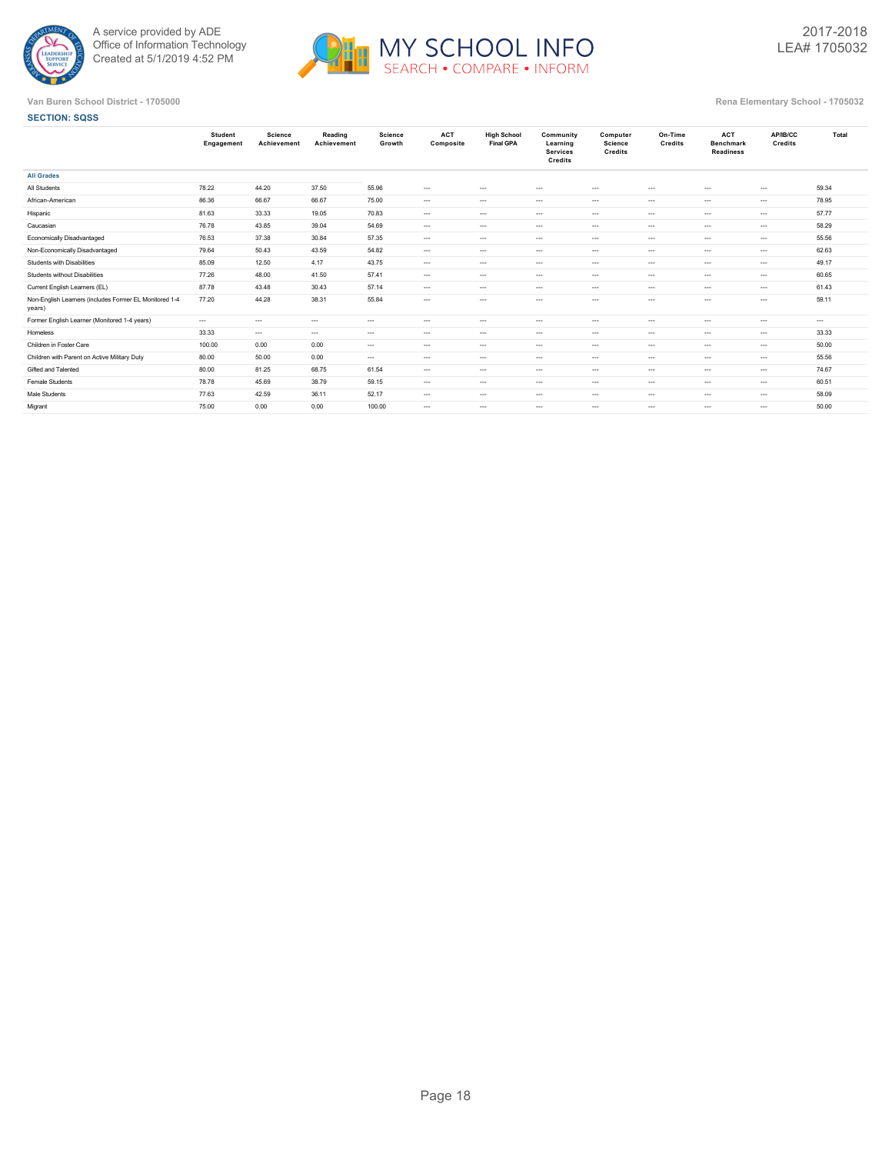



| <b>SECTION: SQSS</b>                                             |                       |                        |                        |                   |                         |                                        |                                                     |                                |                    |                                             |                     |          |
|------------------------------------------------------------------|-----------------------|------------------------|------------------------|-------------------|-------------------------|----------------------------------------|-----------------------------------------------------|--------------------------------|--------------------|---------------------------------------------|---------------------|----------|
|                                                                  | Student<br>Engagement | Science<br>Achievement | Reading<br>Achievement | Science<br>Growth | <b>ACT</b><br>Composite | <b>High School</b><br><b>Final GPA</b> | Community<br>Learning<br><b>Services</b><br>Credits | Computer<br>Science<br>Credits | On-Time<br>Credits | <b>ACT</b><br><b>Benchmark</b><br>Readiness | AP/IB/CC<br>Credits | Total    |
| <b>All Grades</b>                                                |                       |                        |                        |                   |                         |                                        |                                                     |                                |                    |                                             |                     |          |
| All Students                                                     | 78.22                 | 44.20                  | 37.50                  | 55.96             | $\cdots$                | $\cdots$                               | $\cdots$                                            | $\cdots$                       | $\cdots$           | $\sim$ $\sim$                               | $\cdots$            | 59.34    |
| African-American                                                 | 86.36                 | 66.67                  | 66.67                  | 75.00             | $\cdots$                | $\cdots$                               | $---$                                               | $- - -$                        | $\sim$             | $\sim$ $\sim$                               | $\cdots$            | 78.95    |
| Hispanic                                                         | 81.63                 | 33.33                  | 19.05                  | 70.83             | $\cdots$                | $\cdots$                               | $---$                                               | $\cdots$                       | $\sim$             | $-1$                                        | $\cdots$            | 57.77    |
| Caucasian                                                        | 76.78                 | 43.85                  | 39.04                  | 54.69             | $\cdots$                | $\cdots$                               | $\cdots$                                            | $\cdots$                       | $\sim$             | $\cdots$                                    | $\cdots$            | 58.29    |
| Economically Disadvantaged                                       | 76.53                 | 37.38                  | 30.84                  | 57.35             | $\cdots$                | $\cdots$                               | $\cdots$                                            | $\cdots$                       | $\sim$             | $\sim$                                      | $\cdots$            | 55.56    |
| Non-Economically Disadvantaged                                   | 79.64                 | 50.43                  | 43.59                  | 54.82             | $\cdots$                | $\cdots$                               | $\cdots$                                            | $\cdots$                       | $\sim$             | $\cdots$                                    | $\cdots$            | 62.63    |
| Students with Disabilities                                       | 85.09                 | 12.50                  | 4.17                   | 43.75             | $\cdots$                | $\cdots$                               | $\cdots$                                            | $\cdots$                       | $\cdots$           | $\sim$                                      | $\cdots$            | 49.17    |
| Students without Disabilities                                    | 77.26                 | 48.00                  | 41.50                  | 57.41             | $\cdots$                | $\cdots$                               | $\cdots$                                            | $\cdots$                       | $\sim$             | $\cdots$                                    | $\cdots$            | 60.65    |
| Current English Learners (EL)                                    | 87.78                 | 43.48                  | 30.43                  | 57.14             | $\sim$                  | $\cdots$                               | $\cdots$                                            | $\cdots$                       | $\sim$             | $-1$                                        | $\cdots$            | 61.43    |
| Non-English Learners (includes Former EL Monitored 1-4<br>years) | 77.20                 | 44.28                  | 38.31                  | 55.84             | $\cdots$                | $\cdots$                               | $---$                                               | $\cdots$                       | $\sim$             | $-1$                                        | $\cdots$            | 59.11    |
| Former English Learner (Monitored 1-4 years)                     | $\cdots$              | $\cdots$               | $\cdots$               | $\cdots$          | $\cdots$                | $\cdots$                               | $\cdots$                                            | $\cdots$                       | $\sim$             | $\cdots$                                    | $\cdots$            | $\cdots$ |
| Homeless                                                         | 33.33                 | $\ldots$               | $\cdots$               | $\sim$ $\sim$     | $\cdots$                | $\cdots$                               | $\cdots$                                            | $\sim$ $\sim$                  | $\sim$             | $\cdots$                                    | $\cdots$            | 33.33    |
| Children in Foster Care                                          | 100.00                | 0.00                   | 0.00                   | $\cdots$          | $\sim$                  | $\cdots$                               | $\cdots$                                            | $\cdots$                       | $\sim$             | $\sim$                                      | $\cdots$            | 50.00    |
| Children with Parent on Active Military Duty                     | 80.00                 | 50.00                  | 0.00                   | $\sim$ $\sim$     | $\cdots$                | $\cdots$                               | $---$                                               | $\cdots$                       | $\sim$             | $\sim$                                      | $\cdots$            | 55.56    |
| Gifted and Talented                                              | 80.00                 | 81.25                  | 68.75                  | 61.54             | $\cdots$                | $\cdots$                               | $\cdots$                                            | $\cdots$                       | $\cdots$           | $\sim$                                      | $\cdots$            | 74.67    |
| <b>Female Students</b>                                           | 78.78                 | 45.69                  | 38.79                  | 59.15             | $\cdots$                | $\cdots$                               | $---$                                               | $\cdots$                       | $\sim$             | $\sim$ $\sim$                               | $\cdots$            | 60.51    |
| Male Students                                                    | 77.63                 | 42.59                  | 36.11                  | 52.17             | $\cdots$                | $\cdots$                               | $\cdots$                                            | $\cdots$                       | $\cdots$           | $\sim$ $\sim$                               | $\cdots$            | 58.09    |
| Migrant                                                          | 75.00                 | 0.00                   | 0.00                   | 100.00            | $\cdots$                | $\cdots$                               | $---$                                               | $\cdots$                       | $\sim$             | $\sim$ $\sim$                               | $\cdots$            | 50.00    |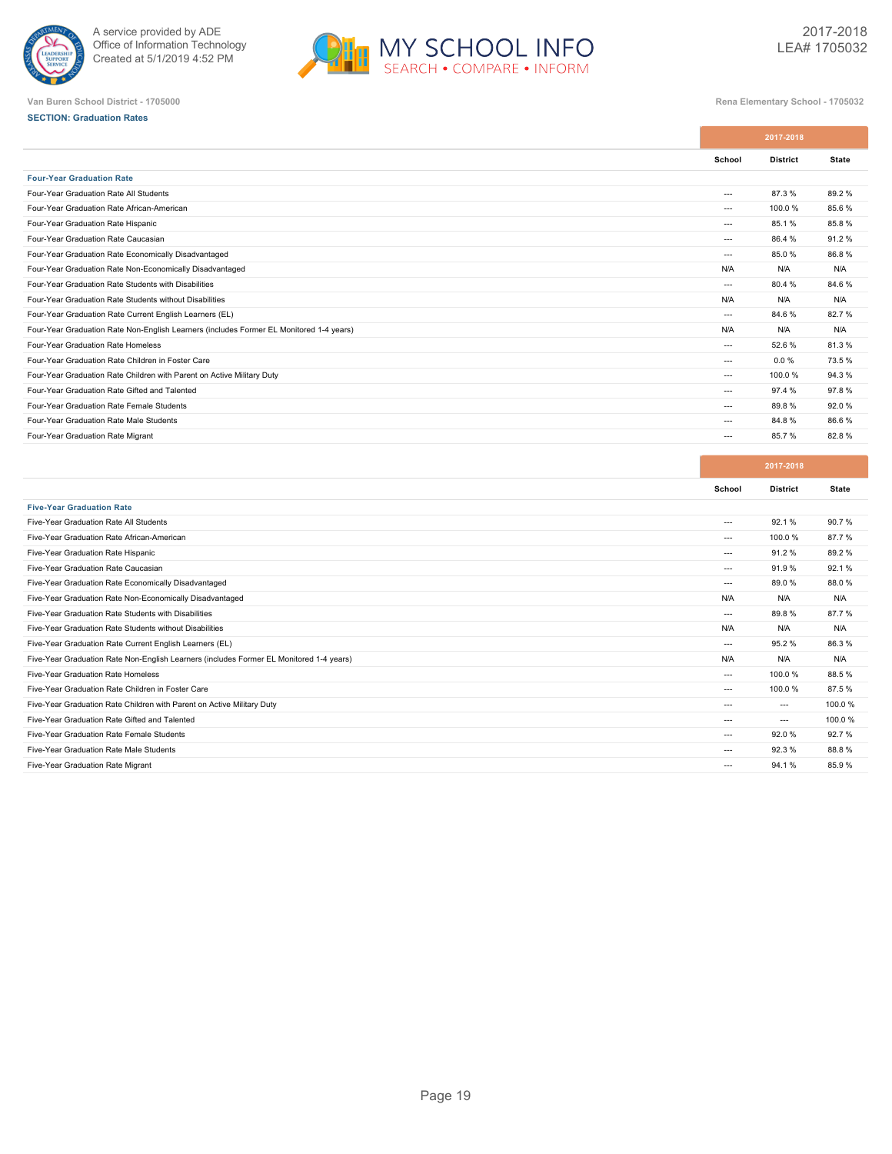



**SECTION: Graduation Rates**

|                                                                                         |                          | 2017-2018       |              |
|-----------------------------------------------------------------------------------------|--------------------------|-----------------|--------------|
|                                                                                         | School                   | <b>District</b> | <b>State</b> |
| <b>Four-Year Graduation Rate</b>                                                        |                          |                 |              |
| Four-Year Graduation Rate All Students                                                  | $---$                    | 87.3%           | 89.2%        |
| Four-Year Graduation Rate African-American                                              | $---$                    | 100.0 %         | 85.6%        |
| Four-Year Graduation Rate Hispanic                                                      | $---$                    | 85.1%           | 85.8%        |
| Four-Year Graduation Rate Caucasian                                                     | $---$                    | 86.4 %          | 91.2%        |
| Four-Year Graduation Rate Economically Disadvantaged                                    | $---$                    | 85.0%           | 86.8%        |
| Four-Year Graduation Rate Non-Economically Disadvantaged                                | N/A                      | N/A             | N/A          |
| Four-Year Graduation Rate Students with Disabilities                                    | $---$                    | 80.4%           | 84.6%        |
| Four-Year Graduation Rate Students without Disabilities                                 | N/A                      | N/A             | N/A          |
| Four-Year Graduation Rate Current English Learners (EL)                                 | $\hspace{0.05cm} \ldots$ | 84.6%           | 82.7 %       |
| Four-Year Graduation Rate Non-English Learners (includes Former EL Monitored 1-4 years) | N/A                      | N/A             | N/A          |
| Four-Year Graduation Rate Homeless                                                      | $---$                    | 52.6%           | 81.3%        |
| Four-Year Graduation Rate Children in Foster Care                                       | $---$                    | 0.0%            | 73.5%        |
| Four-Year Graduation Rate Children with Parent on Active Military Duty                  | $---$                    | 100.0%          | 94.3%        |
| Four-Year Graduation Rate Gifted and Talented                                           | $---$                    | 97.4%           | 97.8%        |
| Four-Year Graduation Rate Female Students                                               | $---$                    | 89.8%           | 92.0%        |
| Four-Year Graduation Rate Male Students                                                 | $---$                    | 84.8%           | 86.6%        |
| Four-Year Graduation Rate Migrant                                                       | $---$                    | 85.7%           | 82.8%        |
|                                                                                         |                          |                 |              |

|                                                                                         |               | 2017-2018       |              |
|-----------------------------------------------------------------------------------------|---------------|-----------------|--------------|
|                                                                                         | School        | <b>District</b> | <b>State</b> |
| <b>Five-Year Graduation Rate</b>                                                        |               |                 |              |
| Five-Year Graduation Rate All Students                                                  | $---$         | 92.1%           | 90.7%        |
| Five-Year Graduation Rate African-American                                              | $---$         | 100.0%          | 87.7%        |
| Five-Year Graduation Rate Hispanic                                                      | $\cdots$      | 91.2%           | 89.2%        |
| Five-Year Graduation Rate Caucasian                                                     | $---$         | 91.9%           | 92.1%        |
| Five-Year Graduation Rate Economically Disadvantaged                                    | $---$         | 89.0%           | 88.0%        |
| Five-Year Graduation Rate Non-Economically Disadvantaged                                | N/A           | N/A             | N/A          |
| Five-Year Graduation Rate Students with Disabilities                                    | $---$         | 89.8%           | 87.7%        |
| Five-Year Graduation Rate Students without Disabilities                                 | N/A           | N/A             | N/A          |
| Five-Year Graduation Rate Current English Learners (EL)                                 | $\sim$ $\sim$ | 95.2%           | 86.3%        |
| Five-Year Graduation Rate Non-English Learners (includes Former EL Monitored 1-4 years) | N/A           | N/A             | N/A          |
| Five-Year Graduation Rate Homeless                                                      | $---$         | 100.0%          | 88.5%        |
| Five-Year Graduation Rate Children in Foster Care                                       | $\cdots$      | 100.0%          | 87.5 %       |
| Five-Year Graduation Rate Children with Parent on Active Military Duty                  | $---$         | $---$           | 100.0%       |
| Five-Year Graduation Rate Gifted and Talented                                           | $---$         | $\cdots$        | 100.0%       |
| Five-Year Graduation Rate Female Students                                               | $---$         | 92.0%           | 92.7%        |
| Five-Year Graduation Rate Male Students                                                 | $\sim$ $\sim$ | 92.3%           | 88.8%        |
| Five-Year Graduation Rate Migrant                                                       | $---$         | 94.1%           | 85.9%        |
|                                                                                         |               |                 |              |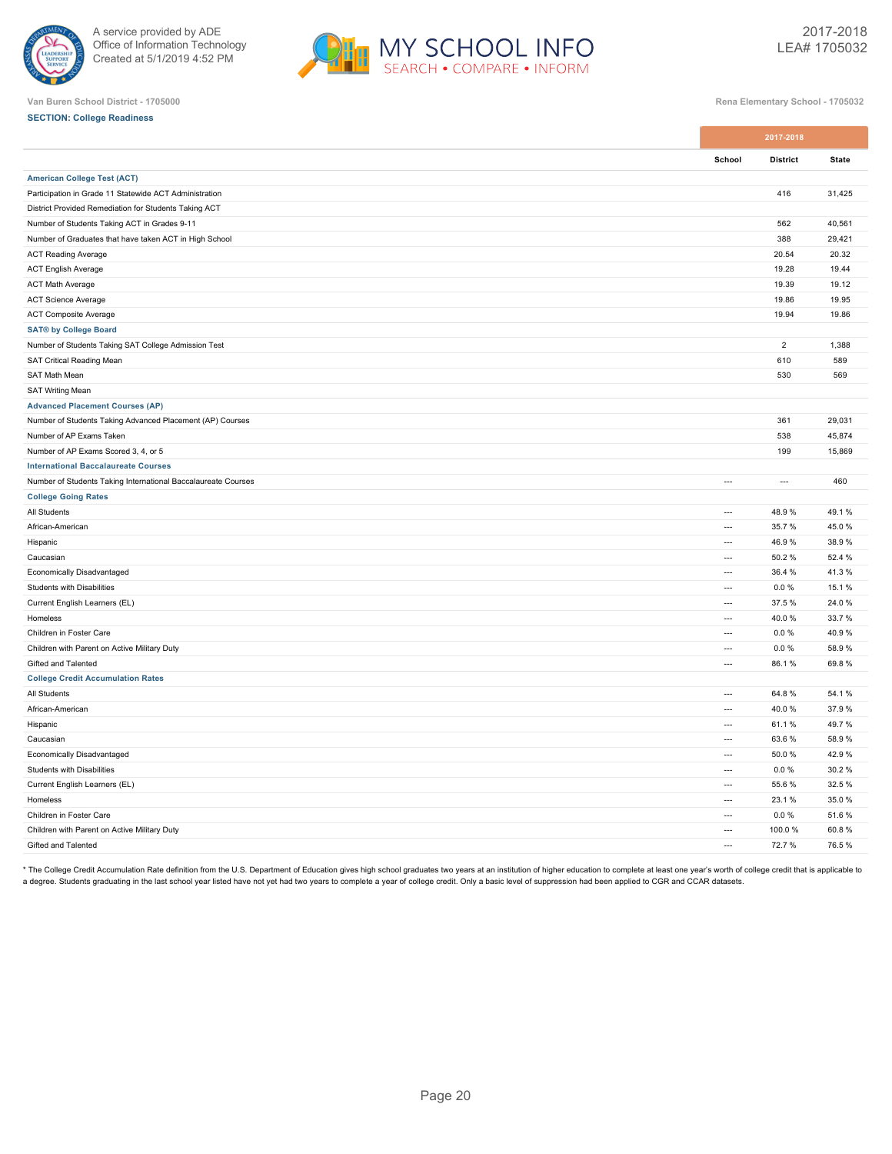

**SECTION: College Readiness**



**Van Buren School District - 1705000 Rena Elementary School - 1705032**

## **School District State American College Test (ACT)** Participation in Grade 11 Statewide ACT Administration 416 31,425 District Provided Remediation for Students Taking ACT Number of Students Taking ACT in Grades 9-11 662 40,561 and the Students Taking ACT in Grades 9-11 562 40,561 Number of Graduates that have taken ACT in High School 388 29,421 ACT Reading Average 20.54 20.32 ACT English Average 19.28 19.44 ACT Math Average 19.39 19.12 ACT Science Average 19.86 19.95 ACT Composite Average **19.94** 19.86 **SAT® by College Board** Number of Students Taking SAT College Admission Test 2 1,388 SAT Critical Reading Mean 610 589 SAT Math Mean 530 569 SAT Writing Mean **Advanced Placement Courses (AP)** Number of Students Taking Advanced Placement (AP) Courses 361 29,031 Number of AP Exams Taken 538 the state of the state of the state of the state of the state of the state of the state of the state of the state of the state of the state of the state of the state of the state of the state o Number of AP Exams Scored 3, 4, or 5 199 15,869 **International Baccalaureate Courses** Number of Students Taking International Baccalaureate Courses --- 460 **College Going Rates** All Students --- 48.9 % 49.1 % African-American --- 35.7 % 45.0 % Hispanic --- 46.9 % 38.9 % Caucasian --- 50.2 % 52.4 % Economically Disadvantaged 41.3 % 41.3 % 41.3 % 41.3 % 41.3 % 41.3 % 41.3 % 41.3 % 41.3 % 41.3 % 41.3 % 41.3 % 41.3 % 41.3 % 41.3 % 41.3 % 41.3 % 41.3 % 41.3 % 41.3 % 41.3 % 41.3 % 41.3 % 41.3 % 41.3 % 41.3 % 41.3 % 41.3 % Students with Disabilities --- 0.0 % 15.1 % Current English Learners (EL) --- 37.5 % 24.0 % Homeless --- 40.0 % 33.7 % Children in Foster Care --- 0.0 % 40.9 % Children with Parent on Active Military Duty of the State of the State of the State of the State of the State of the State of the State of the State of the State of the State of the State of the State of the State of the S Gifted and Talented --- 86.1 % 69.8 % **College Credit Accumulation Rates** All Students --- 64.8 % 54.1 % African-American --- 40.0 % 37.9 % Hispanic --- 61.1 % 49.7 % Caucasian --- 63.6 % 58.9 % Economically Disadvantaged and the state of the state of the state of the state of the state of the state of the state of the state of the state of the state of the state of the state of the state of the state of the state Students with Disabilities **2008** 10.0 % 30.2 % 30.2 % 30.2 % 30.2 % 30.2 % 30.2 % 30.2 % 30.2 % 30.2 % 30.2 % 30.2 % 30.2 % 30.2 % 30.2 % 30.2 % 30.2 % 30.2 % 30.2 % 30.2 % 30.2 % 30.2 % 30.2 % 30.2 % 30.3 % 30.2 % 30.3 % Current English Learners (EL) 32.5 % 32.5 % 32.5 % 32.5 % 32.5 % 32.5 % 32.5 % 32.5 % 32.5 % 32.5 % 32.5 % 32.5 % 32.5 % 32.5 % 32.5 % 32.5 % 32.5 % 32.5 % 32.5 % 32.5 % 32.5 % 32.5 % 32.5 % 32.5 % 32.5 % 32.5 % 32.5 % 32. Homeless --- 23.1 % 35.0 % Children in Foster Care --- 0.0 % 51.6 %

\* The College Credit Accumulation Rate definition from the U.S. Department of Education gives high school graduates two years at an institution of higher education to complete at least one year's worth of college credit th a degree. Students graduating in the last school year listed have not yet had two years to complete a year of college credit. Only a basic level of suppression had been applied to CGR and CCAR datasets.

Children with Parent on Active Military Duty --- 100.0 % 60.8 % Gifted and Talented --- 72.7 % 76.5 %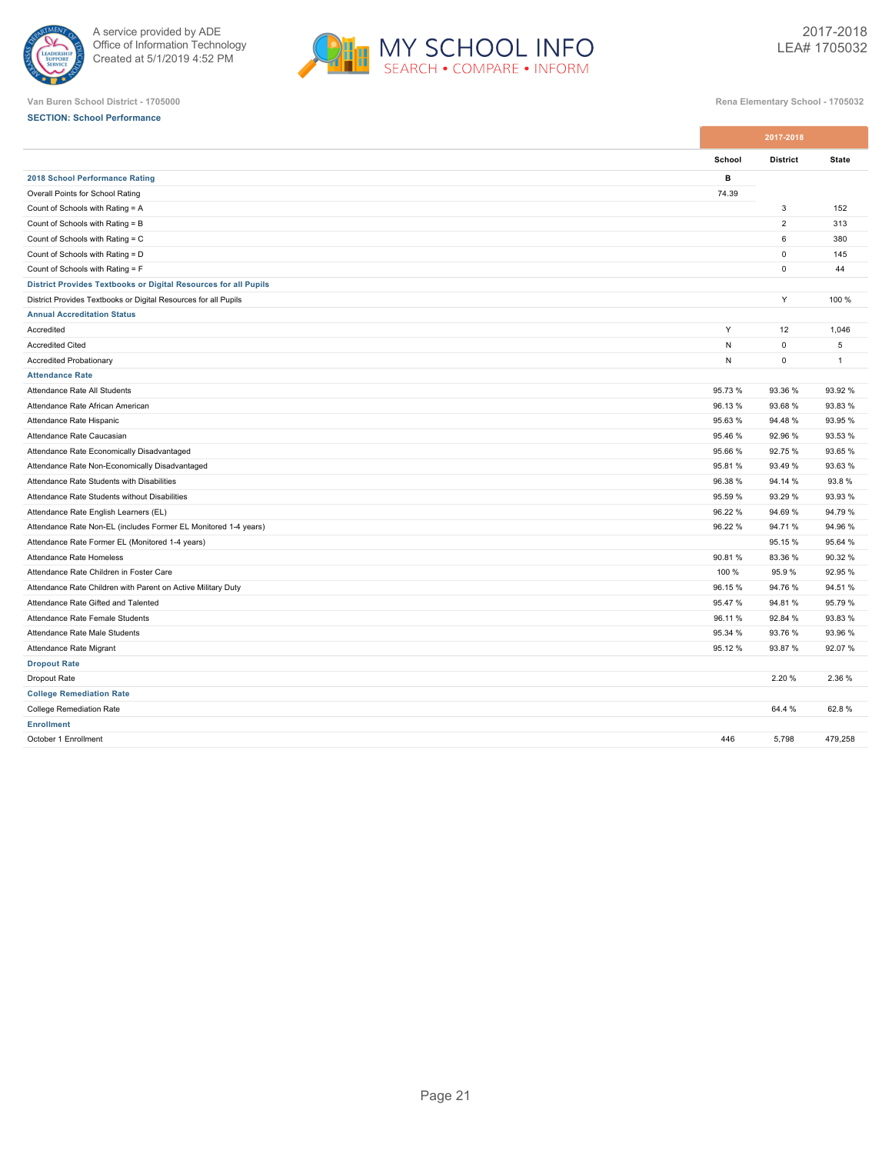



# **SECTION: School Performance**

|                                                                 | 2017-2018 |                 |              |
|-----------------------------------------------------------------|-----------|-----------------|--------------|
|                                                                 | School    | <b>District</b> | <b>State</b> |
| 2018 School Performance Rating                                  | в         |                 |              |
| Overall Points for School Rating                                | 74.39     |                 |              |
| Count of Schools with Rating = A                                |           | 3               | 152          |
| Count of Schools with Rating = B                                |           | $\overline{2}$  | 313          |
| Count of Schools with Rating = C                                |           | 6               | 380          |
| Count of Schools with Rating = D                                |           | 0               | 145          |
| Count of Schools with Rating = F                                |           | $\mathbf 0$     | 44           |
| District Provides Textbooks or Digital Resources for all Pupils |           |                 |              |
| District Provides Textbooks or Digital Resources for all Pupils |           | Y               | 100 %        |
| <b>Annual Accreditation Status</b>                              |           |                 |              |
| Accredited                                                      | Y         | 12              | 1,046        |
| <b>Accredited Cited</b>                                         | N         | 0               | 5            |
| <b>Accredited Probationary</b>                                  | $\sf N$   | $\mathbf 0$     | $\mathbf{1}$ |
| <b>Attendance Rate</b>                                          |           |                 |              |
| Attendance Rate All Students                                    | 95.73%    | 93.36 %         | 93.92 %      |
| Attendance Rate African American                                | 96.13%    | 93.68 %         | 93.83 %      |
| Attendance Rate Hispanic                                        | 95.63%    | 94.48 %         | 93.95 %      |
| Attendance Rate Caucasian                                       | 95.46%    | 92.96 %         | 93.53 %      |
| Attendance Rate Economically Disadvantaged                      | 95.66%    | 92.75 %         | 93.65 %      |
| Attendance Rate Non-Economically Disadvantaged                  | 95.81%    | 93.49 %         | 93.63%       |
| Attendance Rate Students with Disabilities                      | 96.38%    | 94.14 %         | 93.8%        |
| Attendance Rate Students without Disabilities                   | 95.59%    | 93.29 %         | 93.93 %      |
| Attendance Rate English Learners (EL)                           | 96.22%    | 94.69 %         | 94.79%       |
| Attendance Rate Non-EL (includes Former EL Monitored 1-4 years) | 96.22%    | 94.71%          | 94.96 %      |
| Attendance Rate Former EL (Monitored 1-4 years)                 |           | 95.15 %         | 95.64 %      |
| Attendance Rate Homeless                                        | 90.81%    | 83.36 %         | 90.32 %      |
| Attendance Rate Children in Foster Care                         | 100 %     | 95.9%           | 92.95 %      |
| Attendance Rate Children with Parent on Active Military Duty    | 96.15%    | 94.76%          | 94.51 %      |
| Attendance Rate Gifted and Talented                             | 95.47%    | 94.81%          | 95.79 %      |
| Attendance Rate Female Students                                 | 96.11%    | 92.84 %         | 93.83 %      |
| Attendance Rate Male Students                                   | 95.34 %   | 93.76 %         | 93.96 %      |
| Attendance Rate Migrant                                         | 95.12%    | 93.87 %         | 92.07%       |
| <b>Dropout Rate</b>                                             |           |                 |              |
| Dropout Rate                                                    |           | 2.20%           | 2.36 %       |
| <b>College Remediation Rate</b>                                 |           |                 |              |
| College Remediation Rate                                        |           | 64.4%           | 62.8%        |
| <b>Enrollment</b>                                               |           |                 |              |
| October 1 Enrollment                                            | 446       | 5,798           | 479,258      |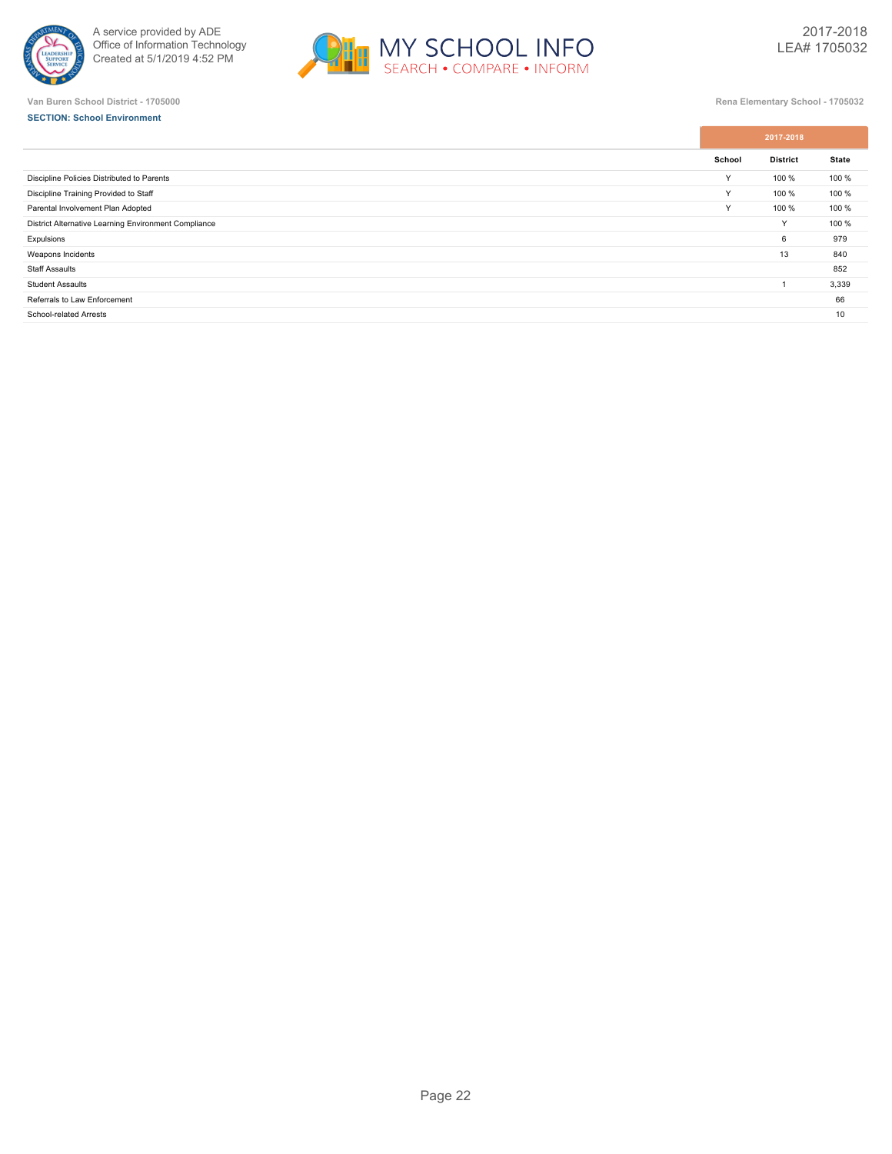



# **SECTION: School Environment**

|                                                      | School | <b>District</b> | <b>State</b> |
|------------------------------------------------------|--------|-----------------|--------------|
| Discipline Policies Distributed to Parents           | Y      | 100 %           | 100 %        |
| Discipline Training Provided to Staff                | Y      | 100 %           | 100 %        |
| Parental Involvement Plan Adopted                    | Y      | 100 %           | 100 %        |
| District Alternative Learning Environment Compliance |        | $\checkmark$    | 100 %        |
| Expulsions                                           |        | 6               | 979          |
| Weapons Incidents                                    |        | 13              | 840          |
| <b>Staff Assaults</b>                                |        |                 | 852          |
| <b>Student Assaults</b>                              |        |                 | 3,339        |
| Referrals to Law Enforcement                         |        |                 | 66           |
| School-related Arrests                               |        |                 | 10           |
|                                                      |        |                 |              |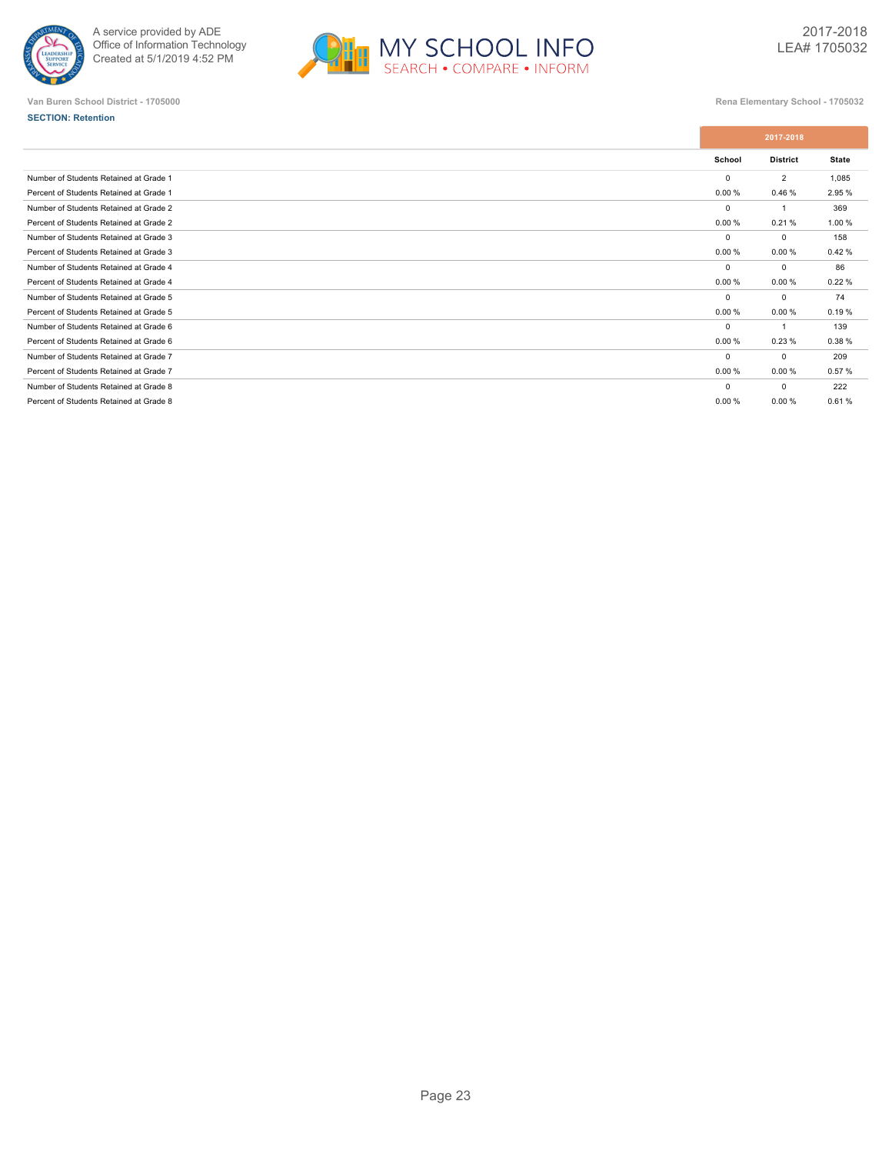

**SECTION: Retention**



**Van Buren School District - 1705000 Rena Elementary School - 1705032**

## **School District State** Number of Students Retained at Grade 1 and 2 2 1,085 Percent of Students Retained at Grade 1 0.00 % 0.46 % 2.95 % 0.46 % 0.00 % 0.46 % 2.95 % 0.46 % 0.00 % 0.46 % 2.95 % 0.46 % 2.95 % 0.46 % 0.00 % 0.46 % 0.46 % 0.2.95 % 0.46 % 0.2.95 % 0.46 % 0.46 % 0.46 % 0.46 % 0.46 % 0.4 Number of Students Retained at Grade 2 0 1 369 Percent of Students Retained at Grade 2 0.00 % 0.21 % 1.00 % 0.21 % 1.00 % 0.21 % 1.00 % 0.21 % 1.00 % 0.21 % 1.00 % 0.21 % 1.00 % 0.21 % 1.00 % 0.21 % 1.00 % 0.21 % 1.00 % 0.21 % 1.00 % 0.21 % 1.00 % 0.21 % 0.00 % 0.21 % Number of Students Retained at Grade 3 0 0 158 Percent of Students Retained at Grade 3 0.00 % 0.42 % 0.00 % 0.42 % 0.00 % 0.42 % 0.00 % 0.42 % 0.00 % 0.42 % 0.00 % 0.42 % 0.42 % 0.42 % 0.42 % 0.42 % 0.42 % 0.42 % 0.42 % 0.42 % 0.42 % 0.42 % 0.42 % 0.42 % 0.42 % 0.42 % Number of Students Retained at Grade 4 0 0 0 86 Percent of Students Retained at Grade 4 0.00 % 0.00 % 0.00 % 0.22 % Number of Students Retained at Grade 5 0 0 74 Percent of Students Retained at Grade 5 0.00 % 0.19 % 0.00 % 0.00 % 0.19 % 0.00 % 0.19 % Number of Students Retained at Grade 6 0 1 1 139 Percent of Students Retained at Grade 6 0.00 % 0.23 % 0.38 % 0.38 % 0.38 % 0.38 % 0.38 % 0.38 % 0.38 % 0.38 % 0.38 % 0.38 % 0.38 % 0.38 % 0.38 % 0.38 % 0.38 % 0.38 % 0.38 % 0.38 % 0.38 % 0.38 % 0.38 % 0.38 % 0.38 % 0.38 % Number of Students Retained at Grade 7 0 0 209 Percent of Students Retained at Grade 7 0.00 % 0.00 % 0.00 % 0.00 % 0.00 % 0.00 % 0.00 % 0.00 % 0.00 % 0.00 % 0.00 % 0.57 % 0.00 % 0.00 % 0.57 % 0.00 % 0.57 % 0.00 % 0.00 % 0.57 % 0.00 % 0.57 % 0.00 % 0.00 % 0.57 % 0.00 % Number of Students Retained at Grade 8 0 0 222 Percent of Students Retained at Grade 8 0.00 % 0.00 % 0.00 % 0.00 % 0.00 % 0.00 % 0.00 % 0.00 % 0.00 % 0.00 % 0.00 % 0.61 %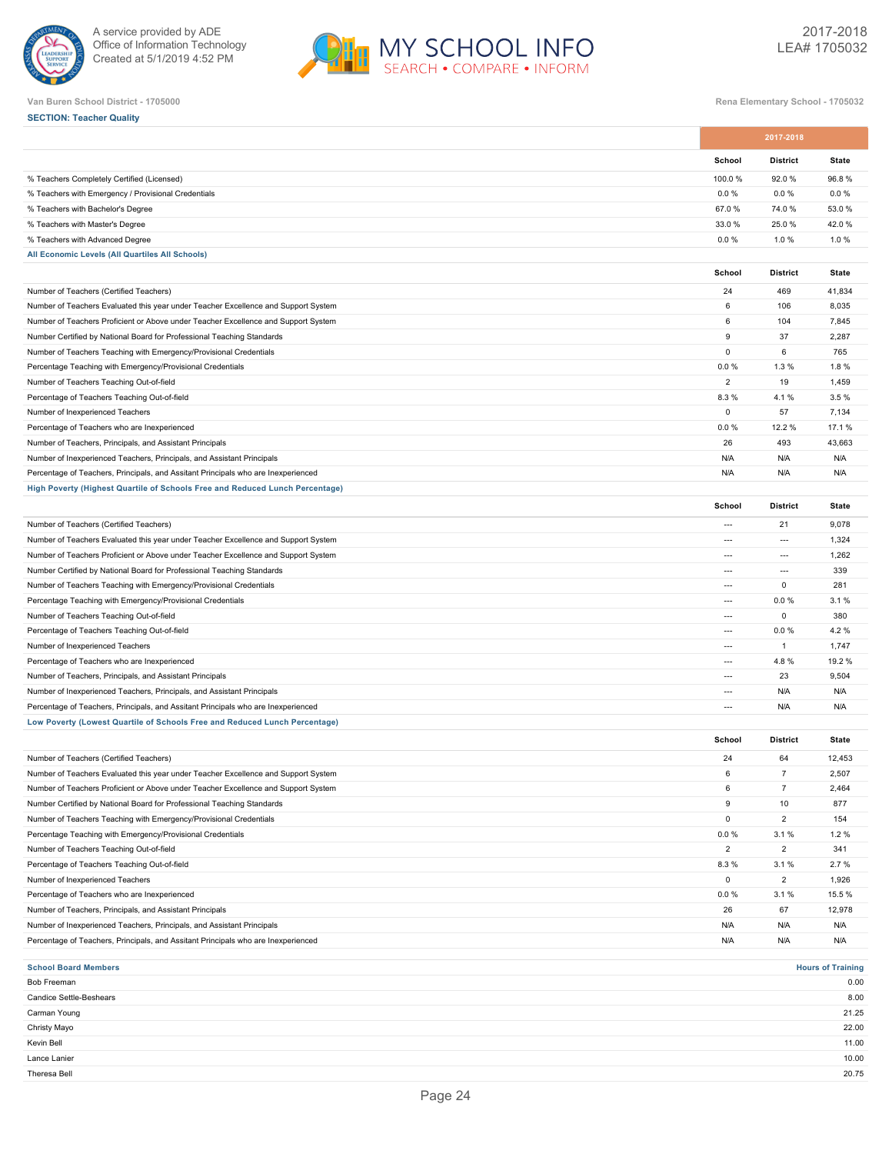



**2017-2018**

## **SECTION: Teacher Quality**

|                                                                                    |                          | 20 H 20 H                |                                  |
|------------------------------------------------------------------------------------|--------------------------|--------------------------|----------------------------------|
|                                                                                    | School                   | <b>District</b>          | <b>State</b>                     |
| % Teachers Completely Certified (Licensed)                                         | 100.0%                   | 92.0%                    | 96.8%                            |
| % Teachers with Emergency / Provisional Credentials                                | $0.0 \%$                 | 0.0%                     | 0.0%                             |
| % Teachers with Bachelor's Degree                                                  | 67.0%                    | 74.0%                    | 53.0 %                           |
| % Teachers with Master's Degree                                                    | 33.0%                    | 25.0%                    | 42.0%                            |
| % Teachers with Advanced Degree                                                    | 0.0%                     | 1.0%                     | 1.0%                             |
| All Economic Levels (All Quartiles All Schools)                                    |                          |                          |                                  |
|                                                                                    | School                   | <b>District</b>          | <b>State</b>                     |
| Number of Teachers (Certified Teachers)                                            | 24                       | 469                      | 41,834                           |
| Number of Teachers Evaluated this year under Teacher Excellence and Support System | 6                        | 106                      | 8,035                            |
| Number of Teachers Proficient or Above under Teacher Excellence and Support System | 6                        | 104                      | 7,845                            |
| Number Certified by National Board for Professional Teaching Standards             | 9                        | 37                       | 2,287                            |
| Number of Teachers Teaching with Emergency/Provisional Credentials                 | $\pmb{0}$                | 6                        | 765                              |
| Percentage Teaching with Emergency/Provisional Credentials                         | 0.0%                     | 1.3%                     | 1.8%                             |
| Number of Teachers Teaching Out-of-field                                           | $\overline{2}$           | 19                       | 1,459                            |
| Percentage of Teachers Teaching Out-of-field                                       | 8.3 %                    | 4.1%                     | 3.5%                             |
| Number of Inexperienced Teachers                                                   | $\pmb{0}$                | 57                       | 7,134                            |
| Percentage of Teachers who are Inexperienced                                       | 0.0%                     | 12.2%                    | 17.1 %                           |
| Number of Teachers, Principals, and Assistant Principals                           | 26                       | 493                      | 43,663                           |
| Number of Inexperienced Teachers, Principals, and Assistant Principals             | N/A                      | N/A                      | N/A                              |
| Percentage of Teachers, Principals, and Assitant Principals who are Inexperienced  | N/A                      | N/A                      | N/A                              |
| High Poverty (Highest Quartile of Schools Free and Reduced Lunch Percentage)       |                          |                          |                                  |
|                                                                                    | School                   | <b>District</b>          | <b>State</b>                     |
| Number of Teachers (Certified Teachers)                                            | ---                      | 21                       | 9,078                            |
| Number of Teachers Evaluated this year under Teacher Excellence and Support System | $\overline{a}$           | $\overline{\phantom{a}}$ | 1,324                            |
| Number of Teachers Proficient or Above under Teacher Excellence and Support System | $---$                    | $---$                    | 1,262                            |
| Number Certified by National Board for Professional Teaching Standards             | $\hspace{0.05cm} \ldots$ | $\overline{\phantom{a}}$ | 339                              |
| Number of Teachers Teaching with Emergency/Provisional Credentials                 | $---$                    | $\mathsf 0$              | 281                              |
| Percentage Teaching with Emergency/Provisional Credentials                         | $---$                    | 0.0%                     | 3.1%                             |
| Number of Teachers Teaching Out-of-field                                           | $---$                    | 0                        | 380                              |
| Percentage of Teachers Teaching Out-of-field                                       | $---$                    | 0.0%                     | 4.2%                             |
| Number of Inexperienced Teachers                                                   | $\sim$ $\sim$            | $\mathbf{1}$             | 1,747                            |
| Percentage of Teachers who are Inexperienced                                       | $\overline{a}$           | 4.8%                     | 19.2 %                           |
| Number of Teachers, Principals, and Assistant Principals                           | $\hspace{0.05cm} \ldots$ | 23                       | 9,504                            |
| Number of Inexperienced Teachers, Principals, and Assistant Principals             | ---                      | N/A                      | N/A                              |
| Percentage of Teachers, Principals, and Assitant Principals who are Inexperienced  | $\cdots$                 | N/A                      | N/A                              |
| Low Poverty (Lowest Quartile of Schools Free and Reduced Lunch Percentage)         |                          |                          |                                  |
|                                                                                    | School                   | <b>District</b>          | <b>State</b>                     |
| Number of Teachers (Certified Teachers)                                            | 24                       | 64                       | 12,453                           |
| Number of Teachers Evaluated this year under Teacher Excellence and Support System | 6                        | $\overline{7}$           | 2,507                            |
| Number of Teachers Proficient or Above under Teacher Excellence and Support System | 6                        | $\overline{7}$           | 2,464                            |
| Number Certified by National Board for Professional Teaching Standards             | 9                        | 10                       | 877                              |
| Number of Teachers Teaching with Emergency/Provisional Credentials                 | $\pmb{0}$                | $\overline{2}$           | 154                              |
| Percentage Teaching with Emergency/Provisional Credentials                         | 0.0%                     | 3.1%                     | 1.2%                             |
| Number of Teachers Teaching Out-of-field                                           | $\sqrt{2}$               | $\overline{2}$           | 341                              |
| Percentage of Teachers Teaching Out-of-field                                       | 8.3%                     | 3.1%                     | 2.7%                             |
| Number of Inexperienced Teachers                                                   | $\pmb{0}$                | $\overline{\mathbf{c}}$  | 1,926                            |
| Percentage of Teachers who are Inexperienced                                       | 0.0%                     | 3.1%                     | 15.5 %                           |
| Number of Teachers, Principals, and Assistant Principals                           | 26                       | 67                       | 12,978                           |
| Number of Inexperienced Teachers, Principals, and Assistant Principals             | N/A                      | N/A                      | N/A                              |
| Percentage of Teachers, Principals, and Assitant Principals who are Inexperienced  | N/A                      | N/A                      | N/A                              |
|                                                                                    |                          |                          |                                  |
| <b>School Board Members</b><br>Bob Freeman                                         |                          |                          | <b>Hours of Training</b><br>0.00 |
| Candice Settle-Beshears                                                            |                          |                          | 8.00                             |
| Carman Young                                                                       |                          |                          | 21.25                            |
| Christy Mayo                                                                       |                          |                          | 22.00                            |
|                                                                                    |                          |                          |                                  |

Lance Lanier 10.00

Theresa Bell 20.75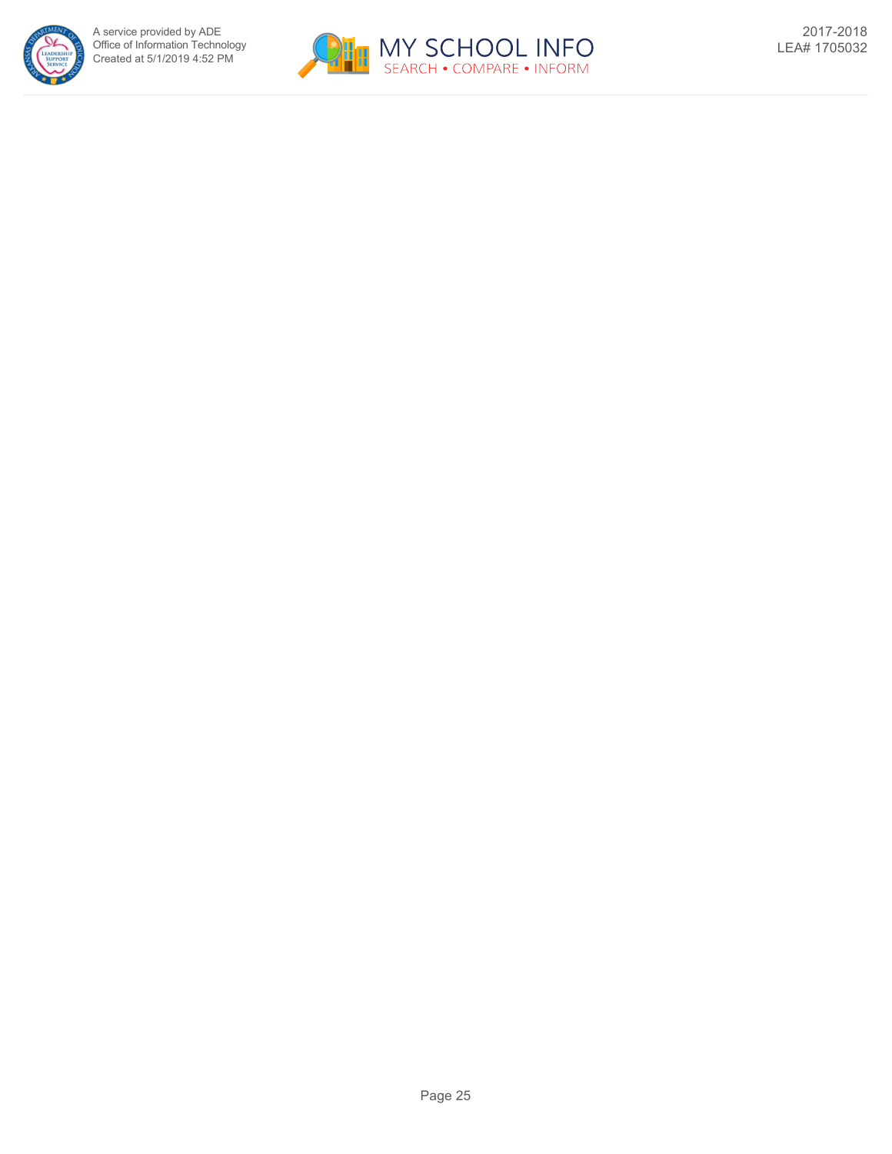

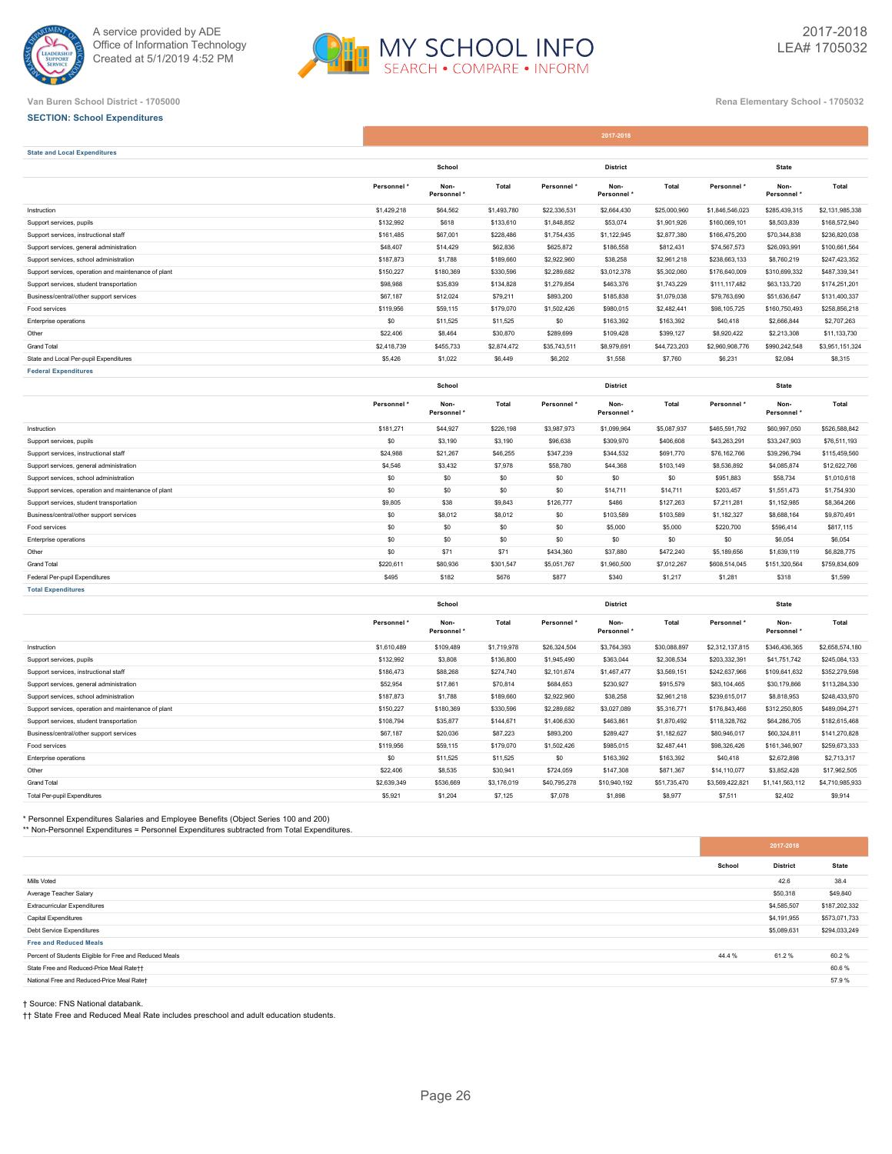



# **SECTION: School Expenditures**

|                                                      |             |                                |             |              | 2017-2018           |              |                 |                     |                 |
|------------------------------------------------------|-------------|--------------------------------|-------------|--------------|---------------------|--------------|-----------------|---------------------|-----------------|
| <b>State and Local Expenditures</b>                  |             |                                |             |              |                     |              |                 |                     |                 |
|                                                      |             | School                         |             |              | <b>District</b>     |              |                 | <b>State</b>        |                 |
|                                                      | Personnel * | Non-<br>Personnel <sup>'</sup> | Total       | Personnel *  | Non-<br>Personnel*  | Total        | Personnel *     | Non-<br>Personnel * | Total           |
| Instruction                                          | \$1,429,218 | \$64,562                       | \$1,493,780 | \$22,336,531 | \$2,664,430         | \$25,000,960 | \$1,846,546,023 | \$285,439,315       | \$2,131,985,338 |
| Support services, pupils                             | \$132.992   | \$618                          | \$133,610   | \$1,848,852  | \$53,074            | \$1,901,926  | \$160,069,101   | \$8,503,839         | \$168,572,940   |
| Support services, instructional staff                | \$161,485   | \$67,001                       | \$228,486   | \$1,754,435  | \$1,122,945         | \$2,877,380  | \$166,475,200   | \$70,344,838        | \$236,820,038   |
| Support services, general administration             | \$48,407    | \$14,429                       | \$62,836    | \$625,872    | \$186,558           | \$812,431    | \$74,567,573    | \$26,093,991        | \$100,661,564   |
| Support services, school administration              | \$187,873   | \$1,788                        | \$189,660   | \$2,922,960  | \$38,258            | \$2,961,218  | \$238,663,133   | \$8,760,219         | \$247,423,352   |
| Support services, operation and maintenance of plant | \$150,227   | \$180,369                      | \$330,596   | \$2,289,682  | \$3,012,378         | \$5,302,060  | \$176,640,009   | \$310,699,332       | \$487,339,341   |
| Support services, student transportation             | \$98,988    | \$35,839                       | \$134,828   | \$1,279,854  | \$463,376           | \$1,743,229  | \$111,117,482   | \$63,133,720        | \$174,251,201   |
| Business/central/other support services              | \$67,187    | \$12,024                       | \$79,211    | \$893,200    | \$185,838           | \$1,079,038  | \$79,763,690    | \$51,636,647        | \$131,400,337   |
| Food services                                        | \$119,956   | \$59,115                       | \$179,070   | \$1,502,426  | \$980,015           | \$2,482,441  | \$98,105,725    | \$160,750,493       | \$258,856,218   |
| Enterprise operations                                | \$0         | \$11,525                       | \$11,525    | \$0          | \$163,392           | \$163,392    | \$40,418        | \$2,666,844         | \$2,707,263     |
| Other                                                | \$22,406    | \$8,464                        | \$30,870    | \$289,699    | \$109,428           | \$399,127    | \$8,920,422     | \$2,213,308         | \$11,133,730    |
| <b>Grand Total</b>                                   | \$2,418,739 | \$455,733                      | \$2,874,472 | \$35,743,511 | \$8,979,691         | \$44,723,203 | \$2,960,908,776 | \$990,242,548       | \$3,951,151,324 |
| State and Local Per-pupil Expenditures               | \$5,426     | \$1,022                        | \$6,449     | \$6,202      | \$1,558             | \$7,760      | \$6,231         | \$2,084             | \$8,315         |
| <b>Federal Expenditures</b>                          |             |                                |             |              |                     |              |                 |                     |                 |
|                                                      |             | School                         |             |              | <b>District</b>     |              |                 | <b>State</b>        |                 |
|                                                      | Personnel * | Non-<br>Personnel *            | Total       | Personnel *  | Non-<br>Personnel*  | Total        | Personnel *     | Non-<br>Personnel * | Total           |
| Instruction                                          | \$181,271   | \$44,927                       | \$226,198   | \$3,987,973  | \$1,099,964         | \$5,087,937  | \$465,591,792   | \$60,997,050        | \$526,588,842   |
| Support services, pupils                             | \$0         | \$3,190                        | \$3,190     | \$96,638     | \$309,970           | \$406,608    | \$43,263,291    | \$33,247,903        | \$76,511,193    |
| Support services, instructional staff                | \$24,988    | \$21,267                       | \$46,255    | \$347,239    | \$344,532           | \$691,770    | \$76,162,766    | \$39,296,794        | \$115,459,560   |
| Support services, general administration             | \$4,546     | \$3,432                        | \$7,978     | \$58,780     | \$44,368            | \$103,149    | \$8,536,892     | \$4,085,874         | \$12,622,766    |
| Support services, school administration              | \$0         | \$0                            | \$0         | \$0          | \$0                 | \$0          | \$951,883       | \$58,734            | \$1,010,618     |
| Support services, operation and maintenance of plant | \$0         | \$0                            | \$0         | \$0          | \$14,711            | \$14,711     | \$203,457       | \$1,551,473         | \$1,754,930     |
| Support services, student transportation             | \$9,805     | \$38                           | \$9,843     | \$126,777    | \$486               | \$127,263    | \$7,211,281     | \$1,152,985         | \$8,364,266     |
| Business/central/other support services              | \$0         | \$8,012                        | \$8,012     | \$0          | \$103,589           | \$103,589    | \$1,182,327     | \$8,688,164         | \$9,870,491     |
| Food services                                        | \$0         | \$0                            | \$0         | \$0          | \$5,000             | \$5,000      | \$220,700       | \$596,414           | \$817,115       |
| Enterprise operations                                | \$0         | \$0                            | \$0         | \$0          | \$0                 | \$0          | \$0             | \$6,054             | \$6,054         |
| Other                                                | \$0         | \$71                           | \$71        | \$434,360    | \$37,880            | \$472,240    | \$5,189,656     | \$1,639,119         | \$6,828,775     |
| <b>Grand Total</b>                                   | \$220,611   | \$80,936                       | \$301,547   | \$5,051,767  | \$1,960,500         | \$7,012,267  | \$608,514,045   | \$151,320,564       | \$759,834,609   |
| Federal Per-pupil Expenditures                       | \$495       | \$182                          | \$676       | <b>\$877</b> | \$340               | \$1,217      | \$1,281         | \$318               | \$1,599         |
| <b>Total Expenditures</b>                            |             |                                |             |              |                     |              |                 |                     |                 |
|                                                      |             | School                         |             |              | <b>District</b>     |              |                 | <b>State</b>        |                 |
|                                                      | Personnel * | Non-<br>Personnel *            | Total       | Personnel *  | Non-<br>Personnel * | Total        | Personnel *     | Non-<br>Personnel * | Total           |

|                                                      |             | Personnel * |             |              | Personnel *  |              |                 | Personnel *     |                 |
|------------------------------------------------------|-------------|-------------|-------------|--------------|--------------|--------------|-----------------|-----------------|-----------------|
| Instruction                                          | \$1,610,489 | \$109,489   | \$1,719,978 | \$26,324,504 | \$3,764,393  | \$30,088,897 | \$2,312,137,815 | \$346,436,365   | \$2,658,574,180 |
| Support services, pupils                             | \$132,992   | \$3,808     | \$136,800   | \$1,945,490  | \$363,044    | \$2,308,534  | \$203,332,391   | \$41,751,742    | \$245,084,133   |
| Support services, instructional staff                | \$186,473   | \$88,268    | \$274,740   | \$2,101,674  | \$1,467,477  | \$3,569,151  | \$242,637,966   | \$109,641,632   | \$352,279,598   |
| Support services, general administration             | \$52,954    | \$17,861    | \$70,814    | \$684,653    | \$230,927    | \$915,579    | \$83,104,465    | \$30,179,866    | \$113,284,330   |
| Support services, school administration              | \$187,873   | \$1,788     | \$189,660   | \$2,922,960  | \$38,258     | \$2,961,218  | \$239,615,017   | \$8,818,953     | \$248,433,970   |
| Support services, operation and maintenance of plant | \$150,227   | \$180,369   | \$330,596   | \$2,289,682  | \$3,027,089  | \$5,316,771  | \$176,843,466   | \$312,250,805   | \$489,094,271   |
| Support services, student transportation             | \$108,794   | \$35,877    | \$144,671   | \$1,406,630  | \$463,861    | \$1,870,492  | \$118,328,762   | \$64,286,705    | \$182,615,468   |
| Business/central/other support services              | \$67,187    | \$20,036    | \$87,223    | \$893,200    | \$289,427    | \$1,182,627  | \$80,946,017    | \$60,324,811    | \$141,270,828   |
| Food services                                        | \$119,956   | \$59,115    | \$179,070   | \$1,502,426  | \$985,015    | \$2,487,441  | \$98,326,426    | \$161,346,907   | \$259,673,333   |
| Enterprise operations                                | \$0         | \$11,525    | \$11,525    | \$0          | \$163,392    | \$163,392    | \$40,418        | \$2,672,898     | \$2,713,317     |
| Other                                                | \$22,406    | \$8,535     | \$30,941    | \$724,059    | \$147,308    | \$871,367    | \$14,110,077    | \$3,852,428     | \$17,962,505    |
| Grand Total                                          | \$2,639,349 | \$536,669   | \$3,176,019 | \$40,795,278 | \$10,940,192 | \$51,735,470 | \$3,569,422,821 | \$1,141,563,112 | \$4,710,985,933 |
| <b>Total Per-pupil Expenditures</b>                  | \$5,921     | \$1,204     | \$7,125     | \$7,078      | \$1,898      | \$8,977      | \$7,511         | \$2,402         | \$9,914         |

\* Personnel Expenditures Salaries and Employee Benefits (Object Series 100 and 200)

\*\* Non-Personnel Expenditures = Personnel Expenditures subtracted from Total Expenditures.

|                                                         | School | <b>District</b> | State         |
|---------------------------------------------------------|--------|-----------------|---------------|
| Mills Voted                                             |        | 42.6            | 38.4          |
| Average Teacher Salary                                  |        | \$50,318        | \$49,840      |
| <b>Extracurricular Expenditures</b>                     |        | \$4,585,507     | \$187,202,332 |
| Capital Expenditures                                    |        | \$4,191,955     | \$573,071,733 |
| Debt Service Expenditures                               |        | \$5,089,631     | \$294,033,249 |
| <b>Free and Reduced Meals</b>                           |        |                 |               |
| Percent of Students Eligible for Free and Reduced Meals | 44.4%  | 61.2%           | 60.2%         |
| State Free and Reduced-Price Meal Rate††                |        |                 | 60.6%         |
| National Free and Reduced-Price Meal Rate+              |        |                 | 57.9%         |
|                                                         |        |                 |               |

† Source: FNS National databank.

†† State Free and Reduced Meal Rate includes preschool and adult education students.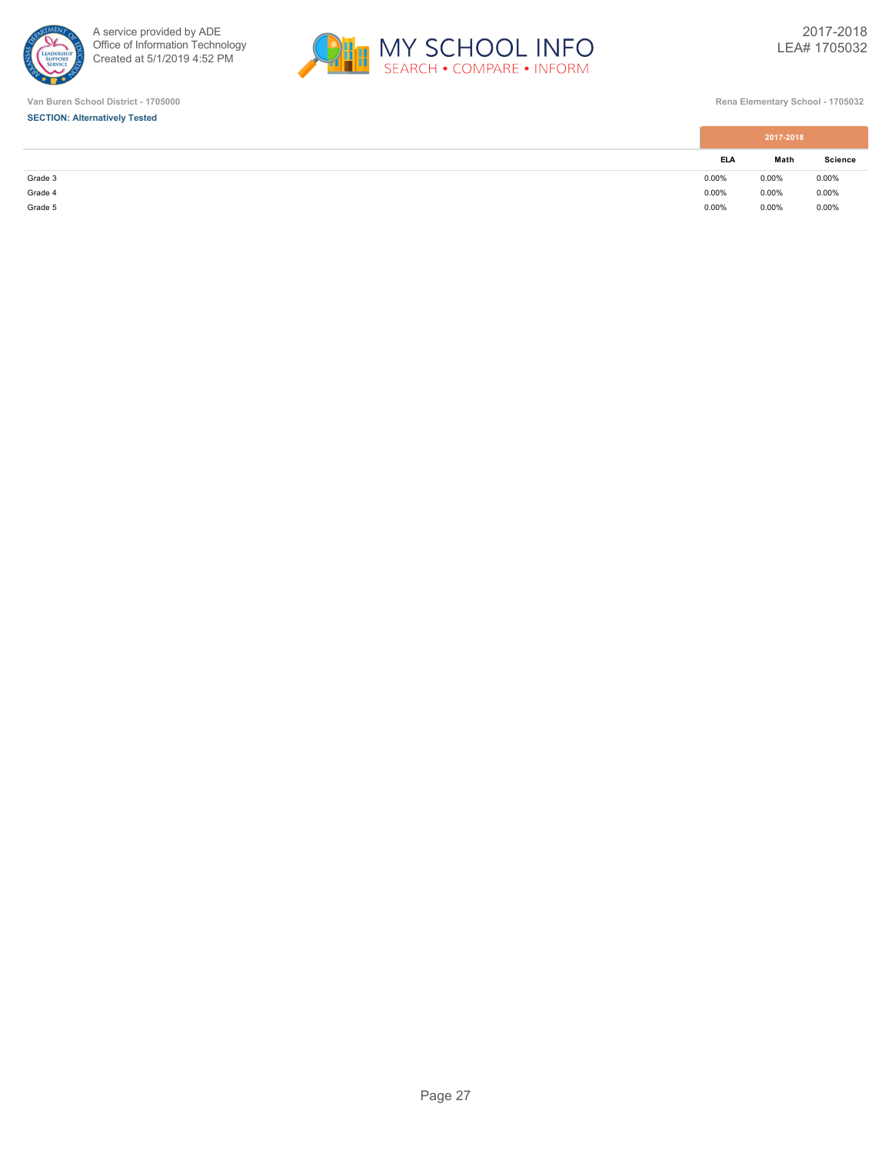





**Van Buren School District - 1705000 Rena Elementary School - 1705032**

|                               |            | 2017-2018 |                |
|-------------------------------|------------|-----------|----------------|
|                               | <b>ELA</b> | Math      | <b>Science</b> |
|                               | 0.00%      | 0.00%     | 0.00%          |
| Grade 3<br>Grade 4<br>Grade 5 | 0.00%      | 0.00%     | $0.00\%$       |
|                               | 0.00%      | 0.00%     | $0.00\%$       |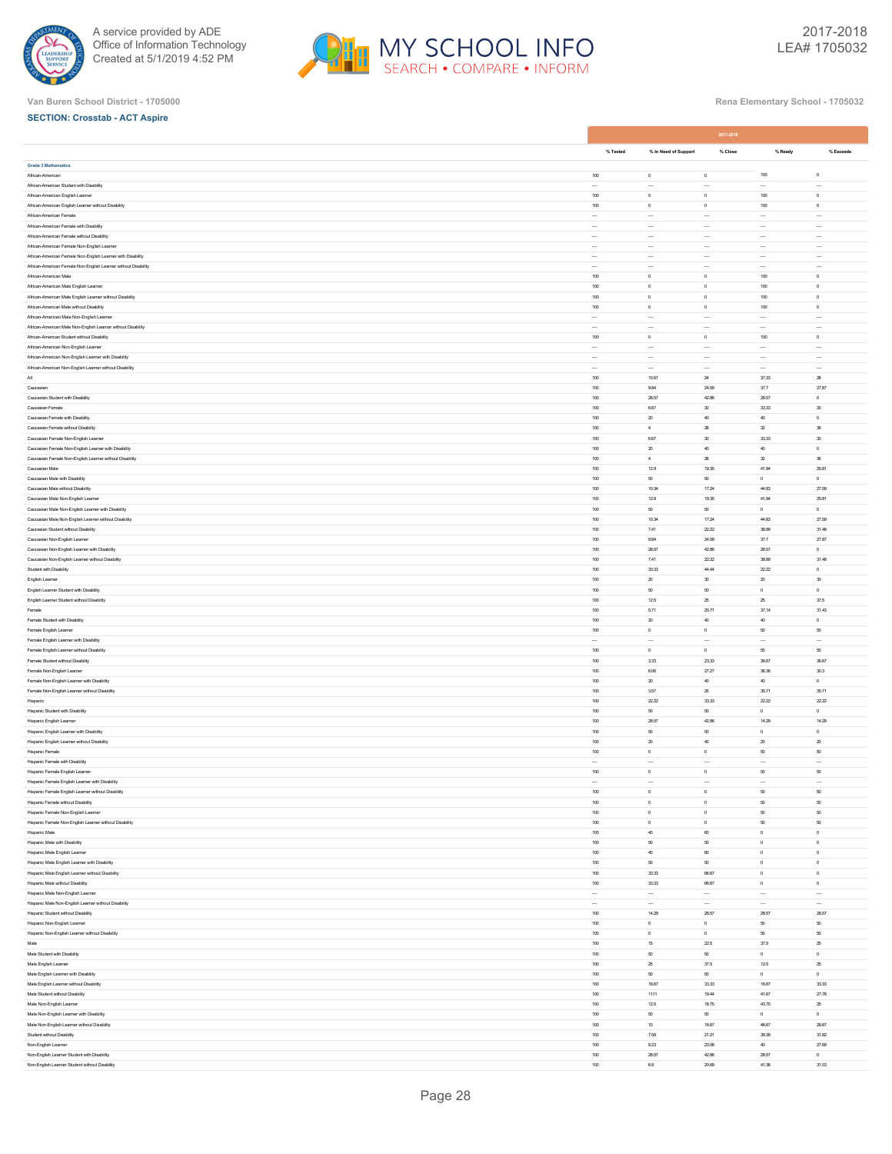



|                                                                                               |                       |                                  | 2017-2018                  |                          |                          |
|-----------------------------------------------------------------------------------------------|-----------------------|----------------------------------|----------------------------|--------------------------|--------------------------|
|                                                                                               | % Tested              | % In Need of Support             | % Close                    | % Ready                  | % Exceeds                |
| <b>Grade 3 Mathematics</b>                                                                    |                       |                                  |                            |                          |                          |
| African-American                                                                              | 100                   | $\,$ 0 $\,$                      | $\,$ 0 $\,$                | $100\,$                  | $\mathbb O$              |
| African-American Student with Disability                                                      | $\ddotsc$             | $\ddotsc$                        | $\ldots$                   | $\cdots$                 |                          |
| African-American English Learner                                                              | 100                   | $^{\circ}$                       | $\mathbf{0}$               | 100                      | $\circ$                  |
| African-American English Learner without Disability                                           | 100                   | $\circ$                          | $\,0\,$                    | 100                      | $\mathbb O$              |
| African-American Female<br>African-American Female with Disability                            | $\ddotsc$<br>$\cdots$ | $\ddotsc$<br>$\cdots$            | $\ldots$<br>$\cdots$       | $\cdots$<br>$\cdots$     | $\cdots$<br>$\cdots$     |
| African-American Female without Disability                                                    | $\sim$                | $\sim$                           | $\ddot{\phantom{0}}$       |                          |                          |
| African-American Female Non-English Learner                                                   | $\cdots$              | $\cdots$                         | $\cdots$                   | $\cdots$                 | $\cdots$                 |
| African-American Female Non-English Learner with Disability                                   | $\cdots$              | $\cdots$                         | $\ldots$                   | $\cdots$                 | $\cdots$                 |
| African-American Female Non-English Learner without Disability                                | $\cdots$              | $\ddot{\phantom{0}}$             | $\cdots$                   |                          |                          |
| African-American Male                                                                         | 100                   | $\circ$                          | $\circ$                    | 100                      | $\circ$                  |
| African-American Male English Learner                                                         | 100                   | $\,$ 0 $\,$                      | $\,$ 0 $\,$                | 100                      | $\mathbb O$              |
| African-American Male English Learner without Disability                                      | 100                   | $\,0\,$                          | $\,$ 0 $\,$                | 100                      | $\mathbb O$              |
| African-American Male without Disability<br>African-American Male Non-English Learner         | 100<br>$\ddotsc$      | $\circ$<br>$\ddot{\phantom{a}}$  | $\circ$<br>$\cdots$        | 100<br>$\cdots$          | $\circ$<br>$\cdots$      |
| African-American Male Non-English Learner without Disability                                  | $\ddotsc$             | $\sim$                           | $\overline{\phantom{a}}$   | $\cdots$                 | $\cdots$                 |
| African-American Student without Disability                                                   | 100                   | $\circ$                          | $\circ$                    | 100                      | $\circ$                  |
| African-American Non-English Learner                                                          | $\ddotsc$             | $\ddotsc$                        | $\cdots$                   |                          |                          |
| African-American Non-English Learner with Disability                                          | $\ddotsc$             | $\cdots$                         | $\cdots$                   | $\cdots$                 | $\cdots$                 |
| African-American Non-English Learner without Disability                                       | $\cdots$              | $\cdots$                         | $\cdots$                   | $\cdots$                 | $\cdots$                 |
| All                                                                                           | 100                   | 10.67                            | $24\,$                     | 37.33                    | $\rm 28$                 |
| Caucasian                                                                                     | 100                   | 9.84                             | 24.59                      | 37.7                     | 27.87                    |
| Caucasian Student with Disability<br>Caucasian Female                                         | $100\,$<br>100        | 28.57<br>6.67                    | 42.86<br>$30\,$            | 28.57<br>33.33           | $\mathbb O$<br>$30\,$    |
| Caucasian Female with Disability                                                              | 100                   | $\rm{20}$                        | $40\,$                     | $40\,$                   | $\mathbf 0$              |
| Caucasian Female without Disability                                                           | $100\,$               | $\boldsymbol{4}$                 | $\rm 28$                   | $\mathfrak V$            | $36\,$                   |
| Caucasian Female Non-English Learner                                                          | 100                   | 6.67                             | $_{\rm 30}$                | 33.33                    | $_{30}$                  |
| Caucasian Female Non-English Learner with Disability                                          | 100                   | $\rm{20}$                        | $40\,$                     | $40\,$                   | $\mathbb O$              |
| Caucasian Female Non-English Learner without Disability                                       | 100                   | $\overline{4}$                   | $\rm 28$                   | $\mathfrak V$            | $36\,$                   |
| Caucasian Male                                                                                | 100                   | 129                              | 19.35                      | 41.94                    | 25.81                    |
| Caucasian Male with Disability                                                                | $100\,$               | $_{\rm 50}$                      | $_{\rm 50}$                | $\mathbb O$              | $\mathbb O$              |
| Caucasian Male without Disability<br>Caucasian Male Non-English Learner                       | 100<br>100            | 10.34<br>12.9                    | 17.24<br>19.35             | 44.83<br>41.94           | 27.59<br>25.81           |
| Caucasian Male Non-English Learner with Disability                                            | $100\,$               | $_{\rm 50}$                      | $_{\rm 50}$                | $\mathbb O$              | $\mathsf{o}$             |
| Caucasian Male Non-English Learner without Disability                                         | 100                   | 10.34                            | 17.24                      | 44.83                    | 27.59                    |
| Caucasian Student without Disability                                                          | 100                   | 7.41                             | 22.22                      | 38.89                    | 31.48                    |
| Caucasian Non-English Learner                                                                 | 100                   | 9.84                             | 24.59                      | 37.7                     | 27.87                    |
| Caucasian Non-English Learner with Disability                                                 | 100                   | 28.57                            | 42.86                      | 28.57                    | $\circ$                  |
| Caucasian Non-English Learner without Disability                                              | $100\,$               | 7.41                             | $\mathbf{222}$             | 38.89                    | 31.48                    |
| Student with Disability<br>English Learner                                                    | 100<br>100            | 33.33<br>$\rm{20}$               | 44.44<br>$_{\rm 30}$       | 22.22<br>$\rm{20}$       | $\mathbb O$<br>$_{30}$   |
| English Learner Student with Disability                                                       | $100\,$               | $_{\rm 50}$                      | $_{\rm 50}$                | $\circ$                  | $\circ$                  |
| English Learner Student without Disability                                                    | 100                   | 12.5                             | $\rm{z}\rm{s}$             | $2\!$                    | 37.5                     |
| Female                                                                                        | 100                   | 5.71                             | 25.71                      | 37.14                    | 31.43                    |
| Female Student with Disability                                                                | 100                   | $\rm{20}$                        | $40\,$                     | $40\,$                   | $\circ$                  |
| Female English Learner                                                                        | 100                   | $\circ$                          | $\circ$                    | $_{50}$                  | 60                       |
| Female English Learner with Disability                                                        | $\ddotsc$             | $\ddot{\phantom{0}}$             | $\cdots$                   | $\cdots$                 | $\ldots$                 |
| Female English Learner without Disability<br>Female Student without Disability                | 100<br>100            | $\,0\,$<br>3.33                  | $\,0\,$<br>23.33           | $_{50}$<br>36.67         | 60<br>36.67              |
| Female Non-English Learner                                                                    | $100\,$               | 6.06                             | 27.27                      | 36.36                    | $30.3\,$                 |
| Female Non-English Learner with Disability                                                    | 100                   | 20                               | 40                         | 40                       | $\circ$                  |
| Female Non-English Learner without Disability                                                 | 100                   | 3.57                             | $\rm{z}\rm{s}$             | 35.71                    | 35.71                    |
| Hispanic                                                                                      | 100                   | 22.22                            | 33.33                      | 22.22                    | 22.22                    |
| Hispanic Student with Disability                                                              | 100                   | $_{\rm S0}$                      | $_{\rm 50}$                | $\circ$                  | $\circ$                  |
| Hispanic English Learner                                                                      | $100\,$               | 28.57                            | 42.86                      | 14.29                    | 14.29                    |
| Hispanic English Learner with Disability<br>Hispanic English Learner without Disability       | 100<br>100            | $_{50}$<br>$\rm{20}$             | $_{50}$<br>$40\,$          | $\mathbb O$<br>$\rm{20}$ | $\mathbb O$<br>$\rm{20}$ |
| Hispanic Female                                                                               | $100\,$               | $\,0\,$                          | $\,$ 0                     | $_{\rm 50}$              | $_{\rm 50}$              |
| Hispanic Female with Disability                                                               | $\ddotsc$             | $\cdots$                         | $\cdots$                   | $\cdots$                 | $\cdots$                 |
| Hispanic Female English Learner                                                               | 100                   | $\,$ 0 $\,$                      | $\,$ 0 $\,$                | $_{50}$                  | $_{50}$                  |
| Hispanic Female English Learner with Disability                                               |                       |                                  | $\ddot{\phantom{a}}$       | $\ddot{\phantom{a}}$     |                          |
| Hispanic Female English Learner without Disability                                            | 100                   | $\circ$                          | $\circ$                    | 60                       | 50                       |
| Hispanic Female without Disability                                                            | 100                   | $\,$ 0 $\,$                      | $\,$ 0 $\,$                | $_{\rm 50}$              | $_{50}$                  |
| Hispanic Female Non-English Learner<br>Hispanic Female Non-English Learner without Disability | 100<br>100            | $\,0\,$<br>$\,$ 0 $\,$           | $\,$ 0 $\,$<br>$\,$ 0 $\,$ | $_{50}$<br>$_{50}$       | $_{50}$<br>$_{50}$       |
| Hispanic Male                                                                                 | $100\,$               | $40\,$                           | $_{60}$                    | $\mathbb O$              | $\mathsf{o}$             |
| Hispanic Male with Disability                                                                 | 100                   | 60                               | 50                         | $\circ$                  | $\circ$                  |
| Hispanic Male English Learner                                                                 | 100                   | $40\,$                           | $_{60}$                    | $\mathbb O$              | $\mathbb O$              |
| Hispanic Male English Learner with Disability                                                 | 100                   | 50                               | 50                         | $\mathbb O$              | $\mathbb O$              |
| Hispanic Male English Learner without Disability                                              | 100                   | 33.33                            | 66.67                      | $\circ$                  | $\circ$                  |
| Hispanic Male without Disability                                                              | $100\,$               | 33.33                            | 66.67                      | $\mathbb O$              | $\mathsf{o}$             |
| Hispanic Male Non-English Learner<br>Hispanic Male Non-English Learner without Disability     | $\cdots$<br>$\cdots$  | $\cdots$<br>$\ddot{\phantom{0}}$ | $\cdots$<br>$\ldots$       | $\cdots$<br>$\cdots$     | $\cdots$<br>$\cdots$     |
| <b>Hispanic Student without Disability</b>                                                    | $100\,$               | 14.29                            | 28.57                      | 28.57                    | 28.57                    |
| Hispanic Non-English Learner                                                                  | 100                   | $^{\circ}$                       | $\circ$                    | 50                       | 50                       |
| Hispanic Non-English Learner without Disability                                               | 100                   | $\,$ 0 $\,$                      | $\,$ 0 $\,$                | $_{50}$                  | $_{50}$                  |
| Male                                                                                          | 100                   | $15\,$                           | 22.5                       | 37.5                     | $\rm 25$                 |
| Male Student with Disability                                                                  | 100                   | $_{\rm S0}$                      | $_{\rm 50}$                | $\circ$                  | $\circ$                  |
| Male English Learner                                                                          | $100\,$               | $\rm{25}$                        | 37.5                       | 12.5                     | $2\!$                    |
| Male English Learner with Disability<br>Male English Learner without Disability               | 100<br>100            | 50<br>16.67                      | 50<br>33.33                | $\circ$<br>16.67         | $\circ$<br>33.33         |
| Male Student without Disability                                                               | $100\,$               | 11.11                            | 19.44                      | 41.67                    | 27.78                    |
| Male Non-English Learner                                                                      | 100                   | 12.5                             | 18.75                      | 43.75                    | 25                       |
| Male Non-English Learner with Disability                                                      | 100                   | $_{50}$                          | $_{\rm 50}$                | $\mathbb O$              | $\mathbb O$              |
| Male Non-English Learner without Disability                                                   | 100                   | $10$                             | 16.67                      | 46.67                    | 26.67                    |
| Student without Disability                                                                    | 100                   | 7.58                             | 21.21                      | 39.39                    | 31.82                    |
| Non-English Learner                                                                           | $100\,$               | 9.23                             | 23.08                      | $40\,$                   | 27.69                    |
| Non-English Learner Student with Disability<br>Non-English Learner Student without Disability | 100<br>100            | 28.57<br>6.9                     | 42.86<br>20.69             | 28.57<br>41.38           | $\mathbb O$<br>31.03     |
|                                                                                               |                       |                                  |                            |                          |                          |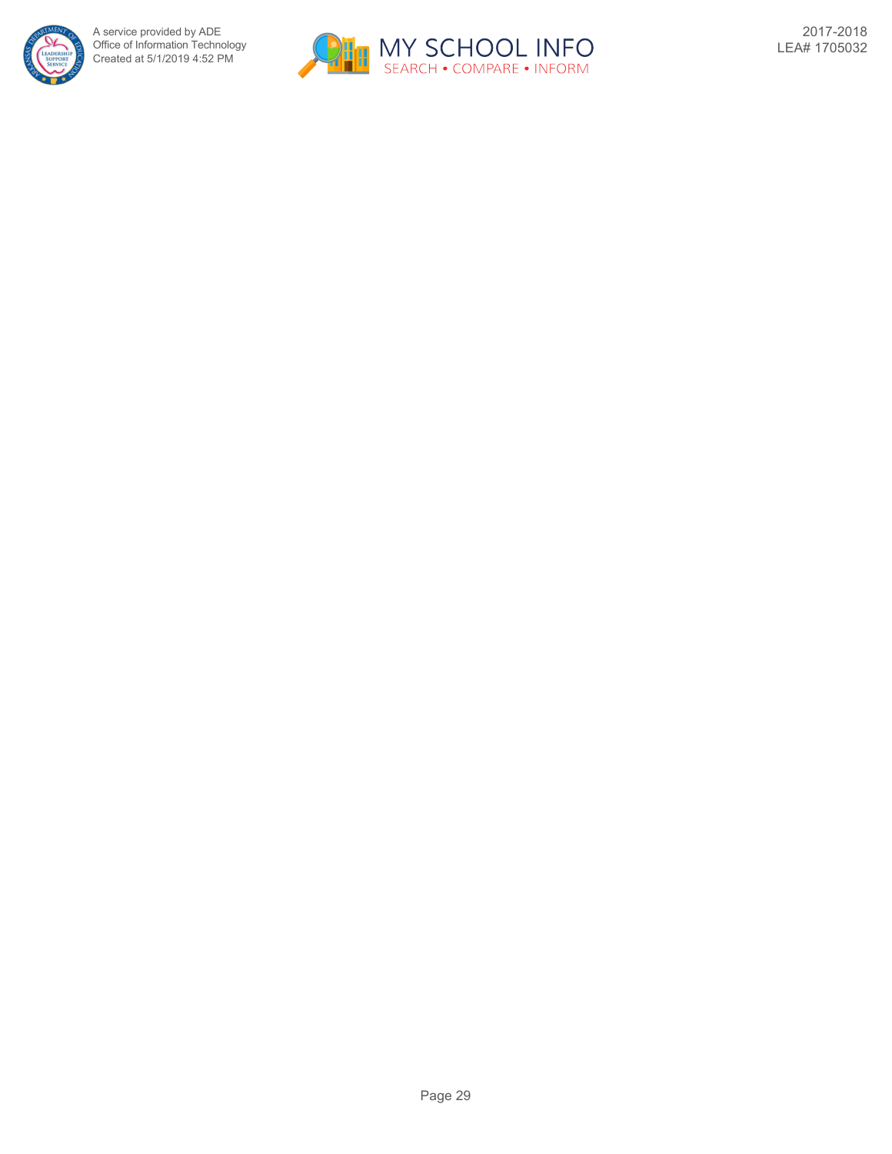

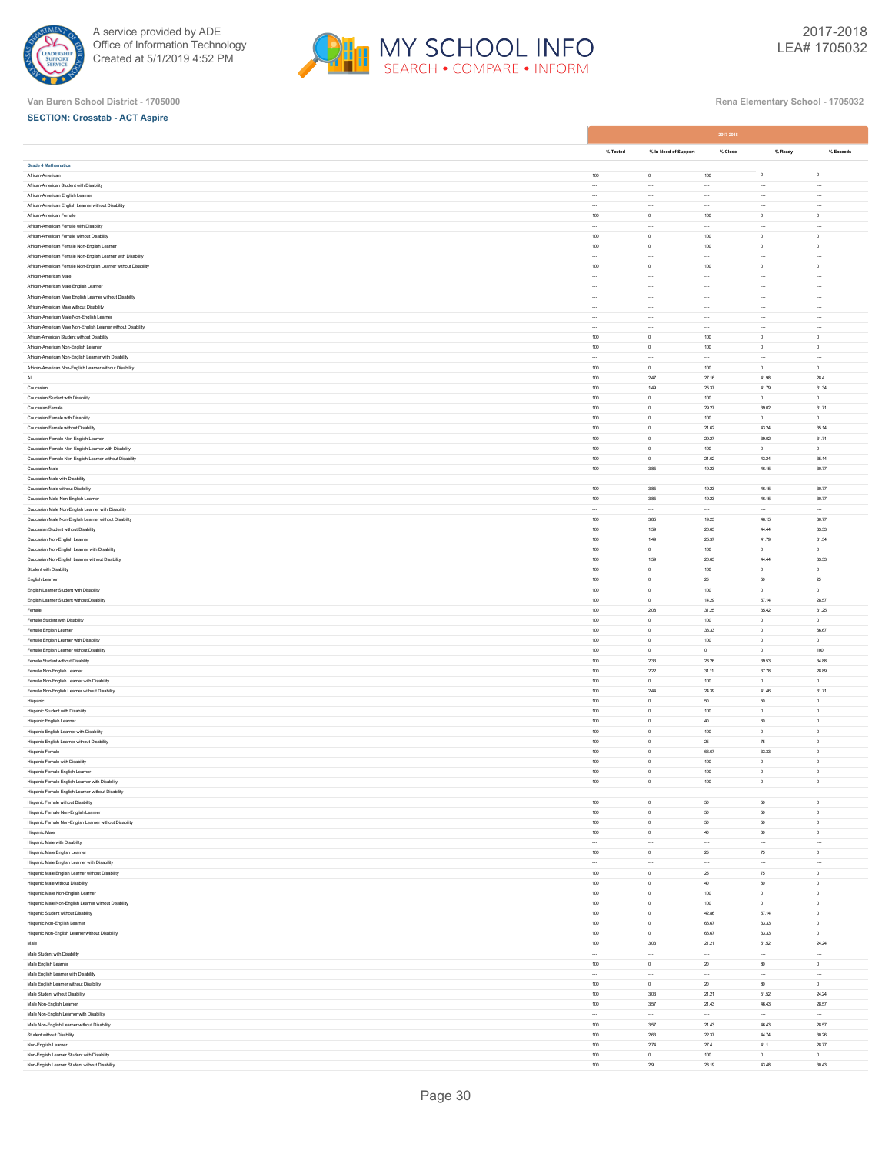



|                                                                                                             |                  |                                    | 2017-2018                   |                                |                          |
|-------------------------------------------------------------------------------------------------------------|------------------|------------------------------------|-----------------------------|--------------------------------|--------------------------|
|                                                                                                             | % Tested         | % In Need of Support               | % Close                     | % Ready                        | % Exceeds                |
| Grade 4 Mathematics                                                                                         |                  |                                    |                             |                                |                          |
| African-American                                                                                            | 100              | $\,0\,$                            | 100                         | $\mathbb O$                    | $\mathbf 0$              |
| African-American Student with Disability                                                                    | $\cdots$         | $\cdots$                           | $\cdots$                    | $\cdots$                       |                          |
| African-American English Learner                                                                            | $\ddotsc$        | $\cdots$                           |                             |                                | Ξ.                       |
| African-American English Learner without Disability                                                         | $\cdots$         | $\cdots$                           | $\cdots$                    | $\cdots$                       | $\cdots$                 |
| African-American Female                                                                                     | $100\,$          | $\,$ 0 $\,$                        | 100                         | $\mathbb O$                    | $\circ$                  |
| African-American Female with Disability<br>African-American Female without Disability                       | $\ddotsc$<br>100 | $\sim$<br>$\,$ 0 $\,$              | $\ddot{\phantom{a}}$<br>100 | $\cdots$<br>$\circ$            | $\cdots$<br>$\circ$      |
| African-American Female Non-English Learner                                                                 | $100\,$          | $\,$ 0 $\,$                        | $100\,$                     | $\mathbb O$                    | $\circ$                  |
| African-American Female Non-English Learner with Disability                                                 | $\cdots$         | $\cdots$                           | $\ddotsc$                   | $\cdots$                       |                          |
| African-American Female Non-English Learner without Disability                                              | 100              | $\,0\,$                            | 100                         | $\,$ 0                         | $\circ$                  |
| African-American Male                                                                                       | $\cdots$         | $\cdots$                           | $\cdots$                    |                                | $\cdots$                 |
| African-American Male English Learner                                                                       | $\cdots$         | $\cdots$                           | $\cdots$                    | $\cdots$                       | $\cdots$                 |
| African-American Male English Learner without Disability                                                    | $\cdots$         | $\overline{\phantom{a}}$           | $\cdots$                    |                                |                          |
| African-American Male without Disability                                                                    | $\cdots$         | $\cdots$                           | $\cdots$                    |                                |                          |
| African-American Male Non-English Learner                                                                   | $\cdots$         | $\cdots$                           | $\cdots$                    |                                |                          |
| African-American Male Non-English Learner without Disability<br>African-American Student without Disability | 100              | $\,0\,$                            | 100                         | $^{\circ}$                     | $\circ$                  |
| African-American Non-English Learner                                                                        | 100              | $\,$ 0 $\,$                        | 100                         | $\,$ 0                         | $\,$ 0 $\,$              |
| African-American Non-English Learner with Disability                                                        | $\ddotsc$        | $\ddot{\phantom{0}}$               | $\ddot{\phantom{a}}$        |                                | $\cdots$                 |
| African-American Non-English Learner without Disability                                                     | 100              | $\,0\,$                            | 100                         | $\circ$                        | $\circ$                  |
| $\mathsf{All}$                                                                                              | $100\,$          | $2.47\,$                           | 27.16                       | 41.98                          | 28.4                     |
| Caucasian                                                                                                   | 100              | 1.49                               | 25.37                       | 41.79                          | 31.34                    |
| Caucasian Student with Disability                                                                           | 100              | $\,$ 0 $\,$                        | 100                         | $\circ$                        | $\,$ 0                   |
| Caucasian Female                                                                                            | $100\,$          | $\,$ 0                             | 29.27                       | 39.02                          | 31.71                    |
| Caucasian Female with Disability<br>Caucasian Female without Disability                                     | 100<br>100       | $\circ$<br>$\,$ 0 $\,$             | 100<br>21.62                | $\circ$<br>43.24               | $^{\circ}$<br>35.14      |
| Caucasian Female Non-English Learner                                                                        | 100              | $\,$ 0 $\,$                        | 29.27                       | 39.02                          | 31.71                    |
| Caucasian Female Non-English Learner with Disability                                                        | 100              | $\circ$                            | 100                         | $\circ$                        | $\circ$                  |
| Caucasian Female Non-English Learner without Disability                                                     | $100\,$          | $\,$ 0                             | 21.62                       | 43.24                          | 35.14                    |
| Caucasian Male                                                                                              | 100              | 3.85                               | 19.23                       | 46.15                          | 30.77                    |
| Caucasian Male with Disability                                                                              | $\cdots$         | $\cdots$                           | $\cdots$                    |                                | $\cdots$                 |
| Caucasian Male without Disability                                                                           | $100\,$          | $3.85\,$                           | 19.23                       | 46.15                          | 30.77                    |
| Caucasian Male Non-English Learner                                                                          | 100              | 3.85                               | 19.23                       | 46.15                          | 30.77                    |
| Caucasian Male Non-English Learner with Disability                                                          | $\cdots$         | $\ddot{\phantom{a}}$               | $\cdots$                    | $\cdots$                       | $\cdots$                 |
| Caucasian Male Non-English Learner without Disability<br>Caucasian Student without Disability               | 100<br>100       | 3.85<br>1.59                       | 19.23<br>20.63              | 46.15<br>44.44                 | 30.77<br>33.33           |
| Caucasian Non-English Learner                                                                               | $100\,$          | 1.49                               | 25.37                       | 41.79                          | 31.34                    |
| Caucasian Non-English Learner with Disability                                                               | 100              | $\,0\,$                            | 100                         | $\circ$                        | $\circ$                  |
| Caucasian Non-English Learner without Disability                                                            | 100              | 1.59                               | 20.63                       | 44.44                          | 33.33                    |
| Student with Disability                                                                                     | $100\,$          | $\,$ 0 $\,$                        | 100                         | $\mathsf{o}$                   | $\circ$                  |
| English Learner                                                                                             | 100              | $\circ$                            | $2\!$                       | 50                             | 25                       |
| English Learner Student with Disability                                                                     | 100              | $\,0\,$                            | 100                         | $\circ$                        | $\circ$                  |
| English Learner Student without Disability                                                                  | 100<br>100       | $\,$ 0 $\,$<br>2.08                | 14.29<br>31.25              | 57.14<br>35.42                 | 28.57<br>31.25           |
| Female<br>Female Student with Disability                                                                    | $100\,$          | $\,$ 0                             | $100\,$                     | $\mathsf{o}$                   | $\mathsf{o}$             |
| Female English Learner                                                                                      | 100              | $\,$ 0 $\,$                        | 33.33                       | $\,0\,$                        | 66.67                    |
| Female English Learner with Disability                                                                      | 100              | $\,$ 0 $\,$                        | 100                         | $\circ$                        | $\,$ 0 $\,$              |
| Female English Learner without Disability                                                                   | $100\,$          | $\,$ 0                             | $\mathbf 0$                 | $\mathsf{o}$                   | $100\,$                  |
| Female Student without Disability                                                                           | 100              | 2.33                               | 23.26                       | 39.53                          | 34.88                    |
| Female Non-English Learner                                                                                  | 100              | 222                                | 31.11                       | 37.78                          | 28.89                    |
| Female Non-English Learner with Disability                                                                  | 100              | $\,$ 0                             | 100                         | $\circ$                        | $\circ$                  |
| Female Non-English Learner without Disability                                                               | 100              | 2.44<br>$\,$ 0 $\,$                | 24.39                       | 41.46                          | 31.71<br>$\circ$         |
| Hispanic<br>Hispanic Student with Disability                                                                | $100\,$<br>100   | $\,$ 0                             | $_{\rm 50}$<br>100          | $_{50}$<br>$\mathsf{O}\xspace$ | $\circ$                  |
| Hispanic English Learner                                                                                    | 100              | $\,$ 0 $\,$                        | $40\,$                      | 60                             | $\circ$                  |
| Hispanic English Learner with Disability                                                                    | $100\,$          | $\bf{0}$                           | 100                         | $\mathsf{o}$                   | $\circ$                  |
| Hispanic English Learner without Disability                                                                 | 100              | $\circ$                            | 25                          | 75                             | $\circ$                  |
| Hispanic Female                                                                                             | 100              | $\,$ 0 $\,$                        | 66.67                       | 33.33                          | $\,$ 0                   |
| Hispanic Female with Disability                                                                             | 100              | $\,$ 0                             | 100                         | $\mathsf{O}\xspace$            | $\circ$                  |
| Hispanic Female English Learner                                                                             | 100              | $\circ$                            | 100                         | $\circ$                        | $\circ$                  |
| Hispanic Female English Learner with Disability                                                             | 100<br>$\cdots$  | $\circ$                            | 100<br>$\sim$               | $\mathsf{o}$                   | $\mathsf{o}$<br>$\cdots$ |
| Hispanic Female English Learner without Disability<br>Hispanic Female without Disability                    | 100              | $\cdots$<br>$\,$ 0 $\,$            | $_{50}$                     | <br>$_{50}$                    | $\,$ 0 $\,$              |
| Hispanic Female Non-English Learner                                                                         | $100\,$          | $\,$ 0 $\,$                        | $_{\rm 50}$                 | $_{50}$                        | $\circ$                  |
| Hispanic Female Non-English Learner without Disability                                                      | 100              | $\,0\,$                            | $_{50}$                     | 60                             | $\circ$                  |
| Hispanic Male                                                                                               | 100              | $\,$ 0 $\,$                        | $40\,$                      | 60                             | $\,$ 0 $\,$              |
| Hispanic Male with Disability                                                                               | $\ddotsc$        | $\sim$                             | $\ddot{\phantom{a}}$        |                                | $\cdots$                 |
| Hispanic Male English Learner                                                                               | 100              | $^{\circ}$                         | 25                          | 75                             | $\circ$                  |
| Hispanic Male English Learner with Disability                                                               | $\cdots$         | $\ddot{\phantom{0}}$               |                             |                                |                          |
| Hispanic Male English Learner without Disability<br>Hispanic Male without Disability                        | 100<br>100       | $\,$ 0 $\,$<br>$\,$ 0 $\,$         | $\rm{2S}$<br>$40\,$         | 75<br>60                       | $\circ$<br>$\,$ 0 $\,$   |
| Hispanic Male Non-English Learner                                                                           | $100\,$          | $\,$ 0 $\,$                        | 100                         | $\circ$                        | $\circ$                  |
| Hispanic Male Non-English Learner without Disability                                                        | 100              | $\circ$                            | 100                         | $\circ$                        | $\circ$                  |
| Hispanic Student without Disability                                                                         | 100              | $\,0\,$                            | 42.86                       | 57.14                          | $\circ$                  |
| Hispanic Non-English Learner                                                                                | 100              | $\,$ 0 $\,$                        | 66.67                       | 33.33                          | $\,0\,$                  |
| Hispanic Non-English Learner without Disability                                                             | 100              | $\circ$                            | 66.67                       | 33.33                          | $\circ$                  |
| Male                                                                                                        | $100\,$          | $3.03\,$                           | 21.21                       | 51.52                          | 24.24                    |
| Male Student with Disability                                                                                | $\cdots$         | $\cdots$                           | $\cdots$                    |                                |                          |
| Male English Learner                                                                                        | 100              | $\,$ 0 $\,$                        | $\rm{20}$                   | 80                             | $\,$ 0 $\,$              |
| Male English Learner with Disability<br>Male English Learner without Disability                             | $\ddotsc$<br>100 | $\ddot{\phantom{a}}$<br>$^{\circ}$ | <br>20                      | <br>80                         | $\cdots$<br>$\circ$      |
| Male Student without Disability                                                                             | 100              | 3.03                               | 21.21                       | 51.52                          | 24.24                    |
| Male Non-English Learner                                                                                    | 100              | 357                                | 21.43                       | 46.43                          | 28.57                    |
| Male Non-English Learner with Disability                                                                    | $\cdots$         | $\cdots$                           | $\cdots$                    | $\cdots$                       |                          |
| Male Non-English Learner without Disability                                                                 | $100\,$          | $3.57\,$                           | 21.43                       | 46.43                          | 28.57                    |
| Student without Disability                                                                                  | 100              | 2.63                               | 22.37                       | 44.74                          | 30.26                    |
| Non-English Learner                                                                                         | 100              | 2.74                               | $27.4\,$                    | 41.1                           | 28.77                    |
| Non-English Learner Student with Disability                                                                 | $100\,$          | $\,$ 0 $\,$                        | 100                         | $\circ$                        | $\mathbb O$              |
| Non-English Learner Student without Disability                                                              | 100              | 29                                 | 23.19                       | 43.48                          | 30.43                    |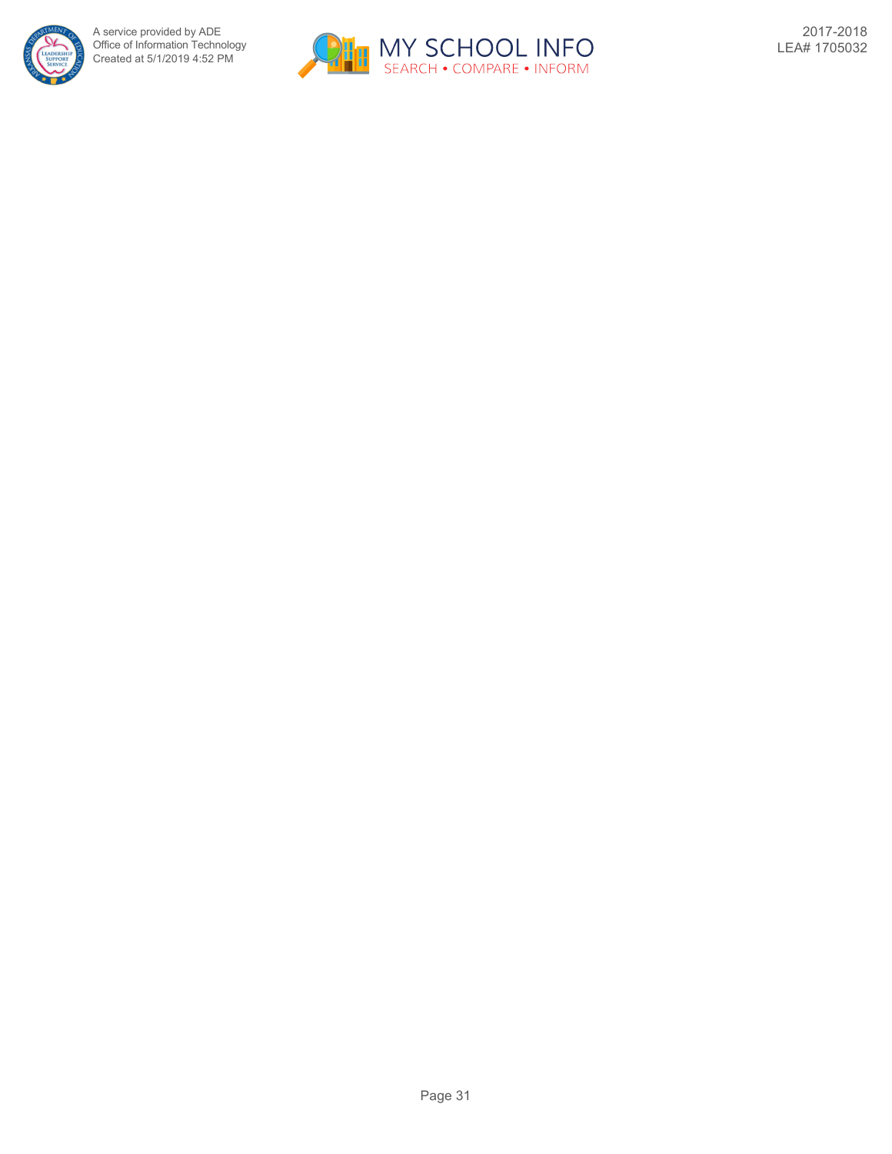

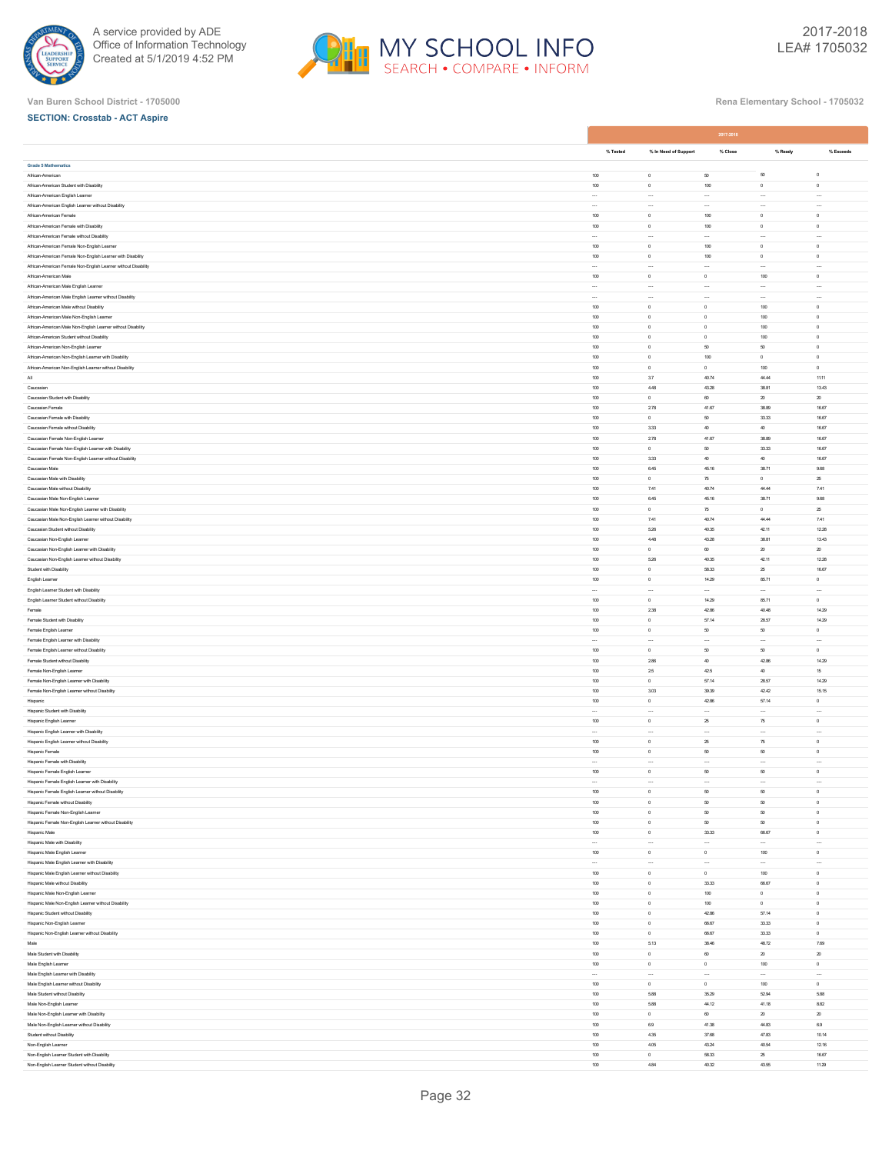



|                                                                                          |                       |                       | 2017-2018                  |                       |                     |
|------------------------------------------------------------------------------------------|-----------------------|-----------------------|----------------------------|-----------------------|---------------------|
|                                                                                          | % Tested              | % In Need of Support  | % Close                    | % Ready               | % Exceeds           |
| <b>Grade 5 Mathematics</b>                                                               |                       |                       |                            |                       |                     |
| African-American                                                                         | 100                   | $\,$ 0 $\,$           | $_{50}$                    | $_{50}$               | $\mathsf{o}$        |
| African-American Student with Disability                                                 | $100\,$               | $\,$ 0 $\,$           | 100                        | $\mathbb O$           | $\circ$             |
| African-American English Learner                                                         | $\cdots$              | $\cdots$              | $\cdots$                   | $\cdots$              |                     |
| African-American English Learner without Disability                                      | $\cdots$              | $\cdots$              | $\cdots$                   |                       |                     |
| African-American Female                                                                  | 100                   | $\,$ 0 $\,$           | $100\,$                    | $\circ$               | $\,$ 0              |
| African-American Female with Disability                                                  | 100                   | $\circ$               | 100                        | $\circ$               | $\circ$             |
| African-American Female without Disability                                               |                       | $\ddot{\phantom{0}}$  |                            |                       |                     |
| African-American Female Non-English Learner                                              | 100                   | $\,$ 0 $\,$           | $100\,$                    | $\circ$               | $\,$ 0              |
| African-American Female Non-English Learner with Disability                              | 100                   | $\,$ 0 $\,$           | 100                        | $\circ$               | $\circ$             |
| African-American Female Non-English Learner without Disability                           |                       | $\ddot{\phantom{a}}$  |                            |                       |                     |
| African-American Male<br>African-American Male English Learner                           | 100                   | $\,0\,$<br>$\cdots$   | $\circ$<br>$\cdots$        | 100<br>               | $\circ$<br>$\cdots$ |
| African-American Male English Learner without Disability                                 | $\cdots$<br>$\ddotsc$ | $\sim$                | $\ddot{\phantom{a}}$       |                       | $\cdots$            |
| African-American Male without Disability                                                 | 100                   | $\,0\,$               | $\mathbf 0$                | 100                   | $\circ$             |
| African-American Male Non-English Learner                                                | $100\,$               | $\bf{0}$              | $\mathbf 0$                | 100                   | $\circ$             |
| African-American Male Non-English Learner without Disability                             | 100                   | $\,$ 0                | $\mathbf 0$                | 100                   | $\circ$             |
| African-American Student without Disability                                              | 100                   | $\circ$               | $\mathbf 0$                | 100                   | $\circ$             |
| African-American Non-English Learner                                                     | $100\,$               | $\bf{0}$              | $_{\rm 50}$                | $_{50}$               | $\circ$             |
| African-American Non-English Learner with Disability                                     | 100                   | $\circ$               | 100                        | $\circ$               | $\circ$             |
| African-American Non-English Learner without Disability                                  | 100                   | $\,$ 0 $\,$           | $\,0\,$                    | 100                   | $\circ$             |
| All                                                                                      | 100                   | $3.7\,$               | 40.74                      | 44.44                 | 11.11               |
| Caucasian                                                                                | 100                   | 4.48                  | 43.28                      | 38.81                 | 13.43               |
| Caucasian Student with Disability                                                        | $100\,$               | $\bf{0}$              | $60\,$                     | $\rm 20$              | $\rm 20$            |
| Caucasian Female                                                                         | 100                   | 2.78                  | 41.67                      | 38.89                 | 16.67               |
| Caucasian Female with Disability                                                         | 100                   | $\,$ 0 $\,$           | $_{50}$                    | 33.33                 | 16.67               |
| Caucasian Female without Disability                                                      | $100\,$               | $3.33\,$              | $40\,$                     | $40\,$                | 16.67               |
| Caucasian Female Non-English Learner                                                     | 100                   | 2.78                  | 41.67                      | 38.89                 | 16.67               |
| Caucasian Female Non-English Learner with Disability                                     | 100                   | $\,$ 0 $\,$           | $_{50}$<br>40              | 33.33<br>40           | 16.67<br>16.67      |
| Caucasian Female Non-English Learner without Disability                                  | 100                   | 3.33                  |                            |                       |                     |
| Caucasian Male<br>Caucasian Male with Disability                                         | 100<br>$100\,$        | 6.45<br>$\,$ 0 $\,$   | 45.16<br>$75\,$            | 38.71<br>$\mathsf{o}$ | 9.68<br>$2\!$       |
| Caucasian Male without Disability                                                        | 100                   | $7.41$                | 40.74                      | 44.44                 | 7,41                |
| Caucasian Male Non-English Learner                                                       | 100                   | 6.45                  | 45.16                      | 38.71                 | 9.68                |
| Caucasian Male Non-English Learner with Disability                                       | $100\,$               | $\,$ 0 $\,$           | $75\,$                     | $\,$ 0                | $2\!$               |
| Caucasian Male Non-English Learner without Disability                                    | 100                   | 7.41                  | 40.74                      | 44.44                 | 7.41                |
| Caucasian Student without Disability                                                     | 100                   | 5.26                  | 40.35                      | 42.11                 | 12.28               |
| Caucasian Non-English Learner                                                            | 100                   | 4.48                  | 43.28                      | 38.81                 | 13.43               |
| Caucasian Non-English Learner with Disability                                            | 100                   | $\circ$               | 60                         | 20                    | 20                  |
| Caucasian Non-English Learner without Disability                                         | $100\,$               | $_{\rm 5.26}$         | 40.35                      | 42.11                 | 12.28               |
| Student with Disability                                                                  | 100                   | $\,$ 0 $\,$           | 58.33                      | 25                    | 16.67               |
| English Learner                                                                          | 100                   | $\,$ 0 $\,$           | 14.29                      | 85.71                 | $\,$ 0 $\,$         |
| English Learner Student with Disability                                                  | $\cdots$              | $\ddot{\phantom{a}}$  |                            |                       |                     |
| English Learner Student without Disability                                               | 100                   | $^{\circ}$            | 14.29                      | 85.71                 | $\circ$             |
| Female                                                                                   | 100                   | 238                   | 42.86                      | 40.48                 | 14.29               |
| Female Student with Disability                                                           | 100                   | $\,$ 0                | 57.14                      | 28.57                 | 14.29               |
| Female English Learner                                                                   | 100                   | $\,0\,$               | $_{50}$                    | 60                    | $\circ$             |
| Female English Learner with Disability                                                   | $\cdots$              | $\cdots$              | $\cdots$                   | $\cdots$              |                     |
| Female English Learner without Disability<br>Female Student without Disability           | 100<br>100            | $\,$ 0 $\,$<br>2.86   | $_{50}$<br>$40\,$          | 50<br>42.86           | $\circ$<br>14.29    |
| Female Non-English Learner                                                               | $100\,$               | $\bf 25$              | $42.5\,$                   | $40\,$                | $15\,$              |
| Female Non-English Learner with Disability                                               | 100                   | $\circ$               | 57.14                      | 28.57                 | 14.29               |
| Female Non-English Learner without Disability                                            | 100                   | 3.03                  | 39.39                      | 42.42                 | 15.15               |
| Hispanic                                                                                 | 100                   | $\,$ 0 $\,$           | 42.86                      | 57.14                 | $\,0\,$             |
| Hispanic Student with Disability                                                         | $\cdots$              | $\cdots$              | $\cdots$                   | $\cdots$              |                     |
| Hispanic English Learner                                                                 | $100\,$               | $\bf{0}$              | $\rm{2S}$                  | 75                    | $\circ$             |
| Hispanic English Learner with Disability                                                 | $\ddotsc$             | $\cdots$              | $\sim$                     |                       | $\cdots$            |
| Hispanic English Learner without Disability                                              | 100                   | $\circ$               | $\rm{z}\rm{s}$             | 75                    | $\,$ 0 $\,$         |
| Hispanic Female                                                                          | $100\,$               | $\bf{0}$              | $_{\rm 50}$                | $_{50}$               | $\circ$             |
| Hispanic Female with Disability                                                          | $\cdots$              | $\cdots$              | $\cdots$                   | $\cdots$              |                     |
| Hispanic Female English Learner                                                          | 100                   | $\,$ 0 $\,$           | $_{50}$                    | $_{50}$               | $\,$ 0 $\,$         |
| Hispanic Female English Learner with Disability                                          | 100                   | $\ddot{\phantom{a}}$  | $\ddot{\phantom{a}}$<br>60 | <br>50                |                     |
| Hispanic Female English Learner without Disability<br>Hispanic Female without Disability | $100\,$               | $^{\circ}$<br>$\circ$ | $_{\rm 50}$                | $_{50}$               | $\circ$<br>$\circ$  |
| Hispanic Female Non-English Learner                                                      | 100                   | $\,$ 0 $\,$           | $_{50}$                    | 50                    | $\,$ 0              |
| Hispanic Female Non-English Learner without Disability                                   | 100                   | $\,$ 0 $\,$           | $_{50}$                    | $_{50}$               | $\,$ 0 $\,$         |
| Hispanic Male                                                                            | $100\,$               | $\,$ 0 $\,$           | 33.33                      | 66.67                 | $\circ$             |
| Hispanic Male with Disability                                                            | $\cdots$              | $\sim$                | $\ddotsc$                  | $\cdots$              |                     |
| Hispanic Male English Learner                                                            | 100                   | $\,0\,$               | $\,0\,$                    | 100                   | $\circ$             |
| Hispanic Male English Learner with Disability                                            | $\cdots$              | $\cdots$              | $\cdots$                   | $\cdots$              | $\cdots$            |
| Hispanic Male English Learner without Disability                                         | 100                   | $^{\circ}$            | $\circ$                    | 100                   | $\circ$             |
| Hispanic Male without Disability                                                         | $100\,$               | $\,$ 0 $\,$           | 33.33                      | 66.67                 | $\circ$             |
| Hispanic Male Non-English Learner                                                        | 100                   | $\,$ 0 $\,$           | 100                        | $\circ$               | $\,$ 0              |
| Hispanic Male Non-English Learner without Disability                                     | 100                   | $\,$ 0 $\,$           | 100                        | $\,$ 0                | $\circ$             |
| Hispanic Student without Disability                                                      | $100\,$               | $\bf{0}$              | 42.86                      | 57.14                 | $\mathbf 0$         |
| Hispanic Non-English Learner                                                             | 100                   | $\,0\,$               | 66.67                      | 33.33                 | $\circ$             |
| Hispanic Non-English Learner without Disability                                          | 100                   | $\,$ 0 $\,$           | 66.67                      | 33.33                 | $\,$ 0 $\,$         |
| Male<br>Male Student with Disability                                                     | 100<br>100            | 5.13<br>$\,$ 0 $\,$   | 38.46<br>$60\,$            | 48.72<br>20           | 7.69<br>20          |
| Male English Learner                                                                     | $100\,$               | $\,$ 0 $\,$           | $\mathbf 0$                | $100\,$               | $\mathbb O$         |
| Male English Learner with Disability                                                     | $\cdots$              | $\sim$                | $\ddot{\phantom{a}}$       | $\cdots$              | $\cdots$            |
| Male English Learner without Disability                                                  | 100                   | $^{\circ}$            | $\,0\,$                    | 100                   | $\circ$             |
| Male Student without Disability                                                          | $100\,$               | 5.88                  | 35.29                      | 52.94                 | 5.88                |
| Male Non-English Learner                                                                 | 100                   | 5.88                  | 44.12                      | 41.18                 | 8.82                |
| Male Non-English Learner with Disability                                                 | 100                   | $\,$ 0 $\,$           | $60\,$                     | $20\,$                | $20\,$              |
| Male Non-English Learner without Disability                                              | 100                   | 6.9                   | 41.38                      | 44.83                 | $_{6.9}$            |
| Student without Disability                                                               | 100                   | 4.35                  | 37.68                      | 47.83                 | 10.14               |
| Non-English Learner                                                                      | $100\,$               | $4.05\,$              | 43.24                      | 40.54                 | 12.16               |
| Non-English Learner Student with Disability                                              | 100                   | $\,$ 0 $\,$           | 58.33                      | $\rm 25$              | 16.67               |
| Non-English Learner Student without Disability                                           | 100                   | 4.84                  | 40.32                      | 43.55                 | 11.29               |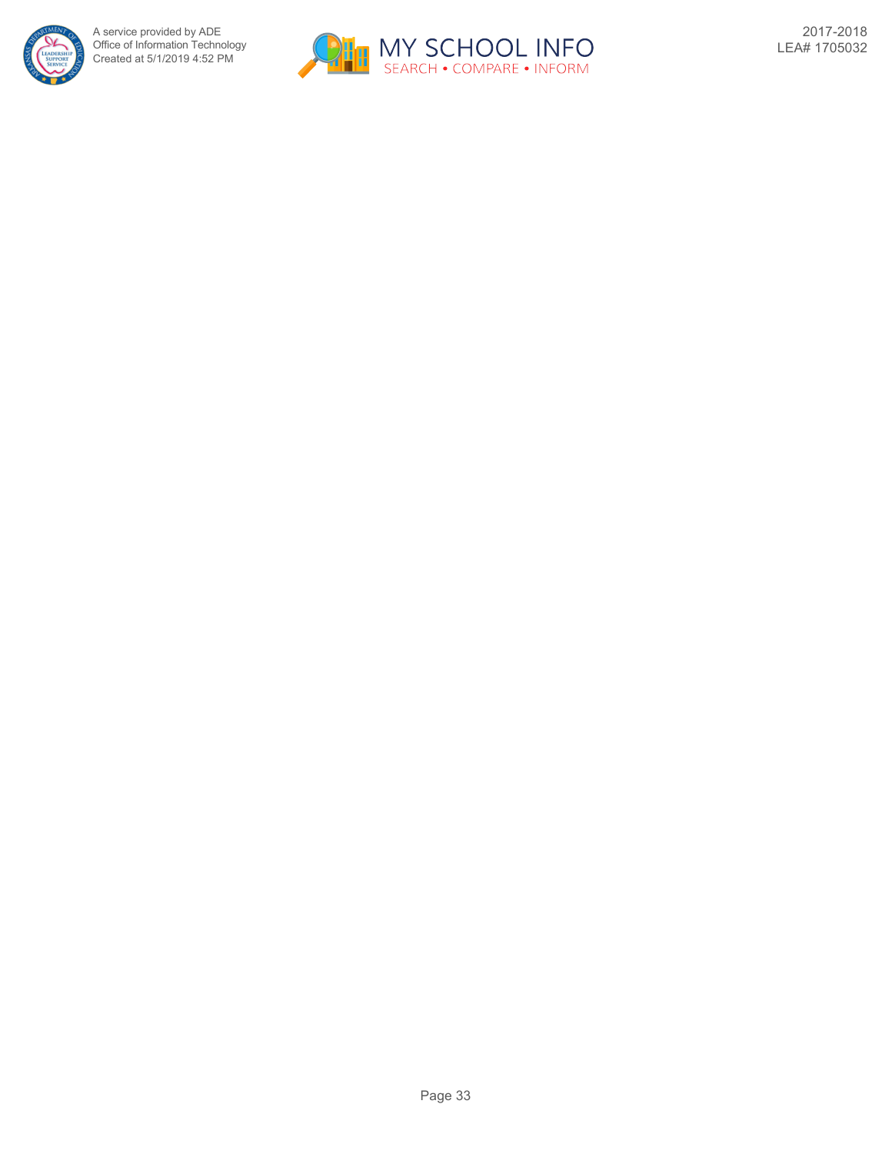

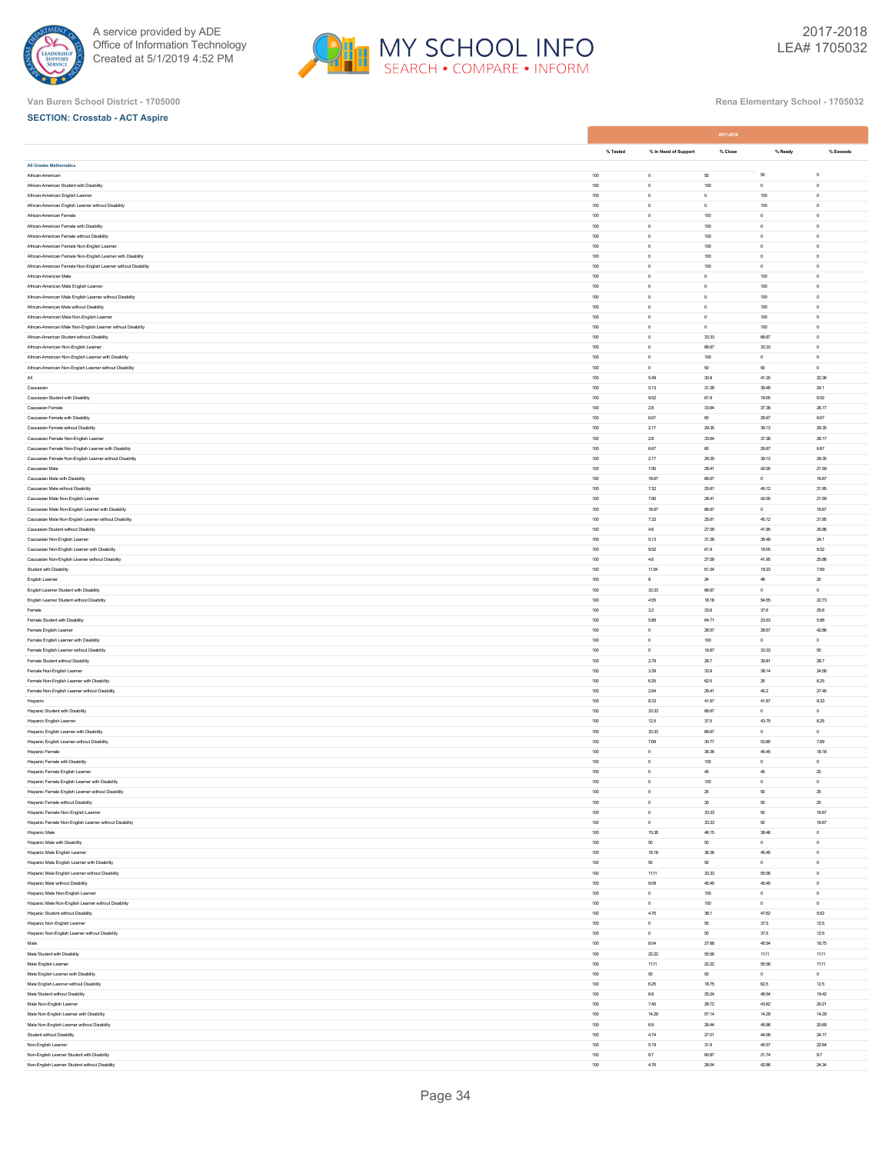



|                                                                                |            |                        | 2017-2018        |                            |                      |
|--------------------------------------------------------------------------------|------------|------------------------|------------------|----------------------------|----------------------|
|                                                                                | % Tested   | % In Need of Support   | % Close          | % Ready                    | % Exceeds            |
|                                                                                |            |                        |                  |                            |                      |
| <b>All Grades Mathematics</b><br>African-American                              | 100        | $\,$ 0 $\,$            | $_{\rm 50}$      | $_{\rm 50}$                | $\mathbb O$          |
| African-American Student with Disability                                       | $100\,$    | $\,$ 0 $\,$            | $100\,$          | $\mathbb O$                | $\mathbb O$          |
| African-American English Learner                                               | 100        | $\circ$                | $\circ$          | 100                        | $\ddot{\phantom{0}}$ |
| African-American English Learner without Disability                            | 100        | $\,0\,$                | $\,0\,$          | 100                        | $\mathbb O$          |
| African-American Female                                                        | 100        | $\,$ 0 $\,$            | 100              | $\mathbb O$                | $\,$ 0 $\,$          |
| African-American Female with Disability                                        | 100        | $^{\circ}$             | 100              | $^{\circ}$                 | $^{\circ}$           |
| African-American Female without Disability                                     | $100\,$    | $\,$ 0                 | $100\,$          | $\mathbb O$                | $\,$ 0               |
| African-American Female Non-English Learner                                    | 100        | $\,$ 0 $\,$            | 100              | $\,$ 0                     | $\,$ 0 $\,$          |
| African-American Female Non-English Learner with Disability                    | 100        | $\,$ 0 $\,$            | 100              | $\circ$                    | $\,$ 0 $\,$          |
| African-American Female Non-English Learner without Disability                 | $100\,$    | $\,$ 0                 | $100\,$          | $\mathbb O$                | $\mathbb O$          |
| African-American Male                                                          | 100        | $\,0\,$                | $\circ$          | 100                        | $^{\circ}$           |
| African-American Male English Learner                                          | 100        | $\,$ 0 $\,$            | $\,$ 0 $\,$      | 100                        | $\,$ 0 $\,$          |
| African-American Male English Learner without Disability                       | 100        | $\,$ 0 $\,$            | $\,$ 0 $\,$      | 100                        | $\mathbb O$          |
| African-American Male without Disability                                       | 100        | $\,0\,$                | $\,0\,$          | 100                        | $\mathbb O$          |
| African-American Male Non-English Learner                                      | $100\,$    | $\,$ 0 $\,$            | $\,$ 0 $\,$      | $100\,$                    | $\,$ 0               |
| African-American Male Non-English Learner without Disability                   | 100        | $\,$ 0 $\,$            | $\,$ 0 $\,$      | 100                        | $\,$ 0               |
| African-American Student without Disability                                    | 100        | $\,0\,$                | 33.33            | 66.67                      | $\mathbb O$          |
| African-American Non-English Learner                                           | $100\,$    | $\,$ 0 $\,$            | 66.67            | 33.33                      | $\,$ 0               |
| African-American Non-English Learner with Disability                           | 100        | $^{\circ}$             | 100              | $^{\circ}$                 | $\mathbf{0}$         |
| African-American Non-English Learner without Disability                        | 100        | $\,$ 0 $\,$            | $_{\rm 50}$      | $_{\rm 50}$                | $\,$ 0 $\,$          |
| All                                                                            | 100        | 5.49                   | 30.8             | 41.35                      | 22.36                |
| Caucasian                                                                      | 100        | 5.13                   | 31.28            | 39.49                      | 24.1                 |
| Caucasian Student with Disability                                              | $100\,$    | 9.52                   | 61.9             | 19.05                      | $9.52\,$             |
| Caucasian Female<br>Caucasian Female with Disability                           | 100<br>100 | 28<br>6.67             | 33.64<br>$_{60}$ | 37.38<br>26.67             | 26.17<br>6.67        |
| Caucasian Female without Disability                                            | $100\,$    | 2.17                   | 29.35            | 39.13                      | 29.35                |
| Caucasian Female Non-English Learner                                           | 100        | $2.8\,$                | 33.64            | 37.38                      | 26.17                |
| Caucasian Female Non-English Learner with Disability                           | 100        | 6.67                   | $_{60}$          | 26.67                      | 6.67                 |
| Caucasian Female Non-English Learner without Disability                        | 100        | 2.17                   | 29.35            | 39.13                      | 29.35                |
| Caucasian Male                                                                 | 100        | 7.95                   | 28.41            | 42.05                      | 21.59                |
| Caucasian Male with Disability                                                 | $100\,$    | 16.67                  | 66.67            | $\mathbb O$                | 16.67                |
| Caucasian Male without Disability                                              | 100        | 7.32                   | 25.61            | 45.12                      | 21.95                |
| Caucasian Male Non-English Learner                                             | 100        | 7.95                   | 28.41            | 42.05                      | 21.59                |
| Caucasian Male Non-English Learner with Disability                             | $100\,$    | 16.67                  | 66.67            | $\mathbb O$                | 16.67                |
| Caucasian Male Non-English Learner without Disability                          | 100        | 7.32                   | 25.61            | 45.12                      | 21.95                |
| Caucasian Student without Disability                                           | 100        | $4.6\,$                | 27.59            | 41.95                      | 25.86                |
| Caucasian Non-English Learner                                                  | 100        | 5.13                   | 31.28            | 39.49                      | 24.1                 |
| Caucasian Non-English Learner with Disability                                  | 100        | 9.52                   | 61.9             | 19.05                      | 9.52                 |
| Caucasian Non-English Learner without Disability                               | $100\,$    | $\bf 4.6$              | 27.59            | 41.95                      | 25.86                |
| Student with Disability                                                        | 100        | 11.54                  | 61.54            | 19.23                      | 7.69                 |
| English Learner                                                                | 100        | $^{\rm 8}$             | $24\,$           | $48\,$                     | $\rm{20}$            |
| English Learner Student with Disability                                        | $100\,$    | 33.33                  | 66.67            | $\,0\,$                    | $\,0\,$              |
| English Learner Student without Disability                                     | 100        | 4.55                   | 18.18            | 54.55                      | 22.73                |
| Female                                                                         | 100        | 32                     | 33.6             | 37.6                       | 25.6                 |
| Female Student with Disability                                                 | 100<br>100 | 5.88                   | 64.71<br>28.57   | 23.53<br>28.57             | 5.88<br>42.86        |
| Female English Learner                                                         | $100\,$    | $\circ$<br>$\,$ 0 $\,$ | $100\,$          | $\mathbb O$                | $\,$ 0 $\,$          |
| Female English Learner with Disability                                         | 100        | $\,0\,$                | 16.67            | 33.33                      | $_{\rm 50}$          |
| Female English Learner without Disability<br>Female Student without Disability | 100        | 2.78                   | 28.7             | 39.81                      | 28.7                 |
| Female Non-English Learner                                                     | $100\,$    | 3.39                   | 33.9             | 38.14                      | 24.58                |
| Female Non-English Learner with Disability                                     | 100        | 625                    | 625              | 25                         | 6.25                 |
| Female Non-English Learner without Disability                                  | 100        | 2.94                   | 29.41            | 40.2                       | 27.45                |
| Hispanic                                                                       | 100        | 8.33                   | 41.67            | 41.67                      | 8.33                 |
| Hispanic Student with Disability                                               | 100        | 33.33                  | 66.67            | $\mathbf{0}$               | $\mathbf{0}$         |
| Hispanic English Learner                                                       | $100\,$    | 12.5                   | 37.5             | 43.75                      | $_{\rm 6.25}$        |
| Hispanic English Learner with Disability                                       | 100        | 33.33                  | 66.67            | $\mathbb O$                | $\,$ 0 $\,$          |
| Hispanic English Learner without Disability                                    | 100        | 7.69                   | 30.77            | 53.85                      | 7.69                 |
| Hispanic Female                                                                | $100\,$    | $\,$ 0                 | 36.36            | 45.45                      | 18.18                |
| Hispanic Female with Disability                                                | 100        | $\circ$                | 100              | $\,0\,$                    | $\mathbb O$          |
| Hispanic Female English Learner                                                | 100        | $\,$ 0 $\,$            | $40\,$           | $40\,$                     | $\rm{20}$            |
| Hispanic Female English Learner with Disability                                | 100        | $\circ$                | 100              | $\circ$                    | $\circ$              |
| Hispanic Female English Learner without Disability                             | 100        | $\circ$                | 25               | 50                         | 25                   |
| Hispanic Female without Disability                                             | 100        | $\,$ 0 $\,$            | $30\,$           | $_{\rm 50}$                | $\rm{20}$            |
| Hispanic Female Non-English Learner                                            | 100<br>100 | $\,0\,$<br>$\,$ 0 $\,$ | 33.33<br>33.33   | $_{\rm 50}$<br>$_{\rm 50}$ | 16.67<br>16.67       |
| Hispanic Female Non-English Learner without Disability                         | $100\,$    | 15.38                  | 46.15            | 38.46                      | $\,$ 0 $\,$          |
| Hispanic Male<br>Hispanic Male with Disability                                 | 100        | $_{50}$                | 50               | $\mathbf{0}$               | $^{\circ}$           |
| Hispanic Male English Learner                                                  | 100        | 18.18                  | 36.36            | 45.45                      | $\mathbb O$          |
| Hispanic Male English Learner with Disability                                  | 100        | $_{50}$                | $_{50}$          | $\mathbb O$                | $\,$ 0 $\,$          |
| Hispanic Male English Learner without Disability                               | 100        | 11.11                  | 33.33            | 55.56                      | $\mathbf{0}$         |
| Hispanic Male without Disability                                               | $100\,$    | 9.09                   | 45.45            | 45.45                      | $\,$ 0               |
| Hispanic Male Non-English Learner                                              | 100        | $\,$ 0 $\,$            | 100              | $\mathbb O$                | $\mathbb O$          |
| Hispanic Male Non-English Learner without Disability                           | 100        | $\,$ 0 $\,$            | 100              | $\mathbb O$                | $\circ$              |
| Hispanic Student without Disability                                            | $100\,$    | 4.76                   | 38.1             | 47.62                      | $9.52\,$             |
| Hispanic Non-English Learner                                                   | 100        | $\circ$                | 50               | 37.5                       | 12.5                 |
| Hispanic Non-English Learner without Disability                                | 100        | $\,$ 0 $\,$            | $_{\rm 50}$      | 37.5                       | 12.5                 |
| Male                                                                           | 100        | 8.04                   | 27.68            | 45.54                      | 18.75                |
| Male Student with Disability                                                   | 100        | 22.22                  | 55.56            | 11.11                      | 11.11                |
| Male English Learner                                                           | $100\,$    | $11.11\,$              | $\mathbf{222}$   | 55.56                      | $11.11\,$            |
| Male English Learner with Disability                                           | 100        | 50                     | $_{50}$          | $\mathbb O$                | $\mathbb O$          |
| Male English Learner without Disability                                        | 100        | 6.25                   | 18.75            | 62.5                       | 12.5                 |
| Male Student without Disability                                                | $100\,$    | $6.8\,$                | 25.24            | 48.54                      | 19.42                |
| Male Non-English Learner                                                       | 100        | 7.45                   | 28.72            | 43.62                      | 20.21                |
| Male Non-English Learner with Disability                                       | 100        | 14.29                  | 57.14            | 14.29                      | 14.29                |
| Male Non-English Learner without Disability                                    | 100<br>100 | 6.9<br>4.74            | 26.44<br>27.01   | 45.98<br>44.08             | 20.69<br>24.17       |
| Student without Disability<br>Non-English Learner                              | $100\,$    | 5.19                   | 31.6             | 40.57                      | 22.64                |
| Non-English Learner Student with Disability                                    | 100        | 8.7                    | 60.87            | 21.74                      | 8.7                  |
| Non-English Learner Student without Disability                                 | 100        | 4.76                   | 28.04            | 42.86                      | 24.34                |
|                                                                                |            |                        |                  |                            |                      |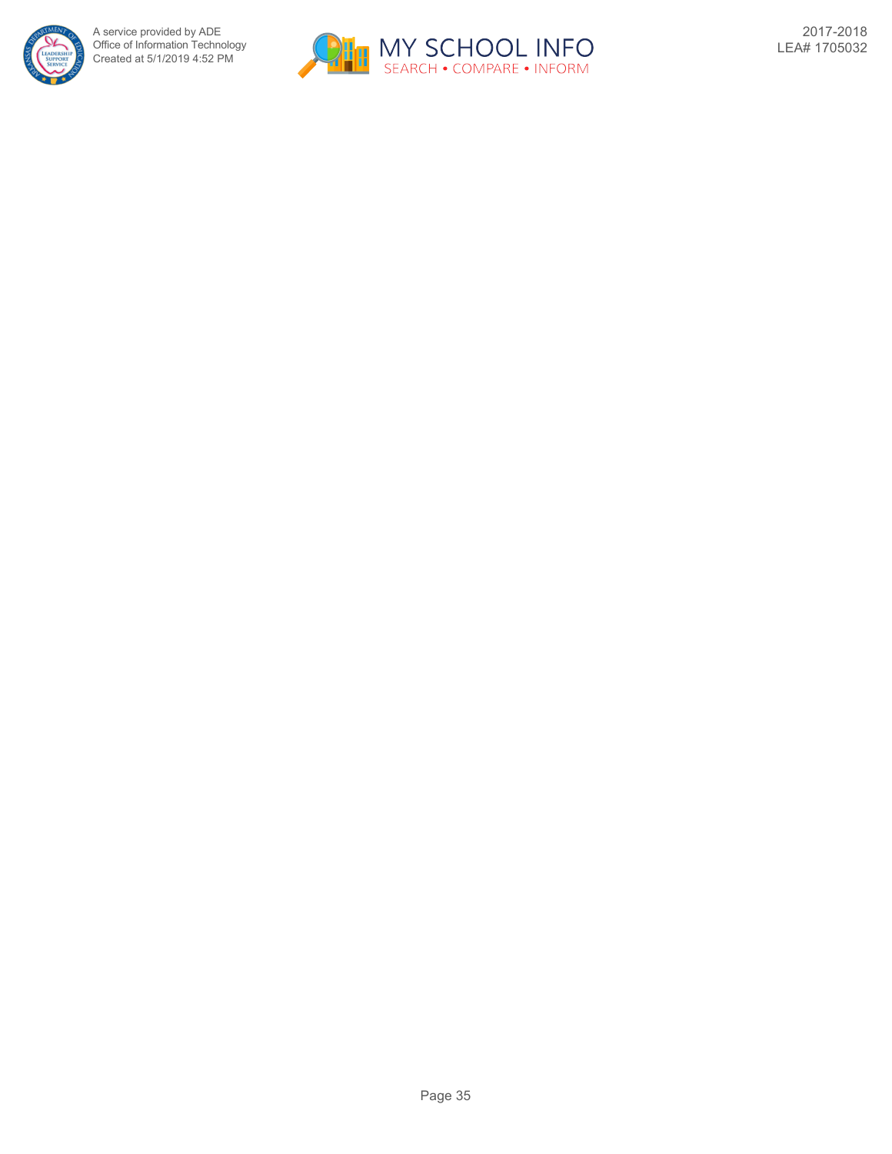

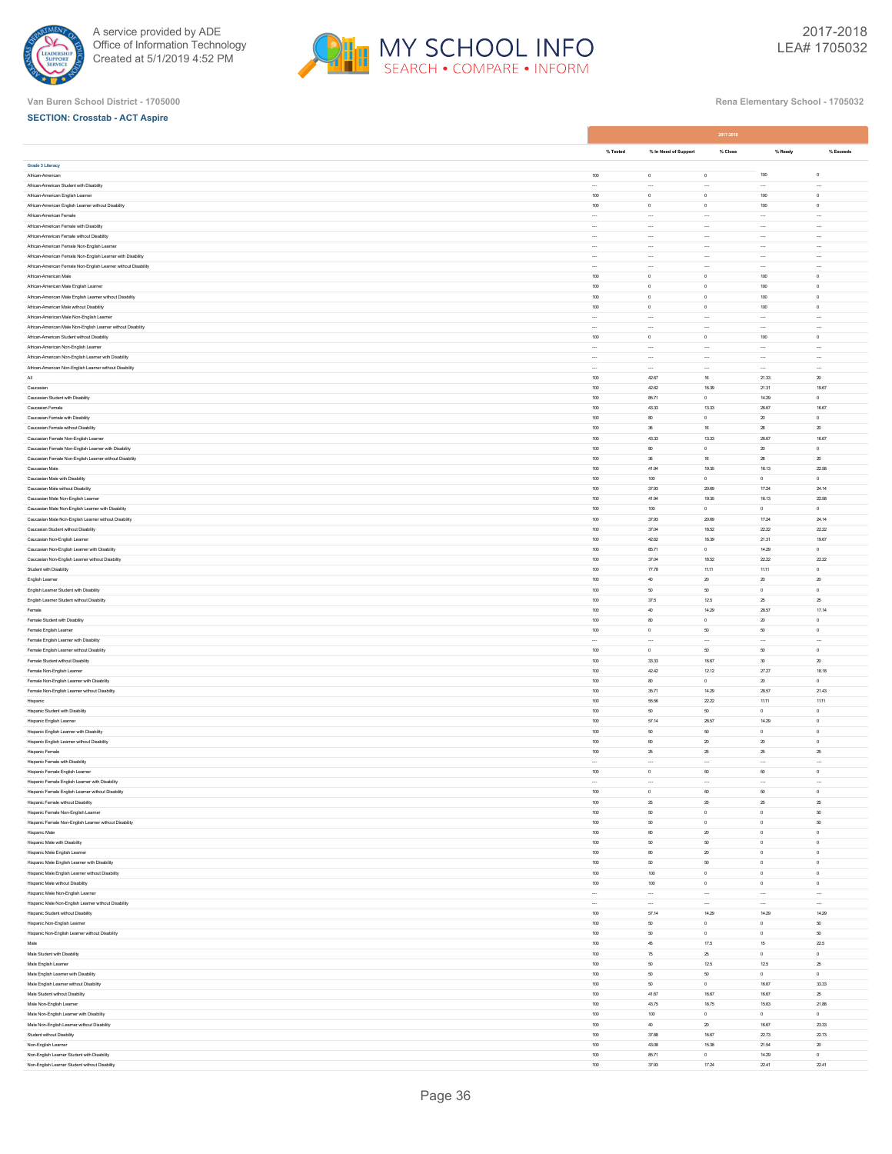



|                                                                                                           |                       | 2017-2018            |                            |                            |                             |  |  |
|-----------------------------------------------------------------------------------------------------------|-----------------------|----------------------|----------------------------|----------------------------|-----------------------------|--|--|
|                                                                                                           | % Tested              | % In Need of Support | % Close                    | % Ready                    | % Exceeds                   |  |  |
| Grade 3 Literacy                                                                                          |                       |                      |                            |                            |                             |  |  |
| African-American                                                                                          | 100                   | $\circ$              | $\mathbf 0$                | 100                        | $\,$ 0 $\,$                 |  |  |
| African-American Student with Disability                                                                  | $\ldots$              | $\ddotsc$            | $\ddotsc$                  | $\cdots$                   | $\cdots$                    |  |  |
| African-American English Learner                                                                          | 100                   | $^{\circ}$           | $\,$ 0 $\,$                | 100                        | $\mathbb O$                 |  |  |
| African-American English Learner without Disability                                                       | 100                   | $\circ$              | $\circ$                    | 100                        | $\circ$                     |  |  |
| African-American Female                                                                                   | $\ddotsc$             | $\ddotsc$            | $\ddot{\phantom{0}}$       | $\ddotsc$                  |                             |  |  |
| African-American Female with Disability<br>African-American Female without Disability                     | $\ddotsc$<br>$\cdots$ | $\sim$<br>$\cdots$   | $\sim$<br>$\cdots$         | $\ddotsc$<br>$\cdots$      | $\cdots$<br>$\cdots$        |  |  |
| African-American Female Non-English Learner                                                               | $\cdots$              | $\cdots$             | $\cdots$                   | $\cdots$                   | $\cdots$                    |  |  |
| African-American Female Non-English Learner with Disability                                               | $\cdots$              | $\cdots$             | $\ddotsc$                  | $\cdots$                   | $\cdots$                    |  |  |
| African-American Female Non-English Learner without Disability                                            | $\cdots$              | $\cdots$             | $\cdots$                   | $\cdots$                   | $\cdots$                    |  |  |
| African-American Male                                                                                     | 100                   | $\circ$              | $\,$ 0 $\,$                | 100                        | $\,$ 0 $\,$                 |  |  |
| African-American Male English Learner                                                                     | 100                   | $^{\circ}$           | $\circ$                    | 100                        | $\circ$                     |  |  |
| African-American Male English Learner without Disability                                                  | $100\,$               | $\,$ 0               | $\,$ 0 $\,$                | 100                        | $\,$ 0 $\,$                 |  |  |
| African-American Male without Disability                                                                  | 100                   | $\,$ 0 $\,$          | $\,$ 0 $\,$                | 100                        | $\mathsf{O}$                |  |  |
| African-American Male Non-English Learner<br>African-American Male Non-English Learner without Disability | $\cdots$              | $\ddotsc$            | $\ddotsc$                  | $\cdots$                   | $\cdots$                    |  |  |
| African-American Student without Disability                                                               | 100                   | $\circ$              | $\circ$                    | 100                        | $\circ$                     |  |  |
| African-American Non-English Learner                                                                      | $\cdots$              | $\cdots$             | $\cdots$                   |                            | $\cdots$                    |  |  |
| African-American Non-English Learner with Disability                                                      | $\ddot{\phantom{a}}$  | $\sim$               | $\sim$                     | $\ddotsc$                  | $\ddotsc$                   |  |  |
| African-American Non-English Learner without Disability                                                   | $\cdots$              | $\cdots$             | $\cdots$                   | $\cdots$                   | $\cdots$                    |  |  |
| $\mathsf{All}$                                                                                            | $100\,$               | 42.67                | $16\,$                     | 21.33                      | $\rm{20}$                   |  |  |
| Caucasian                                                                                                 | 100                   | 42.62                | 16.39                      | 21.31                      | 19.67                       |  |  |
| Caucasian Student with Disability                                                                         | 100                   | 85.71                | $\mathbf 0$                | 14.29                      | $\mathbb O$                 |  |  |
| Caucasian Female                                                                                          | $100\,$               | 43.33<br>80          | 13.33                      | 26.67                      | 16.67                       |  |  |
| Caucasian Female with Disability<br>Caucasian Female without Disability                                   | 100<br>100            | 36                   | $\circ$<br>$16\,$          | $\rm{20}$<br>$\rm 28$      | $^{\circ}$<br>$\rm{20}$     |  |  |
| Caucasian Female Non-English Learner                                                                      | 100                   | 43.33                | 13.33                      | 26.67                      | 16.67                       |  |  |
| Caucasian Female Non-English Learner with Disability                                                      | 100                   | 80                   | $\circ$                    | $\rm{20}$                  | $\circ$                     |  |  |
| Caucasian Female Non-English Learner without Disability                                                   | $100\,$               | $_{36}$              | $16\,$                     | $\rm 28$                   | $\rm{20}$                   |  |  |
| Caucasian Male                                                                                            | 100                   | 41.94                | 19.35                      | 16.13                      | 22.58                       |  |  |
| Caucasian Male with Disability                                                                            | 100                   | 100                  | $\,$ 0 $\,$                | $\,$ 0 $\,$                | $\,$ 0 $\,$                 |  |  |
| Caucasian Male without Disability                                                                         | $100\,$               | 37.93                | 20.69                      | 17.24                      | 24.14                       |  |  |
| Caucasian Male Non-English Learner                                                                        | 100                   | 41.94                | 19.35                      | 16.13                      | 22.58                       |  |  |
| Caucasian Male Non-English Learner with Disability                                                        | 100                   | 100                  | $\,$ 0 $\,$                | $\mathbb O$                | $\mathsf{O}$                |  |  |
| Caucasian Male Non-English Learner without Disability<br>Caucasian Student without Disability             | 100<br>100            | 37.93<br>37.04       | 20.69<br>18.52             | 17.24<br>22.22             | 24.14<br>22.22              |  |  |
| Caucasian Non-English Learner                                                                             | $100\,$               | 42.62                | 16.39                      | 21.31                      | 19.67                       |  |  |
| Caucasian Non-English Learner with Disability                                                             | 100                   | 85.71                | $\,0\,$                    | 14.29                      | $^{\circ}$                  |  |  |
| Caucasian Non-English Learner without Disability                                                          | 100                   | 37.04                | 18.52                      | 22.22                      | 22.22                       |  |  |
| Student with Disability                                                                                   | $100\,$               | 77.78                | 11.11                      | 11.11                      | $\,$ 0 $\,$                 |  |  |
| English Learner                                                                                           | 100                   | 40                   | $\rm{20}$                  | $\rm{20}$                  | $\rm{20}$                   |  |  |
| English Learner Student with Disability                                                                   | 100                   | $_{50}$              | $_{50}$                    | $\mathbb O$                | $\mathbb O$                 |  |  |
| English Learner Student without Disability                                                                | 100<br>100            | 37.5                 | 12.5                       | $\rm 25$<br>28.57          | $\rm 25$<br>17.14           |  |  |
| Female<br>Female Student with Disability                                                                  | $100\,$               | $40$<br>$_{80}$      | 14.29<br>$\,$ 0 $\,$       | $\rm{20}$                  | $\,$ 0 $\,$                 |  |  |
| Female English Learner                                                                                    | 100                   | $\,$ 0 $\,$          | $_{50}$                    | $_{50}$                    | $\,$ 0 $\,$                 |  |  |
| Female English Learner with Disability                                                                    | $\cdots$              | $\ddotsc$            | $\ddot{\phantom{0}}$       |                            | $\cdots$                    |  |  |
| Female English Learner without Disability                                                                 | $100\,$               | $\,$ 0               | $_{50}$                    | $_{\rm 50}$                | $\,$ 0                      |  |  |
| Female Student without Disability                                                                         | 100                   | 33.33                | 16.67                      | $30\,$                     | $\rm{20}$                   |  |  |
| Female Non-English Learner                                                                                | 100                   | 42.42                | 12.12                      | 27.27                      | 18.18                       |  |  |
| Female Non-English Learner with Disability                                                                | 100                   | $_{80}$              | $\,0\,$                    | $\rm{20}$                  | $^{\circ}$                  |  |  |
| Female Non-English Learner without Disability                                                             | 100                   | 35.71                | 14.29                      | 28.57                      | 21.43                       |  |  |
| Hispanic<br>Hispanic Student with Disability                                                              | $100\,$<br>100        | 55.56<br>$_{\rm 50}$ | $22.22\,$<br>$_{\rm 50}$   | 11.11<br>$\circ$           | $11.11\,$<br>$\mathbb O$    |  |  |
| Hispanic English Learner                                                                                  | 100                   | 57.14                | 28.57                      | 14.29                      | $\mathbb O$                 |  |  |
| Hispanic English Learner with Disability                                                                  | $100\,$               | $_{50}$              | $_{\rm S0}$                | $\,$ 0 $\,$                | $\,$ 0 $\,$                 |  |  |
| Hispanic English Learner without Disability                                                               | 100                   | 60                   | 20                         | 20                         | $^{\circ}$                  |  |  |
| Hispanic Female                                                                                           | 100                   | $\rm{z}$             | $\rm{z}\rm{s}$             | $\rm 25$                   | $\rm{25}$                   |  |  |
| Hispanic Female with Disability                                                                           | $\cdots$              | $\sim$               | $\ddot{\phantom{0}}$       | $\ddotsc$                  | $\cdots$                    |  |  |
| Hispanic Female English Learner                                                                           | 100                   | $^{\circ}$           | 50                         | 50                         | $\mathbf{0}$                |  |  |
| Hispanic Female English Learner with Disability                                                           | 100                   | $\circ$              |                            |                            |                             |  |  |
| Hispanic Female English Learner without Disability<br>Hispanic Female without Disability                  | 100                   | $\rm{25}$            | $_{50}$<br>$\rm{2S}$       | $_{50}$<br>$\rm 25$        | $\,$ 0 $\,$<br>$\rm{25}$    |  |  |
| Hispanic Female Non-English Learner                                                                       | $100\,$               | $_{50}$              | $\,$ 0 $\,$                | $\mathbb O$                | $_{\rm 50}$                 |  |  |
| Hispanic Female Non-English Learner without Disability                                                    | 100                   | $_{50}$              | $\mathbf 0$                | $\circ$                    | $_{50}$                     |  |  |
| Hispanic Male                                                                                             | 100                   | $_{80}$              | $\rm{20}$                  | $\mathbb O$                | $\mathsf{O}$                |  |  |
| Hispanic Male with Disability                                                                             | 100                   | 50                   | $_{50}$                    | $\mathbb O$                | $\mathbb O$                 |  |  |
| Hispanic Male English Learner                                                                             | 100                   | 80                   | 20                         | $\mathbb O$                | $\mathbb O$                 |  |  |
| Hispanic Male English Learner with Disability                                                             | $100\,$               | $_{50}$              | $_{\rm S0}$                | $\mathbb O$                | $\mathbb O$                 |  |  |
| Hispanic Male English Learner without Disability<br>Hispanic Male without Disability                      | 100<br>100            | 100<br>100           | $\,$ 0 $\,$<br>$\mathbf 0$ | $\,$ 0 $\,$<br>$\mathbb O$ | $\,$ 0 $\,$<br>$\mathsf{O}$ |  |  |
| Hispanic Male Non-English Learner                                                                         | $\cdots$              | $\cdots$             | $\cdots$                   |                            | $\cdots$                    |  |  |
| Hispanic Male Non-English Learner without Disability                                                      | $\cdots$              | $\cdots$             | $\ddotsc$                  | $\cdots$                   | $\cdots$                    |  |  |
| <b>Hispanic Student without Disability</b>                                                                | 100                   | 57.14                | 14.29                      | 14.29                      | 14.29                       |  |  |
| Hispanic Non-English Learner                                                                              | 100                   | 60                   | $\,$ 0 $\,$                | $\mathbb O$                | $_{\rm 50}$                 |  |  |
| Hispanic Non-English Learner without Disability                                                           | 100                   | 50                   | $\circ$                    | $^{\circ}$                 | $_{\rm 50}$                 |  |  |
| Male                                                                                                      | $100\,$               | 45                   | 17.5                       | $15\,$                     | $22.5\,$                    |  |  |
| Male Student with Disability                                                                              | 100                   | $75\,$               | $\rm{2S}$                  | $\mathbb O$                | $\mathsf{O}$                |  |  |
| Male English Learner<br>Male English Learner with Disability                                              | 100<br>$100\,$        | 60<br>$_{50}$        | 12.5<br>$_{\rm S0}$        | 12.5<br>$\,$ 0 $\,$        | $\rm{25}$<br>$\,$ 0         |  |  |
| Male English Learner without Disability                                                                   | 100                   | 60                   | $\circ$                    | 16.67                      | 33.33                       |  |  |
| Male Student without Disability                                                                           | 100                   | 41.67                | 16.67                      | 16.67                      | $\rm{25}$                   |  |  |
| Male Non-English Learner                                                                                  | 100                   | 43.75                | 18.75                      | 15.63                      | 21.88                       |  |  |
| Male Non-English Learner with Disability                                                                  | 100                   | 100                  | $\circ$                    | $\circ$                    | $\circ$                     |  |  |
| Male Non-English Learner without Disability                                                               | $100\,$               | $40\,$               | $\rm{20}$                  | 16.67                      | 23.33                       |  |  |
| Student without Disability                                                                                | 100                   | 37.88                | 16.67                      | 22.73                      | 22.73                       |  |  |
| Non-English Learner                                                                                       | 100                   | 43.08                | 15.38                      | 21.54                      | $\rm{20}$                   |  |  |
| Non-English Learner Student with Disability<br>Non-English Learner Student without Disability             | $100\,$<br>100        | 85.71<br>37.93       | $\,$ 0 $\,$<br>17.24       | 14.29<br>22.41             | $\,$ 0 $\,$<br>22.41        |  |  |
|                                                                                                           |                       |                      |                            |                            |                             |  |  |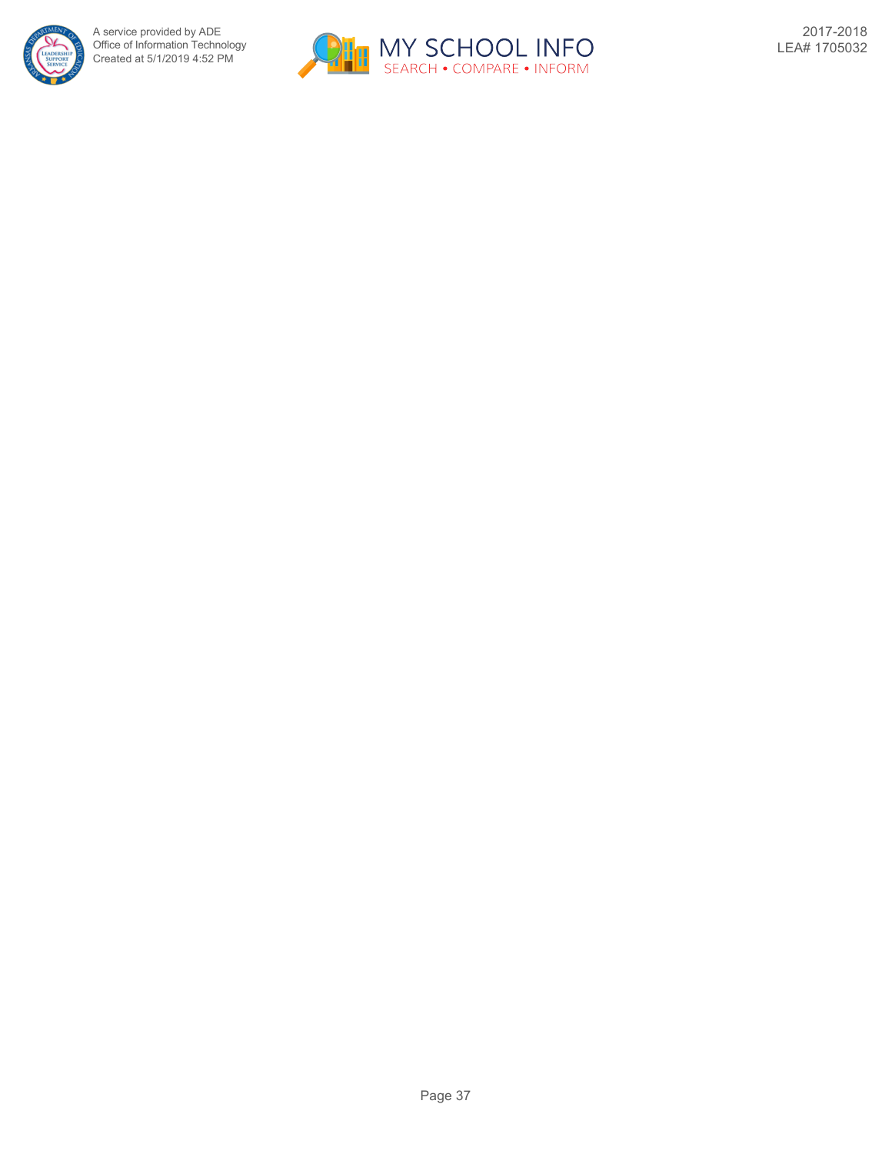

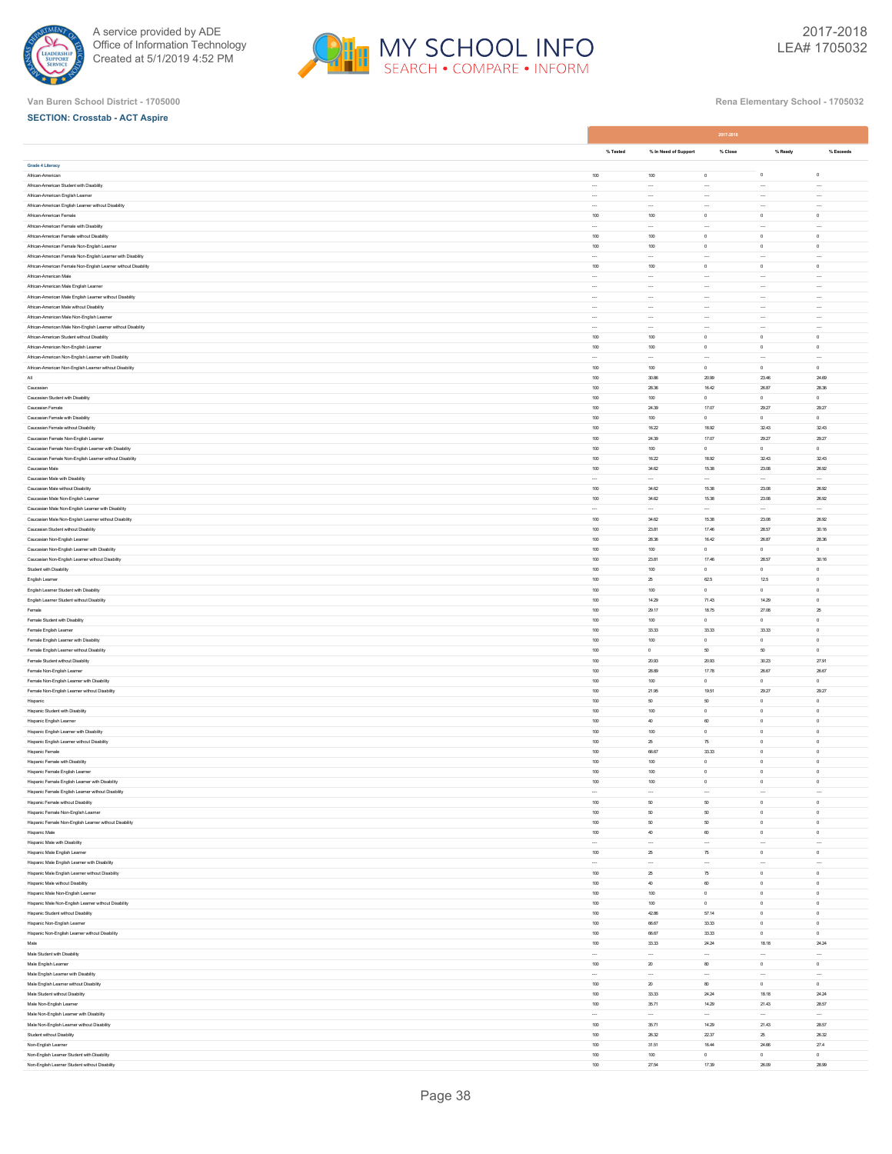



|                                                                                |                |                      | 2017-2018              |                       |                             |
|--------------------------------------------------------------------------------|----------------|----------------------|------------------------|-----------------------|-----------------------------|
|                                                                                | % Tested       | % In Need of Support | % Close                | % Ready               | % Exceeds                   |
|                                                                                |                |                      |                        |                       |                             |
| <b>Grade 4 Literacy</b><br>African-American                                    | $100\,$        | $100\,$              | $\,$ 0 $\,$            | $\,$ 0 $\,$           | $\,$ 0 $\,$                 |
| African-American Student with Disability                                       | $\cdots$       | $\cdots$             | $\ddotsc$              | $\cdots$              | $\cdots$                    |
| African-American English Learner                                               | $\cdots$       | $\ddotsc$            | $\ddotsc$              | $\cdots$              | $\cdots$                    |
| African-American English Learner without Disability                            |                |                      |                        |                       |                             |
| African-American Female                                                        | 100            | 100                  | $\circ$                | $\circ$               | $\circ$                     |
| African-American Female with Disability                                        | $\cdots$       | $\ddotsc$            | $\cdots$               | $\cdots$              | $\cdots$                    |
| African-American Female without Disability                                     | 100            | 100                  | $\,$ 0 $\,$            | $\,$ 0 $\,$           | $\,$ 0 $\,$                 |
| African-American Female Non-English Learner                                    | 100            | 100                  | $\mathbf 0$            | $\mathbb O$           | $\mathbb O$                 |
| African-American Female Non-English Learner with Disability                    | $\ddotsc$      | $\cdots$             | $\ddot{\phantom{0}}$   | $\ddotsc$             | $\cdots$                    |
| African-American Female Non-English Learner without Disability                 | 100            | 100                  | $\mathbf 0$            | $\mathbb O$           | $\mathbb O$                 |
| African-American Male                                                          | $\cdots$       | $\cdots$             | $\cdots$               | $\cdots$              | $\cdots$                    |
| African-American Male English Learner                                          | $\cdots$       | $\cdots$             | $\cdots$               | $\cdots$              | $\cdots$                    |
| African-American Male English Learner without Disability                       | $\cdots$       | $\cdots$             | $\ddotsc$              | $\cdots$              | $\cdots$                    |
| African-American Male without Disability                                       | $\cdots$       | $\cdots$             | $\cdots$               | $\cdots$              | $\cdots$                    |
| African-American Male Non-English Learner                                      | $\cdots$       | $\cdots$             | $\cdots$               | $\cdots$              | $\cdots$                    |
| African-American Male Non-English Learner without Disability                   | $\cdots$       | $\cdots$             | $\ddotsc$              | $\cdots$              | $\cdots$                    |
| African-American Student without Disability                                    | $100\,$        | 100                  | $\,$ 0 $\,$            | $\,$ 0 $\,$           | $\,$ 0                      |
| African-American Non-English Learner                                           | 100            | 100                  | $\,$ 0 $\,$            | $\,$ 0 $\,$           | $\,$ 0 $\,$                 |
| African-American Non-English Learner with Disability                           | $\cdots$       | $\ddotsc$            | $\ddot{\phantom{0}}$   | $\cdots$              | $\cdots$                    |
| African-American Non-English Learner without Disability                        | $100\,$        | $100\,$              | $\,$ 0 $\,$            | $\,$ 0                | $\,$ 0                      |
| All                                                                            | 100            | 30.86                | 20.99                  | 23.46                 | 24.69                       |
| Caucasian                                                                      | 100            | 28.36                | 16.42                  | 26.87                 | 28.36                       |
| Caucasian Student with Disability                                              | 100            | 100                  | $\,0\,$                | $\mathbb O$           | $^{\circ}$                  |
| Caucasian Female                                                               | 100            | 24.39                | 17.07                  | 29.27                 | 29.27                       |
| Caucasian Female with Disability                                               | $100\,$        | $100\,$              | $\,$ 0 $\,$            | $\,$ 0 $\,$           | $\mathbb O$                 |
| Caucasian Female without Disability                                            | 100            | 16.22                | 18.92                  | 32.43                 | 32.43                       |
| Caucasian Female Non-English Learner                                           | 100            | 24.39                | 17.07                  | 29.27                 | 29.27                       |
| Caucasian Female Non-English Learner with Disability                           | $100\,$        | $100\,$              | $\,$ 0 $\,$            | $\mathbb O$           | $\mathbb O$                 |
| Caucasian Female Non-English Learner without Disability                        | 100            | 16.22                | 18.92                  | 32.43                 | 32.43                       |
| Caucasian Male                                                                 | 100            | 34.62                | 15.38                  | 23.08                 | 26.92                       |
| Caucasian Male with Disability                                                 | $\sim$         | $\sim$               | $\sim$                 | $\ddotsc$             | $\overline{\phantom{a}}$    |
| Caucasian Male without Disability                                              | 100            | 34.62                | 15.38                  | 23.08                 | 26.92                       |
| Caucasian Male Non-English Learner                                             | $100\,$        | 34.62                | 15.38                  | 23.08                 | 26.92                       |
| Caucasian Male Non-English Learner with Disability                             | $\cdots$       | $\cdots$             | $\ddotsc$              | $\cdots$              | $\cdots$                    |
| Caucasian Male Non-English Learner without Disability                          | 100            | 34.62                | 15.38                  | 23.08                 | 26.92                       |
| Caucasian Student without Disability                                           | $100\,$        | 23.81                | 17.46                  | 28.57                 | 30.16                       |
| Caucasian Non-English Learner                                                  | 100            | 28.36                | 16.42                  | 26.87                 | 28.36                       |
| Caucasian Non-English Learner with Disability                                  | 100            | 100                  | $\,$ 0 $\,$            | $\,$ 0 $\,$           | $\,$ 0 $\,$                 |
| Caucasian Non-English Learner without Disability                               | 100            | 23.81                | 17.46                  | 28.57                 | 30.16                       |
| Student with Disability                                                        | 100            | 100                  | $\circ$                | $\mathbb O$           | $\mathbb O$                 |
| English Learner                                                                | $100\,$        | $\rm{25}$            | 62.5                   | 12.5                  | $\mathbb O$                 |
| English Learner Student with Disability                                        | 100            | 100                  | $\mathbf 0$            | $\mathbb O$           | $\mathbb O$                 |
| English Learner Student without Disability                                     | 100            | 14.29                | 71.43                  | 14.29                 | $\,$ 0 $\,$                 |
| Female                                                                         | $100\,$<br>100 | 29.17<br>100         | 18.75                  | 27.08<br>$\mathbf{0}$ | $\rm{25}$<br>$\mathbf{0}$   |
| Female Student with Disability                                                 |                |                      | $\circ$                |                       |                             |
| Female English Learner                                                         | 100            | 33.33                | 33.33                  | 33.33                 | $\,$ 0 $\,$                 |
| Female English Learner with Disability                                         | 100<br>100     | 100<br>$^{\circ}$    | $\,$ 0 $\,$<br>$_{50}$ | $\mathsf{O}$<br>50    | $\,$ 0 $\,$<br>$\mathbf{0}$ |
| Female English Learner without Disability<br>Female Student without Disability | $100\,$        | 20.93                | 20.93                  | 30.23                 | 27.91                       |
|                                                                                |                | 28.89                | 17.78                  | 26.67                 | 26.67                       |
| Female Non-English Learner<br>Female Non-English Learner with Disability       | 100<br>100     | 100                  | $\,$ 0 $\,$            | $\,$ 0 $\,$           | $\,$ 0 $\,$                 |
| Female Non-English Learner without Disability                                  | $100\,$        | 21.95                | 19.51                  | 29.27                 | 29.27                       |
| Hispanic                                                                       | 100            | 50                   | $_{50}$                | $\mathbb O$           | $\circ$                     |
| Hispanic Student with Disability                                               | 100            | 100                  | $\,$ 0 $\,$            | $\,$ 0 $\,$           | $\,$ 0 $\,$                 |
| Hispanic English Learner                                                       | 100            | 40                   | $60\,$                 | $\,$ 0                | $\,$ 0                      |
| Hispanic English Learner with Disability                                       | 100            | 100                  | $\mathbf 0$            | $\mathbb O$           | $\mathbb O$                 |
| Hispanic English Learner without Disability                                    | $100\,$        | $\rm{25}$            | $\rm 75$               | $\,$ 0                | $\,$ 0 $\,$                 |
| <b>Hispanic Female</b>                                                         | 100            | 66.67                | 33.33                  | $\,$ 0 $\,$           | $\mathbb O$                 |
| Hispanic Female with Disability                                                | 100            | 100                  | $\,$ 0 $\,$            | $\circ$               | $\,$ 0 $\,$                 |
| Hispanic Female English Learner                                                | $100\,$        | 100                  | $\,$ 0 $\,$            | $\,$ 0                | $\,$ 0                      |
| Hispanic Female English Learner with Disability                                | 100            | 100                  | $\circ$                | $\circ$               | $^{\circ}$                  |
| Hispanic Female English Learner without Disability                             | $\ddotsc$      | $\sim$               |                        | $\cdots$              | $\cdots$                    |
| Hispanic Female without Disability                                             | 100            | 50                   | 50                     | $\mathbb O$           | $\mathbb O$                 |
| Hispanic Female Non-English Learner                                            | 100            | 60                   | 50                     | $\ddot{\phantom{0}}$  | $\ddot{\phantom{0}}$        |
| Hispanic Female Non-English Learner without Disability                         | $100\,$        | $_{50}$              | $_{\rm S0}$            | $\,$ 0 $\,$           | $\,$ 0 $\,$                 |
| Hispanic Male                                                                  | 100            | $40\,$               | $60\,$                 | $\mathsf{O}$          | $\mathsf{O}$                |
| Hispanic Male with Disability                                                  | $\cdots$       | $\ddot{\phantom{0}}$ | $\ddotsc$              | $\cdots$              | $\cdots$                    |
| Hispanic Male English Learner                                                  | $100\,$        | $\rm{25}$            | $\rm 75$               | $\,$ 0                | $\,$ 0 $\,$                 |
| Hispanic Male English Learner with Disability                                  | $\ddotsc$      | $\cdots$             | $\cdots$               | $\cdots$              | $\cdots$                    |
| Hispanic Male English Learner without Disability                               | 100            | $\rm{z}$             | $75\,$                 | $\,$ 0 $\,$           | $\,$ 0 $\,$                 |
| Hispanic Male without Disability                                               | 100            | 40                   | $60\,$                 | $\mathbb O$           | $\mathbb O$                 |
| Hispanic Male Non-English Learner                                              | 100            | 100                  | $\mathbf 0$            | $\mathbb O$           | $\mathbb O$                 |
| Hispanic Male Non-English Learner without Disability                           | $100\,$        | $100\,$              | $\,$ 0 $\,$            | $\mathbb O$           | $\mathbb O$                 |
| Hispanic Student without Disability                                            | 100            | 42.86                | 57.14                  | $\,$ 0 $\,$           | $\,$ 0 $\,$                 |
| Hispanic Non-English Learner                                                   | 100            | 66.67                | 33.33                  | $\mathbb O$           | $\mathbb O$                 |
| Hispanic Non-English Learner without Disability                                | $100\,$        | 66.67                | 33.33                  | $\mathbb O$           | $\mathbb O$                 |
| Male                                                                           | 100            | 33.33                | 24.24                  | 18.18                 | 24.24                       |
| Male Student with Disability                                                   | $\cdots$       | $\cdots$             | $\cdots$               | $\cdots$              | $\cdots$                    |
| Male English Learner                                                           | 100            | $20\,$               | 80                     | $\mathsf{O}$          | $\mathsf{O}$                |
| Male English Learner with Disability                                           | $\cdots$       | $\cdots$             | $\cdots$               | $\cdots$              | $\overline{\phantom{a}}$    |
| Male English Learner without Disability                                        | $100\,$        | $\rm{20}$            | $_{80}$                | $\,$ 0<br>18.18       | $\,$ 0                      |
| Male Student without Disability<br>Male Non-English Learner                    | 100<br>100     | 33.33<br>35.71       | 24.24<br>14.29         | 21.43                 | 24.24<br>28.57              |
| Male Non-English Learner with Disability                                       |                |                      |                        |                       |                             |
| Male Non-English Learner without Disability                                    | 100            | 35.71                | 14.29                  | 21.43                 | 28.57                       |
| Student without Disability                                                     | 100            | 26.32                | 22.37                  | $\rm 25$              | 26.32                       |
| Non-English Learner                                                            | 100            | 31.51                | 16.44                  | 24.66                 | $27.4\,$                    |
| Non-English Learner Student with Disability                                    | 100            | 100                  | $\circ$                | $\circ$               | $\circ$                     |
| Non-English Learner Student without Disability                                 | $100\,$        | 27.54                | 17.39                  | 26.09                 | 28.99                       |
|                                                                                |                |                      |                        |                       |                             |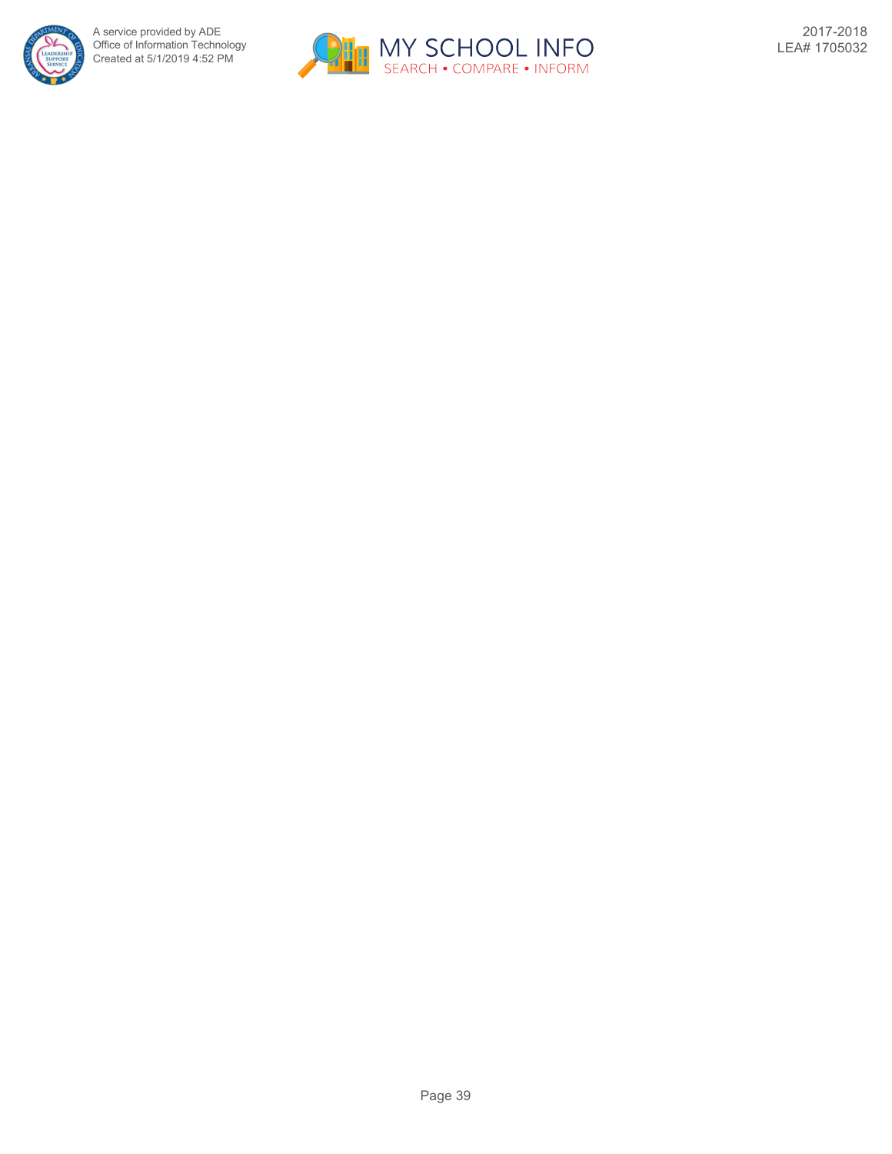

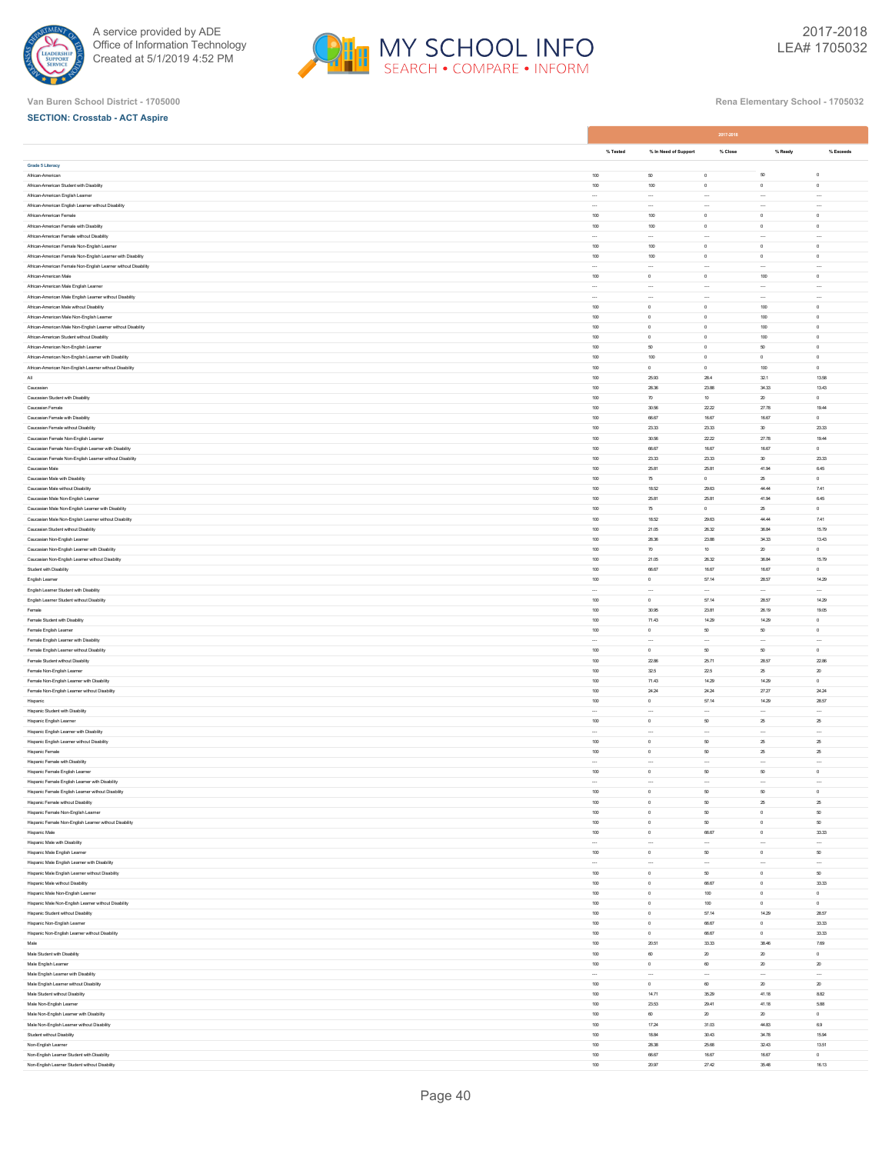



|                                                                                                             |                     | 2017-2018               |                            |                         |                          |  |  |
|-------------------------------------------------------------------------------------------------------------|---------------------|-------------------------|----------------------------|-------------------------|--------------------------|--|--|
|                                                                                                             | % Tested            | % In Need of Support    | % Close                    | % Ready                 | % Exceeds                |  |  |
| Grade 5 Literacy                                                                                            |                     |                         |                            |                         |                          |  |  |
| African-American                                                                                            | 100                 | $_{50}$                 | $\mathbf 0$                | $_{50}$                 | $\,$ 0 $\,$              |  |  |
| African-American Student with Disability                                                                    | 100                 | 100                     | $\,$ 0 $\,$                | $\,$ 0 $\,$             | $\,$ 0 $\,$              |  |  |
| African-American English Learner                                                                            |                     | $\sim$                  | $\sim$                     | $\ddotsc$               | $\ddotsc$                |  |  |
| African-American English Learner without Disability                                                         | $\cdots$            | $\cdots$                | $\ddotsc$                  | $\cdots$                | $\cdots$                 |  |  |
| African-American Female                                                                                     | $100\,$             | $100\,$                 | $\,$ 0 $\,$                | $\,$ 0 $\,$             | $\,$ 0 $\,$              |  |  |
| African-American Female with Disability<br>African-American Female without Disability                       | 100                 | 100                     | $\,$ 0 $\,$                | $\,$ 0 $\,$             | $\,$ 0 $\,$              |  |  |
| African-American Female Non-English Learner                                                                 | $\cdots$<br>$100\,$ | $\cdots$<br>$100\,$     | $\cdots$<br>$\,$ 0 $\,$    | $\cdots$<br>$\mathbb O$ | $\cdots$<br>$\mathbb O$  |  |  |
| African-American Female Non-English Learner with Disability                                                 | 100                 | 100                     | $\circ$                    | $^{\circ}$              | $^{\circ}$               |  |  |
| African-American Female Non-English Learner without Disability                                              | $\cdots$            | $\cdots$                | $\cdots$                   | $\cdots$                | $\cdots$                 |  |  |
| African-American Male                                                                                       | 100                 | $\circ$                 | $\,$ 0 $\,$                | 100                     | $\,$ 0 $\,$              |  |  |
| African-American Male English Learner                                                                       | $\cdots$            | $\cdots$                | $\cdots$                   | $\cdots$                | $\cdots$                 |  |  |
| African-American Male English Learner without Disability                                                    | $\sim$              | $\sim$                  | $\cdots$                   |                         | $\ddotsc$                |  |  |
| African-American Male without Disability                                                                    | 100                 | $\,$ 0 $\,$             | $\,$ 0 $\,$                | 100                     | $\,$ 0 $\,$              |  |  |
| African-American Male Non-English Learner                                                                   | 100                 | $\,$ 0 $\,$             | $\,$ 0 $\,$                | 100                     | $\,$ 0 $\,$              |  |  |
| African-American Male Non-English Learner without Disability<br>African-American Student without Disability | $100\,$<br>100      | $\circ$<br>$\circ$      | $\,$ 0 $\,$<br>$\circ$     | 100<br>100              | $\,$ 0<br>$\mathbb O$    |  |  |
| African-American Non-English Learner                                                                        | 100                 | $_{50}$                 | $\,$ 0 $\,$                | $_{50}$                 | $\,$ 0 $\,$              |  |  |
| African-American Non-English Learner with Disability                                                        | 100                 | 100                     | $\mathbf 0$                | $^{\circ}$              | $\mathbb O$              |  |  |
| African-American Non-English Learner without Disability                                                     | 100                 | $\circ$                 | $\mathbf 0$                | 100                     | $\circ$                  |  |  |
| $\mathsf{All}$                                                                                              | $100\,$             | 25.93                   | 28.4                       | 32.1                    | 13.58                    |  |  |
| Caucasian                                                                                                   | 100                 | 28.36                   | 23.88                      | 34.33                   | 13.43                    |  |  |
| Caucasian Student with Disability                                                                           | 100                 | $70\,$                  | $10$                       | $\rm{20}$               | $\,$ 0 $\,$              |  |  |
| Caucasian Female                                                                                            | 100<br>100          | 30.56<br>66.67          | $22.22\,$<br>16.67         | 27.78<br>16.67          | 19.44<br>$^{\circ}$      |  |  |
| Caucasian Female with Disability<br>Caucasian Female without Disability                                     | 100                 | 23.33                   | 23.33                      | 30                      | 23.33                    |  |  |
| Caucasian Female Non-English Learner                                                                        | 100                 | 30.56                   | 22.22                      | 27.78                   | 19.44                    |  |  |
| Caucasian Female Non-English Learner with Disability                                                        | 100                 | 66.67                   | 16.67                      | 16.67                   | $\circ$                  |  |  |
| Caucasian Female Non-English Learner without Disability                                                     | $100\,$             | 23.33                   | 23.33                      | $30\,$                  | 23.33                    |  |  |
| Caucasian Male                                                                                              | 100                 | 25.81                   | 25.81                      | 41.94                   | 6.45                     |  |  |
| Caucasian Male with Disability                                                                              | 100                 | $75\,$                  | $\,$ 0 $\,$                | $\rm 25$                | $\,$ 0 $\,$              |  |  |
| Caucasian Male without Disability                                                                           | $100\,$             | 18.52                   | 29.63                      | 44.44                   | $7.41\,$                 |  |  |
| Caucasian Male Non-English Learner                                                                          | 100                 | 25.81                   | 25.81                      | 41.94                   | 6.45                     |  |  |
| Caucasian Male Non-English Learner with Disability                                                          | 100<br>100          | 75<br>18.52             | $\,$ 0 $\,$<br>29.63       | $\rm 25$<br>44.44       | $\mathsf{O}$<br>$7.41\,$ |  |  |
| Caucasian Male Non-English Learner without Disability<br>Caucasian Student without Disability               | 100                 | 21.05                   | 26.32                      | 36.84                   | 15.79                    |  |  |
| Caucasian Non-English Learner                                                                               | $100\,$             | 28.36                   | 23.88                      | 34.33                   | 13.43                    |  |  |
| Caucasian Non-English Learner with Disability                                                               | 100                 | $70\,$                  | 10                         | $\rm{20}$               | $\mathbb O$              |  |  |
| Caucasian Non-English Learner without Disability                                                            | 100                 | 21.05                   | 26.32                      | 36.84                   | 15.79                    |  |  |
| Student with Disability                                                                                     | $100\,$             | 66.67                   | 16.67                      | 16.67                   | $\mathbb O$              |  |  |
| English Learner                                                                                             | 100                 | $^{\circ}$              | 57.14                      | 28.57                   | 14.29                    |  |  |
| English Learner Student with Disability                                                                     | $\cdots$            | $\cdots$                | $\cdots$                   | $\cdots$                | $\cdots$                 |  |  |
| English Learner Student without Disability<br>Female                                                        | 100<br>100          | $\,$ 0 $\,$<br>30.95    | 57.14<br>23.81             | 28.57<br>26.19          | 14.29<br>19.05           |  |  |
| Female Student with Disability                                                                              | $100\,$             | 71.43                   | 14.29                      | 14.29                   | $\,$ 0 $\,$              |  |  |
| Female English Learner                                                                                      | 100                 | $\,$ 0 $\,$             | $_{50}$                    | $_{50}$                 | $\mathsf{O}$             |  |  |
| Female English Learner with Disability                                                                      | $\cdots$            | $\ddot{\phantom{0}}$    | $\ddot{\phantom{0}}$       |                         | $\cdots$                 |  |  |
| Female English Learner without Disability                                                                   | $100\,$             | $\,$ 0                  | $_{50}$                    | $_{50}$                 | $\circ$                  |  |  |
| Female Student without Disability                                                                           | 100                 | 22.86                   | 25.71                      | 28.57                   | 22.86                    |  |  |
| Female Non-English Learner                                                                                  | 100                 | 32.5                    | 22.5                       | $\rm 25$                | $\rm{20}$                |  |  |
| Female Non-English Learner with Disability                                                                  | 100<br>100          | 71.43<br>24.24          | 14.29<br>24.24             | 14.29<br>27.27          | $^{\circ}$<br>24.24      |  |  |
| Female Non-English Learner without Disability<br>Hispanic                                                   | $100\,$             | $\,$ 0 $\,$             | 57.14                      | 14.29                   | 28.57                    |  |  |
| Hispanic Student with Disability                                                                            | $\ddotsc$           | i.                      | $\ddotsc$                  | $\ddotsc$               | $\ddotsc$                |  |  |
| Hispanic English Learner                                                                                    | 100                 | $\circ$                 | $_{\rm 50}$                | $\rm 25$                | $\rm{25}$                |  |  |
| Hispanic English Learner with Disability                                                                    | $\ddotsc$           | $\ddotsc$               | $\ddot{\phantom{0}}$       | $\ddotsc$               | $\cdots$                 |  |  |
| Hispanic English Learner without Disability                                                                 | 100                 | $^{\circ}$              | 50                         | $\rm 25$                | 25                       |  |  |
| Hispanic Female                                                                                             | 100                 | $\circ$                 | $_{\rm 50}$                | $\rm 25$                | $\rm{25}$                |  |  |
| Hispanic Female with Disability                                                                             | $\cdots$<br>100     | $\ddotsc$<br>$^{\circ}$ | $\ddot{\phantom{0}}$<br>50 | $\ddotsc$<br>50         | $\cdots$<br>$\circ$      |  |  |
| Hispanic Female English Learner<br>Hispanic Female English Learner with Disability                          |                     |                         |                            |                         |                          |  |  |
| Hispanic Female English Learner without Disability                                                          | 100                 | $\circ$                 | $_{50}$                    | $_{50}$                 | $\,$ 0 $\,$              |  |  |
| Hispanic Female without Disability                                                                          | 100                 | $\,$ 0 $\,$             | $_{50}$                    | $\rm 25$                | $\rm{25}$                |  |  |
| Hispanic Female Non-English Learner                                                                         | $100\,$             | $\,0\,$                 | $_{50}$                    | $\,$ 0 $\,$             | $_{\rm 50}$              |  |  |
| Hispanic Female Non-English Learner without Disability                                                      | 100                 | $\circ$                 | $_{\rm 50}$                | $\circ$                 | $_{\rm 50}$              |  |  |
| Hispanic Male                                                                                               | 100                 | $\,$ 0 $\,$             | 66.67                      | $\mathbb O$             | 33.33                    |  |  |
| Hispanic Male with Disability                                                                               | à.                  | i.                      | $\ddot{\phantom{a}}$       | $\ddotsc$               | $\ddotsc$                |  |  |
| Hispanic Male English Learner<br>Hispanic Male English Learner with Disability                              | 100<br>$\ddotsc$    | $\circ$<br>$\ddotsc$    | 60<br>$\ddot{\phantom{0}}$ | $\circ$<br>             | 50<br>                   |  |  |
| Hispanic Male English Learner without Disability                                                            | 100                 | $\circ$                 | $_{50}$                    | $\,$ 0 $\,$             | $_{\rm 50}$              |  |  |
| Hispanic Male without Disability                                                                            | 100                 | $\circ$                 | 66.67                      | $\,$ 0 $\,$             | 33.33                    |  |  |
| Hispanic Male Non-English Learner                                                                           | $100\,$             | $\,$ 0 $\,$             | $100\,$                    | $\,$ 0 $\,$             | $\mathbf 0$              |  |  |
| Hispanic Male Non-English Learner without Disability                                                        | 100                 | $^{\circ}$              | 100                        | $\circ$                 | $\circ$                  |  |  |
| <b>Hispanic Student without Disability</b>                                                                  | 100                 | $\circ$                 | 57.14                      | 14.29                   | 28.57                    |  |  |
| Hispanic Non-English Learner                                                                                | 100                 | $\,$ 0 $\,$             | 66.67                      | $\mathbb O$             | 33.33                    |  |  |
| Hispanic Non-English Learner without Disability                                                             | 100                 | $^{\circ}$              | 66.67                      | $\circ$                 | 33.33                    |  |  |
| Male<br>Male Student with Disability                                                                        | $100\,$<br>100      | 20.51<br>60             | 33.33<br>$\rm{20}$         | 38.46<br>$\rm{20}$      | 7.69<br>$\mathsf{O}$     |  |  |
| Male English Learner                                                                                        | 100                 | $\,$ 0 $\,$             | $60\,$                     | $\rm{20}$               | $\rm{20}$                |  |  |
| Male English Learner with Disability                                                                        |                     |                         |                            |                         |                          |  |  |
| Male English Learner without Disability                                                                     | 100                 | $\circ$                 | 60                         | 20                      | 20                       |  |  |
| Male Student without Disability                                                                             | 100                 | 14.71                   | 35.29                      | 41.18                   | 8.82                     |  |  |
| Male Non-English Learner                                                                                    | 100                 | 23.53                   | 29.41                      | 41.18                   | 5.88                     |  |  |
| Male Non-English Learner with Disability                                                                    | 100                 | 60                      | $20\,$                     | $20\,$                  | $\circ$                  |  |  |
| Male Non-English Learner without Disability                                                                 | $100\,$             | 17.24                   | 31.03                      | 44.83                   | $_{\rm 6.9}$             |  |  |
| Student without Disability<br>Non-English Learner                                                           | 100<br>100          | 18.84<br>28.38          | 30.43<br>25.68             | 34.78<br>32.43          | 15.94<br>13.51           |  |  |
| Non-English Learner Student with Disability                                                                 | $100\,$             | 66.67                   | 16.67                      | 16.67                   | $\,$ 0 $\,$              |  |  |
| Non-English Learner Student without Disability                                                              | $100\,$             | 20.97                   | 27.42                      | 35.48                   | 16.13                    |  |  |
|                                                                                                             |                     |                         |                            |                         |                          |  |  |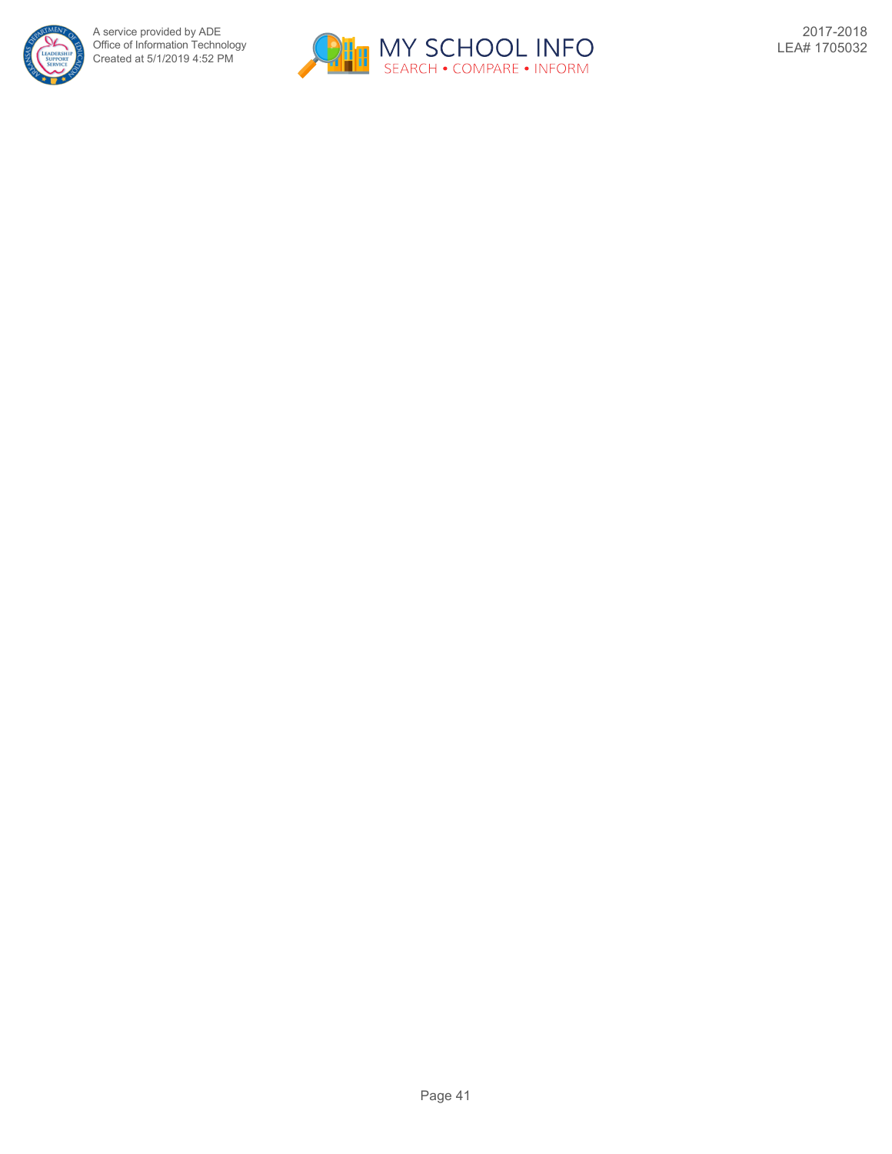

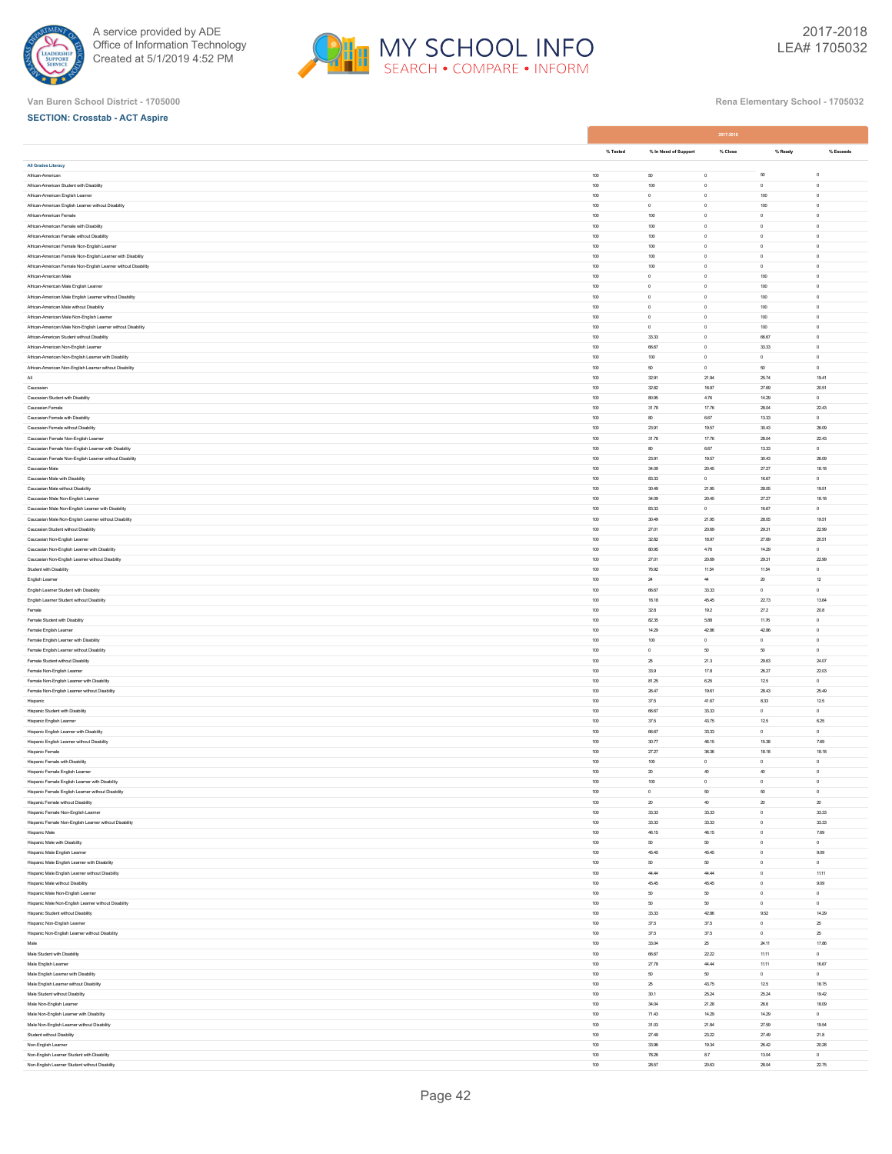



|                                                                                                                 |                |                      | 2017-2018         |                       |                              |
|-----------------------------------------------------------------------------------------------------------------|----------------|----------------------|-------------------|-----------------------|------------------------------|
|                                                                                                                 | % Tested       | % In Need of Support | % Close           | % Ready               | % Exceeds                    |
|                                                                                                                 |                |                      |                   |                       |                              |
| All Grades Literacy<br>African-American                                                                         | 100            | 60                   | $\,$ 0 $\,$       | $_{\rm 50}$           | $\,$ 0                       |
| African-American Student with Disability                                                                        | $100\,$        | 100                  | $\,$ 0            | $\,$ 0 $\,$           | $\,$ 0 $\,$                  |
| African-American English Learner                                                                                | 100            | $\circ$              | $\circ$           | 100                   | $\circ$                      |
| African-American English Learner without Disability                                                             | 100            | $\circ$              | $\circ$           | 100                   | $\circ$                      |
| African-American Female                                                                                         | 100            | 100                  | $\,$ 0            | $\,$ 0 $\,$           | $\,$ 0 $\,$                  |
| African-American Female with Disability                                                                         | 100            | 100                  | $\circ$           | $\circ$               | $\circ$                      |
| African-American Female without Disability                                                                      | $100\,$        | $100\,$              | $\,$ 0            | $\,$ 0                | $\,$ 0                       |
| African-American Female Non-English Learner                                                                     | 100            | 100                  | $\,$ 0            | $\,$ 0 $\,$           | $\,$ 0 $\,$                  |
| African-American Female Non-English Learner with Disability                                                     | 100            | 100                  | $\,$ 0 $\,$       | $\,$ 0 $\,$           | $\,$ 0 $\,$                  |
| African-American Female Non-English Learner without Disability                                                  | 100            | 100                  | $\,$ 0            | $\,0\,$               | $\,0\,$                      |
| African-American Male                                                                                           | 100            | $\circ$              | $\circ$           | 100                   | $\circ$                      |
| African-American Male English Learner                                                                           | 100            | $\,$ 0 $\,$          | $\,$ 0 $\,$       | 100                   | $\,$ 0 $\,$                  |
| African-American Male English Learner without Disability                                                        | 100            | $\circ$              | $\,$ 0 $\,$       | 100                   | $\,$ 0                       |
| African-American Male without Disability                                                                        | 100            | $\circ$              | $\,$ 0 $\,$       | 100                   | $\circ$                      |
| African-American Male Non-English Learner                                                                       | $100\,$        | $\,$ 0               | $\,$ 0            | 100                   | $\,$ 0 $\,$                  |
| African-American Male Non-English Learner without Disability                                                    | 100            | $\circ$              | $\,$ 0 $\,$       | 100                   | $\circ$                      |
| African-American Student without Disability                                                                     | 100            | 33.33                | $\,$ 0 $\,$       | 66.67                 | $\circ$                      |
| African-American Non-English Learner                                                                            | 100            | 66.67<br>100         | $\,$ 0<br>$\circ$ | 33.33<br>$\circ$      | $\,$ 0<br>$\circ$            |
| African-American Non-English Learner with Disability<br>African-American Non-English Learner without Disability | 100<br>100     | $_{50}$              | $\,$ 0 $\,$       | $_{50}$               | $\circ$                      |
| All                                                                                                             | 100            | 32.91                | 21.94             | 25.74                 | 19.41                        |
| Caucasian                                                                                                       | 100            | 32.82                | 18.97             | 27.69                 | 20.51                        |
| Caucasian Student with Disability                                                                               | $100\,$        | 80.95                | 4.76              | 14.29                 | $\,$ 0                       |
| Caucasian Female                                                                                                | 100            | 31.78                | 17.76             | 28.04                 | 22.43                        |
| Caucasian Female with Disability                                                                                | 100            | 80                   | 6.67              | 13.33                 | $\,$ 0 $\,$                  |
| Caucasian Female without Disability                                                                             | $100\,$        | 23.91                | 19.57             | 30.43                 | 26.09                        |
| Caucasian Female Non-English Learner                                                                            | 100            | 31.78                | 17.76             | 28.04                 | 22.43                        |
| Caucasian Female Non-English Learner with Disability                                                            | 100            | 80                   | 6.67              | 13.33                 | $\,$ 0 $\,$                  |
| Caucasian Female Non-English Learner without Disability                                                         | 100            | 23.91                | 19.57             | 30.43                 | 26.09                        |
| Caucasian Male                                                                                                  | 100            | 34.09                | 20.45             | 27.27                 | 18.18                        |
| Caucasian Male with Disability                                                                                  | $100\,$        | 83.33                | $\,$ 0            | 16.67                 | $\,$ 0 $\,$                  |
| Caucasian Male without Disability                                                                               | 100            | 30.49                | 21.95             | 28.05                 | 19.51                        |
| Caucasian Male Non-English Learner                                                                              | 100            | 34.09                | 20.45             | 27.27                 | 18.18                        |
| Caucasian Male Non-English Learner with Disability                                                              | $100\,$        | 83.33                | $\,$ 0            | 16.67                 | $\,$ 0 $\,$                  |
| Caucasian Male Non-English Learner without Disability                                                           | 100            | 30.49                | 21.95             | 28.05                 | 19.51                        |
| Caucasian Student without Disability                                                                            | 100            | 27.01                | 20.69             | 29.31                 | 22.99                        |
| Caucasian Non-English Learner                                                                                   | 100            | 32.82                | 18.97             | 27.69                 | 20.51                        |
| Caucasian Non-English Learner with Disability                                                                   | 100            | 80.95                | 4.76              | 14.29                 | $\circ$                      |
| Caucasian Non-English Learner without Disability                                                                | $100\,$        | 27.01<br>76.92       | 20.69<br>11.54    | 29.31<br>11.54        | 22.99                        |
| Student with Disability<br>English Learner                                                                      | 100<br>100     | $24\,$               | $\bf{44}$         | $\rm{20}$             | $\,$ 0 $\,$<br>$\mathbf{12}$ |
| English Learner Student with Disability                                                                         | $100\,$        | 66.67                | 33.33             | $\,$ 0                | $\,$ 0 $\,$                  |
| English Learner Student without Disability                                                                      | 100            | 18.18                | 45.45             | 22.73                 | 13.64                        |
| Female                                                                                                          | 100            | 32.8                 | 19.2              | 27.2                  | 20.8                         |
| Female Student with Disability                                                                                  | 100            | 82.35                | 5.88              | 11.76                 | $\,$ 0                       |
| Female English Learner                                                                                          | 100            | 14.29                | 42.86             | 42.86                 | $\circ$                      |
| Female English Learner with Disability                                                                          | $100\,$        | 100                  | $\,$ 0            | $\,$ 0 $\,$           | $\,$ 0 $\,$                  |
| Female English Learner without Disability                                                                       | 100            | $\circ$              | 50                | 50                    | $\circ$                      |
| Female Student without Disability                                                                               | 100            | $\rm{25}$            | 21.3              | 29.63                 | 24.07                        |
| Female Non-English Learner                                                                                      | $100\,$        | 33.9                 | 17.8              | 26.27                 | 22.03                        |
| Female Non-English Learner with Disability                                                                      | 100            | 81.25                | 6.25              | 12.5                  | $\circ$                      |
| Female Non-English Learner without Disability                                                                   | 100            | 26.47                | 19.61             | 28.43                 | 25.49                        |
| Hispanic                                                                                                        | 100            | 37.5                 | 41.67             | 8.33                  | 12.5                         |
| Hispanic Student with Disability                                                                                | 100            | 66.67                | 33.33             | $\circ$               | $\circ$                      |
| Hispanic English Learner                                                                                        | $100\,$        | $37.5\,$             | 43.75             | 12.5                  | 6.25                         |
| Hispanic English Learner with Disability                                                                        | 100<br>100     | 66.67<br>30.77       | 33.33<br>46.15    | $\,$ 0 $\,$<br>15.38  | $\circ$<br>7.69              |
| Hispanic English Learner without Disability<br>Hispanic Female                                                  | 100            | 27.27                | 36.36             | 18.18                 | 18.18                        |
| Hispanic Female with Disability                                                                                 | 100            | 100                  | $\circ$           | $^{\circ}$            | $\circ$                      |
| Hispanic Female English Learner                                                                                 | 100            | $\rm{20}$            | $40\,$            | $40\,$                | $\,$ 0 $\,$                  |
| Hispanic Female English Learner with Disability                                                                 | 100            | 100                  | $\Omega$          | $\Omega$              | $\circ$                      |
| Hispanic Female English Learner without Disability                                                              | 100            | $\circ$              | 50                | 50                    | $^{\circ}$                   |
| Hispanic Female without Disability                                                                              | 100            | $\rm{20}$            | $40\,$            | $\rm{20}$             | $\rm{20}$                    |
| Hispanic Female Non-English Learner                                                                             | 100            | 33.33                | 33.33             | $\,$ 0                | 33.33                        |
| Hispanic Female Non-English Learner without Disability                                                          | 100            | 33.33                | 33.33             | $\,$ 0 $\,$           | 33.33                        |
| Hispanic Male                                                                                                   | $100\,$        | 46.15                | 46.15             | $\,$ 0 $\,$           | 7.69                         |
| Hispanic Male with Disability                                                                                   | 100            | 60                   | 50                | $\circ$               | $\circ$                      |
| Hispanic Male English Learner                                                                                   | 100            | 45.45                | 45.45             | $\,$ 0                | 9.09                         |
| Hispanic Male English Learner with Disability                                                                   | 100<br>100     | 60<br>44.44          | 50<br>44.44       | $\circ$<br>$\circ$    | $\circ$<br>11.11             |
| Hispanic Male English Learner without Disability<br>Hispanic Male without Disability                            |                |                      |                   |                       |                              |
|                                                                                                                 | $100\,$<br>100 | 45.45<br>60          | 45.45<br>50       | $\,$ 0<br>$\,$ 0 $\,$ | 9.09<br>$\,$ 0 $\,$          |
| Hispanic Male Non-English Learner<br>Hispanic Male Non-English Learner without Disability                       | 100            | 60                   | 60                | $\,$ 0 $\,$           | $\,$ 0 $\,$                  |
| Hispanic Student without Disability                                                                             | 100            | 33.33                | 42.86             | 9.52                  | 14.29                        |
| Hispanic Non-English Learner                                                                                    | 100            | 37.5                 | 37.5              | $^{\circ}$            | 25                           |
| Hispanic Non-English Learner without Disability                                                                 | 100            | 37.5                 | 37.5              | $\,$ 0 $\,$           | $\rm{25}$                    |
| Male                                                                                                            | 100            | 33.04                | 25                | 24.11                 | 17.86                        |
| Male Student with Disability                                                                                    | 100            | 66.67                | 22.22             | 11.11                 | $\circ$                      |
| Male English Learner                                                                                            | $100\,$        | 27.78                | 44.44             | 11.11                 | 16.67                        |
| Male English Learner with Disability                                                                            | 100            | 60                   | 50                | $\circ$               | $\circ$                      |
| Male English Learner without Disability                                                                         | 100            | $\rm{25}$            | 43.75             | 12.5                  | 18.75                        |
| Male Student without Disability                                                                                 | 100            | 30.1                 | 25.24             | 25.24                 | 19.42                        |
| Male Non-English Learner                                                                                        | 100            | 34.04                | 21.28             | 26.6                  | 18.09                        |
| Male Non-English Learner with Disability                                                                        | 100            | 71.43                | 14.29             | 14.29                 | $\circ$                      |
| Male Non-English Learner without Disability                                                                     | 100            | 31.03                | 21.84             | 27.59                 | 19.54                        |
| Student without Disability                                                                                      | 100<br>100     | 27.49<br>33.96       | 23.22<br>19.34    | 27.49<br>26.42        | 21.8<br>20.28                |
| Non-English Learner<br>Non-English Learner Student with Disability                                              | 100            | 78.26                | 8.7               | 13.04                 | $\,$ 0 $\,$                  |
| Non-English Learner Student without Disability                                                                  | 100            | 28.57                | 20.63             | 28.04                 | 22.75                        |
|                                                                                                                 |                |                      |                   |                       |                              |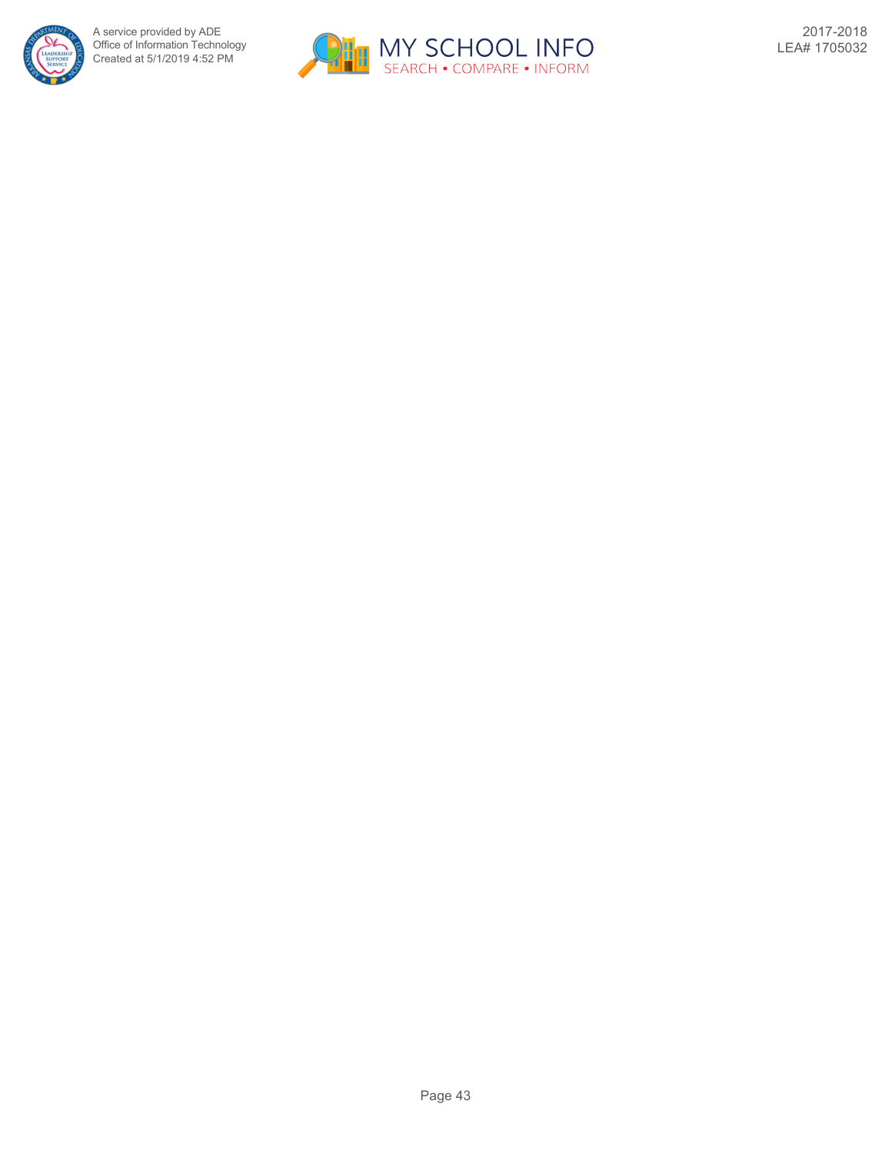

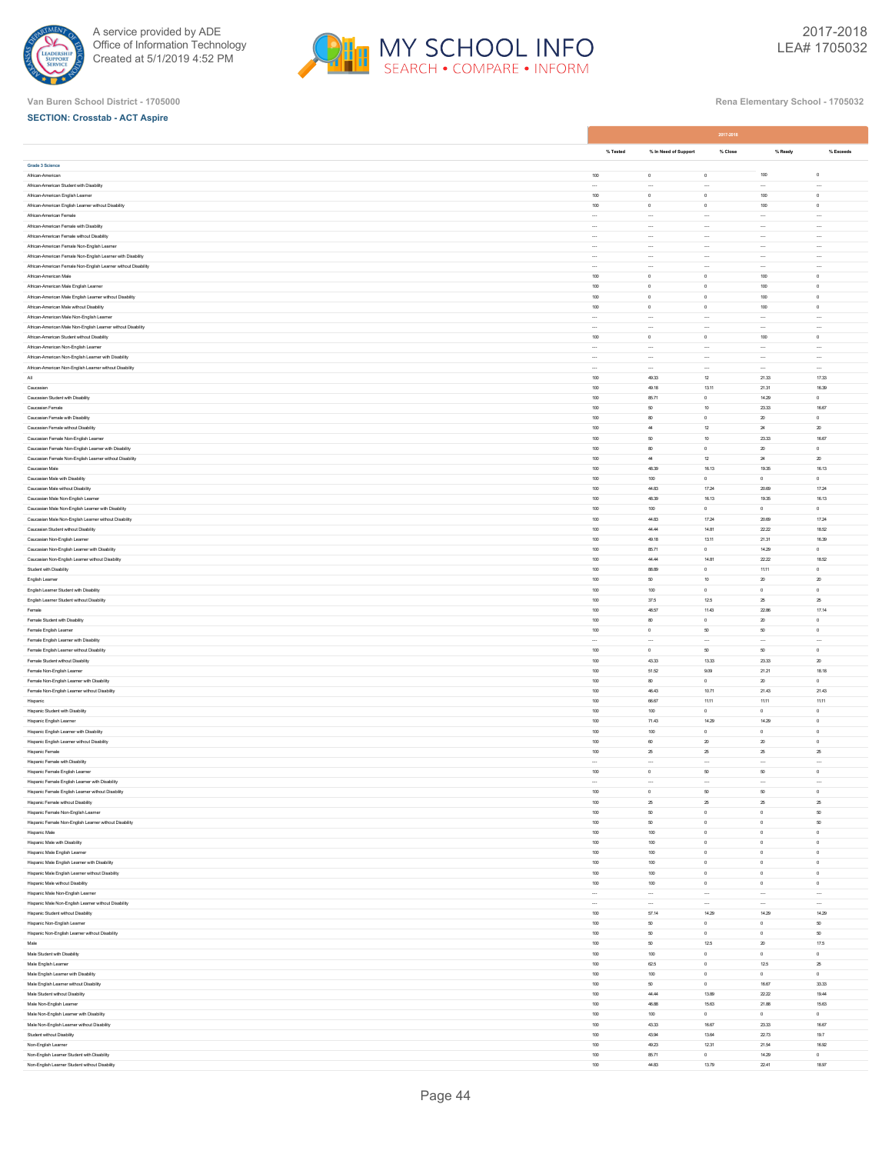



|                                                                                       |                     |                         | 2017-2018                         |                          |                         |
|---------------------------------------------------------------------------------------|---------------------|-------------------------|-----------------------------------|--------------------------|-------------------------|
|                                                                                       | % Tested            | % In Need of Support    | $\%$ Close                        | % Ready                  | % Exceeds               |
| Grade 3 Science                                                                       |                     |                         |                                   |                          |                         |
| African-American                                                                      | 100                 | $\,$ 0 $\,$             | $\,$ 0 $\,$                       | 100                      | $\,$ 0 $\,$             |
| African-American Student with Disability                                              | $\cdots$            | $\cdots$                | $\ddotsc$                         | $\cdots$                 | $\cdots$                |
| African-American English Learner                                                      | $100\,$             | $\,$ 0 $\,$             | $\,$ 0 $\,$                       | 100                      | $\mathbb O$             |
| African-American English Learner without Disability                                   | 100                 | $\circ$                 | $\,$ 0 $\,$                       | 100                      | $\,$ 0 $\,$             |
| African-American Female                                                               | $\cdots$            | $\cdots$                | $\cdots$                          | $\cdots$                 | $\cdots$                |
| African-American Female with Disability                                               | $\cdots$            | $\ddotsc$               | $\cdots$                          |                          | $\cdots$                |
| African-American Female without Disability                                            | $\cdots$            | $\cdots$                | $\cdots$                          | $\cdots$                 | $\cdots$                |
| African-American Female Non-English Learner                                           | $\cdots$            | $\cdots$                | $\cdots$                          | $\cdots$                 | $\cdots$                |
| African-American Female Non-English Learner with Disability                           | $\cdots$            | $\ddotsc$               | $\cdots$                          | $\cdots$                 | $\cdots$                |
| African-American Female Non-English Learner without Disability                        | $\cdots$            | $\cdots$                | $\cdots$                          | $\cdots$                 | $\cdots$                |
| African-American Male                                                                 | $100\,$             | $\,$ 0 $\,$             | $\,$ 0 $\,$                       | 100                      | $\,$ 0                  |
| African-American Male English Learner                                                 | 100                 | $\,$ 0 $\,$             | $\,$ 0 $\,$                       | 100                      | $\,$ 0 $\,$             |
| African-American Male English Learner without Disability                              | 100                 | $\,$ 0 $\,$             | $\,$ 0 $\,$                       | 100                      | $\,$ 0 $\,$             |
| African-American Male without Disability                                              | $100\,$             | $\,0\,$                 | $\,$ 0 $\,$                       | 100                      | $\,$ 0 $\,$             |
| African-American Male Non-English Learner                                             | $\cdots$            | $\cdots$                | $\cdots$                          | $\cdots$                 | $\cdots$                |
| African-American Male Non-English Learner without Disability                          | $\cdots$            | $\ddotsc$               | $\ddotsc$                         | $\cdots$                 | $\cdots$                |
| African-American Student without Disability                                           | 100                 | $\,0\,$                 | $\,$ 0 $\,$                       | 100                      | $\mathbb O$             |
| African-American Non-English Learner                                                  | $\cdots$            | $\cdots$                | $\ddotsc$                         | $\cdots$                 | $\cdots$                |
| African-American Non-English Learner with Disability                                  | $\ddotsc$<br>$\sim$ | $\ddotsc$<br>$\ddotsc$  | $\ddot{\phantom{0}}$<br>$\ddotsc$ | <br>$\ddotsc$            | <br>$\cdots$            |
| African-American Non-English Learner without Disability<br>All                        | 100                 | 49.33                   | $12\,$                            | 21.33                    | 17.33                   |
| Caucasian                                                                             | $100\,$             | 49.18                   | 13.11                             | 21.31                    | 16.39                   |
| Caucasian Student with Disability                                                     | 100                 | 85.71                   | $\circ$                           | 14.29                    | $\ddot{\phantom{0}}$    |
| Caucasian Female                                                                      | 100                 | $_{50}$                 | $10$                              | 23.33                    | 16.67                   |
| Caucasian Female with Disability                                                      | 100                 | 80                      | $\,$ 0 $\,$                       | $\rm{20}$                | $\mathbb O$             |
| Caucasian Female without Disability                                                   | 100                 | 44                      | $12\,$                            | $24\,$                   | 20                      |
| Caucasian Female Non-English Learner                                                  | $100\,$             | $_{50}$                 | $10$                              | 23.33                    | 16.67                   |
| Caucasian Female Non-English Learner with Disability                                  | 100                 | 80                      | $\,$ 0 $\,$                       | $\rm{20}$                | $\,$ 0 $\,$             |
| Caucasian Female Non-English Learner without Disability                               | 100                 | $\bf{44}$               | $12\,$                            | $24\,$                   | $\rm{20}$               |
| Caucasian Male                                                                        | $100\,$             | 48.39                   | 16.13                             | 19.35                    | 16.13                   |
| Caucasian Male with Disability                                                        | 100                 | 100                     | $\circ$                           | $\circ$                  | $\circ$                 |
| Caucasian Male without Disability                                                     | 100                 | 44.83                   | 17.24                             | 20.69                    | 17.24                   |
| Caucasian Male Non-English Learner                                                    | 100                 | 48.39                   | 16.13                             | 19.35                    | 16.13                   |
| Caucasian Male Non-English Learner with Disability                                    | 100                 | 100                     | $\circ$                           | $\circ$                  | $\circ$                 |
| Caucasian Male Non-English Learner without Disability                                 | $100\,$             | 44.83                   | 17.24                             | 20.69                    | 17.24                   |
| Caucasian Student without Disability                                                  | 100                 | 44.44                   | 14.81                             | 22.22                    | 18.52                   |
| Caucasian Non-English Learner                                                         | 100                 | 49.18                   | 13.11                             | 21.31                    | 16.39                   |
| Caucasian Non-English Learner with Disability                                         | $100\,$             | 85.71                   | $\,$ 0 $\,$                       | 14.29                    | $\mathbb O$             |
| Caucasian Non-English Learner without Disability                                      | 100                 | 44.44                   | 14.81                             | 22.22                    | 18.52                   |
| Student with Disability                                                               | 100                 | 88.89                   | $\mathbf 0$                       | 11.11                    | $\mathbb O$             |
| English Learner                                                                       | 100<br>100          | 60<br>100               | $10$<br>$\circ$                   | $\rm{20}$<br>$^{\circ}$  | $\rm{20}$<br>$^{\circ}$ |
| English Learner Student with Disability<br>English Learner Student without Disability | $100\,$             | $37.5\,$                | $12.5\,$                          | $\rm 25$                 | $\rm{25}$               |
| Female                                                                                | 100                 | 48.57                   | 11.43                             | 22.86                    | 17.14                   |
| Female Student with Disability                                                        | 100                 | 80                      | $\,$ 0 $\,$                       | $\rm{20}$                | $\,$ 0 $\,$             |
| Female English Learner                                                                | $100\,$             | $\,$ 0 $\,$             | $_{\rm S0}$                       | $_{\rm 50}$              | $\mathbb O$             |
| Female English Learner with Disability                                                | $\cdots$            | $\cdots$                | $\cdots$                          | $\cdots$                 | $\cdots$                |
| Female English Learner without Disability                                             | 100                 | $\,$ 0 $\,$             | $_{50}$                           | $_{50}$                  | $\,$ 0 $\,$             |
| Female Student without Disability                                                     | 100                 | 43.33                   | 13.33                             | 23.33                    | $\rm{20}$               |
| Female Non-English Learner                                                            | 100                 | 51.52                   | 9.09                              | 21.21                    | 18.18                   |
| Female Non-English Learner with Disability                                            | $100\,$             | $_{80}$                 | $\,$ 0 $\,$                       | $\rm{20}$                | $\,$ 0 $\,$             |
| Female Non-English Learner without Disability                                         | 100                 | 46.43                   | 10.71                             | 21.43                    | 21.43                   |
| Hispanic                                                                              | 100                 | 66.67                   | 11.11                             | 11.11                    | 11.11                   |
| Hispanic Student with Disability                                                      | $100\,$             | $100\,$                 | $\,$ 0 $\,$                       | $\,$ 0 $\,$              | $\,$ 0 $\,$             |
| Hispanic English Learner                                                              | 100                 | 71.43                   | 14.29                             | 14.29                    | $^{\circ}$              |
| Hispanic English Learner with Disability                                              | 100                 | 100                     | $\circ$                           | $\circ$                  | $\mathbb O$             |
| Hispanic English Learner without Disability                                           | 100                 | $_{60}$                 | $\rm{20}$                         | $\rm{20}$                | $\,$ 0 $\,$             |
| Hispanic Female                                                                       | 100                 | $\overline{25}$         | $\overline{\mathbf{z}}$           | 25                       | $\rm{25}$               |
| Hispanic Female with Disability                                                       |                     |                         |                                   |                          |                         |
| Hispanic Female English Learner<br>Hispanic Female English Learner with Disability    | 100<br>$\cdots$     | $\,$ 0 $\,$<br>$\cdots$ | $_{50}$<br>$\ddot{\phantom{0}}$   | $_{50}$<br>$\cdots$      | $\,$ 0 $\,$<br>$\cdots$ |
| Hispanic Female English Learner without Disability                                    | $100\,$             | $\,0\,$                 | $_{\rm S0}$                       | $_{\rm 50}$              | $\,$ 0                  |
| Hispanic Female without Disability                                                    | 100                 | 25                      | 25                                | $\rm 25$                 | 25                      |
| Hispanic Female Non-English Learner                                                   | 100                 | $_{50}$                 | $\,$ 0 $\,$                       | $\,$ 0 $\,$              | $_{\rm 50}$             |
| Hispanic Female Non-English Learner without Disability                                | 100                 | 50                      | $\mathbf 0$                       | $\mathbb O$              | $_{\rm 50}$             |
| Hispanic Male                                                                         | 100                 | 100                     | $\mathbf 0$                       | $\,$ 0 $\,$              | $\mathsf{O}$            |
| Hispanic Male with Disability                                                         | $100\,$             | 100                     | $\,$ 0 $\,$                       | $\,$ 0 $\,$              | $\,$ 0 $\,$             |
| Hispanic Male English Learner                                                         | 100                 | 100                     | $\,$ 0 $\,$                       | $\mathbb O$              | $\,$ 0 $\,$             |
| Hispanic Male English Learner with Disability                                         | 100                 | 100                     | $\mathbf 0$                       | $\mathbb O$              | $\mathbb O$             |
| Hispanic Male English Learner without Disability                                      | 100                 | 100                     | $\,$ 0 $\,$                       | $\,$ 0 $\,$              | $\,$ 0 $\,$             |
| Hispanic Male without Disability                                                      | 100                 | 100                     | $\circ$                           | $^{\circ}$               | $^{\circ}$              |
| Hispanic Male Non-English Learner                                                     | $\cdots$            | $\cdots$                | $\cdots$                          | $\cdots$                 | $\cdots$                |
| Hispanic Male Non-English Learner without Disability                                  | $\cdots$            | $\cdots$                | $\ldots$                          | $\cdots$                 | $\cdots$                |
| Hispanic Student without Disability                                                   | 100                 | 57.14                   | 14.29                             | 14.29                    | 14.29                   |
| Hispanic Non-English Learner                                                          | $100\,$             | $_{50}$                 | $\,$ 0 $\,$                       | $\,$ 0                   | $_{\rm 50}$             |
| Hispanic Non-English Learner without Disability<br>Male                               | 100<br>100          | 60<br>$_{50}$           | $\,$ 0 $\,$<br>12.5               | $\,$ 0 $\,$<br>$\rm{20}$ | $_{\rm 50}$<br>17.5     |
| Male Student with Disability                                                          | $100\,$             | $100\,$                 | $\,$ 0 $\,$                       | $\circ$                  | $\,$ 0                  |
| Male English Learner                                                                  | 100                 | 62.5                    | $\mathbf 0$                       | 12.5                     | $\rm{25}$               |
| Male English Learner with Disability                                                  | 100                 | 100                     | $\,$ 0 $\,$                       | $\mathbb O$              | $\mathsf{O}$            |
| Male English Learner without Disability                                               | 100                 | 50                      | $\mathbf 0$                       | 16.67                    | 33.33                   |
| Male Student without Disability                                                       | 100                 | 44.44                   | 13.89                             | 22.22                    | 19.44                   |
| Male Non-English Learner                                                              | $100\,$             | 46.88                   | 15.63                             | 21.88                    | 15.63                   |
| Male Non-English Learner with Disability                                              | 100                 | 100                     | $\mathbf 0$                       | $^{\circ}$               | $\mathbb O$             |
| Male Non-English Learner without Disability                                           | 100                 | 43.33                   | 16.67                             | 23.33                    | 16.67                   |
| Student without Disability                                                            | 100                 | 43.94                   | 13.64                             | 22.73                    | 19.7                    |
| Non-English Learner                                                                   | 100                 | 49.23                   | 12.31                             | 21.54                    | 16.92                   |
| Non-English Learner Student with Disability                                           | 100                 | 85.71                   | $\mathbf 0$                       | 14.29                    | $\mathbb O$             |
| Non-English Learner Student without Disability                                        | 100                 | 44.83                   | 13.79                             | 22.41                    | 18.97                   |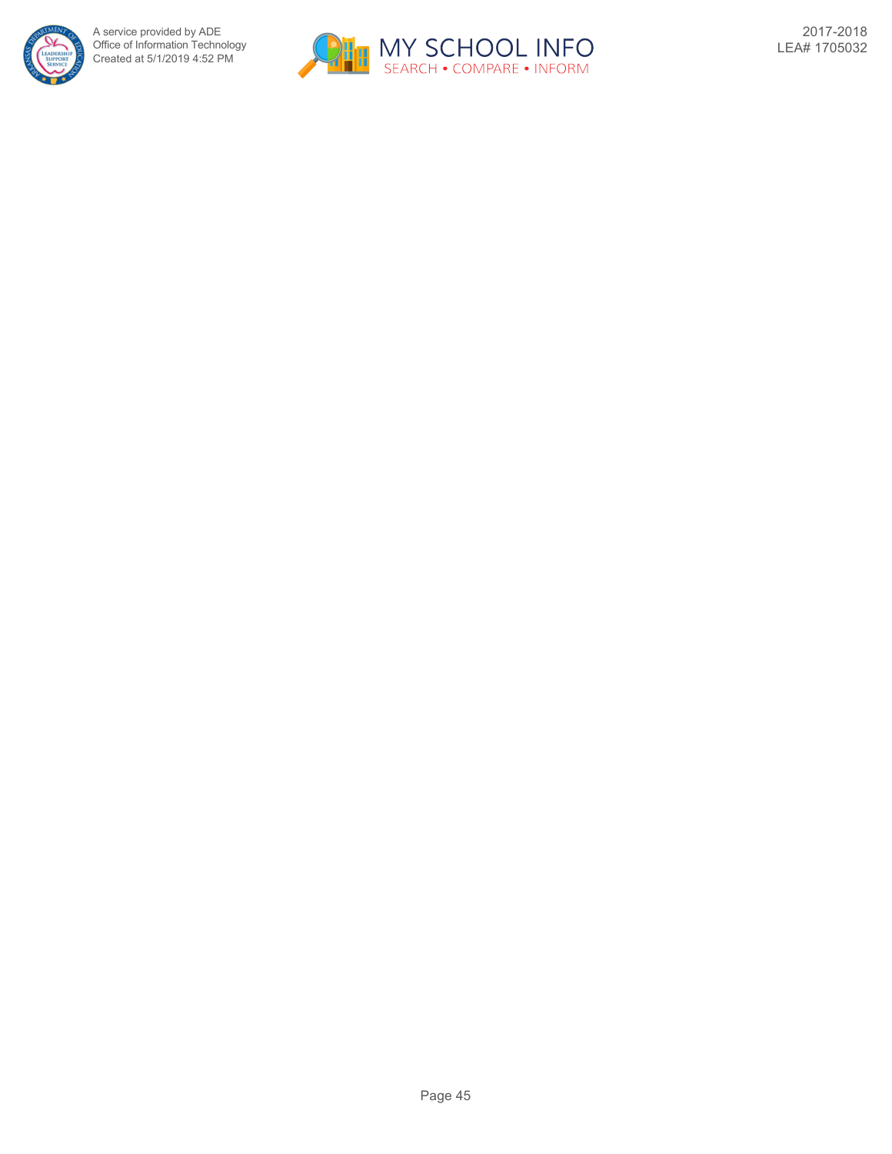

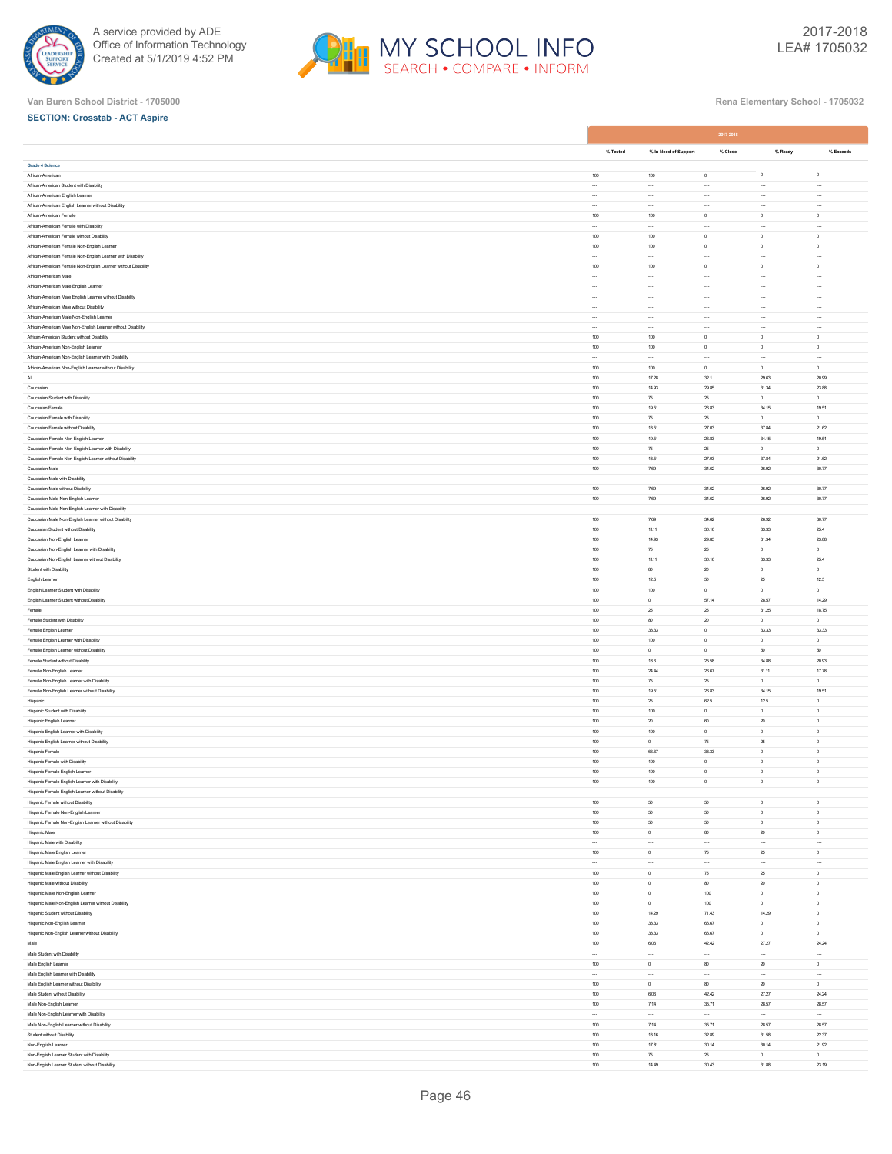



|                                                                                                             |                      | 2017-2018                   |                                     |                         |                          |  |  |
|-------------------------------------------------------------------------------------------------------------|----------------------|-----------------------------|-------------------------------------|-------------------------|--------------------------|--|--|
|                                                                                                             | $%$ Tested           | % In Need of Support        | $\%$ Close                          | % Ready                 | % Exceeds                |  |  |
| Grade 4 Science                                                                                             |                      |                             |                                     |                         |                          |  |  |
| African-American                                                                                            | 100                  | 100                         | $\,$ 0 $\,$                         | $\,$ 0 $\,$             | $\mathbb O$              |  |  |
| African-American Student with Disability                                                                    | $\cdots$             | $\cdots$                    | $\ddotsc$                           | $\cdots$                | $\cdots$                 |  |  |
| African-American English Learner                                                                            | $\cdots$             | $\sim$                      | $\cdots$                            | $\cdots$                | $\cdots$                 |  |  |
| African-American English Learner without Disability                                                         | $\cdots$             | $\ddotsc$                   | $\ddot{\phantom{0}}$                | $\cdots$                | $\cdots$                 |  |  |
| African-American Female                                                                                     | 100                  | 100                         | $\,$ 0 $\,$                         | $\,$ 0 $\,$             | $\,$ 0 $\,$              |  |  |
| African-American Female with Disability                                                                     | $\sim$<br>100        | $\ddot{\phantom{a}}$<br>100 | $\ddot{\phantom{0}}$<br>$\mathbf 0$ | $\ddotsc$<br>$\circ$    | $\cdots$<br>$\circ$      |  |  |
| African-American Female without Disability<br>African-American Female Non-English Learner                   | 100                  | 100                         | $\,$ 0 $\,$                         | $\mathbb O$             | $\mathsf{O}$             |  |  |
| African-American Female Non-English Learner with Disability                                                 | à.                   | $\sim$                      | $\ddot{\phantom{a}}$                | $\ddotsc$               | $\ddotsc$                |  |  |
| African-American Female Non-English Learner without Disability                                              | 100                  | 100                         | $\circ$                             | $\circ$                 | $\circ$                  |  |  |
| African-American Male                                                                                       | $\ddotsc$            | $\ddotsc$                   | $\ddot{\phantom{0}}$                | $\ddotsc$               |                          |  |  |
| African-American Male English Learner                                                                       | $\cdots$             | $\sim$                      | $\sim$                              | $\ddotsc$               | $\cdots$                 |  |  |
| African-American Male English Learner without Disability                                                    | $\cdots$             | $\cdots$                    | $\cdots$                            | $\cdots$                | $\cdots$                 |  |  |
| African-American Male without Disability                                                                    | $\cdots$             | $\cdots$                    | $\cdots$                            | $\cdots$                | $\cdots$                 |  |  |
| African-American Male Non-English Learner                                                                   | $\cdots$             | $\cdots$                    | $\ddotsc$                           | $\cdots$                | $\cdots$                 |  |  |
| African-American Male Non-English Learner without Disability<br>African-American Student without Disability | $\cdots$<br>100      | $\cdots$<br>100             | $\cdots$<br>$\,$ 0 $\,$             | $\cdots$<br>$\mathbb O$ | $\cdots$<br>$\mathsf{O}$ |  |  |
| African-American Non-English Learner                                                                        | 100                  | 100                         | $\circ$                             | $^{\circ}$              | $\circ$                  |  |  |
| African-American Non-English Learner with Disability                                                        | $\ddot{\phantom{0}}$ | $\ddot{\phantom{a}}$        | $\cdots$                            | $\ddot{\phantom{0}}$    | $\ddotsc$                |  |  |
| African-American Non-English Learner without Disability                                                     | 100                  | 100                         | $\,$ 0 $\,$                         | $\mathbb O$             | $\mathsf{O}$             |  |  |
| $\mathsf{All}$                                                                                              | 100                  | 17.28                       | 32.1                                | 29.63                   | 20.99                    |  |  |
| Caucasian                                                                                                   | $100\,$              | 14.93                       | 29.85                               | 31.34                   | 23.88                    |  |  |
| Caucasian Student with Disability                                                                           | 100                  | 75                          | 25                                  | $\circ$                 | $^{\circ}$               |  |  |
| Caucasian Female                                                                                            | 100                  | 19.51                       | 26.83                               | 34.15<br>$\mathbb O$    | 19.51<br>$^{\circ}$      |  |  |
| Caucasian Female with Disability<br>Caucasian Female without Disability                                     | 100<br>100           | $75\,$<br>13.51             | $\rm{2S}$<br>27.03                  | 37.84                   | 21.62                    |  |  |
| Caucasian Female Non-English Learner                                                                        | $100\,$              | 19.51                       | 26.83                               | 34.15                   | 19.51                    |  |  |
| Caucasian Female Non-English Learner with Disability                                                        | 100                  | $75\,$                      | $\rm{2S}$                           | $\mathbb O$             | $\mathbb O$              |  |  |
| Caucasian Female Non-English Learner without Disability                                                     | 100                  | 13.51                       | 27.03                               | 37.84                   | 21.62                    |  |  |
| Caucasian Male                                                                                              | $100\,$              | 7.69                        | 34.62                               | 26.92                   | 30.77                    |  |  |
| Caucasian Male with Disability                                                                              | $\cdots$             | $\cdots$                    | $\ddotsc$                           | $\ddotsc$               | $\cdots$                 |  |  |
| Caucasian Male without Disability                                                                           | 100                  | 7.69                        | 34.62                               | 26.92                   | 30.77                    |  |  |
| Caucasian Male Non-English Learner                                                                          | 100                  | 7.69                        | 34.62                               | 26.92                   | 30.77                    |  |  |
| Caucasian Male Non-English Learner with Disability<br>Caucasian Male Non-English Learner without Disability | $\cdots$<br>$100\,$  | $\cdots$<br>7.69            | $\sim$<br>34.62                     | $\cdots$<br>26.92       | $\cdots$<br>30.77        |  |  |
| Caucasian Student without Disability                                                                        | 100                  | 11.11                       | 30.16                               | 33.33                   | 25.4                     |  |  |
| Caucasian Non-English Learner                                                                               | 100                  | 14.93                       | 29.85                               | 31.34                   | 23.88                    |  |  |
| Caucasian Non-English Learner with Disability                                                               | $100\,$              | $7\!$                       | $\rm{2S}$                           | $\,$ 0 $\,$             | $\,$ 0                   |  |  |
| Caucasian Non-English Learner without Disability                                                            | 100                  | 11.11                       | 30.16                               | 33.33                   | 25.4                     |  |  |
| Student with Disability                                                                                     | 100                  | 80                          | $\rm{20}$                           | $\mathbb O$             | $\mathsf{O}$             |  |  |
| English Learner                                                                                             | 100                  | 12.5                        | $_{50}$                             | $\rm 25$                | 12.5                     |  |  |
| English Learner Student with Disability                                                                     | 100                  | 100                         | $\mathbf 0$                         | $\circ$                 | $\circ$                  |  |  |
| English Learner Student without Disability                                                                  | $100\,$              | $\,$ 0 $\,$                 | 57.14                               | 28.57                   | 14.29                    |  |  |
| Female<br>Female Student with Disability                                                                    | 100<br>100           | $\rm{25}$<br>$_{80}$        | $\rm{2S}$<br>$\rm{20}$              | 31.25<br>$\mathbb O$    | 18.75<br>$\mathbb O$     |  |  |
| Female English Learner                                                                                      | $100\,$              | 33.33                       | $\,$ 0 $\,$                         | 33.33                   | 33.33                    |  |  |
| Female English Learner with Disability                                                                      | 100                  | 100                         | $\circ$                             | $\mathbf{0}$            | $\mathbf{0}$             |  |  |
| Female English Learner without Disability                                                                   | 100                  | $\circ$                     | $\mathbf 0$                         | $_{50}$                 | $_{\rm 50}$              |  |  |
| Female Student without Disability                                                                           | 100                  | 18.6                        | 25.58                               | 34.88                   | 20.93                    |  |  |
| Female Non-English Learner                                                                                  | 100                  | 24.44                       | 26.67                               | 31.11                   | 17.78                    |  |  |
| Female Non-English Learner with Disability                                                                  | $100\,$              | $7\!$                       | $\rm{2S}$                           | $\,$ 0 $\,$             | $\,$ 0                   |  |  |
| Female Non-English Learner without Disability<br>Hispanic                                                   | 100<br>100           | 19.51<br>$\rm{z}$           | 26.83<br>62.5                       | 34.15<br>12.5           | 19.51<br>$\,$ 0 $\,$     |  |  |
| Hispanic Student with Disability                                                                            | $100\,$              | $100\,$                     | $\,$ 0 $\,$                         | $\mathbb O$             | $\,$ 0                   |  |  |
| Hispanic English Learner                                                                                    | 100                  | $\rm{20}$                   | 60                                  | 20                      | $\circ$                  |  |  |
| Hispanic English Learner with Disability                                                                    | 100                  | 100                         | $\mathbf 0$                         | $\,$ 0 $\,$             | $\,$ 0 $\,$              |  |  |
| Hispanic English Learner without Disability                                                                 | 100                  | $\circ$                     | 75                                  | $\rm 25$                | $\,$ 0 $\,$              |  |  |
| Hispanic Female                                                                                             | 100                  | 66.67                       | 33.33                               | $\mathbb O$             | $\mathbb O$              |  |  |
| Hispanic Female with Disability                                                                             | $100\,$              | 100                         | $\,$ 0 $\,$                         | $\,$ 0 $\,$             | $\,$ 0 $\,$              |  |  |
| Hispanic Female English Learner<br>Hispanic Female English Learner with Disability                          | 100<br>100           | 100<br>100                  | $\,0\,$<br>$\,0\,$                  | $\mathbb O$<br>$\circ$  | $\,$ 0 $\,$<br>$\circ$   |  |  |
| Hispanic Female English Learner without Disability                                                          |                      | $\ddot{\phantom{0}}$        | $\cdots$                            |                         | $\ddotsc$                |  |  |
| Hispanic Female without Disability                                                                          | 100                  | 50                          | 50                                  | $^{\circ}$              | $^{\circ}$               |  |  |
| Hispanic Female Non-English Learner                                                                         | 100                  | $_{50}$                     | $_{50}$                             | $\mathbb O$             | $\,$ 0 $\,$              |  |  |
| Hispanic Female Non-English Learner without Disability                                                      | 100                  | $_{\rm 50}$                 | $_{\rm 50}$                         | $\mathbb O$             | $\mathsf{O}$             |  |  |
| Hispanic Male                                                                                               | 100                  | $\circ$                     | 80                                  | 20                      | $\circ$                  |  |  |
| Hispanic Male with Disability                                                                               | $\ddot{\phantom{0}}$ | $\sim$                      |                                     | $\ddot{\phantom{0}}$    | $\ddotsc$                |  |  |
| Hispanic Male English Learner                                                                               | 100                  | $\,0\,$                     | 75                                  | $\rm 25$                | $\mathsf{O}$             |  |  |
| Hispanic Male English Learner with Disability<br>Hispanic Male English Learner without Disability           | $\cdots$<br>$100\,$  | $\cdots$<br>$\,$ 0          | $\cdots$<br>$7\!$                   | <br>$\rm 25$            | <br>$\,$ 0 $\,$          |  |  |
| Hispanic Male without Disability                                                                            | 100                  | $\circ$                     | $80\,$                              | $\mathbf{20}$           | $\circ$                  |  |  |
| Hispanic Male Non-English Learner                                                                           | 100                  | $\,$ 0 $\,$                 | 100                                 | $\mathbb O$             | $\mathsf{O}$             |  |  |
| Hispanic Male Non-English Learner without Disability                                                        | 100                  | $\circ$                     | 100                                 | $\mathbb O$             | $\mathbb O$              |  |  |
| Hispanic Student without Disability                                                                         | 100                  | 14.29                       | 71.43                               | 14.29                   | $\circ$                  |  |  |
| Hispanic Non-English Learner                                                                                | $100\,$              | 33.33                       | 66.67                               | $\,$ 0 $\,$             | $\,$ 0 $\,$              |  |  |
| Hispanic Non-English Learner without Disability                                                             | 100                  | 33.33                       | 66.67                               | $\mathbb O$             | $\circ$                  |  |  |
| Male                                                                                                        | 100                  | 6.06                        | 42.42                               | 27.27                   | 24.24                    |  |  |
| Male Student with Disability<br>Male English Learner                                                        | $\cdots$<br>100      | $\ddotsc$<br>$^{\circ}$     | $\ddot{\phantom{0}}$<br>80          | <br>20                  | $\cdots$<br>$\circ$      |  |  |
| Male English Learner with Disability                                                                        | $\cdots$             | $\cdots$                    | $\cdots$                            | $\cdots$                | $\cdots$                 |  |  |
| Male English Learner without Disability                                                                     | 100                  | $\,0\,$                     | $80\,$                              | $\rm{20}$               | $\mathsf{O}$             |  |  |
| Male Student without Disability                                                                             | 100                  | 6.06                        | 42.42                               | 27.27                   | 24.24                    |  |  |
| Male Non-English Learner                                                                                    | $100\,$              | 7.14                        | 35.71                               | 28.57                   | 28.57                    |  |  |
| Male Non-English Learner with Disability                                                                    | $\cdots$             | $\cdots$                    | $\ldots$                            | $\ddotsc$               | $\cdots$                 |  |  |
| Male Non-English Learner without Disability                                                                 | 100                  | 7.14                        | 35.71                               | 28.57                   | 28.57                    |  |  |
| Student without Disability                                                                                  | $100\,$              | 13.16                       | 32.89                               | 31.58                   | 22.37                    |  |  |
| Non-English Learner<br>Non-English Learner Student with Disability                                          | 100<br>100           | 17.81<br>75                 | 30.14<br>$\rm{2S}$                  | 30.14<br>$\mathbb O$    | 21.92<br>$\mathsf{O}$    |  |  |
| Non-English Learner Student without Disability                                                              | 100                  | 14.49                       | 30.43                               | 31.88                   | 23.19                    |  |  |
|                                                                                                             |                      |                             |                                     |                         |                          |  |  |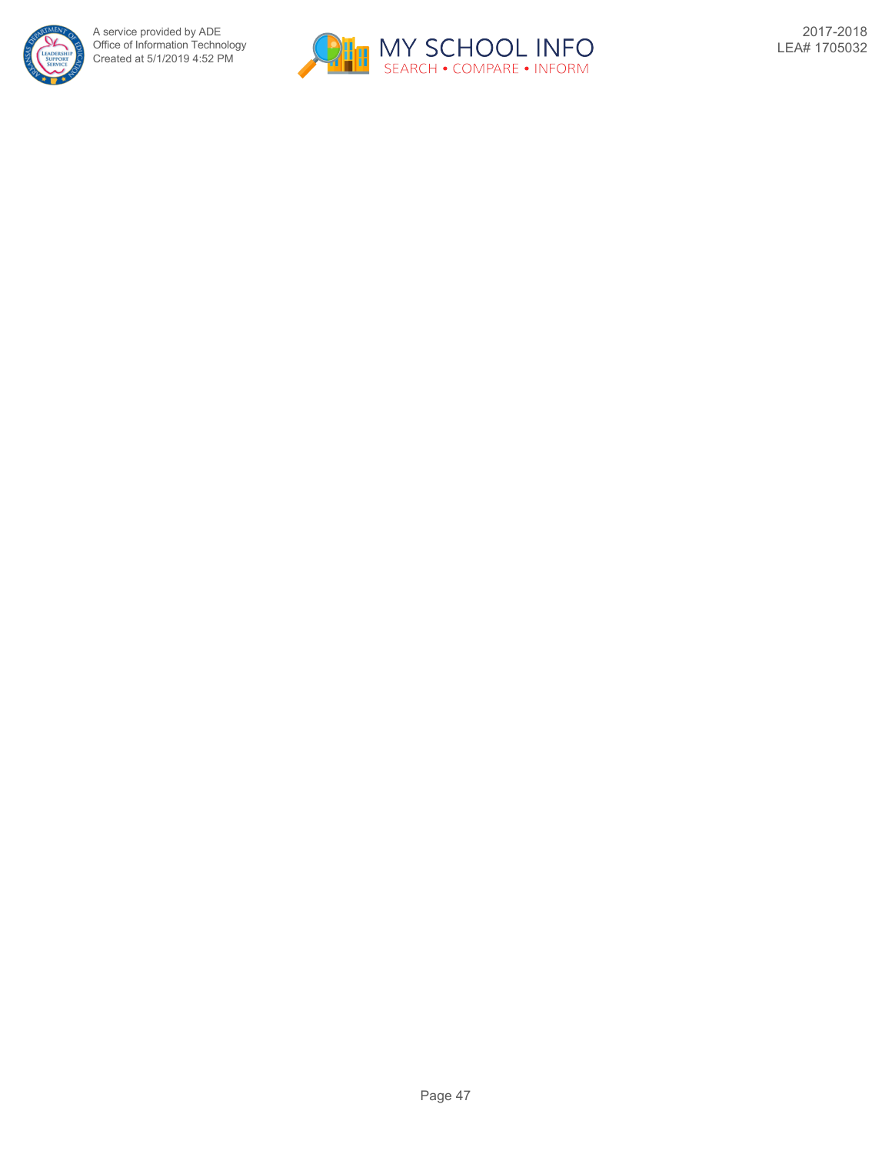

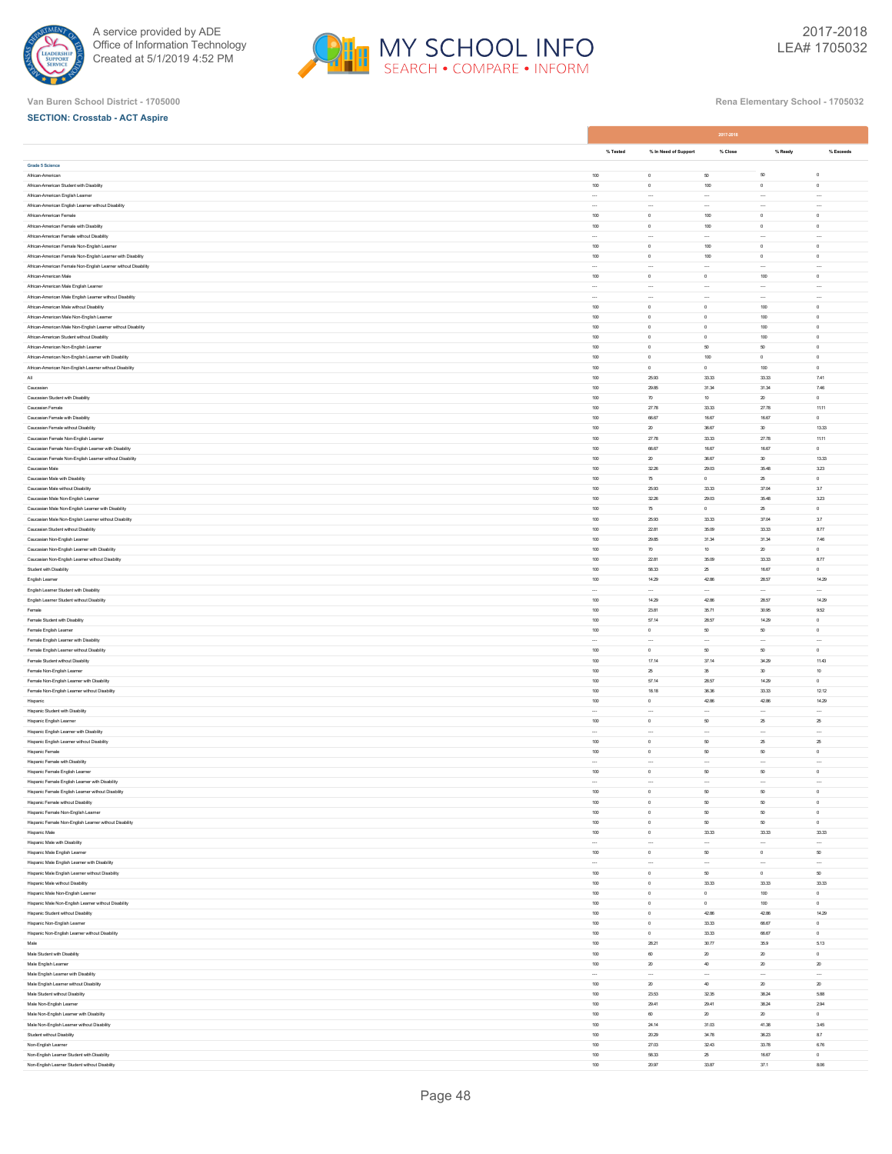



|                                                                                                       |                  |                           | 2017-2018                |                      |                     |
|-------------------------------------------------------------------------------------------------------|------------------|---------------------------|--------------------------|----------------------|---------------------|
|                                                                                                       | % Tested         | % In Need of Support      | % Close                  | % Ready              | % Exceeds           |
|                                                                                                       |                  |                           |                          |                      |                     |
| Grade 5 Science<br>African-American                                                                   | 100              | $\,$ 0 $\,$               | $_{\rm 50}$              | 50                   | $\circ$             |
| African-American Student with Disability                                                              | 100              | $\,0\,$                   | 100                      | $\circ$              | $\,0\,$             |
| African-American English Learner                                                                      | $\ldots$         | $\ddotsc$                 | $\cdots$                 | $\cdots$             | $\ldots$            |
| African-American English Learner without Disability                                                   |                  |                           |                          |                      |                     |
| African-American Female                                                                               | 100              | $\circ$                   | 100                      | $^{\circ}$           | $\circ$             |
| African-American Female with Disability                                                               | 100              | $\,$ 0                    | 100                      | $\,$ 0 $\,$          | $\,$ 0 $\,$         |
| African-American Female without Disability                                                            |                  | $\sim$                    | $\ddot{\phantom{a}}$     | $\ddotsc$            | $\sim$              |
| African-American Female Non-English Learner                                                           | 100              | $\circ$                   | 100                      | $\circ$              | $\circ$             |
| African-American Female Non-English Learner with Disability                                           | 100              | $\,$ 0                    | $100\,$                  | $\,$ 0               | $\,$ 0              |
| African-American Female Non-English Learner without Disability                                        | $\ddotsc$        | $\sim$                    | $\ddot{\phantom{a}}$     | $\ddotsc$            | $\sim$              |
| African-American Male                                                                                 | 100              | $\circ$                   | $\circ$                  | 100                  | $\circ$             |
| African-American Male English Learner                                                                 |                  | $\sim$                    | $\ddot{\phantom{0}}$     | $\ddotsc$            | $\cdots$            |
| African-American Male English Learner without Disability                                              | $\cdots$         | $\sim$                    | $\cdots$                 | $\cdots$             | $\cdots$            |
| African-American Male without Disability                                                              | 100              | $\,$ 0 $\,$               | $\,$ 0                   | 100                  | $\,$ 0 $\,$         |
| African-American Male Non-English Learner                                                             | 100              | $\,0\,$                   | $\,$ 0                   | 100                  | $\,0\,$             |
| African-American Male Non-English Learner without Disability                                          | 100              | $\circ$                   | $\circ$                  | 100                  | $\circ$             |
| African-American Student without Disability                                                           | 100              | $\,$ 0 $\,$               | $\,$ 0                   | $100\,$              | $\circ$             |
| African-American Non-English Learner                                                                  | 100              | $\circ$                   | 50                       | 50                   | $\,0\,$             |
| African-American Non-English Learner with Disability                                                  | 100              | $\,$ 0 $\,$               | 100                      | $\,$ 0 $\,$          | $\,$ 0 $\,$         |
| African-American Non-English Learner without Disability<br>All                                        | 100<br>100       | $\,$ 0 $\,$<br>25.93      | $\,$ 0 $\,$<br>33.33     | $100\,$<br>33.33     | $\,$ 0 $\,$<br>7.41 |
| Caucasian                                                                                             | 100              | 29.85                     | 31.34                    | 31.34                | 7.46                |
| Caucasian Student with Disability                                                                     | 100              | 70                        | 10                       | 20                   | $\circ$             |
| Caucasian Female                                                                                      | 100              | 27.78                     | 33.33                    | 27.78                | 11.11               |
| Caucasian Female with Disability                                                                      | 100              | 66.67                     | 16.67                    | 16.67                | $\,$ 0              |
| Caucasian Female without Disability                                                                   | 100              | $\mathbf{20}$             | 36.67                    | $30\,$               | 13.33               |
| Caucasian Female Non-English Learner                                                                  | 100              | 27.78                     | 33.33                    | 27.78                | 11.11               |
| Caucasian Female Non-English Learner with Disability                                                  | 100              | 66.67                     | 16.67                    | 16.67                | $\,$ 0              |
| Caucasian Female Non-English Learner without Disability                                               | 100              | $20\,$                    | 36.67                    | 30                   | 13.33               |
| Caucasian Male                                                                                        | 100              | 32.26                     | 29.03                    | 35.48                | 3.23                |
| Caucasian Male with Disability                                                                        | 100              | 75                        | $\circ$                  | 25                   | $\circ$             |
| Caucasian Male without Disability                                                                     | 100              | 25.93                     | 33.33                    | 37.04                | 3.7                 |
| Caucasian Male Non-English Learner                                                                    | 100              | 32.26                     | 29.03                    | 35.48                | $3.23\,$            |
| Caucasian Male Non-English Learner with Disability                                                    | 100              | 75                        | $\,$ 0                   | 25                   | $\,0\,$             |
| Caucasian Male Non-English Learner without Disability                                                 | 100              | 25.93                     | 33.33                    | 37.04                | 3.7                 |
| Caucasian Student without Disability                                                                  | 100              | 22.81                     | 35.09                    | 33.33                | 8.77                |
| Caucasian Non-English Learner                                                                         | 100              | 29.85                     | 31.34                    | 31.34                | 7.46                |
| Caucasian Non-English Learner with Disability                                                         | 100              | 70                        | $10$                     | $20\,$               | $\,$ 0 $\,$         |
| Caucasian Non-English Learner without Disability                                                      | 100              | 22.81                     | 35.09                    | 33.33                | 8.77                |
| Student with Disability                                                                               | 100              | 58.33                     | $\rm{2S}$                | 16.67                | $\circ$             |
| English Learner                                                                                       | 100              | 14.29                     | 42.86                    | 28.57                | 14.29               |
| English Learner Student with Disability<br>English Learner Student without Disability                 | $\ddotsc$<br>100 | $\ddotsc$<br>14.29        | $\ddotsc$<br>42.86       | $\ddotsc$<br>28.57   | $\sim$<br>14.29     |
|                                                                                                       | 100              | 23.81                     | 35.71                    | 30.95                | $9.52\,$            |
| Female<br>Female Student with Disability                                                              | 100              | 57.14                     | 28.57                    | 14.29                | $\circ$             |
| Female English Learner                                                                                | 100              | $\,$ 0 $\,$               | 60                       | 60                   | $\,$ 0 $\,$         |
| Female English Learner with Disability                                                                | $\sim$           | $\ddotsc$                 | $\cdots$                 | $\cdots$             | $\cdots$            |
| Female English Learner without Disability                                                             | 100              | $\circ$                   | 50                       | 50                   | $\circ$             |
| Female Student without Disability                                                                     | 100              | 17.14                     | 37.14                    | 34.29                | 11.43               |
| Female Non-English Learner                                                                            | 100              | $_{\rm 25}$               | 36                       | 30                   | $10$                |
| Female Non-English Learner with Disability                                                            | 100              | 57.14                     | 28.57                    | 14.29                | $\,$ 0 $\,$         |
| Female Non-English Learner without Disability                                                         | 100              | 18.18                     | 36.36                    | 33.33                | 12.12               |
| Hispanic                                                                                              | 100              | $\circ$                   | 42.86                    | 42.86                | 14.29               |
| Hispanic Student with Disability                                                                      | $\ldots$         | $\cdots$                  | $\cdots$                 | $\ldots$             | $\cdots$            |
| Hispanic English Learner                                                                              | 100              | $\,0\,$                   | $_{50}$                  | $\rm 25$             | $\rm 25$            |
| Hispanic English Learner with Disability                                                              | $\cdots$         | $\cdots$                  | $\cdots$                 | $\cdots$             | $\cdots$            |
| Hispanic English Learner without Disability                                                           | 100              | $\,$ 0 $\,$               | $_{\rm S0}$              | 25                   | $\rm 25$            |
| <b>Hispanic Female</b>                                                                                | 100              | $\circ$                   | 50                       | $_{50}$              | $\circ$             |
| Hispanic Female with Disability                                                                       | $\cdots$         | $\cdots$                  | $\cdots$                 | $\cdots$             | $\cdots$            |
| Hispanic Female English Learner                                                                       | 100<br>$\cdots$  | $\,$ 0 $\,$<br>$\sim$     | $_{\rm 50}$<br>$\ddotsc$ | $_{50}$<br>$\ddotsc$ | $\,$ 0<br>$\cdots$  |
| Hispanic Female English Learner with Disability<br>Hispanic Female English Learner without Disability | 100              | $\circ$                   | 50                       | 60                   | $\circ$             |
| Hispanic Female without Disability                                                                    | 100              | $\circ$                   | 50                       | 50                   | $\circ$             |
| Hispanic Female Non-English Learner                                                                   | 100              | $\circ$                   | 50                       | 50                   | $\circ$             |
| Hispanic Female Non-English Learner without Disability                                                | 100              | $\,$ 0 $\,$               | $_{\rm 50}$              | $_{50}$              | $\,$ 0 $\,$         |
| Hispanic Male                                                                                         | 100              | $\,0\,$                   | 33.33                    | 33.33                | 33.33               |
| Hispanic Male with Disability                                                                         | $\ldots$         | $\cdots$                  | $\cdots$                 | $\ldots$             | $\ldots$            |
| Hispanic Male English Learner                                                                         | 100              | $\circ$                   | $_{\rm 50}$              | $\circ$              | $_{\rm 50}$         |
| Hispanic Male English Learner with Disability                                                         | $\cdots$         | $\cdots$                  | $\cdots$                 | $\cdots$             | $\cdots$            |
| Hispanic Male English Learner without Disability                                                      | 100              | $\,$ 0 $\,$               | 60                       | $\,$ 0 $\,$          | 60                  |
| Hispanic Male without Disability                                                                      | 100              | $\,0\,$                   | 33.33                    | 33.33                | 33.33               |
| Hispanic Male Non-English Learner                                                                     | 100              | $\,$ 0 $\,$               | $\circ$                  | 100                  | $\circ$             |
| Hispanic Male Non-English Learner without Disability                                                  | 100              | $\,$ 0                    | $\,$ 0                   | 100                  | $\,$ 0              |
| Hispanic Student without Disability                                                                   | 100              | $\circ$                   | 42.86                    | 42.86                | 14.29               |
| Hispanic Non-English Learner                                                                          | 100              | $\,$ 0 $\,$               | 33.33                    | 66.67                | $\circ$             |
| Hispanic Non-English Learner without Disability                                                       | 100              | $\,$ 0                    | 33.33                    | 66.67                | $\,$ 0 $\,$         |
| Male                                                                                                  | 100              | 28.21                     | 30.77                    | 35.9                 | 5.13                |
| Male Student with Disability                                                                          | 100              | 60                        | $20\,$                   | $20\,$               | $\circ$             |
| Male English Learner                                                                                  | 100<br>$\cdots$  | $\mathbf{20}$<br>$\cdots$ | 40<br>$\cdots$           | $20\,$<br>$\cdots$   | $20\,$<br>$\cdots$  |
| Male English Learner with Disability<br>Male English Learner without Disability                       | 100              | $\rm{20}$                 | $40\,$                   | $\rm{20}$            | $\rm{20}$           |
| Male Student without Disability                                                                       | 100              | 23.53                     | 3235                     | 38.24                | 5.88                |
| Male Non-English Learner                                                                              | 100              | 29.41                     | 29.41                    | 38.24                | 2.94                |
| Male Non-English Learner with Disability                                                              | 100              | $60\,$                    | $20\,$                   | $\rm{20}$            | $\,$ 0 $\,$         |
| Male Non-English Learner without Disability                                                           | 100              | 24.14                     | 31.03                    | 41.38                | 3.45                |
| Student without Disability                                                                            | 100              | 2029                      | 34.78                    | 36.23                | 8.7                 |
| Non-English Learner                                                                                   | 100              | 27.03                     | 32.43                    | 33.78                | 6.76                |
| Non-English Learner Student with Disability                                                           | 100              | 58.33                     | 25                       | 16.67                | $\circ$             |
| Non-English Learner Student without Disability                                                        | 100              | 20.97                     | 33.87                    | 37.1                 | $8.06\,$            |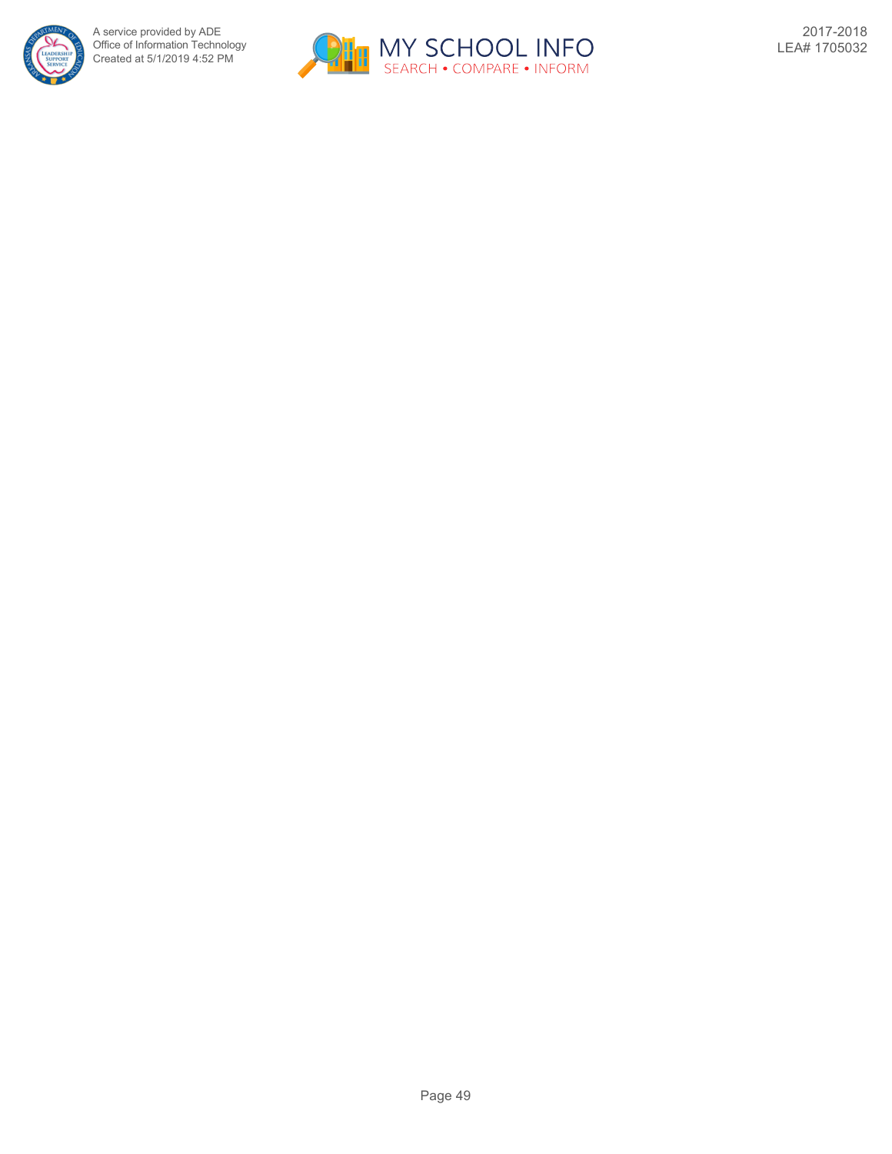

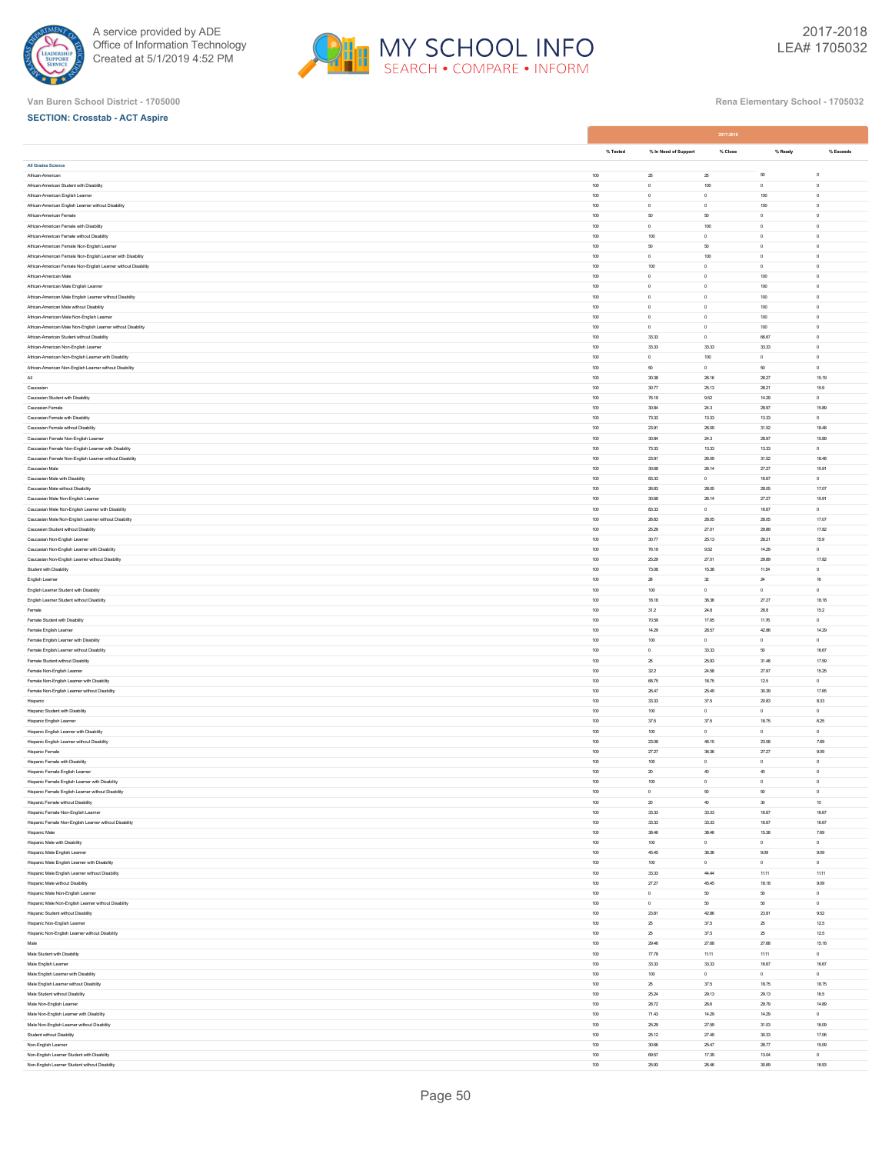



|                                                                                                             |                | 2017-2018                 |                        |                            |                             |  |
|-------------------------------------------------------------------------------------------------------------|----------------|---------------------------|------------------------|----------------------------|-----------------------------|--|
|                                                                                                             | % Tested       | % In Need of Support      | % Close                | % Ready                    | % Exceeds                   |  |
| All Grades Science                                                                                          |                |                           |                        |                            |                             |  |
| African-American                                                                                            | 100            | 25                        | 25                     | $_{50}$                    | $\,$ 0 $\,$                 |  |
| African-American Student with Disability                                                                    | 100            | $\,$ 0 $\,$               | 100                    | $\,$ 0 $\,$                | $\,$ 0 $\,$                 |  |
| African-American English Learner                                                                            | 100            | $\,0\,$                   | $\,$ 0 $\,$            | 100                        | $\,$ 0                      |  |
| African-American English Learner without Disability                                                         | 100            | $\circ$                   | $\circ$                | 100                        | $\circ$                     |  |
| African-American Female                                                                                     | $100\,$        | $_{50}$                   | $_{\rm S0}$            | $\mathbb O$                | $\mathbb O$                 |  |
| African-American Female with Disability<br>African-American Female without Disability                       | 100<br>100     | $\,0\,$<br>100            | 100<br>$\,$ 0 $\,$     | $\,$ 0 $\,$<br>$\,$ 0 $\,$ | $\mathbb O$<br>$\,$ 0 $\,$  |  |
| African-American Female Non-English Learner                                                                 | $100\,$        | $_{50}$                   | $_{\rm S0}$            | $\,$ 0                     | $\,$ 0 $\,$                 |  |
| African-American Female Non-English Learner with Disability                                                 | 100            | $^{\circ}$                | 100                    | $\ddot{\phantom{0}}$       | $\ddot{\phantom{0}}$        |  |
| African-American Female Non-English Learner without Disability                                              | 100            | 100                       | $\circ$                | $\mathbb O$                | $\mathbb O$                 |  |
| African-American Male                                                                                       | 100            | $\,$ 0 $\,$               | $\,$ 0 $\,$            | 100                        | $\,$ 0 $\,$                 |  |
| African-American Male English Learner                                                                       | 100            | $^{\circ}$                | $\circ$                | 100                        | $\ddot{\phantom{0}}$        |  |
| African-American Male English Learner without Disability                                                    | $100\,$        | $\,$ 0 $\,$               | $\,$ 0 $\,$            | 100                        | $\,$ 0                      |  |
| African-American Male without Disability                                                                    | 100            | $\,$ 0 $\,$               | $\,$ 0 $\,$            | 100                        | $\,$ 0 $\,$                 |  |
| African-American Male Non-English Learner                                                                   | 100            | $\,$ 0 $\,$               | $\,$ 0 $\,$            | 100                        | $\,$ 0 $\,$                 |  |
| African-American Male Non-English Learner without Disability<br>African-American Student without Disability | $100\,$<br>100 | $\,0\,$<br>33.33          | $\,$ 0 $\,$<br>$\circ$ | 100<br>66.67               | $\,$ 0<br>$\circ$           |  |
| African-American Non-English Learner                                                                        | 100            | 33.33                     | 33.33                  | 33.33                      | $\,$ 0 $\,$                 |  |
| African-American Non-English Learner with Disability                                                        | 100            | $\,0\,$                   | 100                    | $\mathbb O$                | $\mathbb O$                 |  |
| African-American Non-English Learner without Disability                                                     | 100            | 60                        | $\mathbf 0$            | $_{\rm 50}$                | $\,$ 0 $\,$                 |  |
| $\mathsf{All}$                                                                                              | $100\,$        | 30.38                     | 26.16                  | 28.27                      | 15.19                       |  |
| Caucasian                                                                                                   | 100            | 30.77                     | 25.13                  | 28.21                      | 15.9                        |  |
| Caucasian Student with Disability                                                                           | 100            | 76.19                     | 9.52                   | 14.29                      | $\mathbb O$                 |  |
| Caucasian Female                                                                                            | $100\,$        | 30.84                     | 24.3                   | 28.97                      | 15.89                       |  |
| Caucasian Female with Disability                                                                            | 100            | 73.33                     | 13.33                  | 13.33                      | $^{\circ}$                  |  |
| Caucasian Female without Disability<br>Caucasian Female Non-English Learner                                 | 100<br>100     | 23.91<br>30.84            | 26.09<br>24.3          | 31.52<br>28.97             | 18.48<br>15.89              |  |
| Caucasian Female Non-English Learner with Disability                                                        | 100            | 73.33                     | 13.33                  | 13.33                      | $\ddot{\phantom{0}}$        |  |
| Caucasian Female Non-English Learner without Disability                                                     | $100\,$        | 23.91                     | 26.09                  | 31.52                      | 18.48                       |  |
| Caucasian Male                                                                                              | 100            | 30.68                     | 26.14                  | 27.27                      | 15.91                       |  |
| Caucasian Male with Disability                                                                              | 100            | 83.33                     | $\,$ 0 $\,$            | 16.67                      | $\,$ 0 $\,$                 |  |
| Caucasian Male without Disability                                                                           | $100\,$        | 26.83                     | 28.05                  | 28.05                      | 17.07                       |  |
| Caucasian Male Non-English Learner                                                                          | 100            | 30.68                     | 26.14                  | 27.27                      | 15.91                       |  |
| Caucasian Male Non-English Learner with Disability                                                          | 100            | 83.33                     | $\,$ 0 $\,$            | 16.67                      | $\,$ 0 $\,$                 |  |
| Caucasian Male Non-English Learner without Disability                                                       | 100            | 26.83                     | 28.05                  | 28.05                      | 17.07                       |  |
| Caucasian Student without Disability<br>Caucasian Non-English Learner                                       | 100<br>$100\,$ | 25.29<br>30.77            | 27.01<br>25.13         | 29.89<br>28.21             | 17.82<br>15.9               |  |
| Caucasian Non-English Learner with Disability                                                               | 100            | 76.19                     | 9.52                   | 14.29                      | $\mathbb O$                 |  |
| Caucasian Non-English Learner without Disability                                                            | 100            | 25.29                     | 27.01                  | 29.89                      | 17.82                       |  |
| Student with Disability                                                                                     | $100\,$        | 73.08                     | 15.38                  | 11.54                      | $\,$ 0 $\,$                 |  |
| English Learner                                                                                             | 100            | 28                        | $\infty$               | 24                         | 16                          |  |
| English Learner Student with Disability                                                                     | 100            | 100                       | $\mathbf 0$            | $\mathbb O$                | $\mathbb O$                 |  |
| English Learner Student without Disability                                                                  | 100            | 18.18                     | 36.36                  | 27.27                      | 18.18                       |  |
| Female                                                                                                      | 100            | 31.2                      | 24.8                   | 28.8                       | 15.2                        |  |
| Female Student with Disability                                                                              | $100\,$        | 70.59                     | 17.65                  | 11.76                      | $\,$ 0                      |  |
| Female English Learner<br>Female English Learner with Disability                                            | 100<br>100     | 14.29<br>100              | 28.57<br>$\,$ 0 $\,$   | 42.86<br>$\,$ 0 $\,$       | 14.29<br>$\,$ 0 $\,$        |  |
| Female English Learner without Disability                                                                   | $100\,$        | $\,$ 0 $\,$               | 33.33                  | $_{\rm 50}$                | 16.67                       |  |
| Female Student without Disability                                                                           | 100            | 25                        | 25.93                  | 31.48                      | 17.59                       |  |
| Female Non-English Learner                                                                                  | 100            | 32.2                      | 24.58                  | 27.97                      | 15.25                       |  |
| Female Non-English Learner with Disability                                                                  | 100            | 68.75                     | 18.75                  | 12.5                       | $\mathbb O$                 |  |
| Female Non-English Learner without Disability                                                               | 100            | 26.47                     | 25.49                  | 30.39                      | 17.65                       |  |
| Hispanic                                                                                                    | $100\,$        | 33.33                     | 37.5                   | 20.83                      | 8.33                        |  |
| Hispanic Student with Disability                                                                            | 100            | 100                       | $\mathbf 0$            | $\mathbb O$                | $^{\circ}$                  |  |
| Hispanic English Learner<br>Hispanic English Learner with Disability                                        | 100<br>$100\,$ | 37.5<br>100               | 37.5<br>$\,$ 0 $\,$    | 18.75<br>$\,$ 0 $\,$       | 6.25<br>$\,$ 0 $\,$         |  |
| Hispanic English Learner without Disability                                                                 | 100            | 23.08                     | 46.15                  | 23.08                      | 7.69                        |  |
| Hispanic Female                                                                                             | 100            | 27.27                     | 36.36                  | 27.27                      | 9.09                        |  |
| Hispanic Female with Disability                                                                             | 100            | 100                       | $\,$ 0 $\,$            | $\,$ 0 $\,$                | $\,$ 0 $\,$                 |  |
| Hispanic Female English Learner                                                                             | 100            | $\mathbf{z}$              | 40                     | 40                         | $\mathbf{0}$                |  |
| Hispanic Female English Learner with Disability                                                             | 100            | 100                       | $\circ$                | $\circ$                    | $\mathbf 0$                 |  |
| Hispanic Female English Learner without Disability                                                          | 100            | $\,$ 0 $\,$               | $_{50}$                | $_{\rm 50}$                | $\,$ 0 $\,$                 |  |
| Hispanic Female without Disability                                                                          | 100            | $\rm{20}$                 | $40\,$                 | $_{\rm 30}$<br>16.67       | $10\,$<br>16.67             |  |
| Hispanic Female Non-English Learner<br>Hispanic Female Non-English Learner without Disability               | $100\,$<br>100 | 33.33<br>33.33            | 33.33<br>33.33         | 16.67                      | 16.67                       |  |
| Hispanic Male                                                                                               | 100            | 38.46                     | 38.46                  | 15.38                      | 7.69                        |  |
| Hispanic Male with Disability                                                                               | 100            | 100                       | $\,0\,$                | $\mathbb O$                | $\mathbb O$                 |  |
| Hispanic Male English Learner                                                                               | 100            | 45.45                     | 36.36                  | 9.09                       | 9.09                        |  |
| Hispanic Male English Learner with Disability                                                               | $100\,$        | $100\,$                   | $\,$ 0 $\,$            | $\,$ 0 $\,$                | $\,$ 0 $\,$                 |  |
| Hispanic Male English Learner without Disability                                                            | 100            | 33.33                     | 44.44                  | 11.11                      | 11.11                       |  |
| Hispanic Male without Disability                                                                            | 100            | 27.27                     | 45.45                  | 18.18                      | 9.09                        |  |
| Hispanic Male Non-English Learner                                                                           | $100\,$<br>100 | $\,$ 0 $\,$<br>$^{\circ}$ | $_{\rm S0}$<br>60      | $_{\rm 50}$<br>50          | $\,$ 0 $\,$<br>$\mathbf{0}$ |  |
| Hispanic Male Non-English Learner without Disability<br>Hispanic Student without Disability                 | 100            | 23.81                     | 42.86                  | 23.81                      | 9.52                        |  |
| Hispanic Non-English Learner                                                                                | 100            | $\rm{25}$                 | 37.5                   | $\rm 25$                   | 12.5                        |  |
| Hispanic Non-English Learner without Disability                                                             | 100            | 25                        | 37.5                   | $\rm{25}$                  | 12.5                        |  |
| Male                                                                                                        | $100\,$        | 29.46                     | 27.68                  | 27.68                      | 15.18                       |  |
| Male Student with Disability                                                                                | 100            | 77.78                     | 11.11                  | 11.11                      | $\mathsf{O}$                |  |
| Male English Learner                                                                                        | 100            | 33.33                     | 33.33                  | 16.67                      | 16.67                       |  |
| Male English Learner with Disability                                                                        | $100\,$        | $100\,$                   | $\,$ 0 $\,$            | $\,$ 0                     | $\,$ 0                      |  |
| Male English Learner without Disability                                                                     | 100            | 25                        | 37.5                   | 18.75                      | 18.75                       |  |
| Male Student without Disability                                                                             | 100            | 25.24                     | 29.13                  | 29.13                      | 16.5                        |  |
| Male Non-English Learner<br>Male Non-English Learner with Disability                                        | 100<br>100     | 28.72<br>71.43            | 26.6<br>14.29          | 29.79<br>14.29             | 14.89<br>$\circ$            |  |
| Male Non-English Learner without Disability                                                                 | $100\,$        | 25.29                     | 27.59                  | 31.03                      | 16.09                       |  |
| Student without Disability                                                                                  | 100            | 25.12                     | 27.49                  | 30.33                      | 17.06                       |  |
| Non-English Learner                                                                                         | 100            | 30.66                     | 25.47                  | 28.77                      | 15.09                       |  |
| Non-English Learner Student with Disability                                                                 | $100\,$        | 69.57                     | 17.39                  | 13.04                      | $\,$ 0 $\,$                 |  |
| Non-English Learner Student without Disability                                                              | 100            | 25.93                     | 26.46                  | 30.69                      | 16.93                       |  |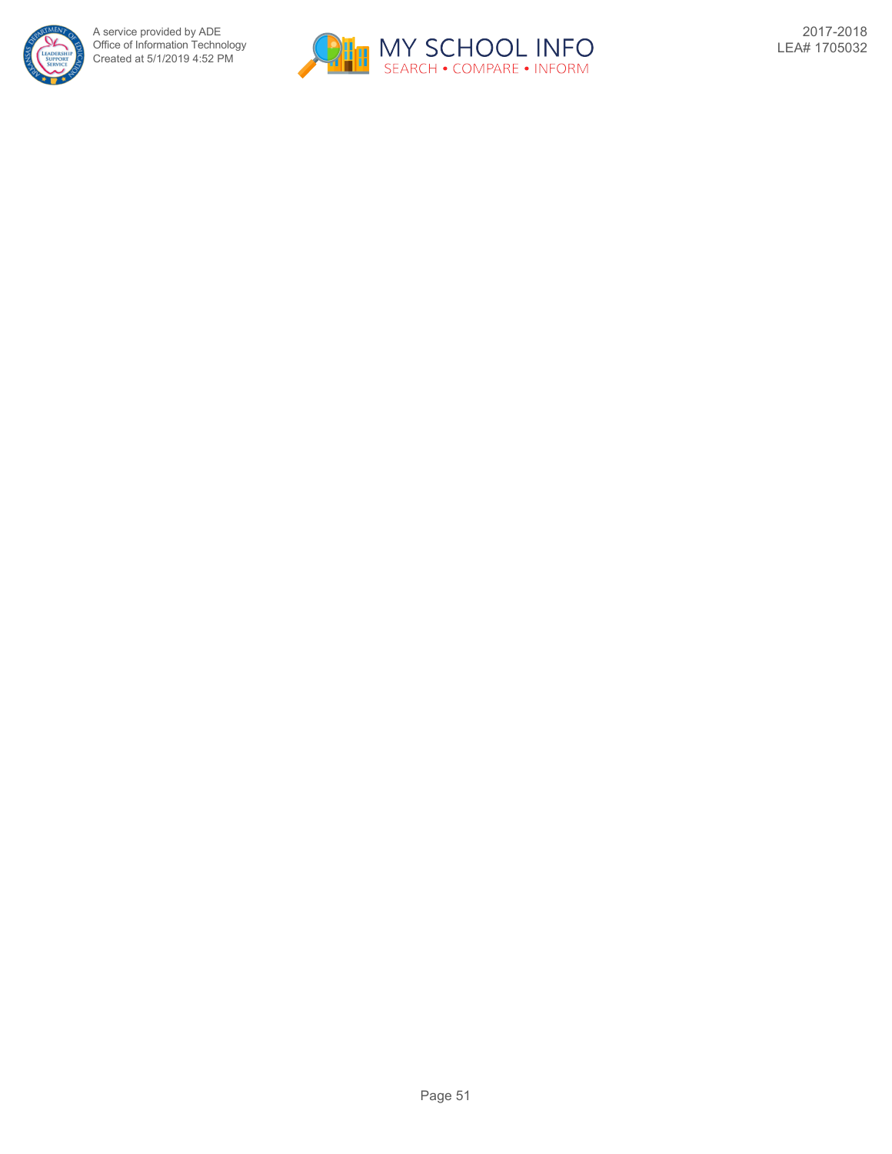

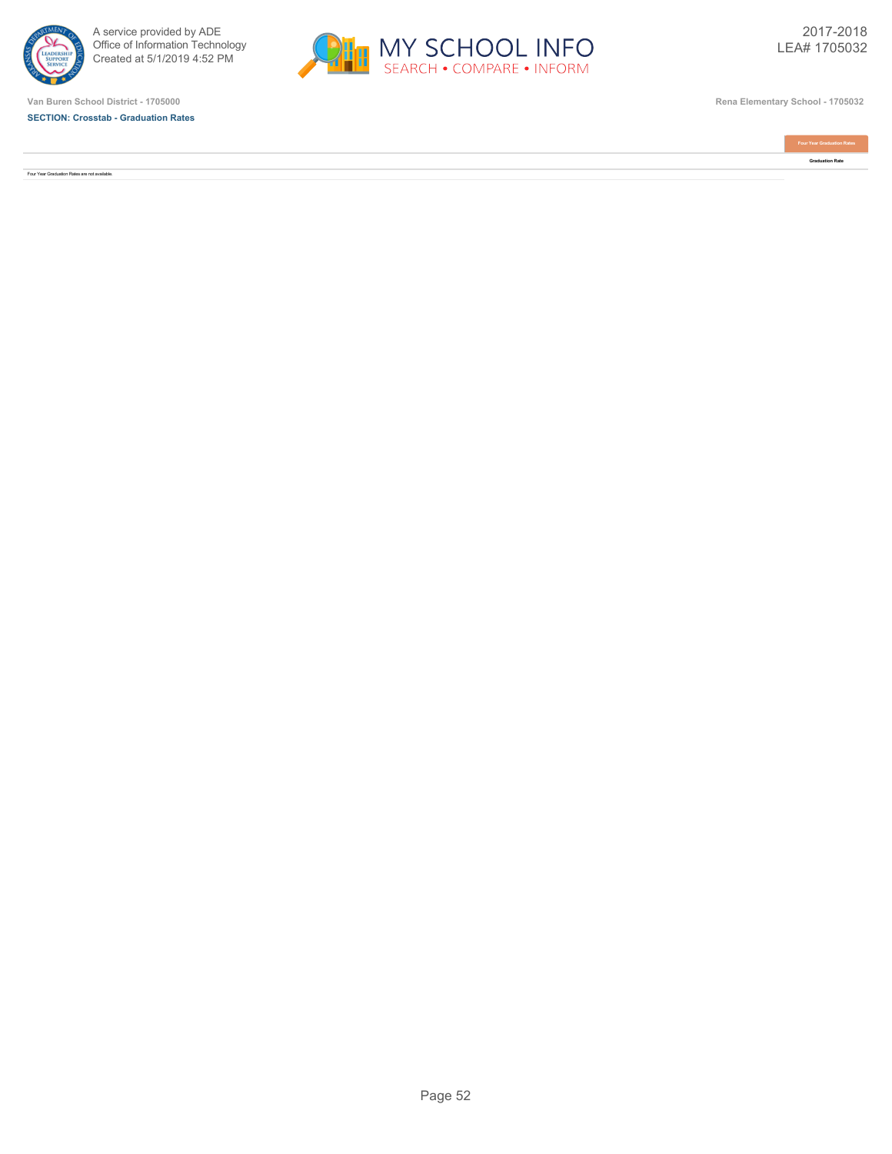

**SECTION: Crosstab - Graduation Rates**



**Van Buren School District - 1705000 Rena Elementary School - 1705032**



Four Year Graduation Rates are not available.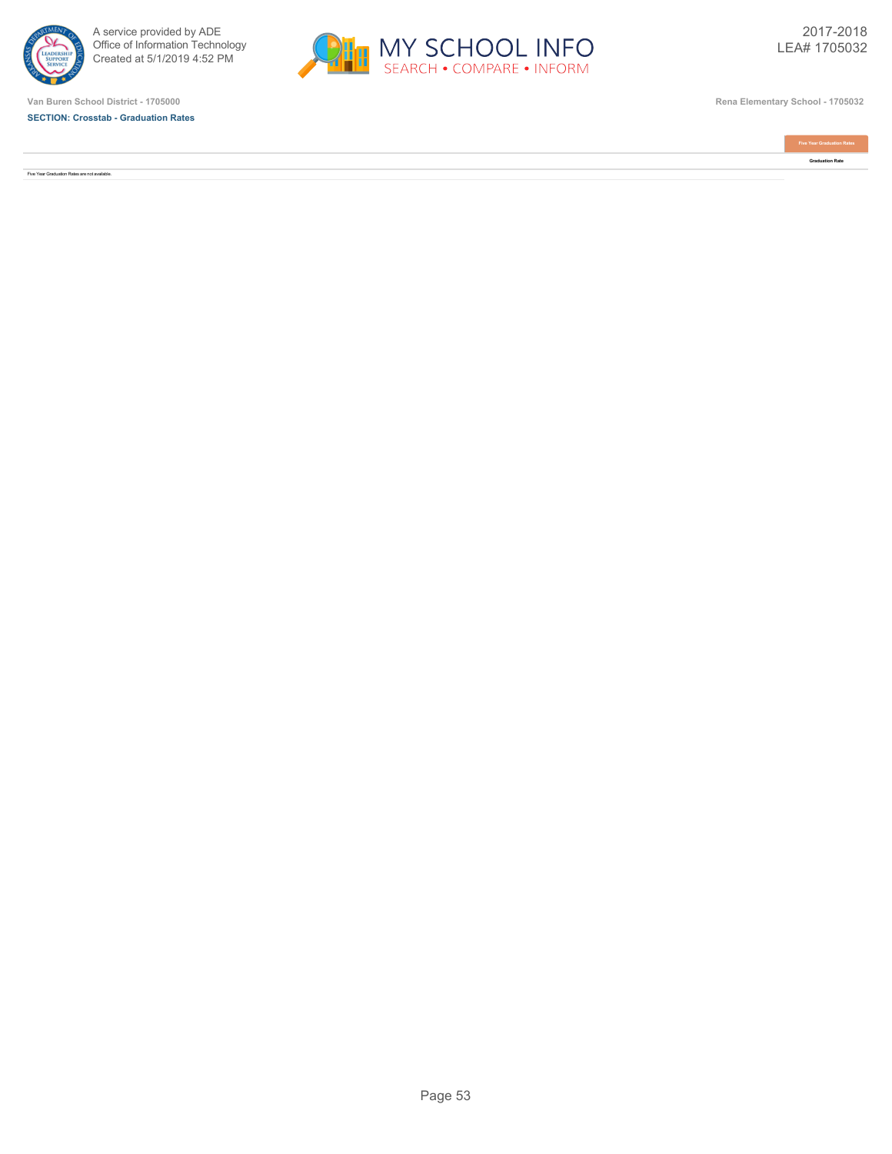

**SECTION: Crosstab - Graduation Rates**



**Van Buren School District - 1705000 Rena Elementary School - 1705032**



Five Year Graduation Rates are not available.